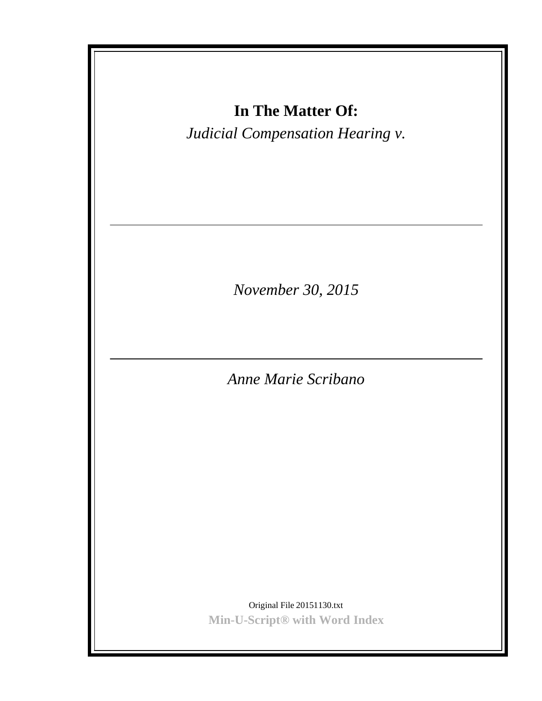| In The Matter Of:<br>Judicial Compensation Hearing v.       |
|-------------------------------------------------------------|
| November 30, 2015                                           |
| Anne Marie Scribano                                         |
|                                                             |
|                                                             |
|                                                             |
|                                                             |
| Original File 20151130.txt<br>Min-U-Script® with Word Index |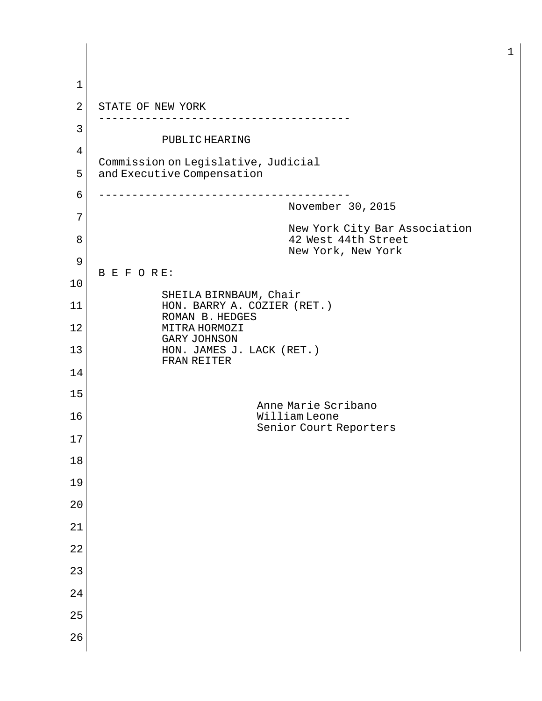1  $2 \parallel$  STATE OF NEW YORK -------------------------------------- 3 PUBLIC HEARING 4 Commission on Legislative, Judicial  $5 \parallel$  and Executive Compensation 6 -------------------------------------- November 30, 2015 7 New York City Bar Association 8 8 a b i and the state 42 West 44th Street New York, New York 9 B E F O R E: 10 SHEILA BIRNBAUM, Chair 11 HON. BARRY A. COZIER (RET.) ROMAN B. HEDGES 12 || MITRA HORMOZI GARY JOHNSON  $13$  HON. JAMES J. LACK (RET.) FRAN REITER 14 15 Anne Marie Scribano 16 William Leone Senior Court Reporters 17 18 19 20 21 22 23 24 25 26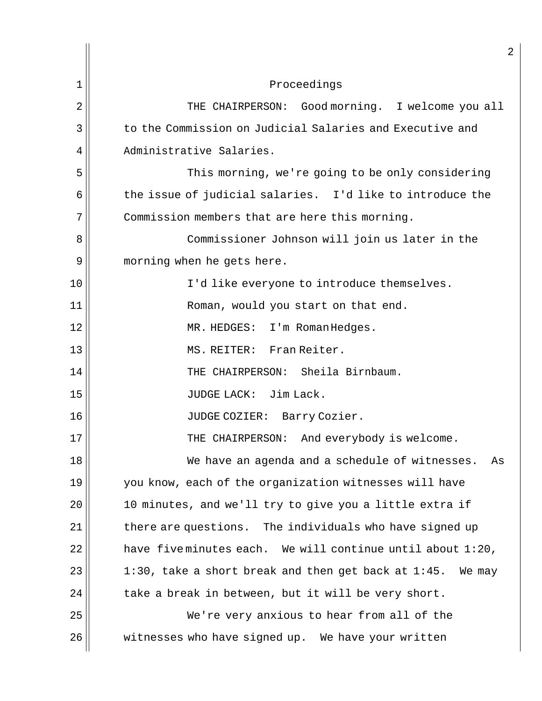|    | 2                                                                   |
|----|---------------------------------------------------------------------|
| 1  | Proceedings                                                         |
| 2  | THE CHAIRPERSON: Good morning. I welcome you all                    |
| 3  | to the Commission on Judicial Salaries and Executive and            |
| 4  | Administrative Salaries.                                            |
| 5  | This morning, we're going to be only considering                    |
| 6  | the issue of judicial salaries. I'd like to introduce the           |
| 7  | Commission members that are here this morning.                      |
| 8  | Commissioner Johnson will join us later in the                      |
| 9  | morning when he gets here.                                          |
| 10 | I'd like everyone to introduce themselves.                          |
| 11 | Roman, would you start on that end.                                 |
| 12 | MR. HEDGES: I'm Roman Hedges.                                       |
| 13 | MS. REITER: Fran Reiter.                                            |
| 14 | THE CHAIRPERSON: Sheila Birnbaum.                                   |
| 15 | JUDGE LACK: Jim Lack.                                               |
| 16 | JUDGE COZIER: Barry Cozier.                                         |
| 17 | THE CHAIRPERSON: And everybody is welcome.                          |
| 18 | We have an agenda and a schedule of witnesses.<br>As                |
| 19 | you know, each of the organization witnesses will have              |
| 20 | 10 minutes, and we'll try to give you a little extra if             |
| 21 | there are questions. The individuals who have signed up             |
| 22 | have fiveminutes each. We will continue until about $1:20$ ,        |
| 23 | $1:30$ , take a short break and then get back at $1:45$ .<br>We may |
| 24 | take a break in between, but it will be very short.                 |
| 25 | We're very anxious to hear from all of the                          |
| 26 | witnesses who have signed up. We have your written                  |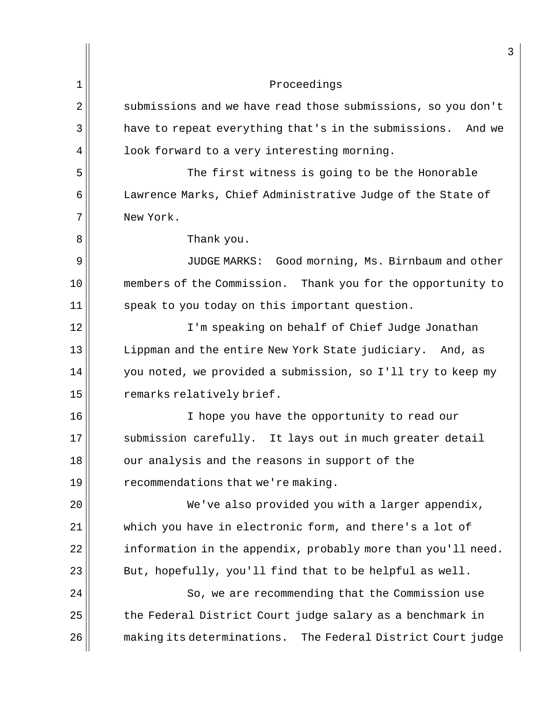|                | 3                                                              |
|----------------|----------------------------------------------------------------|
| 1              | Proceedings                                                    |
| $\overline{2}$ | submissions and we have read those submissions, so you don't   |
| 3              | have to repeat everything that's in the submissions.<br>And we |
| 4              | look forward to a very interesting morning.                    |
| 5              | The first witness is going to be the Honorable                 |
| 6              | Lawrence Marks, Chief Administrative Judge of the State of     |
| 7              | New York.                                                      |
| 8              | Thank you.                                                     |
| 9              | Good morning, Ms. Birnbaum and other<br>JUDGE MARKS:           |
| 10             | members of the Commission. Thank you for the opportunity to    |
| 11             | speak to you today on this important question.                 |
| 12             | I'm speaking on behalf of Chief Judge Jonathan                 |
| 13             | Lippman and the entire New York State judiciary.<br>And, as    |
| 14             | you noted, we provided a submission, so I'll try to keep my    |
| 15             | remarks relatively brief.                                      |
| 16             | I hope you have the opportunity to read our                    |
| 17             | submission carefully. It lays out in much greater detail       |
| 18             | our analysis and the reasons in support of the                 |
| 19             | recommendations that we're making.                             |
| 20             | We've also provided you with a larger appendix,                |
| 21             | which you have in electronic form, and there's a lot of        |
| 22             | information in the appendix, probably more than you'll need.   |
| 23             | But, hopefully, you'll find that to be helpful as well.        |
| 24             | So, we are recommending that the Commission use                |
| 25             | the Federal District Court judge salary as a benchmark in      |
| 26             | making its determinations. The Federal District Court judge    |
|                |                                                                |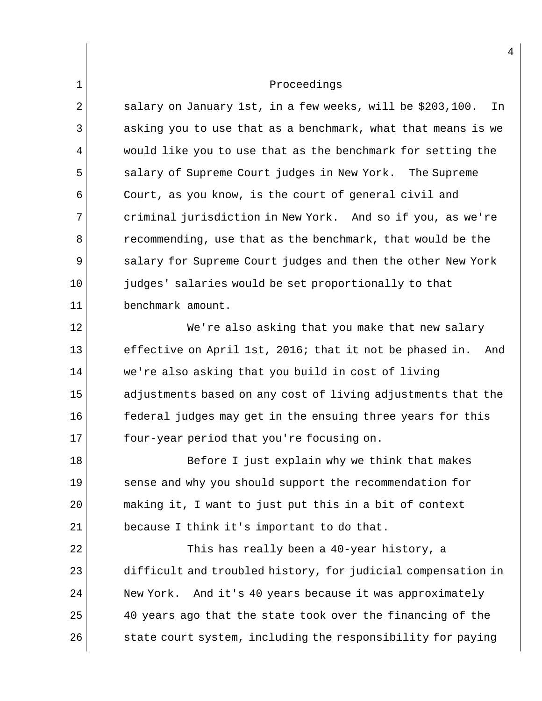$2 \parallel$  salary on January 1st, in a few weeks, will be \$203,100. In 3 asking you to use that as a benchmark, what that means is we  $4$  would like you to use that as the benchmark for setting the 5 | Salary of Supreme Court judges in New York. The Supreme 6 Court, as you know, is the court of general civil and 7 criminal jurisdiction in New York. And so if you, as we're 8 **8** recommending, use that as the benchmark, that would be the 9 | salary for Supreme Court judges and then the other New York 10 judges' salaries would be set proportionally to that 11 benchmark amount. 12 We're also asking that you make that new salary

13 effective on April 1st, 2016; that it not be phased in. And 14 || we're also asking that you build in cost of living 15 adjustments based on any cost of living adjustments that the 16 federal judges may get in the ensuing three years for this 17 four-year period that you're focusing on.

18 || Before I just explain why we think that makes 19 sense and why you should support the recommendation for 20 making it, I want to just put this in a bit of context  $21$  because I think it's important to do that.

22  $\parallel$  This has really been a 40-year history, a 23 difficult and troubled history, for judicial compensation in 24 New York. And it's 40 years because it was approximately 25 40 years ago that the state took over the financing of the  $26$  state court system, including the responsibility for paying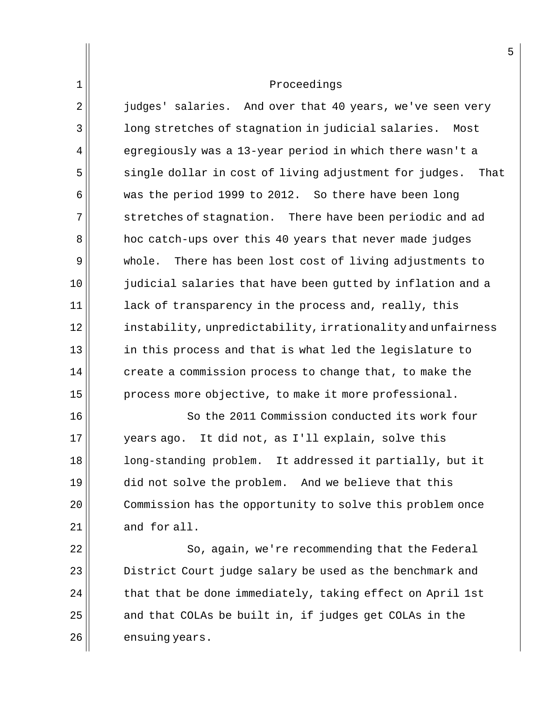$2 \parallel$  judges' salaries. And over that 40 years, we've seen very 3 long stretches of stagnation in judicial salaries. Most  $4$  egregiously was a 13-year period in which there wasn't a  $5$  single dollar in cost of living adjustment for judges. That 6 was the period 1999 to 2012. So there have been long  $7$  stretches of stagnation. There have been periodic and ad 8 hoc catch-ups over this 40 years that never made judges 9 whole. There has been lost cost of living adjustments to 10 judicial salaries that have been gutted by inflation and a  $11$  lack of transparency in the process and, really, this 12 instability, unpredictability, irrationality and unfairness 13 in this process and that is what led the legislature to  $14$  create a commission process to change that, to make the 15 || process more objective, to make it more professional.

16 || So the 2011 Commission conducted its work four  $17$  years ago. It did not, as I'll explain, solve this 18 long-standing problem. It addressed it partially, but it 19 did not solve the problem. And we believe that this 20 | Commission has the opportunity to solve this problem once  $21$  and for all.

22 | So, again, we're recommending that the Federal **District Court judge salary be used as the benchmark and**  that that be done immediately, taking effect on April 1st and that COLAs be built in, if judges get COLAs in the ensuing years.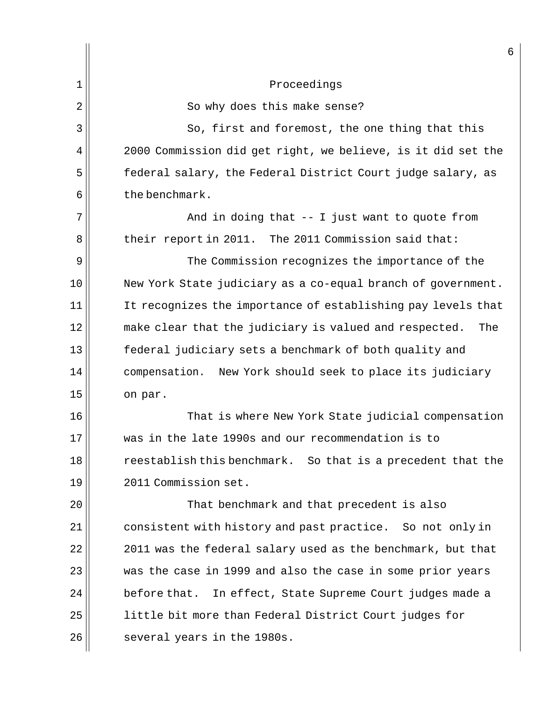|    | 6                                                             |
|----|---------------------------------------------------------------|
| 1  | Proceedings                                                   |
| 2  | So why does this make sense?                                  |
| 3  | So, first and foremost, the one thing that this               |
| 4  | 2000 Commission did get right, we believe, is it did set the  |
| 5  | federal salary, the Federal District Court judge salary, as   |
| 6  | the benchmark.                                                |
| 7  | And in doing that $-$ - I just want to quote from             |
| 8  | their report in 2011. The 2011 Commission said that:          |
| 9  | The Commission recognizes the importance of the               |
| 10 | New York State judiciary as a co-equal branch of government.  |
| 11 | It recognizes the importance of establishing pay levels that  |
| 12 | make clear that the judiciary is valued and respected.<br>The |
| 13 | federal judiciary sets a benchmark of both quality and        |
| 14 | compensation. New York should seek to place its judiciary     |
| 15 | on par.                                                       |
| 16 | That is where New York State judicial compensation            |
| 17 | was in the late 1990s and our recommendation is to            |
| 18 | reestablish this benchmark. So that is a precedent that the   |
| 19 | 2011 Commission set.                                          |
| 20 | That benchmark and that precedent is also                     |
| 21 | consistent with history and past practice. So not only in     |
| 22 | 2011 was the federal salary used as the benchmark, but that   |
| 23 | was the case in 1999 and also the case in some prior years    |
| 24 | before that. In effect, State Supreme Court judges made a     |
| 25 | little bit more than Federal District Court judges for        |
| 26 | several years in the 1980s.                                   |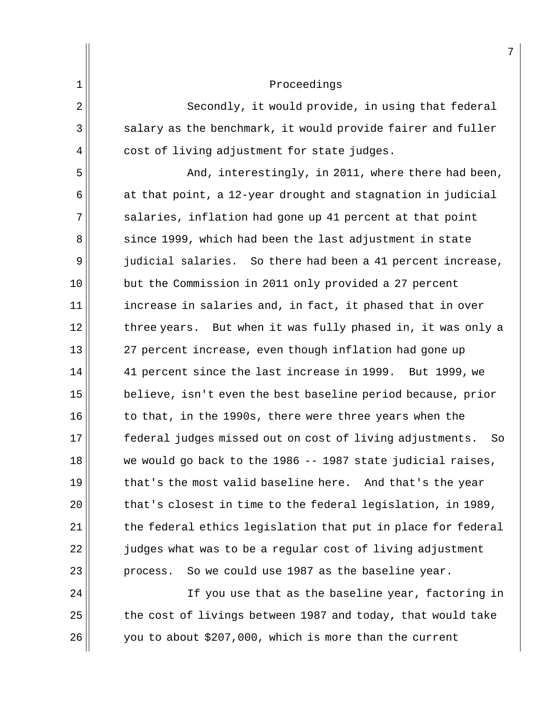|                | 7                                                              |
|----------------|----------------------------------------------------------------|
| $\mathbf 1$    | Proceedings                                                    |
| $\overline{2}$ | Secondly, it would provide, in using that federal              |
| 3              | salary as the benchmark, it would provide fairer and fuller    |
| 4              | cost of living adjustment for state judges.                    |
| 5              | And, interestingly, in 2011, where there had been,             |
| 6              | at that point, a 12-year drought and stagnation in judicial    |
| 7              | salaries, inflation had gone up 41 percent at that point       |
| 8              | since 1999, which had been the last adjustment in state        |
| 9              | judicial salaries. So there had been a 41 percent increase,    |
| 10             | but the Commission in 2011 only provided a 27 percent          |
| 11             | increase in salaries and, in fact, it phased that in over      |
| 12             | three years. But when it was fully phased in, it was only a    |
| 13             | 27 percent increase, even though inflation had gone up         |
| 14             | 41 percent since the last increase in 1999. But 1999, we       |
| 15             | believe, isn't even the best baseline period because, prior    |
| 16             | to that, in the 1990s, there were three years when the         |
| 17             | federal judges missed out on cost of living adjustments.<br>So |
| 18             | we would go back to the 1986 -- 1987 state judicial raises,    |
| 19             | that's the most valid baseline here. And that's the year       |
| 20             | that's closest in time to the federal legislation, in 1989,    |
| 21             | the federal ethics legislation that put in place for federal   |
| 22             | judges what was to be a regular cost of living adjustment      |
| 23             | So we could use 1987 as the baseline year.<br>process.         |
| 24             | If you use that as the baseline year, factoring in             |
| 25             | the cost of livings between 1987 and today, that would take    |
| 26             | you to about \$207,000, which is more than the current         |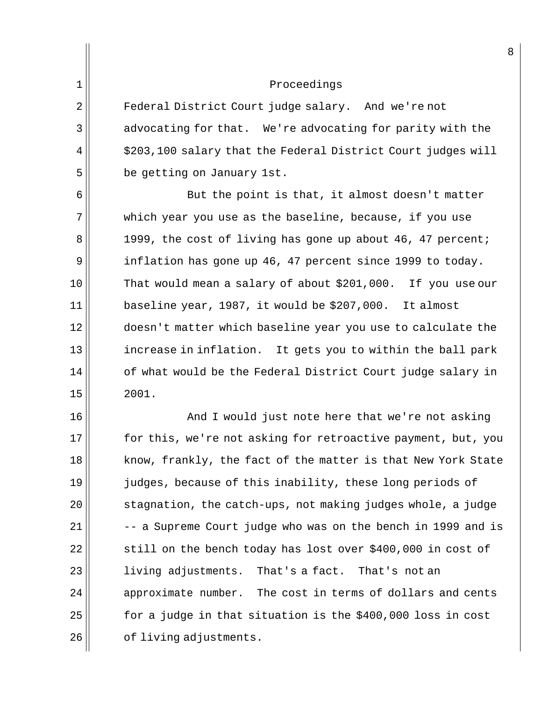2 || Federal District Court judge salary. And we're not  $3 \parallel$  advocating for that. We're advocating for parity with the  $4 \parallel$  \$203,100 salary that the Federal District Court judges will  $5$  be getting on January 1st.

6 || But the point is that, it almost doesn't matter 7 which year you use as the baseline, because, if you use 8 1999, the cost of living has gone up about 46, 47 percent; 9 inflation has gone up 46, 47 percent since 1999 to today. 10 That would mean a salary of about \$201,000. If you use our  $11$  baseline year, 1987, it would be \$207,000. It almost 12 doesn't matter which baseline year you use to calculate the 13 increase in inflation. It gets you to within the ball park  $14$  |  $\,$  of what would be the Federal District Court judge salary in  $15$  | 2001.

16 || And I would just note here that we're not asking 17 for this, we're not asking for retroactive payment, but, you 18 know, frankly, the fact of the matter is that New York State 19 judges, because of this inability, these long periods of  $20$   $\vert$  stagnation, the catch-ups, not making judges whole, a judge  $21$   $-$  -- a Supreme Court judge who was on the bench in 1999 and is  $22$  still on the bench today has lost over \$400,000 in cost of 23 || living adjustments. That's a fact. That's not an  $24$  approximate number. The cost in terms of dollars and cents  $25$  for a judge in that situation is the \$400,000 loss in cost 26 | cf living adjustments.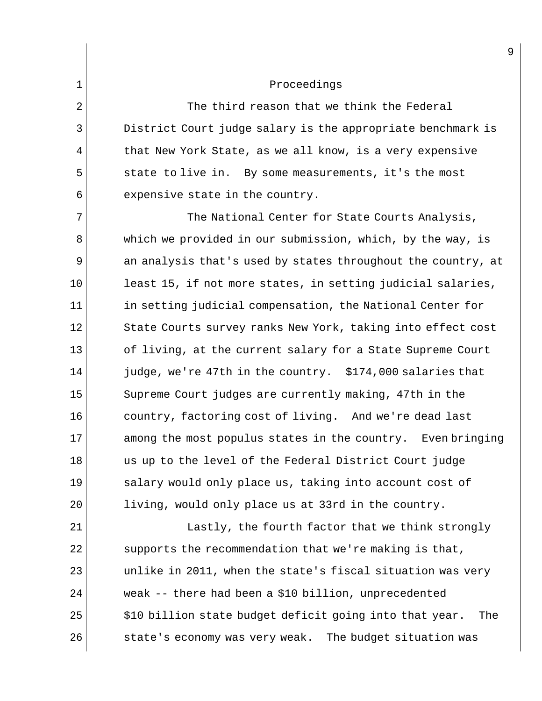$2 \parallel$  The third reason that we think the Federal 3 District Court judge salary is the appropriate benchmark is  $4 \parallel$  that New York State, as we all know, is a very expensive 5 state to live in. By some measurements, it's the most  $6$  expensive state in the country.

7 The National Center for State Courts Analysis, 8 which we provided in our submission, which, by the way, is  $9 \parallel$  an analysis that's used by states throughout the country, at  $10$  least 15, if not more states, in setting judicial salaries,  $11$  in setting judicial compensation, the National Center for 12 State Courts survey ranks New York, taking into effect cost 13 of living, at the current salary for a State Supreme Court  $14$  judge, we're 47th in the country. \$174,000 salaries that 15 Supreme Court judges are currently making, 47th in the 16 country, factoring cost of living. And we're dead last 17 among the most populus states in the country. Even bringing 18 us up to the level of the Federal District Court judge 19 salary would only place us, taking into account cost of 20 || living, would only place us at 33rd in the country.

21 || Lastly, the fourth factor that we think strongly supports the recommendation that we're making is that, unlike in 2011, when the state's fiscal situation was very weak -- there had been a \$10 billion, unprecedented \$10 billion state budget deficit going into that year. The  $\vert$  state's economy was very weak. The budget situation was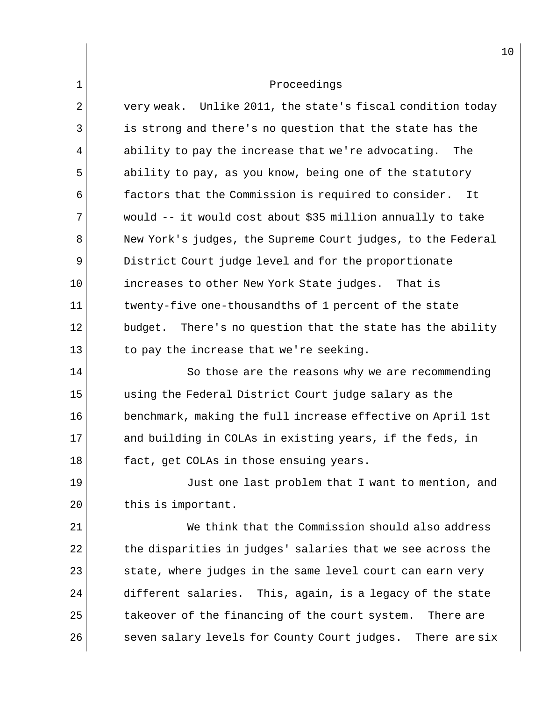| $\overline{2}$ | very weak. Unlike 2011, the state's fiscal condition today    |
|----------------|---------------------------------------------------------------|
| 3              | is strong and there's no question that the state has the      |
| 4              | ability to pay the increase that we're advocating.<br>The     |
| 5              | ability to pay, as you know, being one of the statutory       |
| 6              | factors that the Commission is required to consider.<br>It    |
| 7              | would -- it would cost about \$35 million annually to take    |
| 8              | New York's judges, the Supreme Court judges, to the Federal   |
| 9              | District Court judge level and for the proportionate          |
| 10             | increases to other New York State judges. That is             |
| 11             | twenty-five one-thousandths of 1 percent of the state         |
| 12             | There's no question that the state has the ability<br>budget. |
| 13             | to pay the increase that we're seeking.                       |
| 14             | So those are the reasons why we are recommending              |
| 15             | using the Federal District Court judge salary as the          |
| 16             | benchmark, making the full increase effective on April 1st    |
| 17             | and building in COLAs in existing years, if the feds, in      |
| 18             | fact, get COLAs in those ensuing years.                       |
| 19             | Just one last problem that I want to mention, and             |
| 20             | this is important.                                            |
| 21             | We think that the Commission should also address              |
| 22             | the disparities in judges' salaries that we see across the    |

 state, where judges in the same level court can earn very different salaries. This, again, is a legacy of the state takeover of the financing of the court system. There are seven salary levels for County Court judges. There are six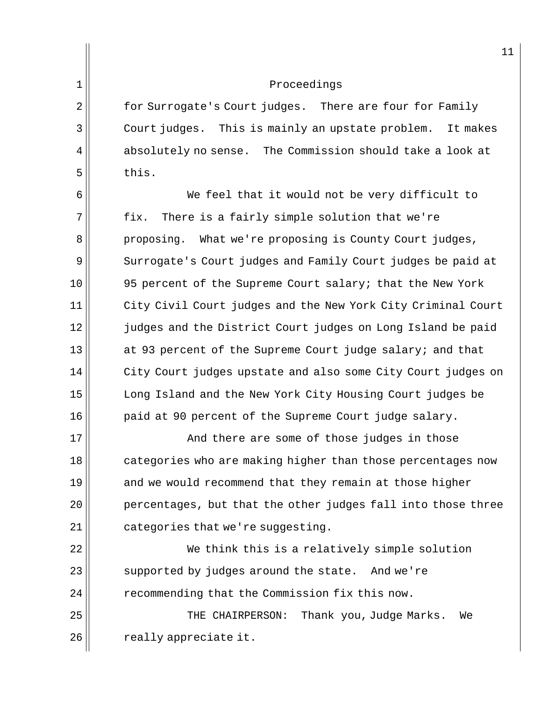2 for Surrogate's Court judges. There are four for Family Court judges. This is mainly an upstate problem. It makes absolutely no sense. The Commission should take a look at  $\parallel$  this.

6 We feel that it would not be very difficult to 7 fix. There is a fairly simple solution that we're 8 proposing. What we're proposing is County Court judges, 9 Surrogate's Court judges and Family Court judges be paid at 10 95 percent of the Supreme Court salary; that the New York 11 | City Civil Court judges and the New York City Criminal Court 12 judges and the District Court judges on Long Island be paid 13 at 93 percent of the Supreme Court judge salary; and that 14 || City Court judges upstate and also some City Court judges on 15 Long Island and the New York City Housing Court judges be 16 | paid at 90 percent of the Supreme Court judge salary.

17 and there are some of those judges in those 18 categories who are making higher than those percentages now  $19$  and we would recommend that they remain at those higher 20 **percentages, but that the other judges fall into those three**  $21$  categories that we're suggesting.

22 We think this is a relatively simple solution  $23$  supported by judges around the state. And we're 24 | recommending that the Commission fix this now.

25 THE CHAIRPERSON: Thank you, Judge Marks. We  $26$   $\parallel$  really appreciate it.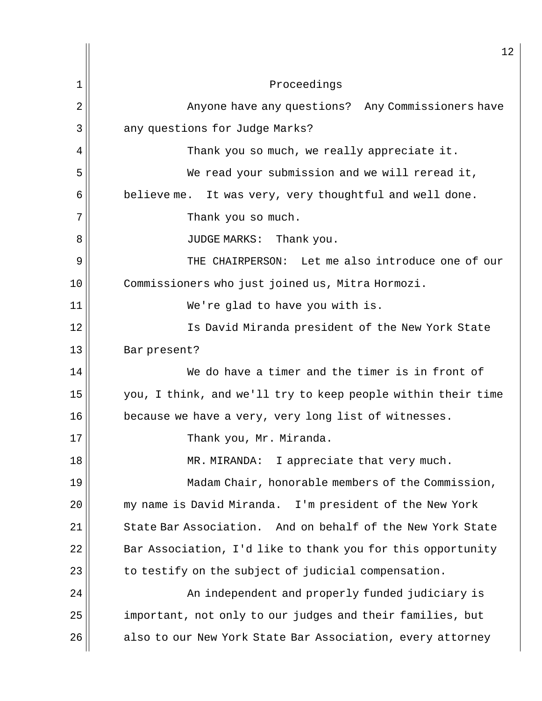| 1              | Proceedings                                                  |
|----------------|--------------------------------------------------------------|
| $\overline{2}$ | Anyone have any questions? Any Commissioners have            |
| 3              | any questions for Judge Marks?                               |
| 4              | Thank you so much, we really appreciate it.                  |
| 5              | We read your submission and we will reread it,               |
| 6              | believe me. It was very, very thoughtful and well done.      |
| 7              | Thank you so much.                                           |
| 8              | JUDGE MARKS: Thank you.                                      |
| 9              | THE CHAIRPERSON: Let me also introduce one of our            |
| 10             | Commissioners who just joined us, Mitra Hormozi.             |
| 11             | We're glad to have you with is.                              |
| 12             | Is David Miranda president of the New York State             |
| 13             | Bar present?                                                 |
| 14             | We do have a timer and the timer is in front of              |
| 15             | you, I think, and we'll try to keep people within their time |
| 16             | because we have a very, very long list of witnesses.         |
| 17             | Thank you, Mr. Miranda.                                      |
| 18             | MR. MIRANDA:<br>I appreciate that very much.                 |
| 19             | Madam Chair, honorable members of the Commission,            |
| 20             | my name is David Miranda.<br>I'm president of the New York   |
| 21             | State Bar Association. And on behalf of the New York State   |
| 22             | Bar Association, I'd like to thank you for this opportunity  |
| 23             | to testify on the subject of judicial compensation.          |
| 24             | An independent and properly funded judiciary is              |
| 25             | important, not only to our judges and their families, but    |
| 26             | also to our New York State Bar Association, every attorney   |

 $\overline{2}$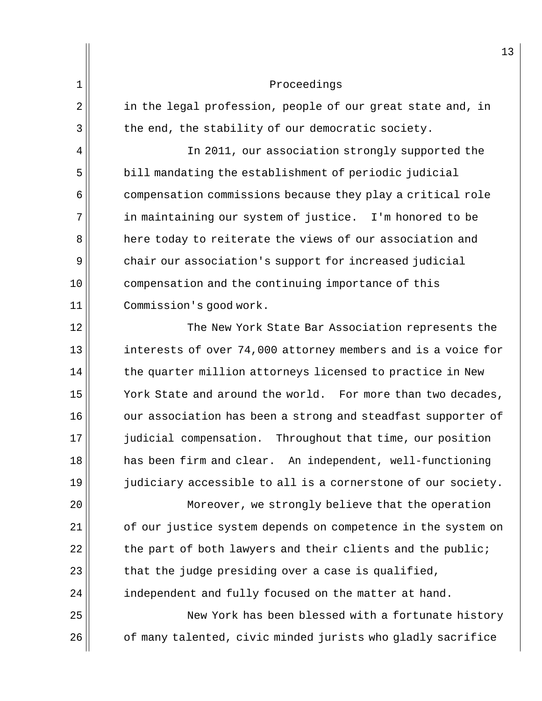|                | 13                                                           |
|----------------|--------------------------------------------------------------|
| $\mathbf 1$    | Proceedings                                                  |
| $\overline{2}$ | in the legal profession, people of our great state and, in   |
| 3              | the end, the stability of our democratic society.            |
| 4              | In 2011, our association strongly supported the              |
| 5              | bill mandating the establishment of periodic judicial        |
| 6              | compensation commissions because they play a critical role   |
| 7              | in maintaining our system of justice. I'm honored to be      |
| 8              | here today to reiterate the views of our association and     |
| 9              | chair our association's support for increased judicial       |
| 10             | compensation and the continuing importance of this           |
| 11             | Commission's good work.                                      |
| 12             | The New York State Bar Association represents the            |
| 13             | interests of over 74,000 attorney members and is a voice for |
| 14             | the quarter million attorneys licensed to practice in New    |
| 15             | York State and around the world. For more than two decades,  |
| 16             | our association has been a strong and steadfast supporter of |
| 17             | judicial compensation. Throughout that time, our position    |
| 18             | has been firm and clear. An independent, well-functioning    |
| 19             | judiciary accessible to all is a cornerstone of our society. |
| 20             | Moreover, we strongly believe that the operation             |
| 21             | of our justice system depends on competence in the system on |
| 22             | the part of both lawyers and their clients and the public;   |
| 23             | that the judge presiding over a case is qualified,           |
| 24             | independent and fully focused on the matter at hand.         |
| 25             | New York has been blessed with a fortunate history           |
| 26             | of many talented, civic minded jurists who gladly sacrifice  |
|                |                                                              |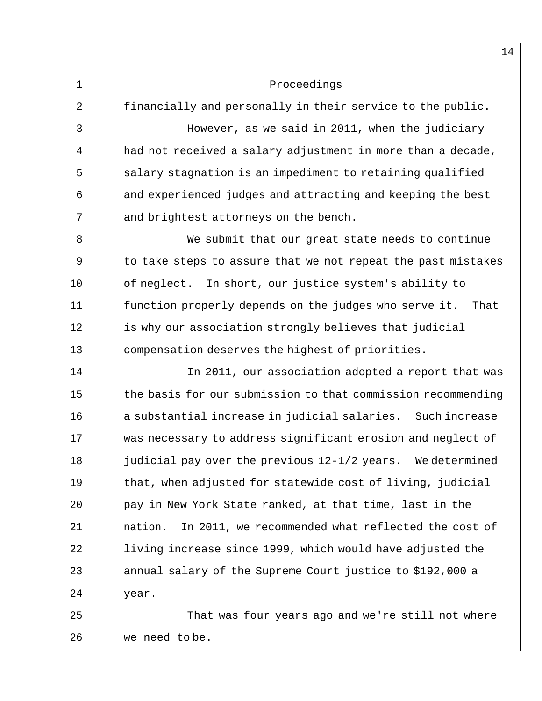$2 \parallel$  financially and personally in their service to the public. 3 However, as we said in 2011, when the judiciary  $4$  had not received a salary adjustment in more than a decade,  $5$  salary stagnation is an impediment to retaining qualified  $6$  and experienced judges and attracting and keeping the best  $7$  and brightest attorneys on the bench. 8 We submit that our great state needs to continue 9 to take steps to assure that we not repeat the past mistakes 10 || of neglect. In short, our justice system's ability to 11 | function properly depends on the judges who serve it. That 12 is why our association strongly believes that judicial 13 compensation deserves the highest of priorities. 14 || In 2011, our association adopted a report that was 15 the basis for our submission to that commission recommending  $16$   $\vert$  a substantial increase in judicial salaries. Such increase 17 was necessary to address significant erosion and neglect of 18 judicial pay over the previous 12-1/2 years. We determined  $19$  that, when adjusted for statewide cost of living, judicial 20 || pay in New York State ranked, at that time, last in the 21 | mation. In 2011, we recommended what reflected the cost of  $22$  living increase since 1999, which would have adjusted the  $23$  annual salary of the Supreme Court justice to \$192,000 a  $24$  | year. 25 That was four years ago and we're still not where

26 we need to be.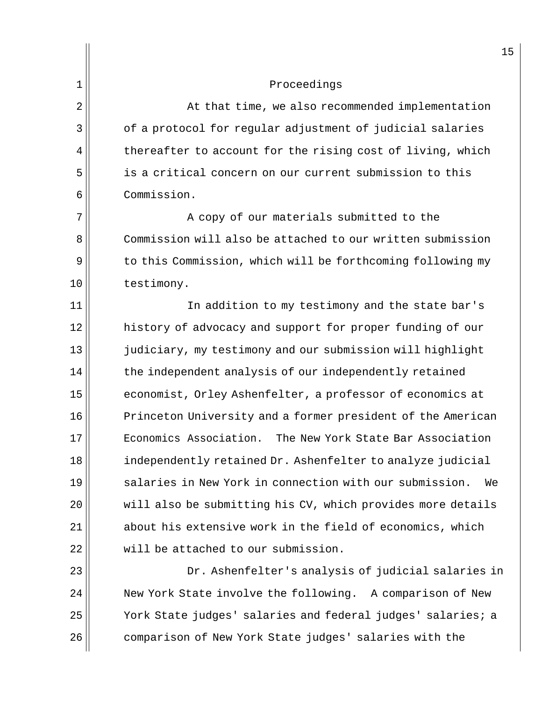$2 \parallel$  at that time, we also recommended implementation  $3$  |  $\sigma$  of a protocol for regular adjustment of judicial salaries  $4 \parallel$  thereafter to account for the rising cost of living, which 5 is a critical concern on our current submission to this 6 Commission.

7 || A copy of our materials submitted to the 8 Commission will also be attached to our written submission  $9$  to this Commission, which will be forthcoming following my 10 ll testimony.

11 || In addition to my testimony and the state bar's 12 history of advocacy and support for proper funding of our 13 judiciary, my testimony and our submission will highlight  $14$  the independent analysis of our independently retained 15 economist, Orley Ashenfelter, a professor of economics at 16 Princeton University and a former president of the American 17 Economics Association. The New York State Bar Association 18 independently retained Dr. Ashenfelter to analyze judicial 19 Salaries in New York in connection with our submission. We 20 | will also be submitting his CV, which provides more details  $21$  about his extensive work in the field of economics, which  $22$  will be attached to our submission.

 Dr. Ashenfelter's analysis of judicial salaries in New York State involve the following. A comparison of New York State judges' salaries and federal judges' salaries; a 26 comparison of New York State judges' salaries with the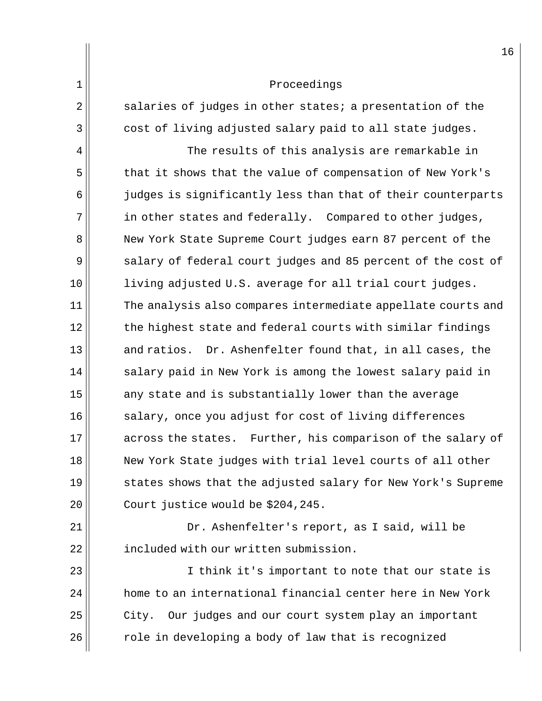| ᅩ            | PIOCECUINYS                                                  |
|--------------|--------------------------------------------------------------|
| $\mathbf{2}$ | salaries of judges in other states; a presentation of the    |
| 3            | cost of living adjusted salary paid to all state judges.     |
| 4            | The results of this analysis are remarkable in               |
| 5            | that it shows that the value of compensation of New York's   |
| 6            | judges is significantly less than that of their counterparts |
| 7            | in other states and federally. Compared to other judges,     |
| 8            | New York State Supreme Court judges earn 87 percent of the   |
| 9            | salary of federal court judges and 85 percent of the cost of |
| 10           | living adjusted U.S. average for all trial court judges.     |
| 11           | The analysis also compares intermediate appellate courts and |
| 12           | the highest state and federal courts with similar findings   |
| 13           | and ratios. Dr. Ashenfelter found that, in all cases, the    |
| 14           | salary paid in New York is among the lowest salary paid in   |
| 15           | any state and is substantially lower than the average        |
| 16           | salary, once you adjust for cost of living differences       |
| 17           | across the states. Further, his comparison of the salary of  |
| 18           | New York State judges with trial level courts of all other   |
| 19           | states shows that the adjusted salary for New York's Supreme |
| 20           | Court justice would be \$204,245.                            |
| 21           | Dr. Ashenfelter's report, as I said, will be                 |
| 22           | included with our written submission.                        |
| 23           | I think it's important to note that our state is             |
| 24           | home to an international financial center here in New York   |
| 25           | City. Our judges and our court system play an important      |
| 26           | role in developing a body of law that is recognized          |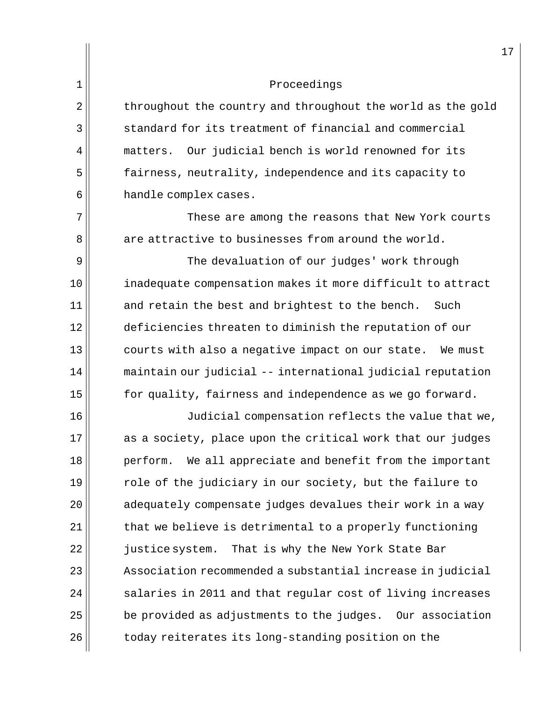| $\overline{2}$ | throughout the country and throughout the world as the gold |
|----------------|-------------------------------------------------------------|
|                | standard for its treatment of financial and commercial      |
| $\overline{4}$ | matters. Our judicial bench is world renowned for its       |
| 5              | fairness, neutrality, independence and its capacity to      |
| 6              | handle complex cases.                                       |

 $7$   $\parallel$   $\blacksquare$  These are among the reasons that New York courts  $8$  are attractive to businesses from around the world.

9 | The devaluation of our judges' work through 10 inadequate compensation makes it more difficult to attract  $11$  and retain the best and brightest to the bench. Such 12 deficiencies threaten to diminish the reputation of our 13 courts with also a negative impact on our state. We must 14 maintain our judicial -- international judicial reputation  $15$  for quality, fairness and independence as we go forward.

16 Judicial compensation reflects the value that we, 17 as a society, place upon the critical work that our judges 18 perform. We all appreciate and benefit from the important  $19$  role of the judiciary in our society, but the failure to  $20$   $\vert$  adequately compensate judges devalues their work in a way  $21$  that we believe is detrimental to a properly functioning 22 | justice system. That is why the New York State Bar  $23$   $\vert$  Association recommended a substantial increase in judicial  $24$  salaries in 2011 and that regular cost of living increases  $25$  be provided as adjustments to the judges. Our association 26 dotagetherates its long-standing position on the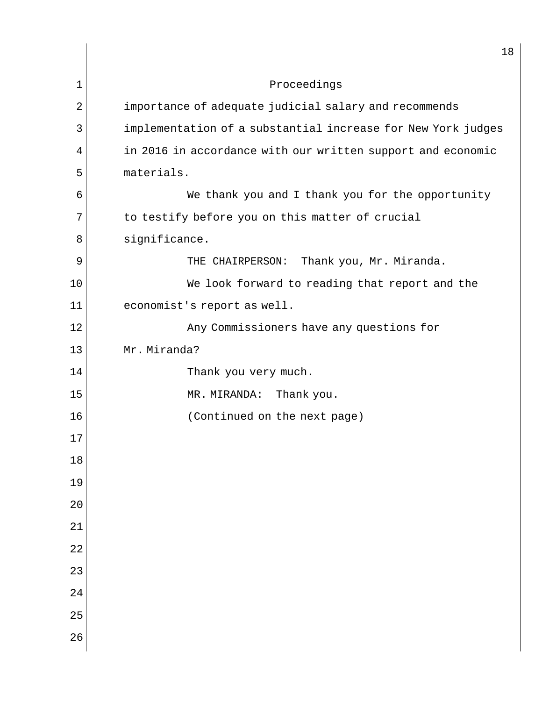|                | $18\,$                                                       |
|----------------|--------------------------------------------------------------|
| 1              | Proceedings                                                  |
| $\overline{2}$ | importance of adequate judicial salary and recommends        |
| 3              | implementation of a substantial increase for New York judges |
| 4              | in 2016 in accordance with our written support and economic  |
| 5              | materials.                                                   |
| 6              | We thank you and I thank you for the opportunity             |
| 7              | to testify before you on this matter of crucial              |
| 8              | significance.                                                |
| 9              | Thank you, Mr. Miranda.<br>THE CHAIRPERSON:                  |
| 10             | We look forward to reading that report and the               |
| 11             | economist's report as well.                                  |
| 12             | Any Commissioners have any questions for                     |
| 13             | Mr. Miranda?                                                 |
| 14             | Thank you very much.                                         |
| 15             | MR. MIRANDA:<br>Thank you.                                   |
| 16             | (Continued on the next page)                                 |
| $17$           |                                                              |
| $18\,$         |                                                              |
| 19             |                                                              |
| $20$           |                                                              |
| 21             |                                                              |
| 22             |                                                              |
| 23             |                                                              |
| 24             |                                                              |
| 25             |                                                              |
| 26             |                                                              |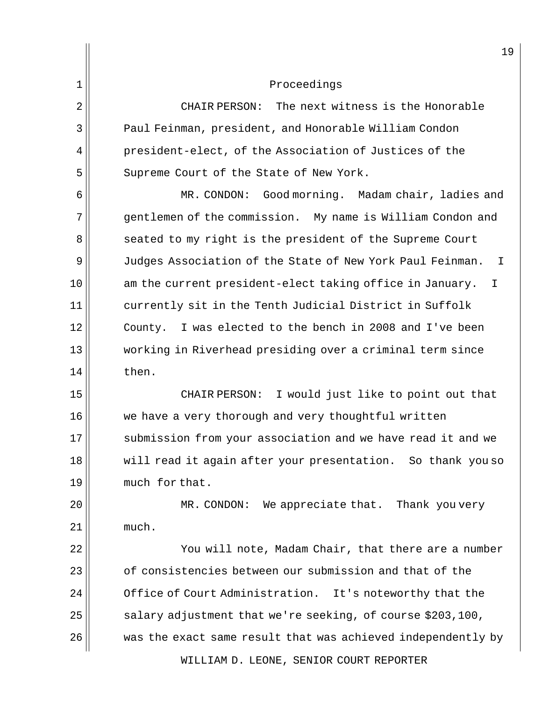2 CHAIR PERSON: The next witness is the Honorable 3 Paul Feinman, president, and Honorable William Condon 4 | president-elect, of the Association of Justices of the 5 Supreme Court of the State of New York.

6 | MR. CONDON: Good morning. Madam chair, ladies and 7 gentlemen of the commission. My name is William Condon and 8 || seated to my right is the president of the Supreme Court 9 Judges Association of the State of New York Paul Feinman. I  $10$  am the current president-elect taking office in January. I 11 currently sit in the Tenth Judicial District in Suffolk 12 County. I was elected to the bench in 2008 and I've been 13 working in Riverhead presiding over a criminal term since  $14$   $then.$ 

15 || CHAIR PERSON: I would just like to point out that 16 we have a very thorough and very thoughtful written 17 Submission from your association and we have read it and we 18 will read it again after your presentation. So thank you so 19 much for that.

20 MR. CONDON: We appreciate that. Thank you very  $21$  much.

22 You will note, Madam Chair, that there are a number  $23$  of consistencies between our submission and that of the  $24$  | Office of Court Administration. It's noteworthy that the 25  $\vert$  salary adjustment that we're seeking, of course \$203,100, 26 was the exact same result that was achieved independently by

WILLIAM D. LEONE, SENIOR COURT REPORTER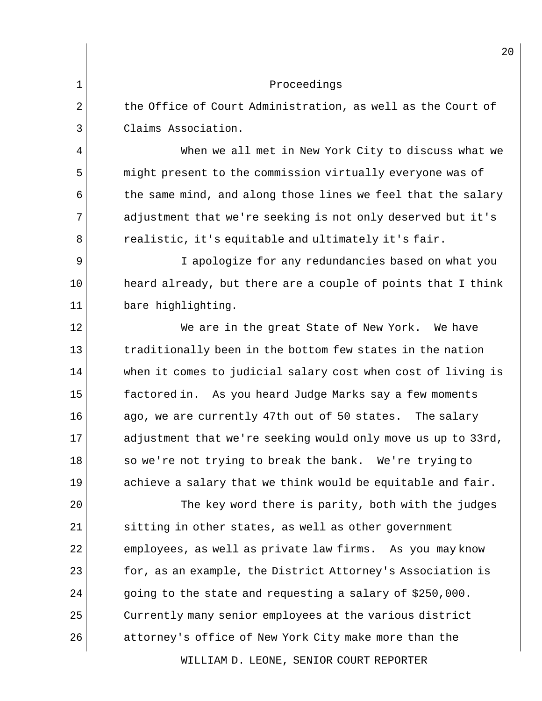|                | 20                                                           |
|----------------|--------------------------------------------------------------|
| 1              | Proceedings                                                  |
| $\overline{2}$ | the Office of Court Administration, as well as the Court of  |
| 3              | Claims Association.                                          |
| 4              | When we all met in New York City to discuss what we          |
| 5              | might present to the commission virtually everyone was of    |
| 6              | the same mind, and along those lines we feel that the salary |
| 7              | adjustment that we're seeking is not only deserved but it's  |
| 8              | realistic, it's equitable and ultimately it's fair.          |
| 9              | I apologize for any redundancies based on what you           |
| 10             | heard already, but there are a couple of points that I think |
| 11             | bare highlighting.                                           |
| 12             | We are in the great State of New York. We have               |
| 13             | traditionally been in the bottom few states in the nation    |
| 14             | when it comes to judicial salary cost when cost of living is |
| 15             | factored in. As you heard Judge Marks say a few moments      |
| 16             | ago, we are currently 47th out of 50 states.<br>The salary   |
| 17             | adjustment that we're seeking would only move us up to 33rd, |
| 18             | so we're not trying to break the bank. We're trying to       |
| 19             | achieve a salary that we think would be equitable and fair.  |
| 20             | The key word there is parity, both with the judges           |
| 21             | sitting in other states, as well as other government         |
| 22             | employees, as well as private law firms. As you may know     |
| 23             | for, as an example, the District Attorney's Association is   |
| 24             | going to the state and requesting a salary of \$250,000.     |
| 25             | Currently many senior employees at the various district      |
| 26             | attorney's office of New York City make more than the        |
|                |                                                              |

WILLIAM D. LEONE, SENIOR COURT REPORTER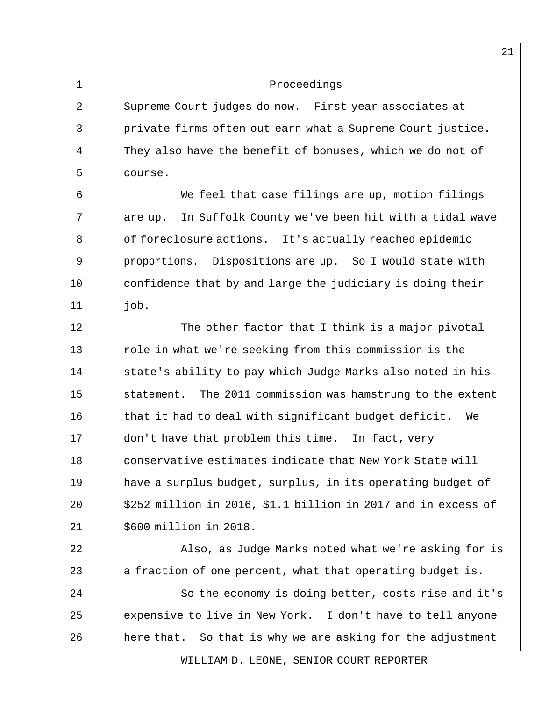2 Supreme Court judges do now. First year associates at 3 private firms often out earn what a Supreme Court justice.  $4$  They also have the benefit of bonuses, which we do not of 5 course.

 $6$  We feel that case filings are up, motion filings  $7$  are up. In Suffolk County we've been hit with a tidal wave 8 of foreclosure actions. It's actually reached epidemic 9 proportions. Dispositions are up. So I would state with  $10$  confidence that by and large the judiciary is doing their  $11$   $10b.$ 

 $12$  The other factor that I think is a major pivotal  $13$  role in what we're seeking from this commission is the  $14$  state's ability to pay which Judge Marks also noted in his 15 statement. The 2011 commission was hamstrung to the extent  $16$  that it had to deal with significant budget deficit. We 17 don't have that problem this time. In fact, very 18 conservative estimates indicate that New York State will 19 have a surplus budget, surplus, in its operating budget of  $20 \parallel$  \$252 million in 2016, \$1.1 billion in 2017 and in excess of  $21$  |  $\,$  \$600 million in 2018.

22 Also, as Judge Marks noted what we're asking for is  $23$  a fraction of one percent, what that operating budget is.

 $24$   $\parallel$  So the economy is doing better, costs rise and it's 25 expensive to live in New York. I don't have to tell anyone  $26$  here that. So that is why we are asking for the adjustment

WILLIAM D. LEONE, SENIOR COURT REPORTER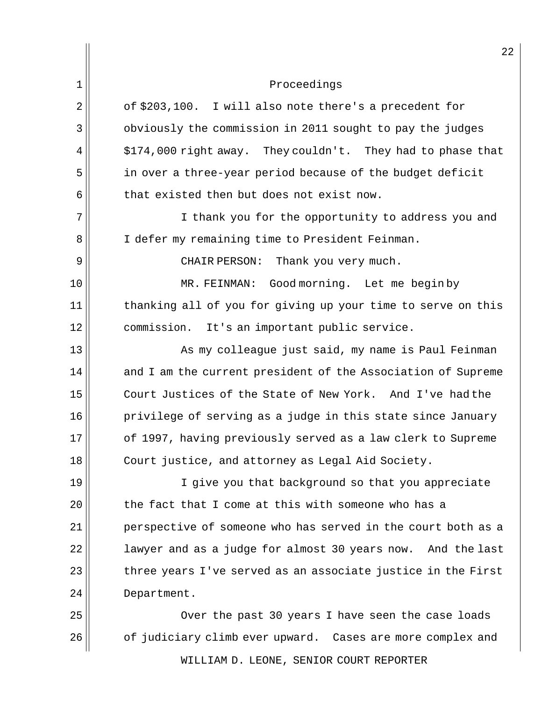| $2^{\prime}$                                                 |
|--------------------------------------------------------------|
| Proceedings                                                  |
| of \$203,100. I will also note there's a precedent for       |
| obviously the commission in 2011 sought to pay the judges    |
| \$174,000 right away. They couldn't. They had to phase that  |
| in over a three-year period because of the budget deficit    |
| that existed then but does not exist now.                    |
| I thank you for the opportunity to address you and           |
| I defer my remaining time to President Feinman.              |
| CHAIR PERSON:<br>Thank you very much.                        |
| MR. FEINMAN: Good morning. Let me begin by                   |
| thanking all of you for giving up your time to serve on this |
| commission.<br>It's an important public service.             |
| As my colleague just said, my name is Paul Feinman           |
| and I am the current president of the Association of Supreme |
| Court Justices of the State of New York. And I've had the    |
| privilege of serving as a judge in this state since January  |
| of 1997, having previously served as a law clerk to Supreme  |
| Court justice, and attorney as Legal Aid Society.            |
| I give you that background so that you appreciate            |
| the fact that I come at this with someone who has a          |
| perspective of someone who has served in the court both as a |
| lawyer and as a judge for almost 30 years now. And the last  |
| three years I've served as an associate justice in the First |
| Department.                                                  |
| Over the past 30 years I have seen the case loads            |
| of judiciary climb ever upward. Cases are more complex and   |
|                                                              |

WILLIAM D. LEONE, SENIOR COURT REPORTER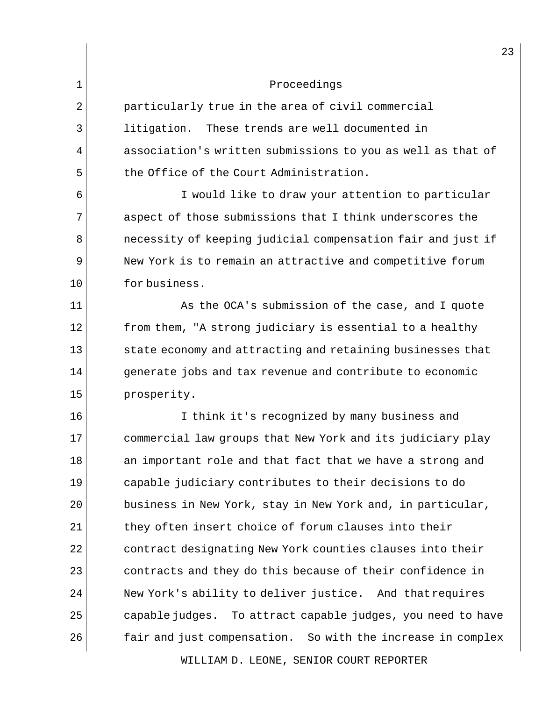$2 \parallel$  particularly true in the area of civil commercial 3 litigation. These trends are well documented in  $4$  association's written submissions to you as well as that of  $5$  the Office of the Court Administration.

6 I would like to draw your attention to particular  $7$  aspect of those submissions that I think underscores the 8 **n** necessity of keeping judicial compensation fair and just if 9 New York is to remain an attractive and competitive forum 10 for business.

  $\parallel$  As the OCA's submission of the case, and I quote from them, "A strong judiciary is essential to a healthy state economy and attracting and retaining businesses that generate jobs and tax revenue and contribute to economic 15 prosperity.

16 I think it's recognized by many business and 17 commercial law groups that New York and its judiciary play 18 an important role and that fact that we have a strong and 19 capable judiciary contributes to their decisions to do  $20$   $\vert$  business in New York, stay in New York and, in particular,  $21$  they often insert choice of forum clauses into their  $22$  contract designating New York counties clauses into their  $23$  contracts and they do this because of their confidence in  $24$   $\parallel$  New York's ability to deliver justice. And that requires  $25$  capable judges. To attract capable judges, you need to have 26 fair and just compensation. So with the increase in complex

WILLIAM D. LEONE, SENIOR COURT REPORTER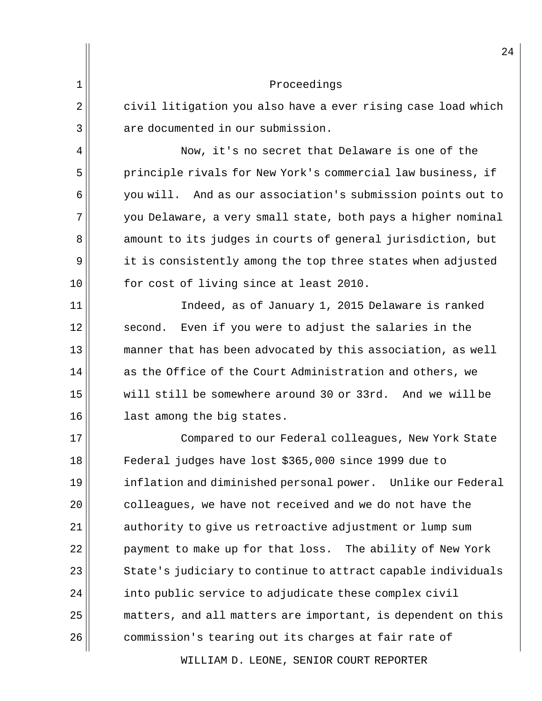|    | 24                                                           |
|----|--------------------------------------------------------------|
| 1  | Proceedings                                                  |
| 2  | civil litigation you also have a ever rising case load which |
| 3  | are documented in our submission.                            |
| 4  | Now, it's no secret that Delaware is one of the              |
| 5  | principle rivals for New York's commercial law business, if  |
| 6  | you will. And as our association's submission points out to  |
| 7  | you Delaware, a very small state, both pays a higher nominal |
| 8  | amount to its judges in courts of general jurisdiction, but  |
| 9  | it is consistently among the top three states when adjusted  |
| 10 | for cost of living since at least 2010.                      |
| 11 | Indeed, as of January 1, 2015 Delaware is ranked             |
| 12 | Even if you were to adjust the salaries in the<br>second.    |
| 13 | manner that has been advocated by this association, as well  |
| 14 | as the Office of the Court Administration and others, we     |
| 15 | will still be somewhere around 30 or 33rd. And we will be    |
| 16 | last among the big states.                                   |
| 17 | Compared to our Federal colleagues, New York State           |
| 18 | Federal judges have lost \$365,000 since 1999 due to         |
| 19 | inflation and diminished personal power. Unlike our Federal  |
| 20 | colleagues, we have not received and we do not have the      |
| 21 | authority to give us retroactive adjustment or lump sum      |
| 22 | payment to make up for that loss. The ability of New York    |
| 23 | State's judiciary to continue to attract capable individuals |
| 24 | into public service to adjudicate these complex civil        |
| 25 | matters, and all matters are important, is dependent on this |
| 26 | commission's tearing out its charges at fair rate of         |
|    |                                                              |

WILLIAM D. LEONE, SENIOR COURT REPORTER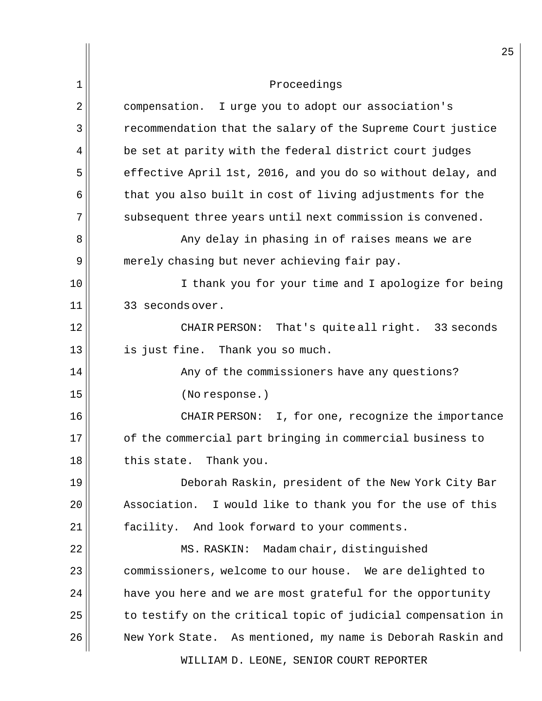|    | 25                                                           |
|----|--------------------------------------------------------------|
| 1  | Proceedings                                                  |
| 2  | compensation. I urge you to adopt our association's          |
| 3  | recommendation that the salary of the Supreme Court justice  |
| 4  | be set at parity with the federal district court judges      |
| 5  | effective April 1st, 2016, and you do so without delay, and  |
| 6  | that you also built in cost of living adjustments for the    |
| 7  | subsequent three years until next commission is convened.    |
| 8  | Any delay in phasing in of raises means we are               |
| 9  | merely chasing but never achieving fair pay.                 |
| 10 | I thank you for your time and I apologize for being          |
| 11 | 33 seconds over.                                             |
| 12 | CHAIR PERSON: That's quiteall right. 33 seconds              |
| 13 | is just fine. Thank you so much.                             |
| 14 | Any of the commissioners have any questions?                 |
| 15 | (No response.)                                               |
| 16 | CHAIR PERSON: I, for one, recognize the importance           |
| 17 | of the commercial part bringing in commercial business to    |
| 18 | this state. Thank you.                                       |
| 19 | Deborah Raskin, president of the New York City Bar           |
| 20 | Association. I would like to thank you for the use of this   |
| 21 | facility. And look forward to your comments.                 |
| 22 | MS. RASKIN:<br>Madam chair, distinguished                    |
| 23 | commissioners, welcome to our house. We are delighted to     |
| 24 | have you here and we are most grateful for the opportunity   |
| 25 | to testify on the critical topic of judicial compensation in |
| 26 | New York State. As mentioned, my name is Deborah Raskin and  |
|    | WILLIAM D. LEONE, SENIOR COURT REPORTER                      |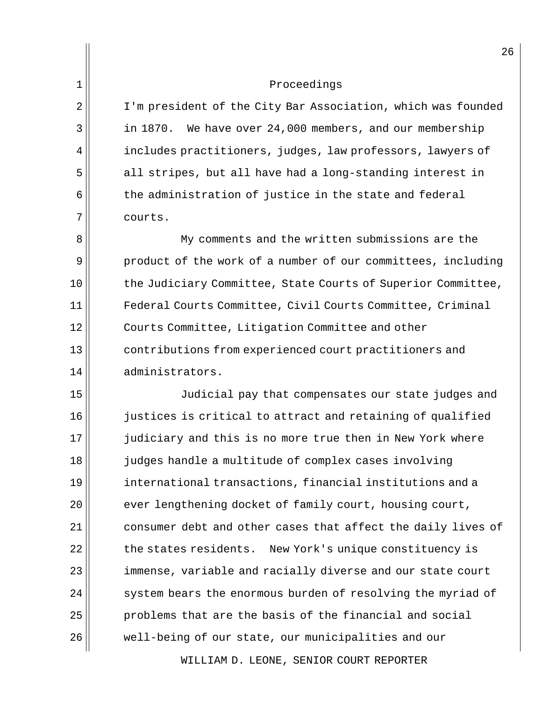2 | I'm president of the City Bar Association, which was founded 3 | in 1870. We have over 24,000 members, and our membership  $4$  includes practitioners, judges, law professors, lawyers of 5 all stripes, but all have had a long-standing interest in  $6$  the administration of justice in the state and federal 7 courts.

8 My comments and the written submissions are the 9 product of the work of a number of our committees, including 10 the Judiciary Committee, State Courts of Superior Committee, 11 Federal Courts Committee, Civil Courts Committee, Criminal 12 Courts Committee, Litigation Committee and other 13 contributions from experienced court practitioners and 14 administrators.

15 Judicial pay that compensates our state judges and 16 justices is critical to attract and retaining of qualified 17 judiciary and this is no more true then in New York where 18 judges handle a multitude of complex cases involving 19 international transactions, financial institutions and a 20 ever lengthening docket of family court, housing court,  $21$  consumer debt and other cases that affect the daily lives of  $22$  the states residents. New York's unique constituency is 23 immense, variable and racially diverse and our state court  $24$  system bears the enormous burden of resolving the myriad of  $25$  problems that are the basis of the financial and social 26 well-being of our state, our municipalities and our

WILLIAM D. LEONE, SENIOR COURT REPORTER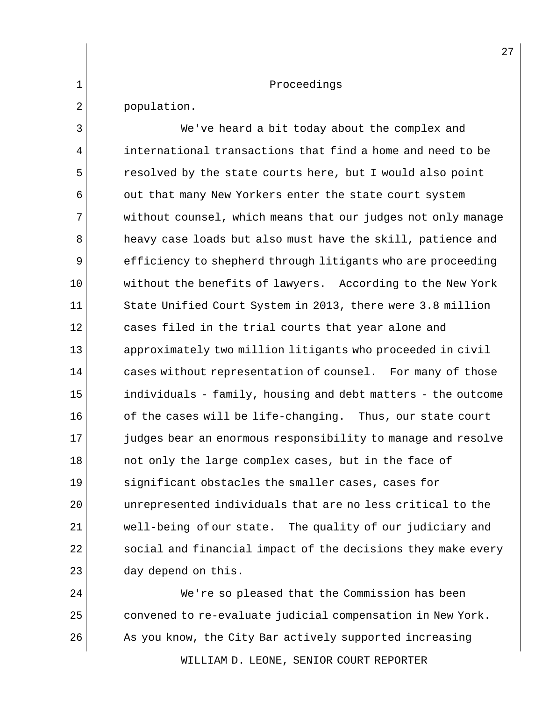|                | 27                                                           |
|----------------|--------------------------------------------------------------|
| 1              | Proceedings                                                  |
| $\overline{2}$ | population.                                                  |
| 3              | We've heard a bit today about the complex and                |
| 4              | international transactions that find a home and need to be   |
| 5              | resolved by the state courts here, but I would also point    |
| 6              | out that many New Yorkers enter the state court system       |
| 7              | without counsel, which means that our judges not only manage |
| 8              | heavy case loads but also must have the skill, patience and  |
| 9              | efficiency to shepherd through litigants who are proceeding  |
| 10             | without the benefits of lawyers. According to the New York   |
| 11             | State Unified Court System in 2013, there were 3.8 million   |
| 12             | cases filed in the trial courts that year alone and          |
| 13             | approximately two million litigants who proceeded in civil   |
| 14             | cases without representation of counsel. For many of those   |
| 15             | individuals - family, housing and debt matters - the outcome |
| 16             | of the cases will be life-changing. Thus, our state court    |
| 17             | judges bear an enormous responsibility to manage and resolve |
| 18             | not only the large complex cases, but in the face of         |
| 19             | significant obstacles the smaller cases, cases for           |
| 20             | unrepresented individuals that are no less critical to the   |
| 21             | well-being of our state. The quality of our judiciary and    |
| 22             | social and financial impact of the decisions they make every |
| 23             | day depend on this.                                          |

WILLIAM D. LEONE, SENIOR COURT REPORTER  $\parallel$  We're so pleased that the Commission has been convened to re-evaluate judicial compensation in New York. As you know, the City Bar actively supported increasing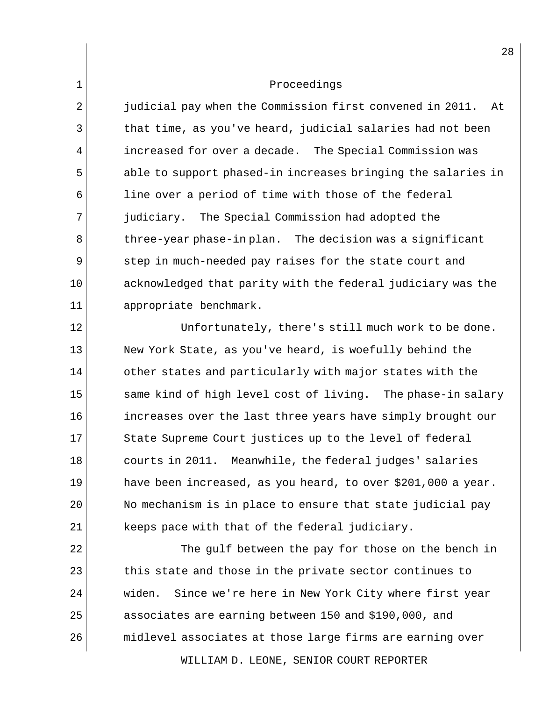2<sup>|</sup> judicial pay when the Commission first convened in 2011. At  $3 \parallel$  that time, as you've heard, judicial salaries had not been 4 | increased for over a decade. The Special Commission was 5 able to support phased-in increases bringing the salaries in  $6$  line over a period of time with those of the federal 7 judiciary. The Special Commission had adopted the  $8$  three-year phase-in plan. The decision was a significant 9 step in much-needed pay raises for the state court and 10 acknowledged that parity with the federal judiciary was the 11 || appropriate benchmark.

12 || Unfortunately, there's still much work to be done. 13 New York State, as you've heard, is woefully behind the  $14$  other states and particularly with major states with the  $15$  same kind of high level cost of living. The phase-in salary 16 increases over the last three years have simply brought our 17 State Supreme Court justices up to the level of federal 18 courts in 2011. Meanwhile, the federal judges' salaries 19 have been increased, as you heard, to over \$201,000 a year. 20 No mechanism is in place to ensure that state judicial pay  $21$  keeps pace with that of the federal judiciary.

22  $\parallel$  The gulf between the pay for those on the bench in  $23$  this state and those in the private sector continues to 24 widen. Since we're here in New York City where first year 25 associates are earning between 150 and \$190,000, and 26 midlevel associates at those large firms are earning over

WILLIAM D. LEONE, SENIOR COURT REPORTER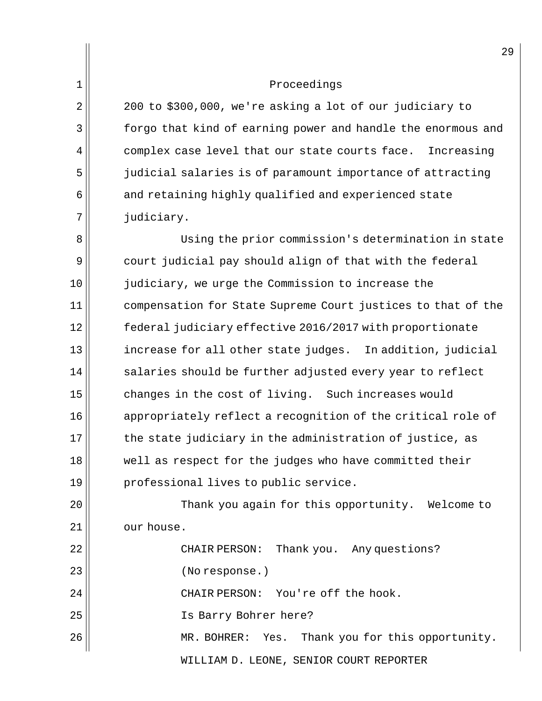$2 \parallel 200$  to \$300,000, we're asking a lot of our judiciary to 3 forgo that kind of earning power and handle the enormous and  $4$  complex case level that our state courts face. Increasing 5 judicial salaries is of paramount importance of attracting  $6$  and retaining highly qualified and experienced state 7 || judiciary.

8 || Using the prior commission's determination in state 9 court judicial pay should align of that with the federal 10 judiciary, we urge the Commission to increase the 11 compensation for State Supreme Court justices to that of the 12 federal judiciary effective 2016/2017 with proportionate 13 increase for all other state judges. In addition, judicial  $14$  salaries should be further adjusted every year to reflect 15 changes in the cost of living. Such increases would 16 appropriately reflect a recognition of the critical role of  $17$  the state judiciary in the administration of justice, as 18 well as respect for the judges who have committed their  $19$  professional lives to public service.

20 Thank you again for this opportunity. Welcome to  $21$   $\vert$  our house.

WILLIAM D. LEONE, SENIOR COURT REPORTER 22 CHAIR PERSON: Thank you. Any questions? 23 || (No response.) 24 CHAIR PERSON: You're off the hook. 25 Is Barry Bohrer here? 26 MR. BOHRER: Yes. Thank you for this opportunity.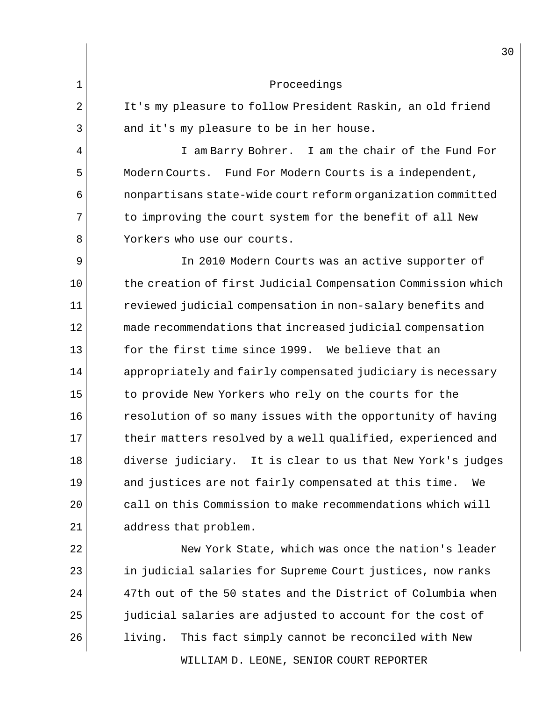WILLIAM D. LEONE, SENIOR COURT REPORTER 30 1 Proceedings 2 | It's my pleasure to follow President Raskin, an old friend  $3 \parallel$  and it's my pleasure to be in her house. 4 || I am Barry Bohrer. I am the chair of the Fund For 5 | Modern Courts. Fund For Modern Courts is a independent, 6 nonpartisans state-wide court reform organization committed 7 to improving the court system for the benefit of all New 8 | Yorkers who use our courts. 9 || In 2010 Modern Courts was an active supporter of 10 the creation of first Judicial Compensation Commission which 11 | The reviewed judicial compensation in non-salary benefits and 12 made recommendations that increased judicial compensation 13 for the first time since 1999. We believe that an 14 appropriately and fairly compensated judiciary is necessary 15 to provide New Yorkers who rely on the courts for the 16  $\vert$  resolution of so many issues with the opportunity of having 17 their matters resolved by a well qualified, experienced and 18 diverse judiciary. It is clear to us that New York's judges 19 and justices are not fairly compensated at this time. We  $20$  call on this Commission to make recommendations which will  $21$  address that problem. 22 New York State, which was once the nation's leader 23 || in judicial salaries for Supreme Court justices, now ranks  $24$   $\vert$  47th out of the 50 states and the District of Columbia when 25 judicial salaries are adjusted to account for the cost of 26 living. This fact simply cannot be reconciled with New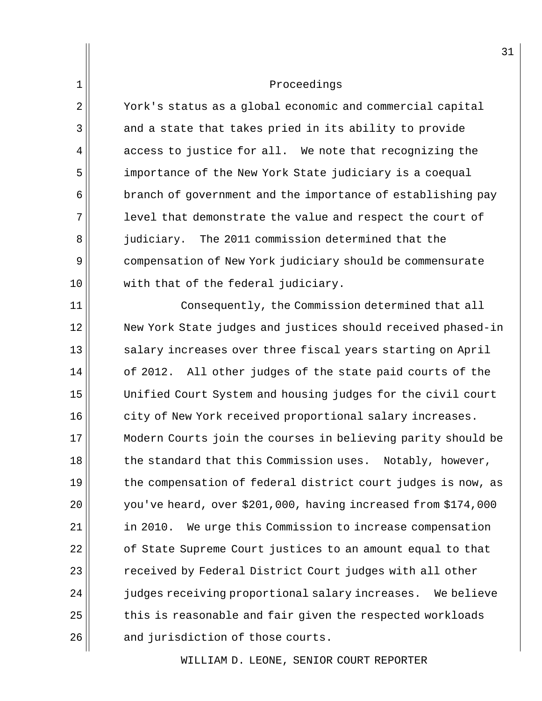2 York's status as a global economic and commercial capital 3 and a state that takes pried in its ability to provide  $4 \parallel$  access to justice for all. We note that recognizing the 5 importance of the New York State judiciary is a coequal  $6$  branch of government and the importance of establishing pay  $7$  level that demonstrate the value and respect the court of 8 iudiciary. The 2011 commission determined that the 9 compensation of New York judiciary should be commensurate 10 with that of the federal judiciary.

11 || Consequently, the Commission determined that all 12 New York State judges and justices should received phased-in 13 salary increases over three fiscal years starting on April  $14$  of 2012. All other judges of the state paid courts of the 15 Unified Court System and housing judges for the civil court  $16$  city of New York received proportional salary increases. 17 Modern Courts join the courses in believing parity should be  $18$  the standard that this Commission uses. Notably, however, 19 the compensation of federal district court judges is now, as 20 you've heard, over \$201,000, having increased from \$174,000  $21$  in 2010. We urge this Commission to increase compensation 22 | cf State Supreme Court justices to an amount equal to that 23 | received by Federal District Court judges with all other  $24$   $\vert$  judges receiving proportional salary increases. We believe  $25$  this is reasonable and fair given the respected workloads  $26$  and jurisdiction of those courts.

WILLIAM D. LEONE, SENIOR COURT REPORTER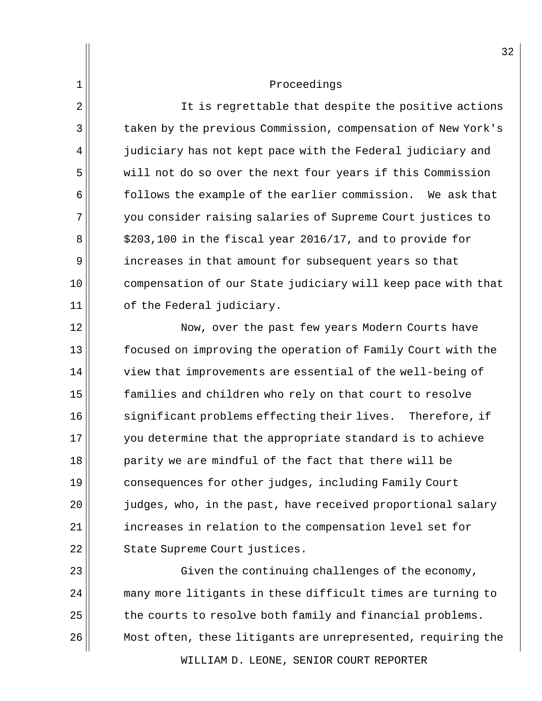2 || It is regrettable that despite the positive actions 3 taken by the previous Commission, compensation of New York's  $4$  judiciary has not kept pace with the Federal judiciary and 5 will not do so over the next four years if this Commission  $6$  follows the example of the earlier commission. We ask that 7 you consider raising salaries of Supreme Court justices to  $8 \mid 3203,100$  in the fiscal year 2016/17, and to provide for 9 | increases in that amount for subsequent years so that 10 compensation of our State judiciary will keep pace with that  $11$  of the Federal judiciary.

12 || Now, over the past few years Modern Courts have 13 focused on improving the operation of Family Court with the  $14$   $\parallel$  view that improvements are essential of the well-being of 15 families and children who rely on that court to resolve  $16$  significant problems effecting their lives. Therefore, if 17 you determine that the appropriate standard is to achieve 18 parity we are mindful of the fact that there will be 19 consequences for other judges, including Family Court 20 judges, who, in the past, have received proportional salary  $21$  increases in relation to the compensation level set for 22 || State Supreme Court justices.

 $23$   $\parallel$  Given the continuing challenges of the economy, 24 || many more litigants in these difficult times are turning to  $25$  the courts to resolve both family and financial problems. 26 Most often, these litigants are unrepresented, requiring the

WILLIAM D. LEONE, SENIOR COURT REPORTER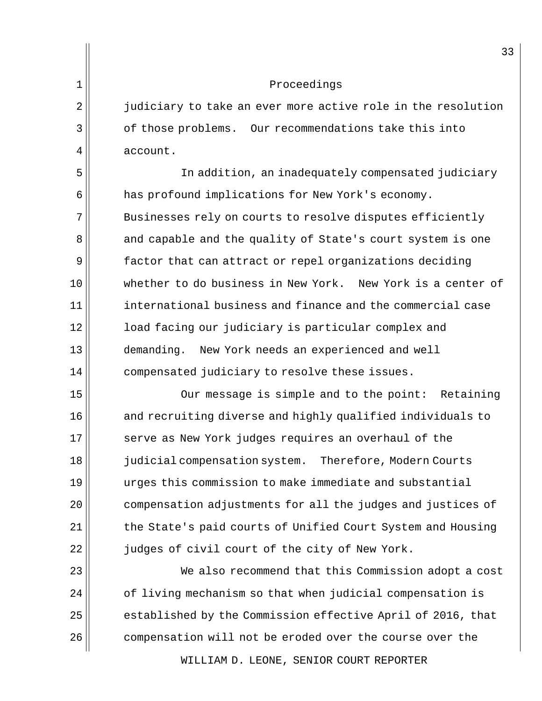2 judiciary to take an ever more active role in the resolution 3 of those problems. Our recommendations take this into  $4 \parallel$  account.

5 In addition, an inadequately compensated judiciary 6 **has profound implications for New York's economy.** 7 Businesses rely on courts to resolve disputes efficiently 8 and capable and the quality of State's court system is one 9 factor that can attract or repel organizations deciding 10 whether to do business in New York. New York is a center of 11 international business and finance and the commercial case 12 || load facing our judiciary is particular complex and 13 demanding. New York needs an experienced and well 14 compensated judiciary to resolve these issues.

15 || Our message is simple and to the point: Retaining  $16$  and recruiting diverse and highly qualified individuals to 17 Serve as New York judges requires an overhaul of the 18 judicial compensation system. Therefore, Modern Courts 19 urges this commission to make immediate and substantial 20 compensation adjustments for all the judges and justices of 21 | the State's paid courts of Unified Court System and Housing 22  $\parallel$  judges of civil court of the city of New York.

23 We also recommend that this Commission adopt a cost 24 | cf living mechanism so that when judicial compensation is  $25$  established by the Commission effective April of 2016, that  $26$  compensation will not be eroded over the course over the

WILLIAM D. LEONE, SENIOR COURT REPORTER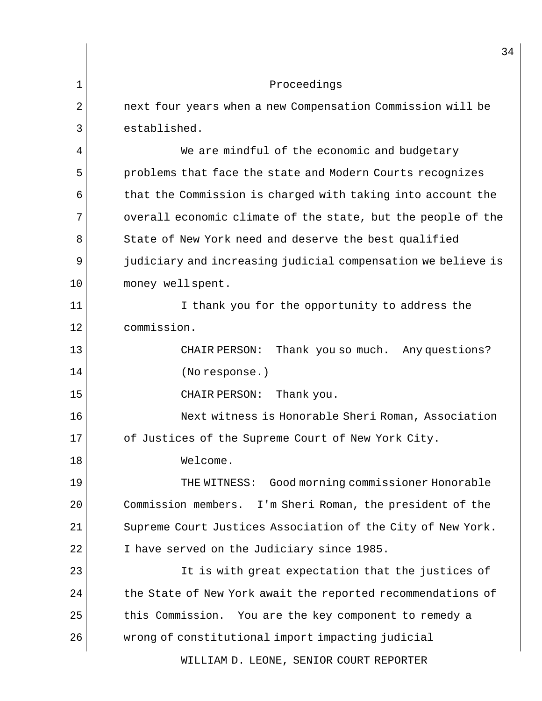|    | 34                                                           |
|----|--------------------------------------------------------------|
| 1  | Proceedings                                                  |
| 2  | next four years when a new Compensation Commission will be   |
| 3  | established.                                                 |
| 4  | We are mindful of the economic and budgetary                 |
| 5  | problems that face the state and Modern Courts recognizes    |
| 6  | that the Commission is charged with taking into account the  |
| 7  | overall economic climate of the state, but the people of the |
| 8  | State of New York need and deserve the best qualified        |
| 9  | judiciary and increasing judicial compensation we believe is |
| 10 | money wellspent.                                             |
| 11 | I thank you for the opportunity to address the               |
| 12 | commission.                                                  |
| 13 | Thank you so much. Any questions?<br>CHAIR PERSON:           |
| 14 | (No response.)                                               |
| 15 | Thank you.<br>CHAIR PERSON:                                  |
| 16 | Next witness is Honorable Sheri Roman, Association           |
| 17 | of Justices of the Supreme Court of New York City.           |
| 18 | Welcome.                                                     |
| 19 | Good morning commissioner Honorable<br>THE WITNESS:          |
| 20 | Commission members.<br>I'm Sheri Roman, the president of the |
| 21 | Supreme Court Justices Association of the City of New York.  |
| 22 | I have served on the Judiciary since 1985.                   |
| 23 | It is with great expectation that the justices of            |
| 24 | the State of New York await the reported recommendations of  |
| 25 | this Commission. You are the key component to remedy a       |
| 26 | wrong of constitutional import impacting judicial            |
|    | WILLIAM D. LEONE, SENIOR COURT REPORTER                      |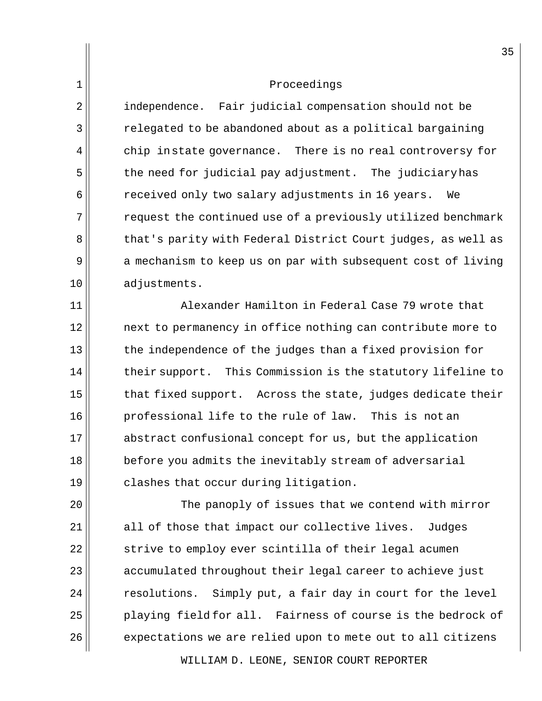2<sup>|</sup> independence. Fair judicial compensation should not be 3 | The relegated to be abandoned about as a political bargaining  $4 \parallel$  chip in state governance. There is no real controversy for 5 the need for judicial pay adjustment. The judiciary has 6 **6** received only two salary adjustments in 16 years. We 7 THE request the continued use of a previously utilized benchmark 8 that's parity with Federal District Court judges, as well as 9 a mechanism to keep us on par with subsequent cost of living 10 adjustments.

11 Alexander Hamilton in Federal Case 79 wrote that 12 || mext to permanency in office nothing can contribute more to 13 the independence of the judges than a fixed provision for  $14$  their support. This Commission is the statutory lifeline to  $15$  that fixed support. Across the state, judges dedicate their 16 professional life to the rule of law. This is not an 17 abstract confusional concept for us, but the application 18 **before you admits the inevitably stream of adversarial**  $19$  clashes that occur during litigation.

 $\parallel$  The panoply of issues that we contend with mirror all of those that impact our collective lives. Judges 22 strive to employ ever scintilla of their legal acumen accumulated throughout their legal career to achieve just resolutions. Simply put, a fair day in court for the level playing field for all. Fairness of course is the bedrock of expectations we are relied upon to mete out to all citizens

WILLIAM D. LEONE, SENIOR COURT REPORTER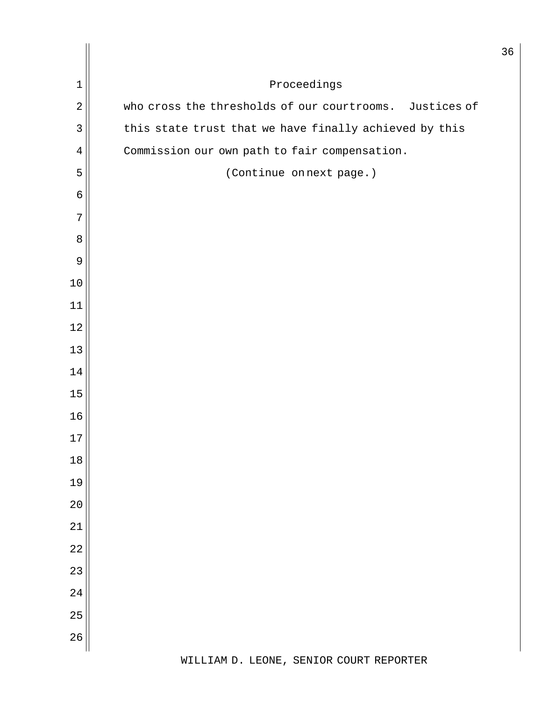| $\mathbf 1$    | Proceedings                                             |
|----------------|---------------------------------------------------------|
| $\overline{2}$ | who cross the thresholds of our courtrooms. Justices of |
| $\mathbf{3}$   | this state trust that we have finally achieved by this  |
| 4              | Commission our own path to fair compensation.           |
| 5              | (Continue on next page.)                                |
| $\epsilon$     |                                                         |
| 7              |                                                         |
| $\,8\,$        |                                                         |
| 9              |                                                         |
| 10             |                                                         |
| 11             |                                                         |
| 12             |                                                         |
| 13             |                                                         |
| 14             |                                                         |
| 15             |                                                         |
| 16             |                                                         |
| $17\,$         |                                                         |
| $18$           |                                                         |
| 19             |                                                         |
| $20$           |                                                         |
| 21             |                                                         |
| 22             |                                                         |
| 23             |                                                         |
| 24             |                                                         |
| 25             |                                                         |
| 26             |                                                         |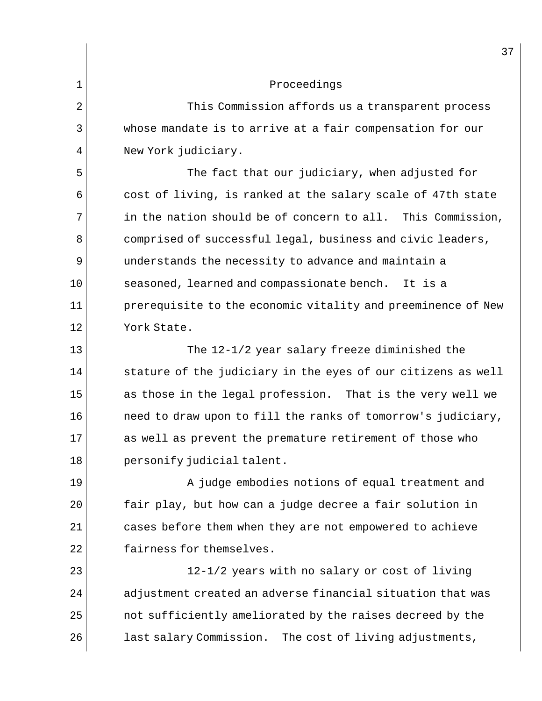|                | 3'                                                           |
|----------------|--------------------------------------------------------------|
| $\mathbf 1$    | Proceedings                                                  |
| $\overline{2}$ | This Commission affords us a transparent process             |
| 3              | whose mandate is to arrive at a fair compensation for our    |
| 4              | New York judiciary.                                          |
| 5              | The fact that our judiciary, when adjusted for               |
| 6              | cost of living, is ranked at the salary scale of 47th state  |
| 7              | in the nation should be of concern to all. This Commission,  |
| 8              | comprised of successful legal, business and civic leaders,   |
| 9              | understands the necessity to advance and maintain a          |
| 10             | seasoned, learned and compassionate bench.<br>It is a        |
| 11             | prerequisite to the economic vitality and preeminence of New |
| 12             | York State.                                                  |
| 13             | The 12-1/2 year salary freeze diminished the                 |
| 14             | stature of the judiciary in the eyes of our citizens as well |
| 15             | as those in the legal profession. That is the very well we   |
| 16             | need to draw upon to fill the ranks of tomorrow's judiciary, |
| 17             | as well as prevent the premature retirement of those who     |
| 18             | personify judicial talent.                                   |
| 19             | A judge embodies notions of equal treatment and              |
| 20             | fair play, but how can a judge decree a fair solution in     |
| 21             | cases before them when they are not empowered to achieve     |
| 22             | fairness for themselves.                                     |
| 23             | 12-1/2 years with no salary or cost of living                |
| 24             | adjustment created an adverse financial situation that was   |
| 25             | not sufficiently ameliorated by the raises decreed by the    |
| 26             | last salary Commission.<br>The cost of living adjustments,   |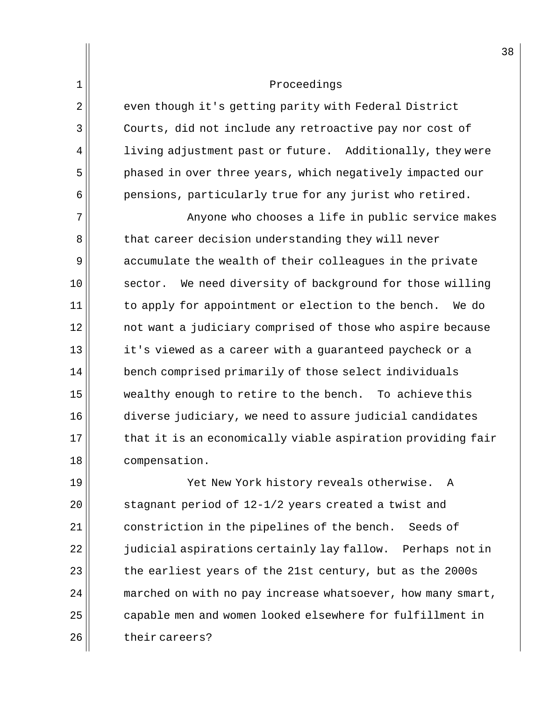2 even though it's getting parity with Federal District 3 Courts, did not include any retroactive pay nor cost of  $4$  living adjustment past or future. Additionally, they were 5 phased in over three years, which negatively impacted our  $6$  pensions, particularly true for any jurist who retired.

7 Anyone who chooses a life in public service makes 8 that career decision understanding they will never 9 accumulate the wealth of their colleagues in the private 10 sector. We need diversity of background for those willing  $11$  to apply for appointment or election to the bench. We do 12 not want a judiciary comprised of those who aspire because 13 it's viewed as a career with a quaranteed paycheck or a 14 bench comprised primarily of those select individuals 15 wealthy enough to retire to the bench. To achieve this 16 diverse judiciary, we need to assure judicial candidates  $17$  that it is an economically viable aspiration providing fair 18 compensation.

 Yet New York history reveals otherwise. A stagnant period of 12-1/2 years created a twist and 21 constriction in the pipelines of the bench. Seeds of  $\parallel$  judicial aspirations certainly lay fallow. Perhaps not in the earliest years of the 21st century, but as the 2000s marched on with no pay increase whatsoever, how many smart, 25 | capable men and women looked elsewhere for fulfillment in 26 || their careers?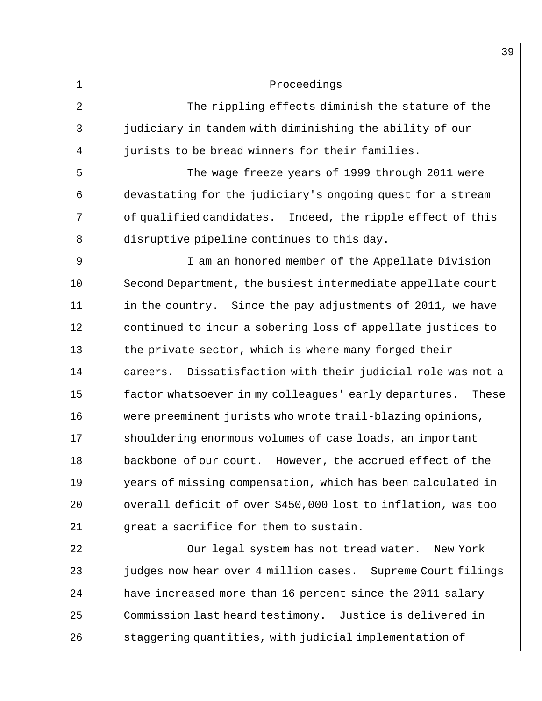|                | 3 <sup>c</sup>                                                 |
|----------------|----------------------------------------------------------------|
| $\mathbf 1$    | Proceedings                                                    |
| $\overline{2}$ | The rippling effects diminish the stature of the               |
| 3              | judiciary in tandem with diminishing the ability of our        |
| 4              | jurists to be bread winners for their families.                |
| 5              | The wage freeze years of 1999 through 2011 were                |
| 6              | devastating for the judiciary's ongoing quest for a stream     |
| 7              | of qualified candidates. Indeed, the ripple effect of this     |
| 8              | disruptive pipeline continues to this day.                     |
| 9              | I am an honored member of the Appellate Division               |
| 10             | Second Department, the busiest intermediate appellate court    |
| 11             | in the country. Since the pay adjustments of 2011, we have     |
| 12             | continued to incur a sobering loss of appellate justices to    |
| 13             | the private sector, which is where many forged their           |
| 14             | Dissatisfaction with their judicial role was not a<br>careers. |
| 15             | factor whatsoever in my colleagues' early departures.<br>These |
| 16             | were preeminent jurists who wrote trail-blazing opinions,      |
| 17             | shouldering enormous volumes of case loads, an important       |
| 18             | backbone of our court. However, the accrued effect of the      |
| 19             | years of missing compensation, which has been calculated in    |
| 20             | overall deficit of over \$450,000 lost to inflation, was too   |
| 21             | great a sacrifice for them to sustain.                         |
| 22             | Our legal system has not tread water.<br>New York              |
| 23             | judges now hear over 4 million cases. Supreme Court filings    |
| 24             | have increased more than 16 percent since the 2011 salary      |
| 25             | Commission last heard testimony. Justice is delivered in       |
| 26             | staggering quantities, with judicial implementation of         |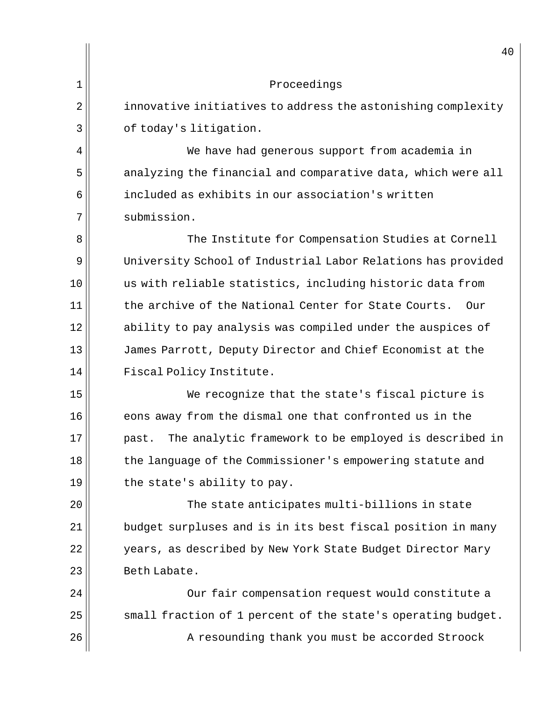| 1<br>Proceedings<br>2<br>innovative initiatives to address the astonishing complexity<br>3<br>of today's litigation.<br>4<br>We have had generous support from academia in<br>5<br>analyzing the financial and comparative data, which were all<br>included as exhibits in our association's written<br>6<br>7<br>submission.<br>8<br>The Institute for Compensation Studies at Cornell<br>9<br>University School of Industrial Labor Relations has provided<br>10<br>us with reliable statistics, including historic data from<br>11<br>the archive of the National Center for State Courts.<br>Our<br>12<br>ability to pay analysis was compiled under the auspices of<br>13<br>James Parrott, Deputy Director and Chief Economist at the<br>14<br>Fiscal Policy Institute.<br>15<br>We recognize that the state's fiscal picture is<br>16<br>eons away from the dismal one that confronted us in the<br>17<br>The analytic framework to be employed is described in<br>past.<br>18<br>the language of the Commissioner's empowering statute and<br>19<br>the state's ability to pay.<br>20<br>The state anticipates multi-billions in state<br>21<br>budget surpluses and is in its best fiscal position in many<br>22<br>years, as described by New York State Budget Director Mary<br>23<br>Beth Labate.<br>24<br>Our fair compensation request would constitute a<br>25<br>small fraction of 1 percent of the state's operating budget.<br>26<br>A resounding thank you must be accorded Stroock | 40 |
|--------------------------------------------------------------------------------------------------------------------------------------------------------------------------------------------------------------------------------------------------------------------------------------------------------------------------------------------------------------------------------------------------------------------------------------------------------------------------------------------------------------------------------------------------------------------------------------------------------------------------------------------------------------------------------------------------------------------------------------------------------------------------------------------------------------------------------------------------------------------------------------------------------------------------------------------------------------------------------------------------------------------------------------------------------------------------------------------------------------------------------------------------------------------------------------------------------------------------------------------------------------------------------------------------------------------------------------------------------------------------------------------------------------------------------------------------------------------------------------------------------|----|
|                                                                                                                                                                                                                                                                                                                                                                                                                                                                                                                                                                                                                                                                                                                                                                                                                                                                                                                                                                                                                                                                                                                                                                                                                                                                                                                                                                                                                                                                                                        |    |
|                                                                                                                                                                                                                                                                                                                                                                                                                                                                                                                                                                                                                                                                                                                                                                                                                                                                                                                                                                                                                                                                                                                                                                                                                                                                                                                                                                                                                                                                                                        |    |
|                                                                                                                                                                                                                                                                                                                                                                                                                                                                                                                                                                                                                                                                                                                                                                                                                                                                                                                                                                                                                                                                                                                                                                                                                                                                                                                                                                                                                                                                                                        |    |
|                                                                                                                                                                                                                                                                                                                                                                                                                                                                                                                                                                                                                                                                                                                                                                                                                                                                                                                                                                                                                                                                                                                                                                                                                                                                                                                                                                                                                                                                                                        |    |
|                                                                                                                                                                                                                                                                                                                                                                                                                                                                                                                                                                                                                                                                                                                                                                                                                                                                                                                                                                                                                                                                                                                                                                                                                                                                                                                                                                                                                                                                                                        |    |
|                                                                                                                                                                                                                                                                                                                                                                                                                                                                                                                                                                                                                                                                                                                                                                                                                                                                                                                                                                                                                                                                                                                                                                                                                                                                                                                                                                                                                                                                                                        |    |
|                                                                                                                                                                                                                                                                                                                                                                                                                                                                                                                                                                                                                                                                                                                                                                                                                                                                                                                                                                                                                                                                                                                                                                                                                                                                                                                                                                                                                                                                                                        |    |
|                                                                                                                                                                                                                                                                                                                                                                                                                                                                                                                                                                                                                                                                                                                                                                                                                                                                                                                                                                                                                                                                                                                                                                                                                                                                                                                                                                                                                                                                                                        |    |
|                                                                                                                                                                                                                                                                                                                                                                                                                                                                                                                                                                                                                                                                                                                                                                                                                                                                                                                                                                                                                                                                                                                                                                                                                                                                                                                                                                                                                                                                                                        |    |
|                                                                                                                                                                                                                                                                                                                                                                                                                                                                                                                                                                                                                                                                                                                                                                                                                                                                                                                                                                                                                                                                                                                                                                                                                                                                                                                                                                                                                                                                                                        |    |
|                                                                                                                                                                                                                                                                                                                                                                                                                                                                                                                                                                                                                                                                                                                                                                                                                                                                                                                                                                                                                                                                                                                                                                                                                                                                                                                                                                                                                                                                                                        |    |
|                                                                                                                                                                                                                                                                                                                                                                                                                                                                                                                                                                                                                                                                                                                                                                                                                                                                                                                                                                                                                                                                                                                                                                                                                                                                                                                                                                                                                                                                                                        |    |
|                                                                                                                                                                                                                                                                                                                                                                                                                                                                                                                                                                                                                                                                                                                                                                                                                                                                                                                                                                                                                                                                                                                                                                                                                                                                                                                                                                                                                                                                                                        |    |
|                                                                                                                                                                                                                                                                                                                                                                                                                                                                                                                                                                                                                                                                                                                                                                                                                                                                                                                                                                                                                                                                                                                                                                                                                                                                                                                                                                                                                                                                                                        |    |
|                                                                                                                                                                                                                                                                                                                                                                                                                                                                                                                                                                                                                                                                                                                                                                                                                                                                                                                                                                                                                                                                                                                                                                                                                                                                                                                                                                                                                                                                                                        |    |
|                                                                                                                                                                                                                                                                                                                                                                                                                                                                                                                                                                                                                                                                                                                                                                                                                                                                                                                                                                                                                                                                                                                                                                                                                                                                                                                                                                                                                                                                                                        |    |
|                                                                                                                                                                                                                                                                                                                                                                                                                                                                                                                                                                                                                                                                                                                                                                                                                                                                                                                                                                                                                                                                                                                                                                                                                                                                                                                                                                                                                                                                                                        |    |
|                                                                                                                                                                                                                                                                                                                                                                                                                                                                                                                                                                                                                                                                                                                                                                                                                                                                                                                                                                                                                                                                                                                                                                                                                                                                                                                                                                                                                                                                                                        |    |
|                                                                                                                                                                                                                                                                                                                                                                                                                                                                                                                                                                                                                                                                                                                                                                                                                                                                                                                                                                                                                                                                                                                                                                                                                                                                                                                                                                                                                                                                                                        |    |
|                                                                                                                                                                                                                                                                                                                                                                                                                                                                                                                                                                                                                                                                                                                                                                                                                                                                                                                                                                                                                                                                                                                                                                                                                                                                                                                                                                                                                                                                                                        |    |
|                                                                                                                                                                                                                                                                                                                                                                                                                                                                                                                                                                                                                                                                                                                                                                                                                                                                                                                                                                                                                                                                                                                                                                                                                                                                                                                                                                                                                                                                                                        |    |
|                                                                                                                                                                                                                                                                                                                                                                                                                                                                                                                                                                                                                                                                                                                                                                                                                                                                                                                                                                                                                                                                                                                                                                                                                                                                                                                                                                                                                                                                                                        |    |
|                                                                                                                                                                                                                                                                                                                                                                                                                                                                                                                                                                                                                                                                                                                                                                                                                                                                                                                                                                                                                                                                                                                                                                                                                                                                                                                                                                                                                                                                                                        |    |
|                                                                                                                                                                                                                                                                                                                                                                                                                                                                                                                                                                                                                                                                                                                                                                                                                                                                                                                                                                                                                                                                                                                                                                                                                                                                                                                                                                                                                                                                                                        |    |
|                                                                                                                                                                                                                                                                                                                                                                                                                                                                                                                                                                                                                                                                                                                                                                                                                                                                                                                                                                                                                                                                                                                                                                                                                                                                                                                                                                                                                                                                                                        |    |
|                                                                                                                                                                                                                                                                                                                                                                                                                                                                                                                                                                                                                                                                                                                                                                                                                                                                                                                                                                                                                                                                                                                                                                                                                                                                                                                                                                                                                                                                                                        |    |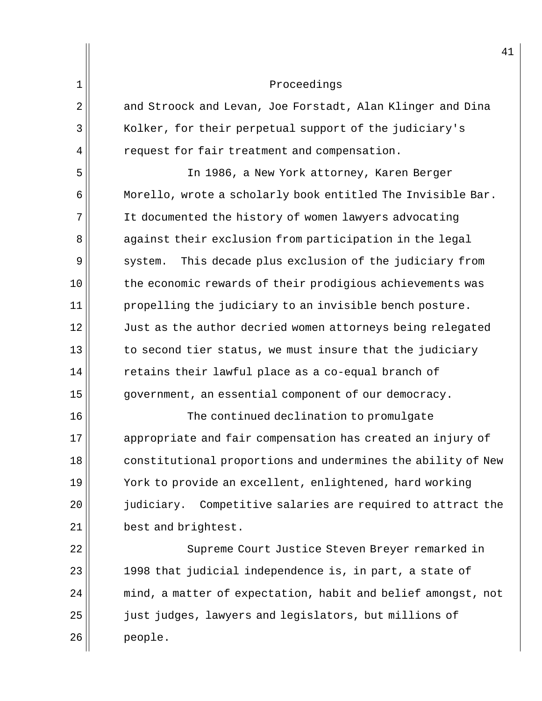2 and Stroock and Levan, Joe Forstadt, Alan Klinger and Dina 3 | Kolker, for their perpetual support of the judiciary's  $4 \parallel$  request for fair treatment and compensation.

 In 1986, a New York attorney, Karen Berger Morello, wrote a scholarly book entitled The Invisible Bar. It documented the history of women lawyers advocating 8 against their exclusion from participation in the legal 9 system. This decade plus exclusion of the judiciary from the economic rewards of their prodigious achievements was propelling the judiciary to an invisible bench posture. 12 Just as the author decried women attorneys being relegated to second tier status, we must insure that the judiciary retains their lawful place as a co-equal branch of 15 government, an essential component of our democracy.

16 The continued declination to promulgate 17 appropriate and fair compensation has created an injury of 18 constitutional proportions and undermines the ability of New 19 York to provide an excellent, enlightened, hard working 20 judiciary. Competitive salaries are required to attract the  $21$  best and brightest.

22 || Supreme Court Justice Steven Breyer remarked in  $23$  ||  $1998$  that judicial independence is, in part, a state of  $24$   $\parallel$  mind, a matter of expectation, habit and belief amongst, not 25 just judges, lawyers and legislators, but millions of 26 people.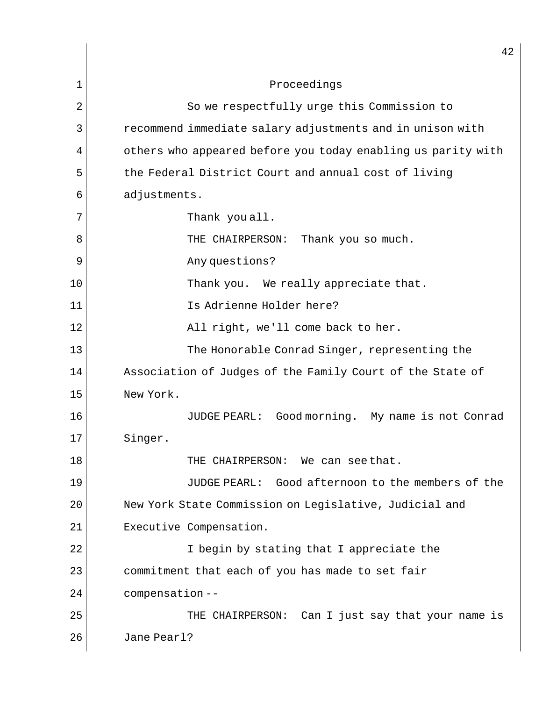|    | 42                                                           |
|----|--------------------------------------------------------------|
| 1  | Proceedings                                                  |
| 2  | So we respectfully urge this Commission to                   |
| 3  | recommend immediate salary adjustments and in unison with    |
| 4  | others who appeared before you today enabling us parity with |
| 5  | the Federal District Court and annual cost of living         |
| 6  | adjustments.                                                 |
| 7  | Thank you all.                                               |
| 8  | THE CHAIRPERSON:<br>Thank you so much.                       |
| 9  | Any questions?                                               |
| 10 | Thank you. We really appreciate that.                        |
| 11 | Is Adrienne Holder here?                                     |
| 12 | All right, we'll come back to her.                           |
| 13 | The Honorable Conrad Singer, representing the                |
| 14 | Association of Judges of the Family Court of the State of    |
| 15 | New York.                                                    |
| 16 | JUDGE PEARL: Good morning. My name is not Conrad             |
| 17 | Singer.                                                      |
| 18 | THE CHAIRPERSON: We can see that.                            |
| 19 | JUDGE PEARL: Good afternoon to the members of the            |
| 20 | New York State Commission on Legislative, Judicial and       |
| 21 | Executive Compensation.                                      |
| 22 | I begin by stating that I appreciate the                     |
| 23 | commitment that each of you has made to set fair             |
| 24 | compensation--                                               |
| 25 | THE CHAIRPERSON: Can I just say that your name is            |
| 26 | Jane Pearl?                                                  |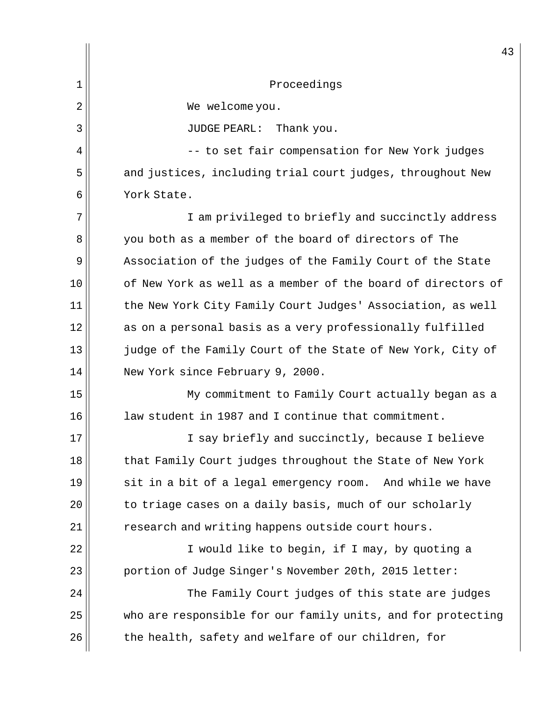|    | 43                                                           |
|----|--------------------------------------------------------------|
| 1  | Proceedings                                                  |
| 2  | We welcome you.                                              |
| 3  | <b>JUDGE PEARL:</b><br>Thank you.                            |
| 4  | -- to set fair compensation for New York judges              |
| 5  | and justices, including trial court judges, throughout New   |
| 6  | York State.                                                  |
| 7  | I am privileged to briefly and succinctly address            |
| 8  | you both as a member of the board of directors of The        |
| 9  | Association of the judges of the Family Court of the State   |
| 10 | of New York as well as a member of the board of directors of |
| 11 | the New York City Family Court Judges' Association, as well  |
| 12 | as on a personal basis as a very professionally fulfilled    |
| 13 | judge of the Family Court of the State of New York, City of  |
| 14 | New York since February 9, 2000.                             |
| 15 | My commitment to Family Court actually began as a            |
| 16 | law student in 1987 and I continue that commitment.          |
| 17 | I say briefly and succinctly, because I believe              |
| 18 | that Family Court judges throughout the State of New York    |
| 19 | sit in a bit of a legal emergency room. And while we have    |
| 20 | to triage cases on a daily basis, much of our scholarly      |
| 21 | research and writing happens outside court hours.            |
| 22 | I would like to begin, if I may, by quoting a                |
| 23 | portion of Judge Singer's November 20th, 2015 letter:        |
| 24 | The Family Court judges of this state are judges             |
| 25 | who are responsible for our family units, and for protecting |
| 26 | the health, safety and welfare of our children, for          |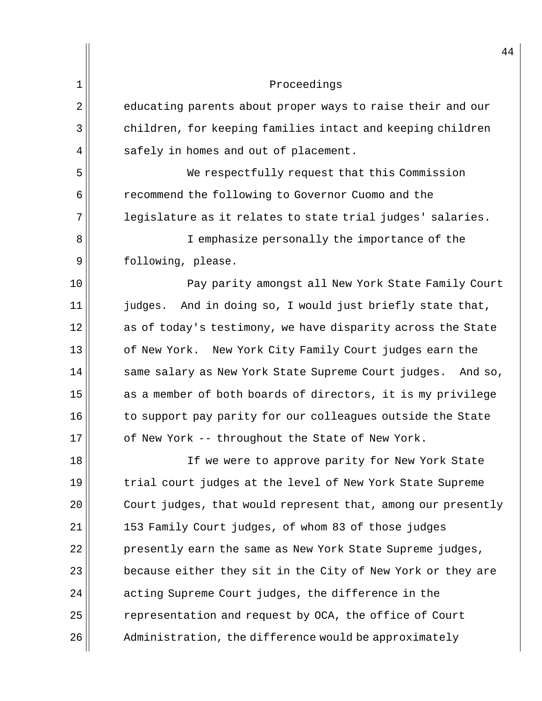|    | 44                                                             |
|----|----------------------------------------------------------------|
| 1  | Proceedings                                                    |
| 2  | educating parents about proper ways to raise their and our     |
| 3  | children, for keeping families intact and keeping children     |
| 4  | safely in homes and out of placement.                          |
| 5  | We respectfully request that this Commission                   |
| 6  | recommend the following to Governor Cuomo and the              |
| 7  | legislature as it relates to state trial judges' salaries.     |
| 8  | I emphasize personally the importance of the                   |
| 9  | following, please.                                             |
| 10 | Pay parity amongst all New York State Family Court             |
| 11 | judges. And in doing so, I would just briefly state that,      |
| 12 | as of today's testimony, we have disparity across the State    |
| 13 | of New York.<br>New York City Family Court judges earn the     |
| 14 | same salary as New York State Supreme Court judges.<br>And so, |
| 15 | as a member of both boards of directors, it is my privilege    |
| 16 | to support pay parity for our colleagues outside the State     |
| 17 | of New York -- throughout the State of New York.               |
| 18 | If we were to approve parity for New York State                |
| 19 | trial court judges at the level of New York State Supreme      |
| 20 | Court judges, that would represent that, among our presently   |
| 21 | 153 Family Court judges, of whom 83 of those judges            |
| 22 | presently earn the same as New York State Supreme judges,      |
| 23 | because either they sit in the City of New York or they are    |
| 24 | acting Supreme Court judges, the difference in the             |
| 25 | representation and request by OCA, the office of Court         |
| 26 | Administration, the difference would be approximately          |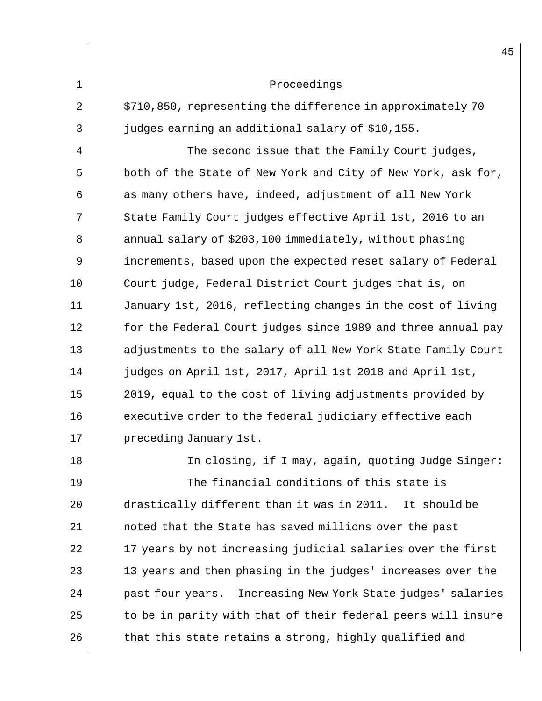| 1 |  | Proceedings |
|---|--|-------------|
|---|--|-------------|

 $2 \parallel$  \$710,850, representing the difference in approximately 70 3 judges earning an additional salary of \$10,155.

 $4$   $\parallel$  The second issue that the Family Court judges,  $5$  both of the State of New York and City of New York, ask for,  $6$  as many others have, indeed, adjustment of all New York 7 State Family Court judges effective April 1st, 2016 to an 8 annual salary of \$203,100 immediately, without phasing 9 increments, based upon the expected reset salary of Federal 10 Court judge, Federal District Court judges that is, on 11 || January 1st, 2016, reflecting changes in the cost of living 12 for the Federal Court judges since 1989 and three annual pay 13 dadjustments to the salary of all New York State Family Court 14 judges on April 1st, 2017, April 1st 2018 and April 1st, 15 || 2019, equal to the cost of living adjustments provided by 16 executive order to the federal judiciary effective each 17 || preceding January 1st.

18 || In closing, if I may, again, quoting Judge Singer: The financial conditions of this state is drastically different than it was in 2011. It should be 21 | contract hat the State has saved millions over the past |  $\,$  17 years by not increasing judicial salaries over the first 13 years and then phasing in the judges' increases over the 24 || past four years. Increasing New York State judges' salaries to be in parity with that of their federal peers will insure that this state retains a strong, highly qualified and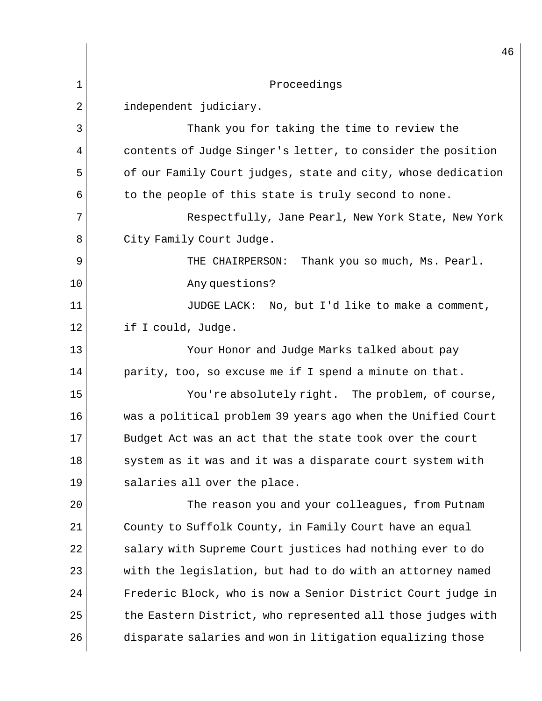|                | 46                                                           |
|----------------|--------------------------------------------------------------|
| 1              | Proceedings                                                  |
| $\overline{2}$ | independent judiciary.                                       |
| 3              | Thank you for taking the time to review the                  |
| 4              | contents of Judge Singer's letter, to consider the position  |
| 5              | of our Family Court judges, state and city, whose dedication |
| 6              | to the people of this state is truly second to none.         |
| 7              | Respectfully, Jane Pearl, New York State, New York           |
| 8              | City Family Court Judge.                                     |
| 9              | THE CHAIRPERSON:<br>Thank you so much, Ms. Pearl.            |
| 10             | Any questions?                                               |
| 11             | JUDGE LACK: No, but I'd like to make a comment,              |
| 12             | if I could, Judge.                                           |
| 13             | Your Honor and Judge Marks talked about pay                  |
| 14             | parity, too, so excuse me if I spend a minute on that.       |
| 15             | You're absolutely right. The problem, of course,             |
| 16             | was a political problem 39 years ago when the Unified Court  |
| 17             | Budget Act was an act that the state took over the court     |
| 18             | system as it was and it was a disparate court system with    |
| 19             | salaries all over the place.                                 |
| 20             | The reason you and your colleagues, from Putnam              |
| 21             | County to Suffolk County, in Family Court have an equal      |
| 22             | salary with Supreme Court justices had nothing ever to do    |
| 23             | with the legislation, but had to do with an attorney named   |
| 24             | Frederic Block, who is now a Senior District Court judge in  |
| 25             | the Eastern District, who represented all those judges with  |
| 26             | disparate salaries and won in litigation equalizing those    |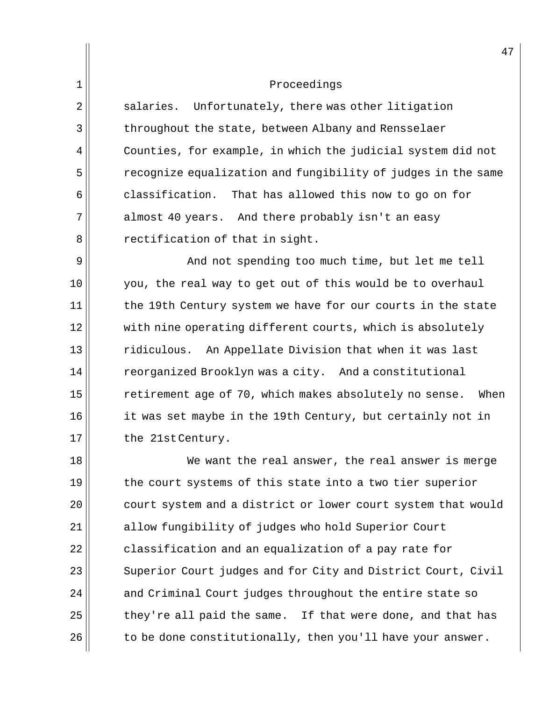$2 \parallel$  salaries. Unfortunately, there was other litigation 3 throughout the state, between Albany and Rensselaer  $4 \parallel$  Counties, for example, in which the judicial system did not 5 recognize equalization and fungibility of judges in the same  $6$  classification. That has allowed this now to go on for 7 almost 40 years. And there probably isn't an easy  $8$  rectification of that in sight.

9 | And not spending too much time, but let me tell 10 you, the real way to get out of this would be to overhaul  $11$  the 19th Century system we have for our courts in the state  $12$  with nine operating different courts, which is absolutely 13 ridiculous. An Appellate Division that when it was last 14 | reorganized Brooklyn was a city. And a constitutional  $15$  retirement age of 70, which makes absolutely no sense. When 16 it was set maybe in the 19th Century, but certainly not in 17 || the 21st Century.

18 We want the real answer, the real answer is merge 19 the court systems of this state into a two tier superior 20 court system and a district or lower court system that would 21 allow fungibility of judges who hold Superior Court  $22$  classification and an equalization of a pay rate for 23 Superior Court judges and for City and District Court, Civil  $24$  and Criminal Court judges throughout the entire state so  $25$  they're all paid the same. If that were done, and that has  $26$  to be done constitutionally, then you'll have your answer.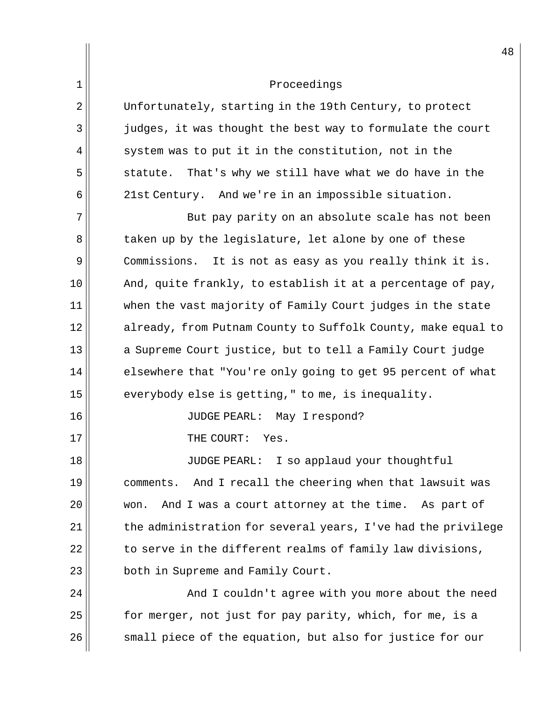| $\mathbf 1$ | Proceedings                                                   |
|-------------|---------------------------------------------------------------|
| 2           | Unfortunately, starting in the 19th Century, to protect       |
| 3           | judges, it was thought the best way to formulate the court    |
| 4           | system was to put it in the constitution, not in the          |
| 5           | That's why we still have what we do have in the<br>statute.   |
| 6           | 21st Century. And we're in an impossible situation.           |
| 7           | But pay parity on an absolute scale has not been              |
| 8           | taken up by the legislature, let alone by one of these        |
| $\mathsf 9$ | Commissions. It is not as easy as you really think it is.     |
| 10          | And, quite frankly, to establish it at a percentage of pay,   |
| 11          | when the vast majority of Family Court judges in the state    |
| 12          | already, from Putnam County to Suffolk County, make equal to  |
| 13          | a Supreme Court justice, but to tell a Family Court judge     |
| 14          | elsewhere that "You're only going to get 95 percent of what   |
| 15          | everybody else is getting," to me, is inequality.             |
| 16          | JUDGE PEARL: May Irespond?                                    |
| 17          | THE COURT:<br>Yes.                                            |
| 18          | I so applaud your thoughtful<br><b>JUDGE PEARL:</b>           |
| 19          | And I recall the cheering when that lawsuit was<br>comments.  |
| 20          | And I was a court attorney at the time.<br>As part of<br>won. |
| 21          | the administration for several years, I've had the privilege  |
| 22          | to serve in the different realms of family law divisions,     |
| 23          | both in Supreme and Family Court.                             |
| 24          | And I couldn't agree with you more about the need             |
| 25          | for merger, not just for pay parity, which, for me, is a      |
| 26          | small piece of the equation, but also for justice for our     |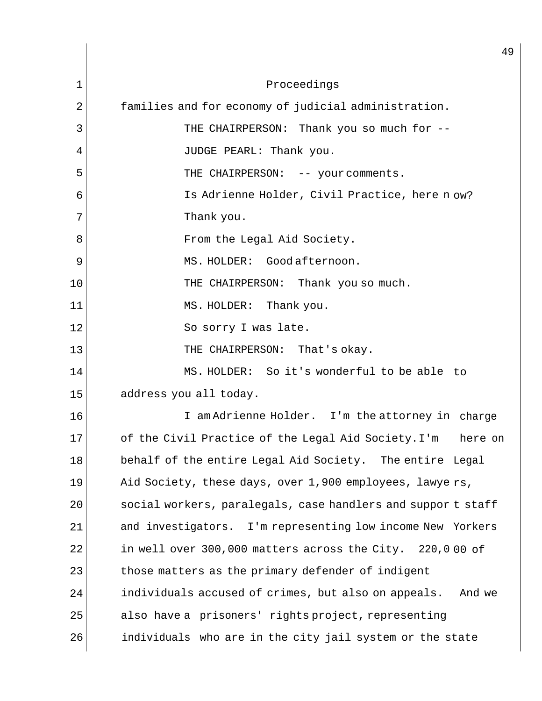|    | 49                                                             |
|----|----------------------------------------------------------------|
| 1  | Proceedings                                                    |
| 2  | families and for economy of judicial administration.           |
| 3  | THE CHAIRPERSON: Thank you so much for --                      |
| 4  | JUDGE PEARL: Thank you.                                        |
| 5  | THE CHAIRPERSON: -- your comments.                             |
| 6  | Is Adrienne Holder, Civil Practice, here now?                  |
| 7  | Thank you.                                                     |
| 8  | From the Legal Aid Society.                                    |
| 9  | MS. HOLDER: Good afternoon.                                    |
| 10 | THE CHAIRPERSON: Thank you so much.                            |
| 11 | MS. HOLDER:<br>Thank you.                                      |
| 12 | So sorry I was late.                                           |
| 13 | THE CHAIRPERSON: That's okay.                                  |
| 14 | MS. HOLDER: So it's wonderful to be able to                    |
| 15 | address you all today.                                         |
| 16 | I am Adrienne Holder. I'm the attorney in charge               |
| 17 | of the Civil Practice of the Legal Aid Society. I'm<br>here on |
| 18 | behalf of the entire Legal Aid Society. The entire Legal       |
| 19 | Aid Society, these days, over 1,900 employees, lawye rs,       |
| 20 | social workers, paralegals, case handlers and suppor t staff   |
| 21 | and investigators. I'm representing low income New Yorkers     |
| 22 | in well over 300,000 matters across the City. 220,000 of       |
| 23 | those matters as the primary defender of indigent              |
| 24 | individuals accused of crimes, but also on appeals.<br>And we  |
| 25 | also have a prisoners' rights project, representing            |
| 26 | individuals who are in the city jail system or the state       |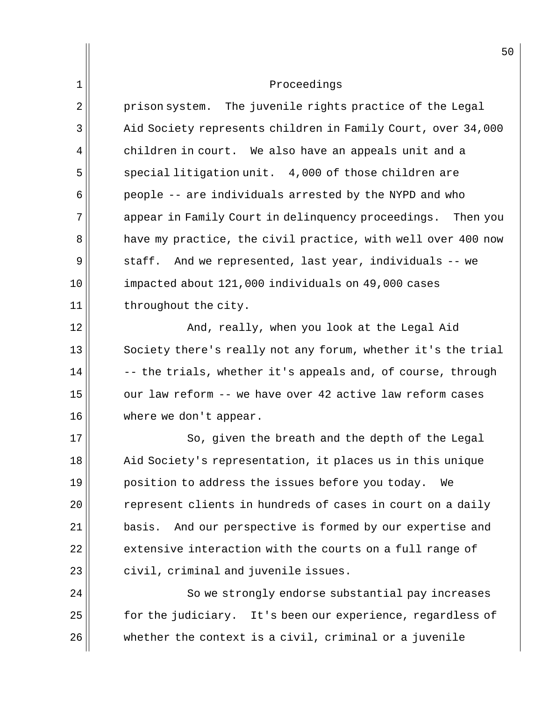$2 \parallel$  prison system. The juvenile rights practice of the Legal 3 | Aid Society represents children in Family Court, over 34,000  $4$  children in court. We also have an appeals unit and a  $5$  special litigation unit. 4,000 of those children are 6 people -- are individuals arrested by the NYPD and who 7 appear in Family Court in delinquency proceedings. Then you 8 a have my practice, the civil practice, with well over 400 now 9 staff. And we represented, last year, individuals -- we 10 | impacted about 121,000 individuals on 49,000 cases 11 || throughout the city.

12 And, really, when you look at the Legal Aid 13 Society there's really not any forum, whether it's the trial  $14$   $\vert$  -- the trials, whether it's appeals and, of course, through 15 our law reform -- we have over 42 active law reform cases 16 where we don't appear.

17 So, given the breath and the depth of the Legal 18 Aid Society's representation, it places us in this unique  $19$  position to address the issues before you today. We 20 || The represent clients in hundreds of cases in court on a daily  $21$  basis. And our perspective is formed by our expertise and  $22$  extensive interaction with the courts on a full range of  $23$  civil, criminal and juvenile issues.

24 So we strongly endorse substantial pay increases 25 | State for the judiciary. It's been our experience, regardless of 26 whether the context is a civil, criminal or a juvenile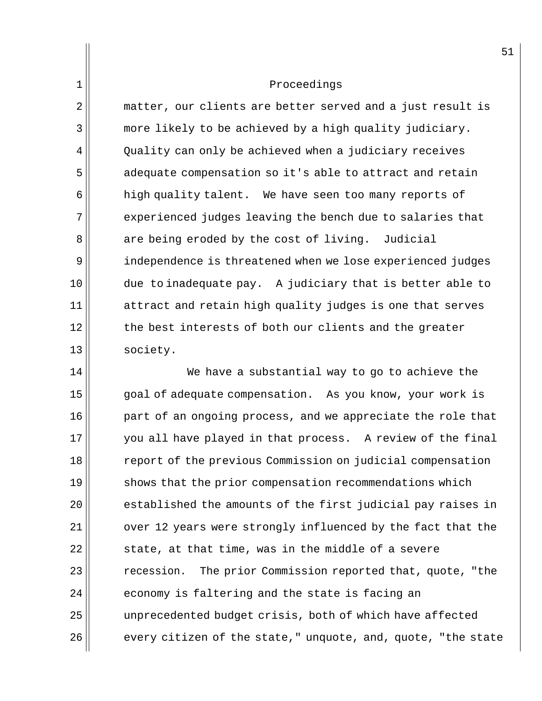$2 \parallel$  matter, our clients are better served and a just result is 3 more likely to be achieved by a high quality judiciary.  $4 \parallel$  Quality can only be achieved when a judiciary receives 5 adequate compensation so it's able to attract and retain 6 high quality talent. We have seen too many reports of  $7$  experienced judges leaving the bench due to salaries that  $8$  are being eroded by the cost of living. Judicial 9 independence is threatened when we lose experienced judges  $10$  due to inadequate pay. A judiciary that is better able to  $11$  attract and retain high quality judges is one that serves 12 the best interests of both our clients and the greater 13 society.

14 We have a substantial way to go to achieve the 15 || goal of adequate compensation. As you know, your work is 16 part of an ongoing process, and we appreciate the role that 17 you all have played in that process. A review of the final 18 Teport of the previous Commission on judicial compensation 19 shows that the prior compensation recommendations which  $20$   $\vert$  established the amounts of the first judicial pay raises in  $21$  over 12 years were strongly influenced by the fact that the  $22$  state, at that time, was in the middle of a severe  $23$  recession. The prior Commission reported that, quote, "the  $24$  economy is faltering and the state is facing an 25 unprecedented budget crisis, both of which have affected  $26$  every citizen of the state," unquote, and, quote, "the state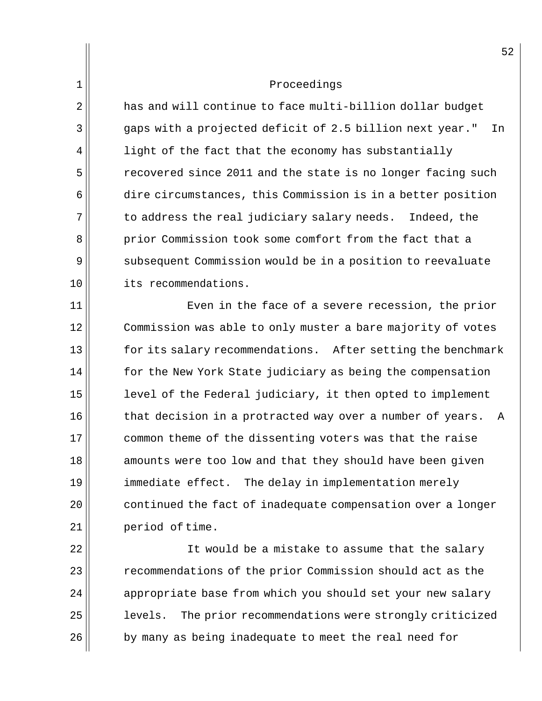2 has and will continue to face multi-billion dollar budget 3 gaps with a projected deficit of 2.5 billion next year." In  $4$  light of the fact that the economy has substantially 5 state of the state is no longer facing such the state is no longer facing such  $6$  dire circumstances, this Commission is in a better position  $7$  to address the real judiciary salary needs. Indeed, the 8 prior Commission took some comfort from the fact that a 9 subsequent Commission would be in a position to reevaluate 10 its recommendations.

11 Even in the face of a severe recession, the prior 12 Commission was able to only muster a bare majority of votes 13 for its salary recommendations. After setting the benchmark  $14$  for the New York State judiciary as being the compensation 15 | level of the Federal judiciary, it then opted to implement  $16$  that decision in a protracted way over a number of years. A 17 common theme of the dissenting voters was that the raise 18 amounts were too low and that they should have been given 19 immediate effect. The delay in implementation merely  $20$  continued the fact of inadequate compensation over a longer 21 | period of time.

22 || It would be a mistake to assume that the salary 23 **Part 23** recommendations of the prior Commission should act as the  $24$  appropriate base from which you should set your new salary 25 | levels. The prior recommendations were strongly criticized 26 by many as being inadequate to meet the real need for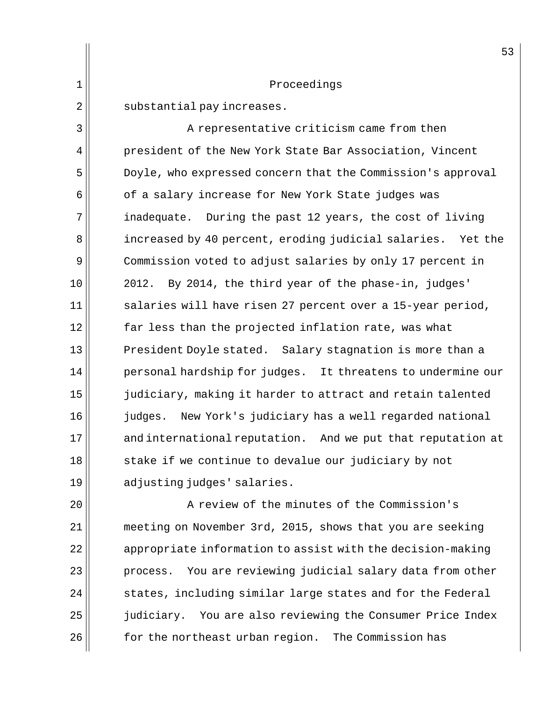1 Proceedings  $2 \parallel$  substantial pay increases. 3 A representative criticism came from then 4 | president of the New York State Bar Association, Vincent 5 Doyle, who expressed concern that the Commission's approval  $6$  of a salary increase for New York State judges was 7 inadequate. During the past 12 years, the cost of living 8 accreased by 40 percent, eroding judicial salaries. Yet the 9 Commission voted to adjust salaries by only 17 percent in  $10$  | 2012. By 2014, the third year of the phase-in, judges'  $11$  salaries will have risen 27 percent over a 15-year period,  $12$  far less than the projected inflation rate, was what  $13$  President Doyle stated. Salary stagnation is more than a  $14$  personal hardship for judges. It threatens to undermine our 15 judiciary, making it harder to attract and retain talented 16 judges. New York's judiciary has a well regarded national 17 and international reputation. And we put that reputation at  $18$  stake if we continue to devalue our judiciary by not

53

19 adjusting judges' salaries.

20 || A review of the minutes of the Commission's 21 | meeting on November 3rd, 2015, shows that you are seeking 22  $\parallel$  appropriate information to assist with the decision-making  $23$  process. You are reviewing judicial salary data from other  $24$  states, including similar large states and for the Federal 25  $\parallel$  judiciary. You are also reviewing the Consumer Price Index 26 | Sollach the northeast urban region. The Commission has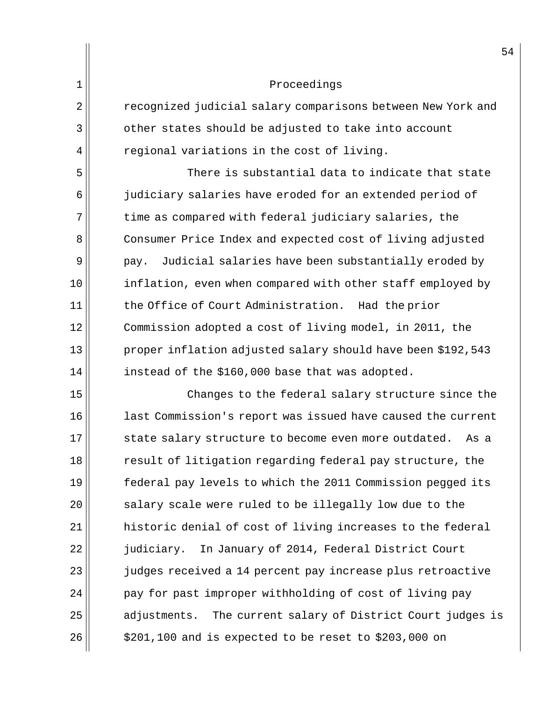2 recognized judicial salary comparisons between New York and 3 other states should be adjusted to take into account  $4 \parallel$  regional variations in the cost of living.

 $5$  There is substantial data to indicate that state 6 judiciary salaries have eroded for an extended period of 7 time as compared with federal judiciary salaries, the 8 Consumer Price Index and expected cost of living adjusted  $9$  | pay. Judicial salaries have been substantially eroded by 10 inflation, even when compared with other staff employed by 11 the Office of Court Administration. Had the prior 12 Commission adopted a cost of living model, in 2011, the 13 proper inflation adjusted salary should have been \$192,543  $14$  instead of the \$160,000 base that was adopted.

15 Changes to the federal salary structure since the 16 | last Commission's report was issued have caused the current 17 || state salary structure to become even more outdated. As a 18 Tesult of litigation regarding federal pay structure, the 19 federal pay levels to which the 2011 Commission pegged its  $20$  salary scale were ruled to be illegally low due to the  $21$  historic denial of cost of living increases to the federal 22 judiciary. In January of 2014, Federal District Court 23 judges received a 14 percent pay increase plus retroactive  $24$  | pay for past improper withholding of cost of living pay 25 adjustments. The current salary of District Court judges is 26 \$201,100 and is expected to be reset to \$203,000 on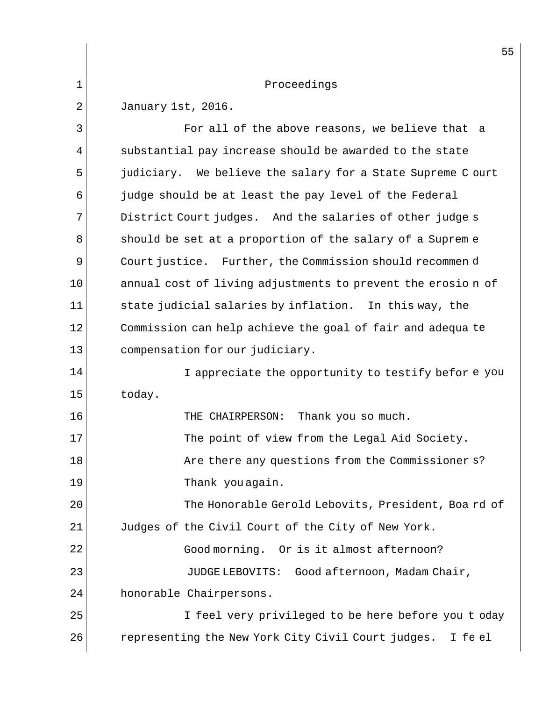|    | 55                                                          |
|----|-------------------------------------------------------------|
| 1  | Proceedings                                                 |
| 2  | January 1st, 2016.                                          |
| 3  | For all of the above reasons, we believe that a             |
| 4  | substantial pay increase should be awarded to the state     |
| 5  | judiciary. We believe the salary for a State Supreme C ourt |
| 6  | judge should be at least the pay level of the Federal       |
| 7  | District Court judges. And the salaries of other judge s    |
| 8  | should be set at a proportion of the salary of a Supreme    |
| 9  | Court justice. Further, the Commission should recommen d    |
| 10 | annual cost of living adjustments to prevent the erosion of |
| 11 | state judicial salaries by inflation. In this way, the      |
| 12 | Commission can help achieve the goal of fair and adequa te  |
| 13 | compensation for our judiciary.                             |
| 14 | I appreciate the opportunity to testify before you          |
| 15 | today.                                                      |
| 16 | Thank you so much.<br>THE CHAIRPERSON:                      |
| 17 | The point of view from the Legal Aid Society.               |
| 18 | Are there any questions from the Commissioner s?            |
| 19 | Thank you again.                                            |
| 20 | The Honorable Gerold Lebovits, President, Board of          |
| 21 | Judges of the Civil Court of the City of New York.          |
| 22 | Good morning. Or is it almost afternoon?                    |
| 23 | JUDGE LEBOVITS: Good afternoon, Madam Chair,                |
| 24 | honorable Chairpersons.                                     |
| 25 | I feel very privileged to be here before you t oday         |
| 26 | representing the New York City Civil Court judges. I feel   |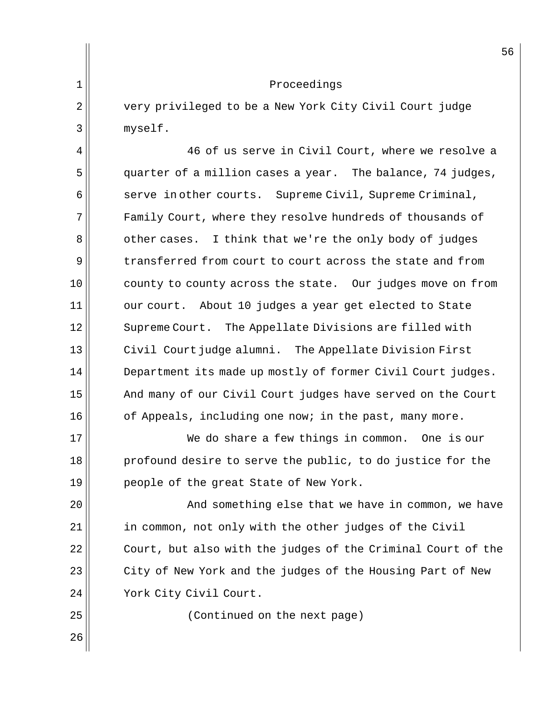2 very privileged to be a New York City Civil Court judge 3 myself.

 $4$ <sup> $\parallel$ </sup> 46 of us serve in Civil Court, where we resolve a 5 guarter of a million cases a year. The balance, 74 judges,  $6 \parallel$  serve in other courts. Supreme Civil, Supreme Criminal, 7 Family Court, where they resolve hundreds of thousands of 8 other cases. I think that we're the only body of judges 9 transferred from court to court across the state and from  $10$  county to county across the state. Our judges move on from 11 || our court. About 10 judges a year get elected to State 12 || Supreme Court. The Appellate Divisions are filled with  $13$  Civil Court judge alumni. The Appellate Division First 14 **Department its made up mostly of former Civil Court judges.** 15 | And many of our Civil Court judges have served on the Court  $16$  of Appeals, including one now; in the past, many more.

17 We do share a few things in common. One is our 18 profound desire to serve the public, to do justice for the 19 || people of the great State of New York.

20 And something else that we have in common, we have  $21$  in common, not only with the other judges of the Civil 22 Court, but also with the judges of the Criminal Court of the  $23$  City of New York and the judges of the Housing Part of New 24 || York City Civil Court.

25 (Continued on the next page)

26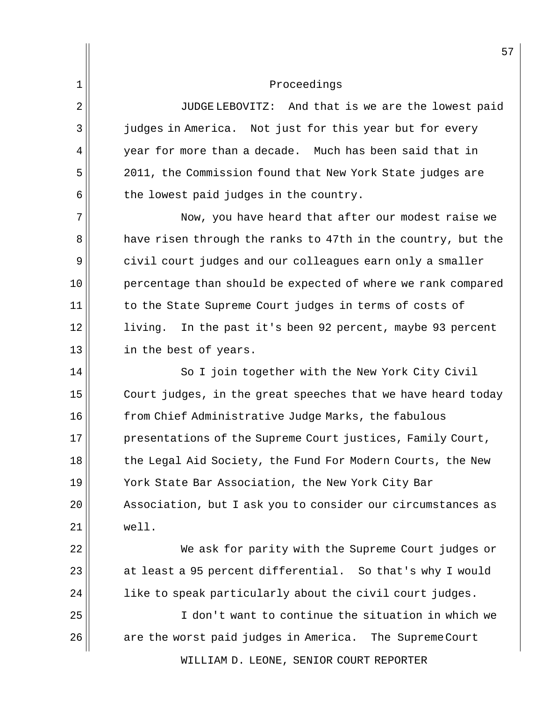2 || JUDGE LEBOVITZ: And that is we are the lowest paid 3 judges in America. Not just for this year but for every  $4 \parallel$  year for more than a decade. Much has been said that in 5 2011, the Commission found that New York State judges are  $6$  the lowest paid judges in the country.

7 | Now, you have heard that after our modest raise we 8 a have risen through the ranks to 47th in the country, but the  $9 \parallel$  civil court judges and our colleagues earn only a smaller 10 percentage than should be expected of where we rank compared 11 to the State Supreme Court judges in terms of costs of 12 living. In the past it's been 92 percent, maybe 93 percent 13 in the best of years.

14 || So I join together with the New York City Civil  $15$  Court judges, in the great speeches that we have heard today 16 from Chief Administrative Judge Marks, the fabulous 17 presentations of the Supreme Court justices, Family Court, 18 the Legal Aid Society, the Fund For Modern Courts, the New 19 York State Bar Association, the New York City Bar 20 || Association, but I ask you to consider our circumstances as  $21$  well.

22 We ask for parity with the Supreme Court judges or  $23$  at least a 95 percent differential. So that's why I would  $24$  |  $\,$  like to speak particularly about the civil court judges.

25 I don't want to continue the situation in which we 26 are the worst paid judges in America. The Supreme Court

WILLIAM D. LEONE, SENIOR COURT REPORTER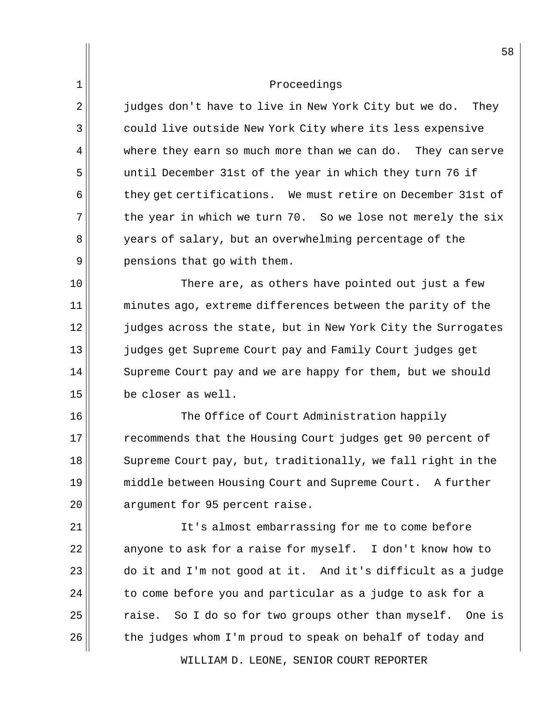$2 \parallel$  judges don't have to live in New York City but we do. They 3 || could live outside New York City where its less expensive  $4$  where they earn so much more than we can do. They can serve 5 until December 31st of the year in which they turn 76 if 6 they get certifications. We must retire on December 31st of  $7$  the year in which we turn 70. So we lose not merely the six 8 years of salary, but an overwhelming percentage of the  $9 \parallel$  pensions that go with them.

 $10$  There are, as others have pointed out just a few 11 || minutes ago, extreme differences between the parity of the 12 judges across the state, but in New York City the Surrogates 13 judges get Supreme Court pay and Family Court judges get 14 Supreme Court pay and we are happy for them, but we should 15 be closer as well.

16 The Office of Court Administration happily 17 recommends that the Housing Court judges get 90 percent of 18 Supreme Court pay, but, traditionally, we fall right in the 19 middle between Housing Court and Supreme Court. A further 20 || argument for 95 percent raise.

21 | Tt's almost embarrassing for me to come before anyone to ask for a raise for myself. I don't know how to do it and I'm not good at it. And it's difficult as a judge to come before you and particular as a judge to ask for a raise. So I do so for two groups other than myself. One is the judges whom I'm proud to speak on behalf of today and

WILLIAM D. LEONE, SENIOR COURT REPORTER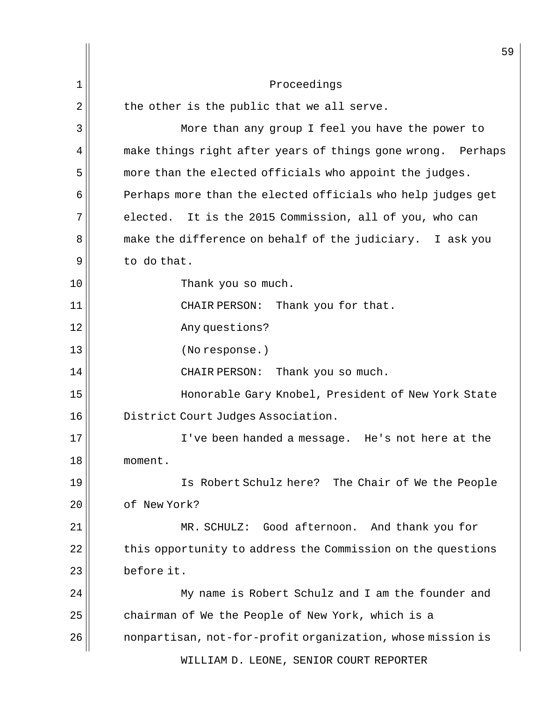|                | 59                                                             |
|----------------|----------------------------------------------------------------|
| $\mathbf 1$    | Proceedings                                                    |
| $\overline{2}$ | the other is the public that we all serve.                     |
| 3              | More than any group I feel you have the power to               |
| 4              | make things right after years of things gone wrong.<br>Perhaps |
| 5              | more than the elected officials who appoint the judges.        |
| 6              | Perhaps more than the elected officials who help judges get    |
| 7              | elected. It is the 2015 Commission, all of you, who can        |
| 8              | make the difference on behalf of the judiciary. I ask you      |
| 9              | to do that.                                                    |
| 10             | Thank you so much.                                             |
| 11             | Thank you for that.<br>CHAIR PERSON:                           |
| 12             | Any questions?                                                 |
| 13             | (No response.)                                                 |
| 14             | CHAIR PERSON:<br>Thank you so much.                            |
| 15             | Honorable Gary Knobel, President of New York State             |
| 16             | District Court Judges Association.                             |
| 17             | I've been handed a message. He's not here at the               |
| 18             | moment.                                                        |
| 19             | Is Robert Schulz here? The Chair of We the People              |
| 20             | of New York?                                                   |
| 21             | MR. SCHULZ: Good afternoon. And thank you for                  |
| 22             | this opportunity to address the Commission on the questions    |
| 23             | before it.                                                     |
| 24             | My name is Robert Schulz and I am the founder and              |
| 25             | chairman of We the People of New York, which is a              |
| 26             | nonpartisan, not-for-profit organization, whose mission is     |
|                | WILLIAM D. LEONE, SENIOR COURT REPORTER                        |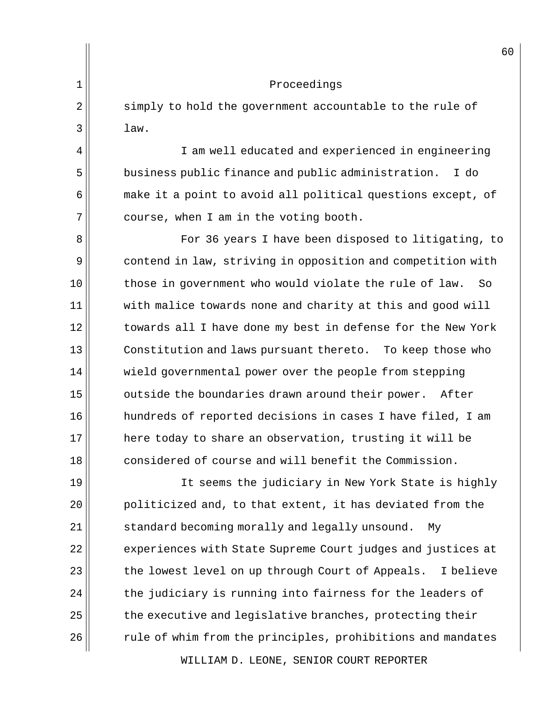|    | 6 <sub>1</sub>                                                |
|----|---------------------------------------------------------------|
| 1  | Proceedings                                                   |
| 2  | simply to hold the government accountable to the rule of      |
| 3  | law.                                                          |
| 4  | I am well educated and experienced in engineering             |
| 5  | business public finance and public administration.<br>I do    |
| 6  | make it a point to avoid all political questions except, of   |
| 7  | course, when I am in the voting booth.                        |
| 8  | For 36 years I have been disposed to litigating, to           |
| 9  | contend in law, striving in opposition and competition with   |
| 10 | those in government who would violate the rule of law.<br>So  |
| 11 | with malice towards none and charity at this and good will    |
| 12 | towards all I have done my best in defense for the New York   |
| 13 | Constitution and laws pursuant thereto. To keep those who     |
| 14 | wield governmental power over the people from stepping        |
| 15 | outside the boundaries drawn around their power.<br>After     |
| 16 | hundreds of reported decisions in cases I have filed, I am    |
| 17 | here today to share an observation, trusting it will be       |
| 18 | considered of course and will benefit the Commission.         |
| 19 | It seems the judiciary in New York State is highly            |
| 20 | politicized and, to that extent, it has deviated from the     |
| 21 | standard becoming morally and legally unsound.<br>Мy          |
| 22 | experiences with State Supreme Court judges and justices at   |
| 23 | the lowest level on up through Court of Appeals.<br>I believe |
| 24 | the judiciary is running into fairness for the leaders of     |
| 25 | the executive and legislative branches, protecting their      |
| 26 | rule of whim from the principles, prohibitions and mandates   |
|    |                                                               |

WILLIAM D. LEONE, SENIOR COURT REPORTER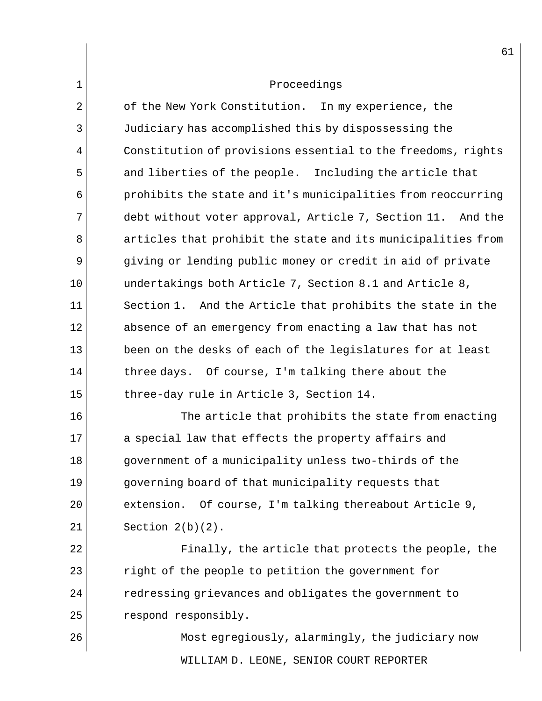2 | of the New York Constitution. In my experience, the 3 Judiciary has accomplished this by dispossessing the 4 Constitution of provisions essential to the freedoms, rights 5 and liberties of the people. Including the article that  $6$  prohibits the state and it's municipalities from reoccurring 7 debt without voter approval, Article 7, Section 11. And the 8 articles that prohibit the state and its municipalities from 9 giving or lending public money or credit in aid of private 10 undertakings both Article 7, Section 8.1 and Article 8,  $11$  Section 1. And the Article that prohibits the state in the 12 absence of an emergency from enacting a law that has not  $13$  been on the desks of each of the legislatures for at least  $14$  three days. Of course, I'm talking there about the 15 three-day rule in Article 3, Section 14.

16 The article that prohibits the state from enacting 17 a special law that effects the property affairs and 18 government of a municipality unless two-thirds of the 19 governing board of that municipality requests that  $20$  extension. Of course, I'm talking thereabout Article 9,  $21$  | Section  $2(b)(2)$ .

22 || Finally, the article that protects the people, the 23 || right of the people to petition the government for 24 || redressing grievances and obligates the government to  $25$   $\parallel$  respond responsibly.

WILLIAM D. LEONE, SENIOR COURT REPORTER 26 Most egregiously, alarmingly, the judiciary now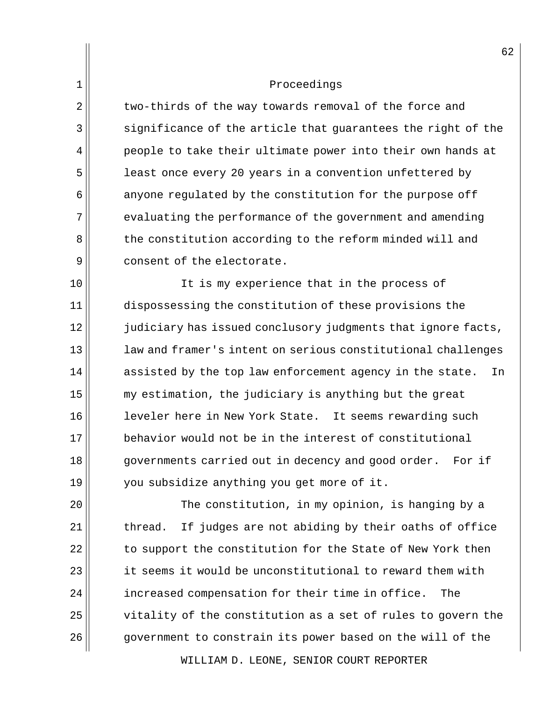2 two-thirds of the way towards removal of the force and  $\parallel$  significance of the article that guarantees the right of the people to take their ultimate power into their own hands at **least once every 20 years in a convention unfettered by**  anyone regulated by the constitution for the purpose off evaluating the performance of the government and amending 8 the constitution according to the reform minded will and 9 consent of the electorate.

10 || It is my experience that in the process of 11 dispossessing the constitution of these provisions the 12 judiciary has issued conclusory judgments that ignore facts, 13 **law** and framer's intent on serious constitutional challenges  $14$  assisted by the top law enforcement agency in the state. In  $15$  my estimation, the judiciary is anything but the great 16 || leveler here in New York State. It seems rewarding such 17 behavior would not be in the interest of constitutional 18 governments carried out in decency and good order. For if  $19$  you subsidize anything you get more of it.

20 The constitution, in my opinion, is hanging by a  $21$  thread. If judges are not abiding by their oaths of office  $22$  to support the constitution for the State of New York then  $23$  it seems it would be unconstitutional to reward them with 24 | increased compensation for their time in office. The 25 vitality of the constitution as a set of rules to govern the 26 government to constrain its power based on the will of the

WILLIAM D. LEONE, SENIOR COURT REPORTER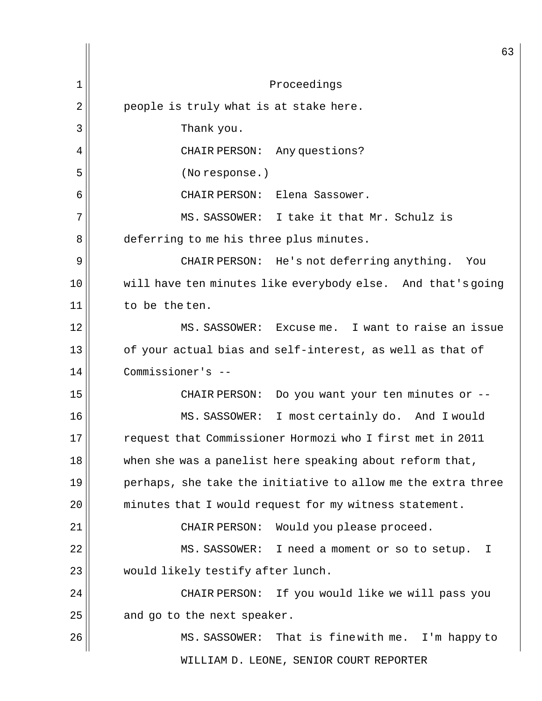|                | 63                                                           |
|----------------|--------------------------------------------------------------|
| 1              | Proceedings                                                  |
| $\overline{2}$ | people is truly what is at stake here.                       |
| 3              | Thank you.                                                   |
| 4              | CHAIR PERSON: Any questions?                                 |
| 5              | (No response.)                                               |
| 6              | CHAIR PERSON:<br>Elena Sassower.                             |
| 7              | MS. SASSOWER: I take it that Mr. Schulz is                   |
| 8              | deferring to me his three plus minutes.                      |
| 9              | CHAIR PERSON: He's not deferring anything.<br>You            |
| 10             | will have ten minutes like everybody else. And that's going  |
| 11             | to be the ten.                                               |
| 12             | MS. SASSOWER: Excuse me. I want to raise an issue            |
| 13             | of your actual bias and self-interest, as well as that of    |
| 14             | Commissioner's --                                            |
| 15             | CHAIR PERSON: Do you want your ten minutes or --             |
| 16             | MS. SASSOWER: I most certainly do. And I would               |
| 17             | request that Commissioner Hormozi who I first met in 2011    |
| 18             | when she was a panelist here speaking about reform that,     |
| 19             | perhaps, she take the initiative to allow me the extra three |
| 20             | minutes that I would request for my witness statement.       |
| 21             | Would you please proceed.<br>CHAIR PERSON:                   |
| 22             | MS. SASSOWER: I need a moment or so to setup.<br>I.          |
| 23             | would likely testify after lunch.                            |
| 24             | CHAIR PERSON:<br>If you would like we will pass you          |
| 25             | and go to the next speaker.                                  |
| 26             | MS. SASSOWER: That is finewith me. I'm happy to              |
|                | WILLIAM D. LEONE, SENIOR COURT REPORTER                      |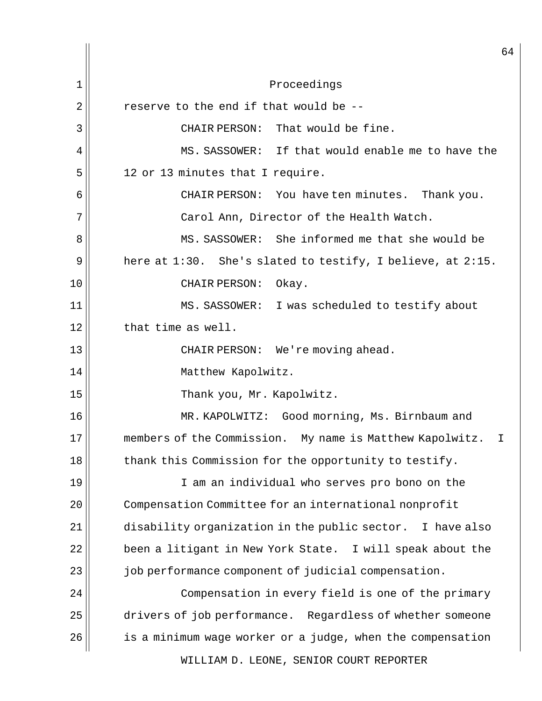WILLIAM D. LEONE, SENIOR COURT REPORTER 64 1 Proceedings  $2 \parallel$  reserve to the end if that would be -- $3$   $\parallel$  CHAIR PERSON: That would be fine.  $4$   $\parallel$  MS. SASSOWER: If that would enable me to have the  $5$  12 or 13 minutes that I require. 6 CHAIR PERSON: You have ten minutes. Thank you.  $7$  Carol Ann, Director of the Health Watch. 8 MS. SASSOWER: She informed me that she would be 9 | here at  $1:30$ . She's slated to testify, I believe, at  $2:15$ . 10 || CHAIR PERSON: Okay. 11 || MS. SASSOWER: I was scheduled to testify about  $12$  that time as well. 13 || CHAIR PERSON: We're moving ahead. 14 || Matthew Kapolwitz. 15 || Thank you, Mr. Kapolwitz. 16 MR. KAPOLWITZ: Good morning, Ms. Birnbaum and 17 members of the Commission. My name is Matthew Kapolwitz. I 18 thank this Commission for the opportunity to testify. 19 I am an individual who serves pro bono on the 20 | Compensation Committee for an international nonprofit  $21$  disability organization in the public sector. I have also  $22$  been a litigant in New York State. I will speak about the 23 job performance component of judicial compensation. 24 Compensation in every field is one of the primary  $25$  drivers of job performance. Regardless of whether someone 26 is a minimum wage worker or a judge, when the compensation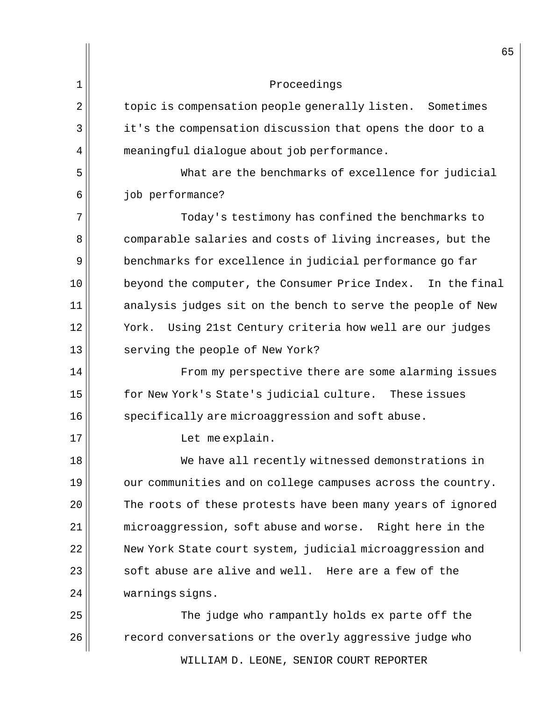|                | 65                                                           |
|----------------|--------------------------------------------------------------|
| 1              | Proceedings                                                  |
| $\overline{2}$ | topic is compensation people generally listen. Sometimes     |
| 3              | it's the compensation discussion that opens the door to a    |
| 4              | meaningful dialogue about job performance.                   |
| 5              | What are the benchmarks of excellence for judicial           |
| 6              | job performance?                                             |
| 7              | Today's testimony has confined the benchmarks to             |
| 8              | comparable salaries and costs of living increases, but the   |
| 9              | benchmarks for excellence in judicial performance go far     |
| 10             | beyond the computer, the Consumer Price Index. In the final  |
| 11             | analysis judges sit on the bench to serve the people of New  |
| 12             | Using 21st Century criteria how well are our judges<br>York. |
| 13             | serving the people of New York?                              |
| 14             | From my perspective there are some alarming issues           |
| 15             | for New York's State's judicial culture. These issues        |
| 16             | specifically are microaggression and soft abuse.             |
| 17             | Let me explain.                                              |
| 18             | We have all recently witnessed demonstrations in             |
| 19             | our communities and on college campuses across the country.  |
| 20             | The roots of these protests have been many years of ignored  |
| 21             | microaggression, soft abuse and worse. Right here in the     |
| 22             | New York State court system, judicial microaggression and    |
| 23             | soft abuse are alive and well. Here are a few of the         |
| 24             | warnings signs.                                              |
| 25             | The judge who rampantly holds ex parte off the               |
| 26             | record conversations or the overly aggressive judge who      |

WILLIAM D. LEONE, SENIOR COURT REPORTER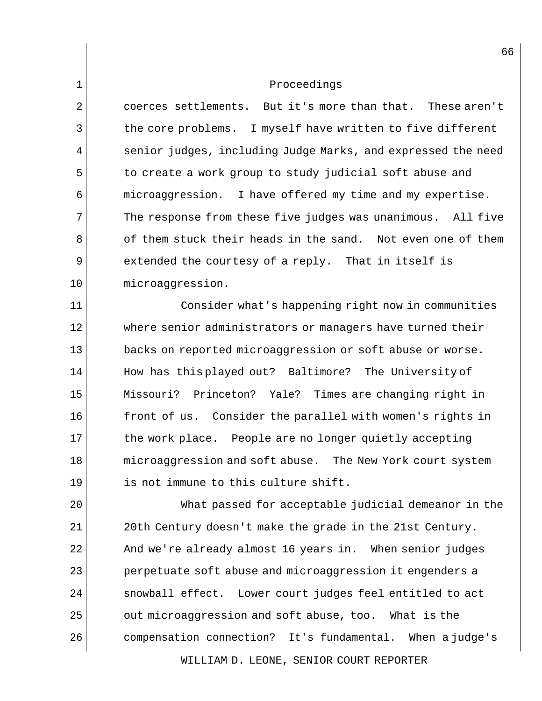$2 \parallel$  coerces settlements. But it's more than that. These aren't 3 the core problems. I myself have written to five different  $4$  senior judges, including Judge Marks, and expressed the need 5 to create a work group to study judicial soft abuse and 6 microaggression. I have offered my time and my expertise.  $7$  The response from these five judges was unanimous. All five 8 of them stuck their heads in the sand. Not even one of them 9 extended the courtesy of a reply. That in itself is 10 microaggression.

11 Consider what's happening right now in communities 12 where senior administrators or managers have turned their 13 **backs** on reported microaggression or soft abuse or worse. 14 || How has this played out? Baltimore? The University of 15 Missouri? Princeton? Yale? Times are changing right in 16 front of us. Consider the parallel with women's rights in 17 || the work place. People are no longer quietly accepting 18 microaggression and soft abuse. The New York court system 19 is not immune to this culture shift.

20 What passed for acceptable judicial demeanor in the  $21$  20th Century doesn't make the grade in the 21st Century.  $22$  And we're already almost 16 years in. When senior judges 23 || perpetuate soft abuse and microaggression it engenders a  $24$  snowball effect. Lower court judges feel entitled to act 25 | out microaggression and soft abuse, too. What is the 26 compensation connection? It's fundamental. When a judge's

WILLIAM D. LEONE, SENIOR COURT REPORTER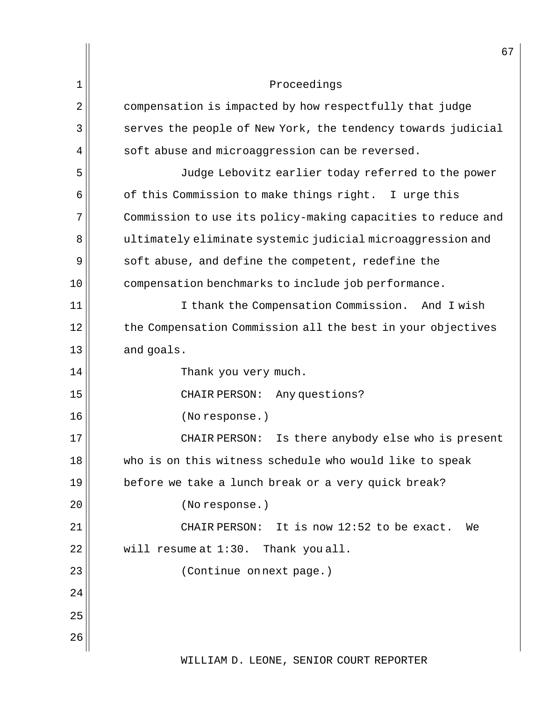|    | 67                                                           |
|----|--------------------------------------------------------------|
| 1  | Proceedings                                                  |
| 2  | compensation is impacted by how respectfully that judge      |
| 3  | serves the people of New York, the tendency towards judicial |
| 4  | soft abuse and microaggression can be reversed.              |
| 5  | Judge Lebovitz earlier today referred to the power           |
| 6  | of this Commission to make things right. I urge this         |
| 7  | Commission to use its policy-making capacities to reduce and |
| 8  | ultimately eliminate systemic judicial microaggression and   |
| 9  | soft abuse, and define the competent, redefine the           |
| 10 | compensation benchmarks to include job performance.          |
| 11 | I thank the Compensation Commission. And I wish              |
| 12 | the Compensation Commission all the best in your objectives  |
| 13 | and goals.                                                   |
| 14 | Thank you very much.                                         |
| 15 | Any questions?<br>CHAIR PERSON:                              |
| 16 | (No response.)                                               |
| 17 | CHAIR PERSON: Is there anybody else who is present           |
| 18 | who is on this witness schedule who would like to speak      |
| 19 | before we take a lunch break or a very quick break?          |
| 20 | (No response.)                                               |
| 21 | CHAIR PERSON: It is now 12:52 to be exact.<br>We             |
| 22 | will resume at 1:30. Thank you all.                          |
| 23 | (Continue on next page.)                                     |
| 24 |                                                              |
| 25 |                                                              |
| 26 |                                                              |
|    | WILLIAM D. LEONE, SENIOR COURT REPORTER                      |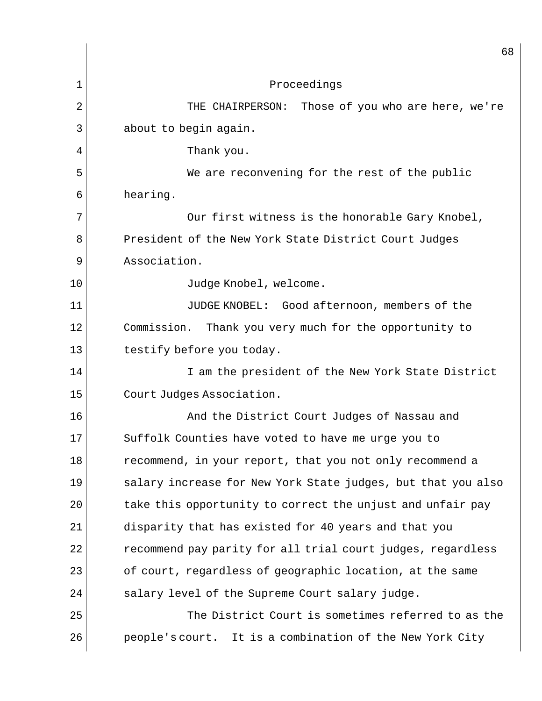|    | 68                                                           |
|----|--------------------------------------------------------------|
| 1  | Proceedings                                                  |
| 2  | Those of you who are here, we're<br>THE CHAIRPERSON:         |
| 3  | about to begin again.                                        |
| 4  | Thank you.                                                   |
| 5  | We are reconvening for the rest of the public                |
| 6  | hearing.                                                     |
| 7  | Our first witness is the honorable Gary Knobel,              |
| 8  | President of the New York State District Court Judges        |
| 9  | Association.                                                 |
| 10 | Judge Knobel, welcome.                                       |
| 11 | JUDGE KNOBEL: Good afternoon, members of the                 |
| 12 | Commission.<br>Thank you very much for the opportunity to    |
| 13 | testify before you today.                                    |
| 14 | I am the president of the New York State District            |
| 15 | Court Judges Association.                                    |
| 16 | And the District Court Judges of Nassau and                  |
| 17 | Suffolk Counties have voted to have me urge you to           |
| 18 | recommend, in your report, that you not only recommend a     |
| 19 | salary increase for New York State judges, but that you also |
| 20 | take this opportunity to correct the unjust and unfair pay   |
| 21 | disparity that has existed for 40 years and that you         |
| 22 | recommend pay parity for all trial court judges, regardless  |
| 23 | of court, regardless of geographic location, at the same     |
| 24 | salary level of the Supreme Court salary judge.              |
| 25 | The District Court is sometimes referred to as the           |
| 26 | people's court. It is a combination of the New York City     |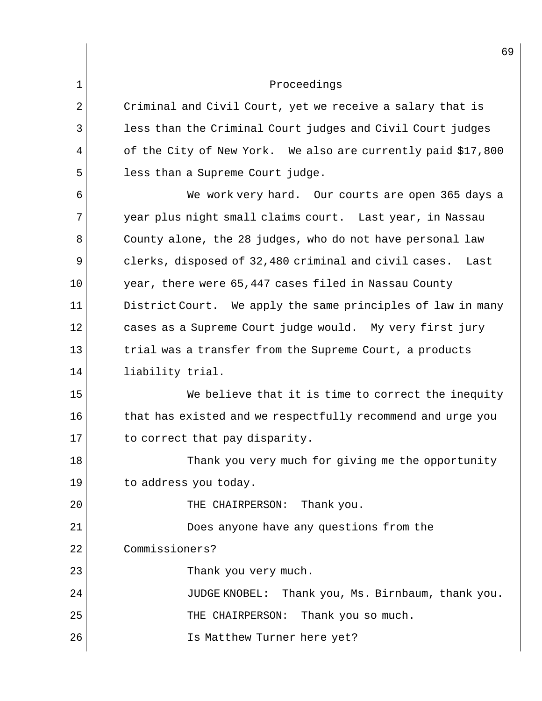| $2$ $\parallel$ | Criminal and Civil Court, yet we receive a salary that is    |
|-----------------|--------------------------------------------------------------|
| 3               | less than the Criminal Court judges and Civil Court judges   |
| $4$ $  $        | of the City of New York. We also are currently paid \$17,800 |
| 5               | less than a Supreme Court judge.                             |

6 We work very hard. Our courts are open 365 days a 7 year plus night small claims court. Last year, in Nassau 8 || County alone, the 28 judges, who do not have personal law 9 clerks, disposed of 32,480 criminal and civil cases. Last 10 year, there were 65,447 cases filed in Nassau County  $11$  District Court. We apply the same principles of law in many 12 cases as a Supreme Court judge would. My very first jury  $13$  trial was a transfer from the Supreme Court, a products 14 || liability trial.

15 We believe that it is time to correct the inequity 16 that has existed and we respectfully recommend and urge you  $17$  to correct that pay disparity.

18 Thank you very much for giving me the opportunity  $19$  to address you today.

20 THE CHAIRPERSON: Thank you.

21 Does anyone have any questions from the

22 Commissioners?

23 Thank you very much.

24 || JUDGE KNOBEL: Thank you, Ms. Birnbaum, thank you.

 $25$   $\parallel$  THE CHAIRPERSON: Thank you so much.

26 Is Matthew Turner here yet?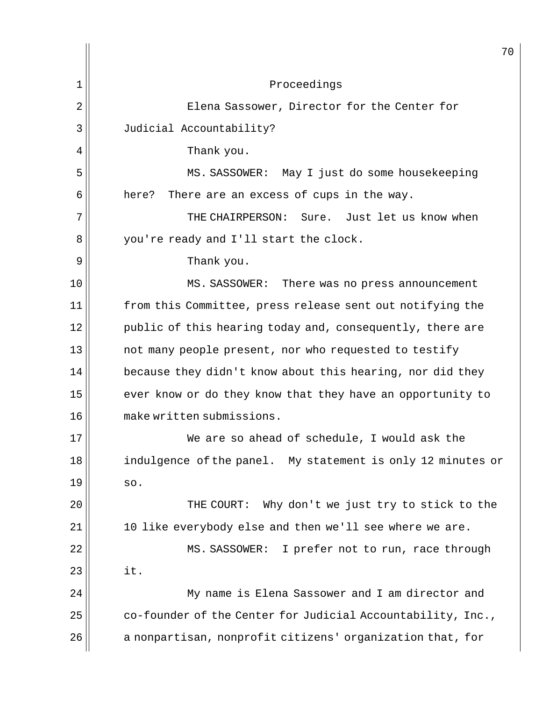| 1<br>Proceedings<br>2<br>Elena Sassower, Director for the Center for<br>3<br>Judicial Accountability?<br>4<br>Thank you.<br>5<br>MS. SASSOWER: May I just do some housekeeping<br>6<br>here?<br>There are an excess of cups in the way.<br>7<br>THE CHAIRPERSON: Sure. Just let us know when<br>8<br>you're ready and I'll start the clock.<br>9<br>Thank you.<br>10<br>MS. SASSOWER:<br>There was no press announcement<br>11<br>from this Committee, press release sent out notifying the<br>12<br>public of this hearing today and, consequently, there are<br>13<br>not many people present, nor who requested to testify<br>14<br>because they didn't know about this hearing, nor did they<br>15<br>ever know or do they know that they have an opportunity to<br>make written submissions.<br>16<br>17<br>We are so ahead of schedule, I would ask the<br>18<br>indulgence of the panel. My statement is only 12 minutes or<br>19<br>SO.<br>20<br>Why don't we just try to stick to the<br>THE COURT:<br>21<br>10 like everybody else and then we'll see where we are.<br>22<br>MS. SASSOWER:<br>I prefer not to run, race through<br>23<br>it.<br>24<br>My name is Elena Sassower and I am director and<br>25<br>co-founder of the Center for Judicial Accountability, Inc.,<br>26<br>a nonpartisan, nonprofit citizens' organization that, for | 70 |
|---------------------------------------------------------------------------------------------------------------------------------------------------------------------------------------------------------------------------------------------------------------------------------------------------------------------------------------------------------------------------------------------------------------------------------------------------------------------------------------------------------------------------------------------------------------------------------------------------------------------------------------------------------------------------------------------------------------------------------------------------------------------------------------------------------------------------------------------------------------------------------------------------------------------------------------------------------------------------------------------------------------------------------------------------------------------------------------------------------------------------------------------------------------------------------------------------------------------------------------------------------------------------------------------------------------------------------------------------------|----|
|                                                                                                                                                                                                                                                                                                                                                                                                                                                                                                                                                                                                                                                                                                                                                                                                                                                                                                                                                                                                                                                                                                                                                                                                                                                                                                                                                         |    |
|                                                                                                                                                                                                                                                                                                                                                                                                                                                                                                                                                                                                                                                                                                                                                                                                                                                                                                                                                                                                                                                                                                                                                                                                                                                                                                                                                         |    |
|                                                                                                                                                                                                                                                                                                                                                                                                                                                                                                                                                                                                                                                                                                                                                                                                                                                                                                                                                                                                                                                                                                                                                                                                                                                                                                                                                         |    |
|                                                                                                                                                                                                                                                                                                                                                                                                                                                                                                                                                                                                                                                                                                                                                                                                                                                                                                                                                                                                                                                                                                                                                                                                                                                                                                                                                         |    |
|                                                                                                                                                                                                                                                                                                                                                                                                                                                                                                                                                                                                                                                                                                                                                                                                                                                                                                                                                                                                                                                                                                                                                                                                                                                                                                                                                         |    |
|                                                                                                                                                                                                                                                                                                                                                                                                                                                                                                                                                                                                                                                                                                                                                                                                                                                                                                                                                                                                                                                                                                                                                                                                                                                                                                                                                         |    |
|                                                                                                                                                                                                                                                                                                                                                                                                                                                                                                                                                                                                                                                                                                                                                                                                                                                                                                                                                                                                                                                                                                                                                                                                                                                                                                                                                         |    |
|                                                                                                                                                                                                                                                                                                                                                                                                                                                                                                                                                                                                                                                                                                                                                                                                                                                                                                                                                                                                                                                                                                                                                                                                                                                                                                                                                         |    |
|                                                                                                                                                                                                                                                                                                                                                                                                                                                                                                                                                                                                                                                                                                                                                                                                                                                                                                                                                                                                                                                                                                                                                                                                                                                                                                                                                         |    |
|                                                                                                                                                                                                                                                                                                                                                                                                                                                                                                                                                                                                                                                                                                                                                                                                                                                                                                                                                                                                                                                                                                                                                                                                                                                                                                                                                         |    |
|                                                                                                                                                                                                                                                                                                                                                                                                                                                                                                                                                                                                                                                                                                                                                                                                                                                                                                                                                                                                                                                                                                                                                                                                                                                                                                                                                         |    |
|                                                                                                                                                                                                                                                                                                                                                                                                                                                                                                                                                                                                                                                                                                                                                                                                                                                                                                                                                                                                                                                                                                                                                                                                                                                                                                                                                         |    |
|                                                                                                                                                                                                                                                                                                                                                                                                                                                                                                                                                                                                                                                                                                                                                                                                                                                                                                                                                                                                                                                                                                                                                                                                                                                                                                                                                         |    |
|                                                                                                                                                                                                                                                                                                                                                                                                                                                                                                                                                                                                                                                                                                                                                                                                                                                                                                                                                                                                                                                                                                                                                                                                                                                                                                                                                         |    |
|                                                                                                                                                                                                                                                                                                                                                                                                                                                                                                                                                                                                                                                                                                                                                                                                                                                                                                                                                                                                                                                                                                                                                                                                                                                                                                                                                         |    |
|                                                                                                                                                                                                                                                                                                                                                                                                                                                                                                                                                                                                                                                                                                                                                                                                                                                                                                                                                                                                                                                                                                                                                                                                                                                                                                                                                         |    |
|                                                                                                                                                                                                                                                                                                                                                                                                                                                                                                                                                                                                                                                                                                                                                                                                                                                                                                                                                                                                                                                                                                                                                                                                                                                                                                                                                         |    |
|                                                                                                                                                                                                                                                                                                                                                                                                                                                                                                                                                                                                                                                                                                                                                                                                                                                                                                                                                                                                                                                                                                                                                                                                                                                                                                                                                         |    |
|                                                                                                                                                                                                                                                                                                                                                                                                                                                                                                                                                                                                                                                                                                                                                                                                                                                                                                                                                                                                                                                                                                                                                                                                                                                                                                                                                         |    |
|                                                                                                                                                                                                                                                                                                                                                                                                                                                                                                                                                                                                                                                                                                                                                                                                                                                                                                                                                                                                                                                                                                                                                                                                                                                                                                                                                         |    |
|                                                                                                                                                                                                                                                                                                                                                                                                                                                                                                                                                                                                                                                                                                                                                                                                                                                                                                                                                                                                                                                                                                                                                                                                                                                                                                                                                         |    |
|                                                                                                                                                                                                                                                                                                                                                                                                                                                                                                                                                                                                                                                                                                                                                                                                                                                                                                                                                                                                                                                                                                                                                                                                                                                                                                                                                         |    |
|                                                                                                                                                                                                                                                                                                                                                                                                                                                                                                                                                                                                                                                                                                                                                                                                                                                                                                                                                                                                                                                                                                                                                                                                                                                                                                                                                         |    |
|                                                                                                                                                                                                                                                                                                                                                                                                                                                                                                                                                                                                                                                                                                                                                                                                                                                                                                                                                                                                                                                                                                                                                                                                                                                                                                                                                         |    |
|                                                                                                                                                                                                                                                                                                                                                                                                                                                                                                                                                                                                                                                                                                                                                                                                                                                                                                                                                                                                                                                                                                                                                                                                                                                                                                                                                         |    |
|                                                                                                                                                                                                                                                                                                                                                                                                                                                                                                                                                                                                                                                                                                                                                                                                                                                                                                                                                                                                                                                                                                                                                                                                                                                                                                                                                         |    |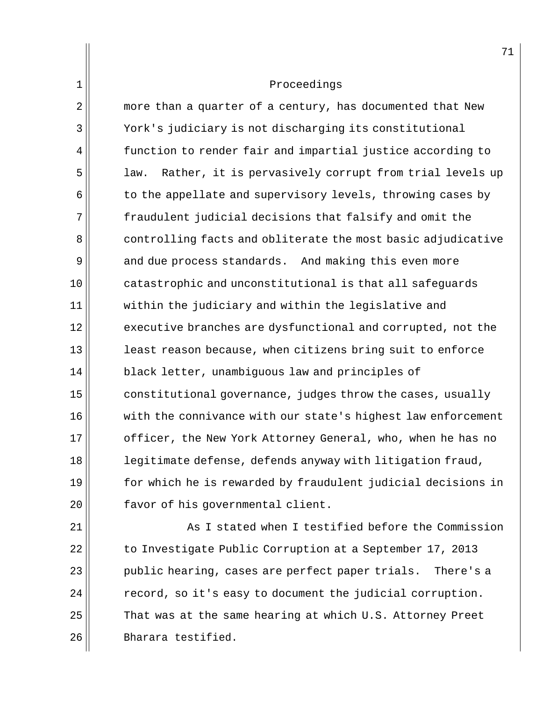$2 \parallel$  more than a quarter of a century, has documented that New 3 York's judiciary is not discharging its constitutional  $4$  function to render fair and impartial justice according to 5 || law. Rather, it is pervasively corrupt from trial levels up  $6$  to the appellate and supervisory levels, throwing cases by 7 fraudulent judicial decisions that falsify and omit the 8 controlling facts and obliterate the most basic adjudicative 9 and due process standards. And making this even more 10 catastrophic and unconstitutional is that all safeguards 11 within the judiciary and within the legislative and  $12$  executive branches are dysfunctional and corrupted, not the 13 **least reason because, when citizens bring suit to enforce** 14 black letter, unambiguous law and principles of  $15$  constitutional governance, judges throw the cases, usually 16 with the connivance with our state's highest law enforcement 17 || officer, the New York Attorney General, who, when he has no 18 **legitimate defense, defends anyway with litigation fraud,** 19 for which he is rewarded by fraudulent judicial decisions in 20 | Favor of his governmental client.

  $\parallel$   $\parallel$   $\parallel$  As I stated when I testified before the Commission 22 to Investigate Public Corruption at a September 17, 2013 public hearing, cases are perfect paper trials. There's a record, so it's easy to document the judicial corruption. That was at the same hearing at which U.S. Attorney Preet 26 Bharara testified.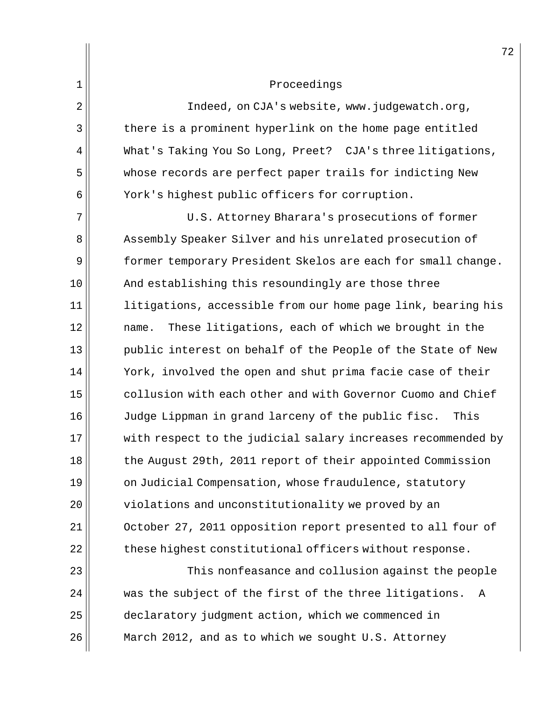2 | Indeed, on CJA's website, www.judgewatch.org, 3 there is a prominent hyperlink on the home page entitled 4 | What's Taking You So Long, Preet? CJA's three litigations, 5 whose records are perfect paper trails for indicting New 6 York's highest public officers for corruption.

7 || U.S. Attorney Bharara's prosecutions of former 8 Assembly Speaker Silver and his unrelated prosecution of 9 former temporary President Skelos are each for small change.  $10$   $\parallel$  And establishing this resoundingly are those three  $11$  litigations, accessible from our home page link, bearing his 12 || mame. These litigations, each of which we brought in the 13 public interest on behalf of the People of the State of New 14 York, involved the open and shut prima facie case of their 15 collusion with each other and with Governor Cuomo and Chief 16 Judge Lippman in grand larceny of the public fisc. This 17 with respect to the judicial salary increases recommended by 18 the August 29th, 2011 report of their appointed Commission 19 on Judicial Compensation, whose fraudulence, statutory 20  $\vert$  violations and unconstitutionality we proved by an 21 | October 27, 2011 opposition report presented to all four of  $22$  these highest constitutional officers without response.

23 This nonfeasance and collusion against the people 24 was the subject of the first of the three litigations. A 25 declaratory judgment action, which we commenced in 26 | March 2012, and as to which we sought U.S. Attorney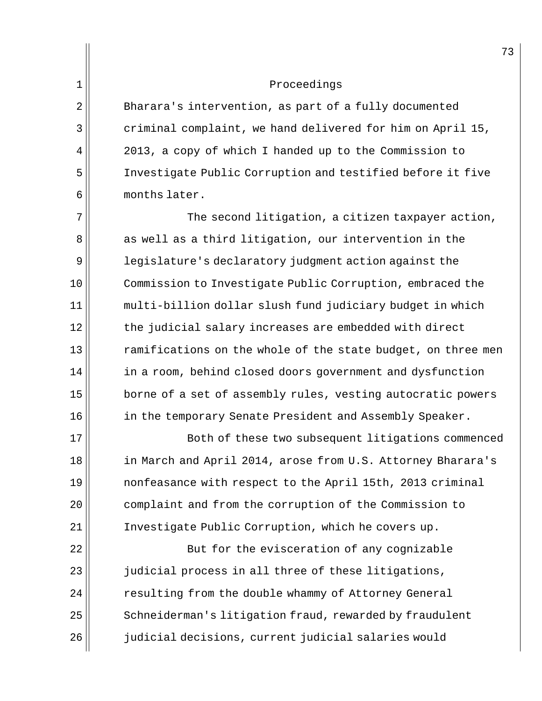2 Bharara's intervention, as part of a fully documented  $3 \parallel$  criminal complaint, we hand delivered for him on April 15, 4 || 2013, a copy of which I handed up to the Commission to 5 Investigate Public Corruption and testified before it five  $6$  months later.

 $7$  The second litigation, a citizen taxpayer action, 8 as well as a third litigation, our intervention in the 9 | legislature's declaratory judgment action against the 10 Commission to Investigate Public Corruption, embraced the 11 multi-billion dollar slush fund judiciary budget in which  $12$  the judicial salary increases are embedded with direct  $13$  ramifications on the whole of the state budget, on three men 14 | in a room, behind closed doors government and dysfunction 15 borne of a set of assembly rules, vesting autocratic powers 16 | in the temporary Senate President and Assembly Speaker.

17 Both of these two subsequent litigations commenced 18 || in March and April 2014, arose from U.S. Attorney Bharara's 19 || nonfeasance with respect to the April 15th, 2013 criminal 20 || complaint and from the corruption of the Commission to 21 | Investigate Public Corruption, which he covers up.

22 | But for the evisceration of any cognizable 23 || judicial process in all three of these litigations, 24 | resulting from the double whammy of Attorney General  $25$  Schneiderman's litigation fraud, rewarded by fraudulent 26 judicial decisions, current judicial salaries would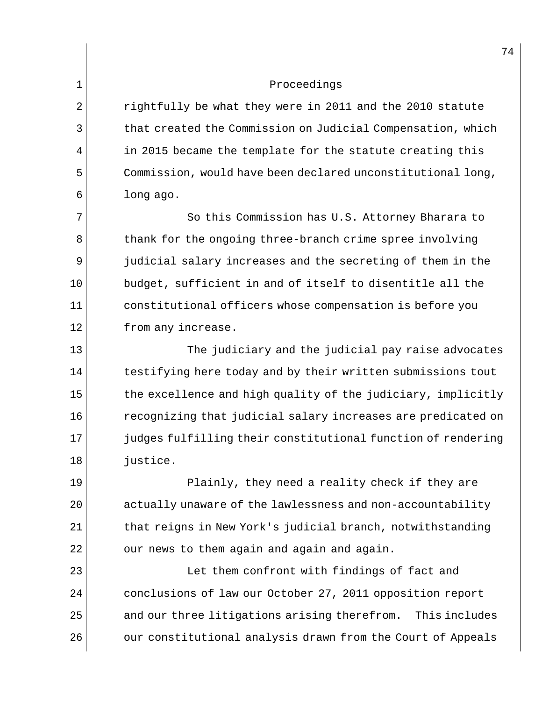2 rightfully be what they were in 2011 and the 2010 statute 3 that created the Commission on Judicial Compensation, which  $4$  in 2015 became the template for the statute creating this 5 Commission, would have been declared unconstitutional long,  $6 \parallel$  long ago.

7 So this Commission has U.S. Attorney Bharara to 8 thank for the ongoing three-branch crime spree involving 9 judicial salary increases and the secreting of them in the  $10$  budget, sufficient in and of itself to disentitle all the 11 constitutional officers whose compensation is before you 12 from any increase.

13 The judiciary and the judicial pay raise advocates  $14$  testifying here today and by their written submissions tout  $15$  the excellence and high quality of the judiciary, implicitly 16  $\parallel$  recognizing that judicial salary increases are predicated on 17 judges fulfilling their constitutional function of rendering 18 *justice*.

 Plainly, they need a reality check if they are  $\vert$  actually unaware of the lawlessness and non-accountability that reigns in New York's judicial branch, notwithstanding |  $\sigma$  our news to them again and again and again.

23 || Let them confront with findings of fact and 24 conclusions of law our October 27, 2011 opposition report  $25$  and our three litigations arising therefrom. This includes 26 | our constitutional analysis drawn from the Court of Appeals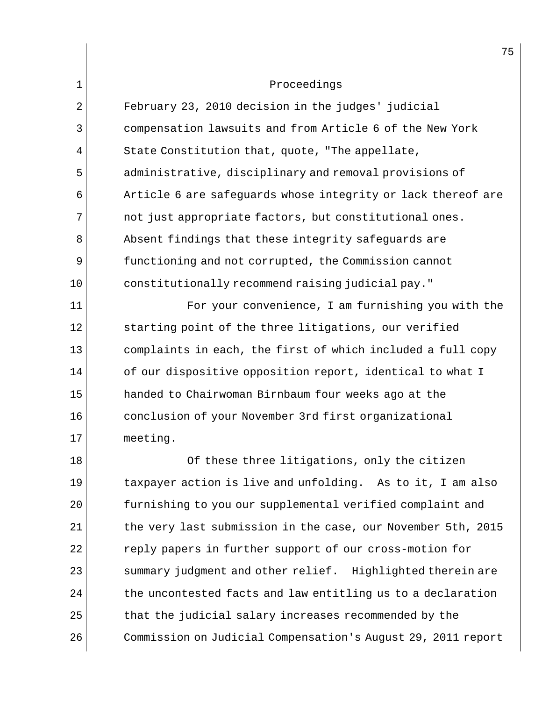2 February 23, 2010 decision in the judges' judicial 3 compensation lawsuits and from Article 6 of the New York  $4$   $\parallel$  State Constitution that, quote, "The appellate, 5 administrative, disciplinary and removal provisions of  $6$  Article 6 are safequards whose integrity or lack thereof are 7 not just appropriate factors, but constitutional ones. 8 **Absent findings that these integrity safeguards are** 9 Sunnetioning and not corrupted, the Commission cannot 10 constitutionally recommend raising judicial pay."

11 For your convenience, I am furnishing you with the 12 starting point of the three litigations, our verified 13 complaints in each, the first of which included a full copy  $14$  of our dispositive opposition report, identical to what I 15 handed to Chairwoman Birnbaum four weeks ago at the 16 conclusion of your November 3rd first organizational 17 meeting.

18 Of these three litigations, only the citizen  $19$  taxpayer action is live and unfolding. As to it, I am also 20 || furnishing to you our supplemental verified complaint and  $21$  the very last submission in the case, our November 5th, 2015 22 || Teply papers in further support of our cross-motion for  $23$  summary judgment and other relief. Highlighted therein are  $24$  the uncontested facts and law entitling us to a declaration  $25$  that the judicial salary increases recommended by the 26 | Commission on Judicial Compensation's August 29, 2011 report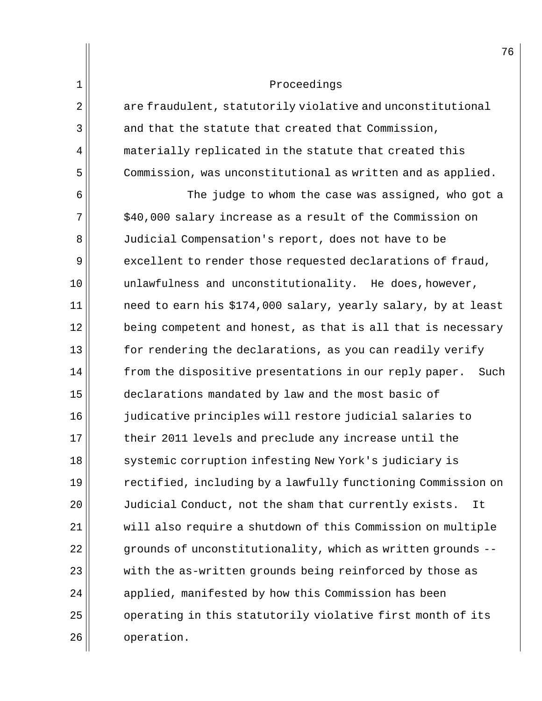| 2 | are fraudulent, statutorily violative and unconstitutional  |
|---|-------------------------------------------------------------|
| 3 | and that the statute that created that Commission,          |
| 4 | materially replicated in the statute that created this      |
| 5 | Commission, was unconstitutional as written and as applied. |

6  $\vert$  6 The judge to whom the case was assigned, who got a  $7 \text{ m}$  \$40,000 salary increase as a result of the Commission on 8 Judicial Compensation's report, does not have to be  $9$  excellent to render those requested declarations of fraud,  $10$  unlawfulness and unconstitutionality. He does, however,  $11$  need to earn his \$174,000 salary, yearly salary, by at least  $12$  being competent and honest, as that is all that is necessary  $13$  for rendering the declarations, as you can readily verify  $14$  from the dispositive presentations in our reply paper. Such 15 declarations mandated by law and the most basic of 16 judicative principles will restore judicial salaries to 17 their 2011 levels and preclude any increase until the 18 systemic corruption infesting New York's judiciary is 19  $\parallel$  rectified, including by a lawfully functioning Commission on 20 Judicial Conduct, not the sham that currently exists. It 21 will also require a shutdown of this Commission on multiple  $22$  grounds of unconstitutionality, which as written grounds -- $23$   $\vert$  with the as-written grounds being reinforced by those as  $24$  applied, manifested by how this Commission has been 25 | operating in this statutorily violative first month of its 26 | operation.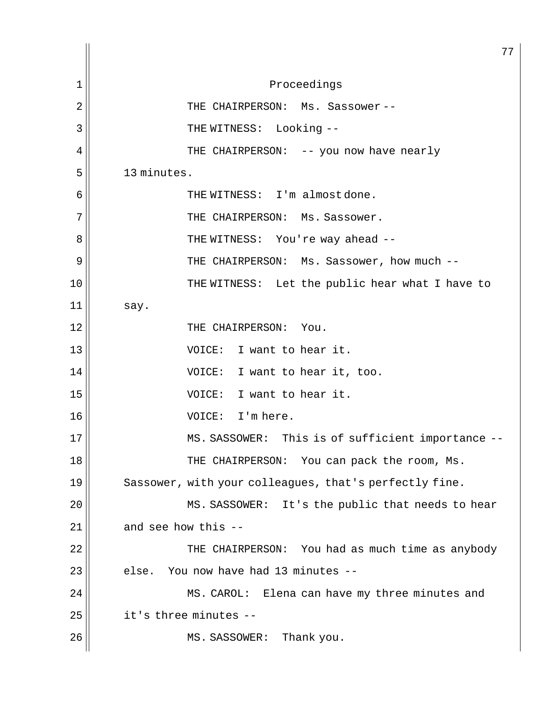77 1 Proceedings 2 THE CHAIRPERSON: Ms. Sassower -- 3 || THE WITNESS: Looking --4 THE CHAIRPERSON: -- you now have nearly  $5$  | 13 minutes. 6 || THE WITNESS: I'm almost done.  $7$   $\parallel$  THE CHAIRPERSON: Ms. Sassower. 8 THE WITNESS: You're way ahead -- 9 THE CHAIRPERSON: Ms. Sassower, how much -- 10 || THE WITNESS: Let the public hear what I have to  $11$  say. 12 THE CHAIRPERSON: You. 13 VOICE: I want to hear it. 14 VOICE: I want to hear it, too. 15 VOICE: I want to hear it. 16 VOICE: I'm here. 17 MS. SASSOWER: This is of sufficient importance --18 THE CHAIRPERSON: You can pack the room, Ms.  $19$  Sassower, with your colleagues, that's perfectly fine. 20 MS. SASSOWER: It's the public that needs to hear  $21$  and see how this  $-$ 22 THE CHAIRPERSON: You had as much time as anybody  $23$  else. You now have had 13 minutes  $24$   $\parallel$  MS. CAROL: Elena can have my three minutes and  $25$   $\parallel$  it's three minutes --26 MS. SASSOWER: Thank you.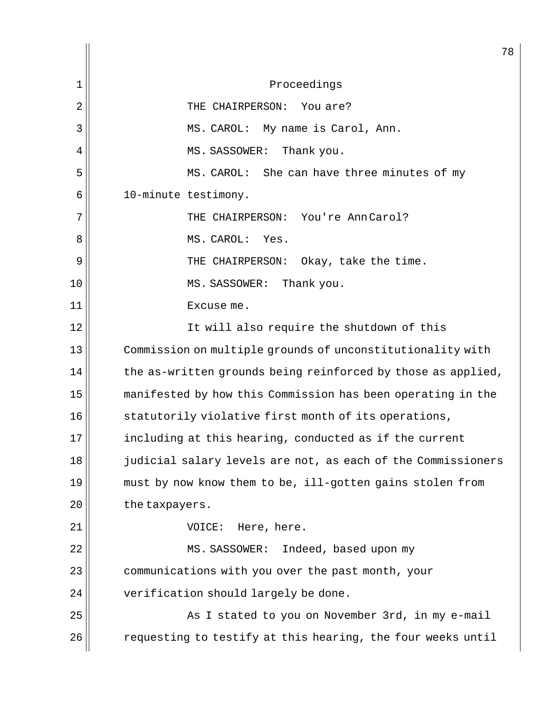78 1 Proceedings 2 | THE CHAIRPERSON: You are? 3 || MS. CAROL: My name is Carol, Ann. 4 | MS. SASSOWER: Thank you. 5 MS. CAROL: She can have three minutes of my 6 10-minute testimony. 7 THE CHAIRPERSON: You're Ann Carol? 8 || MS. CAROL: Yes. 9 | THE CHAIRPERSON: Okay, take the time. 10 || MS. SASSOWER: Thank you. 11 || Excuse me. 12 || It will also require the shutdown of this 13 Commission on multiple grounds of unconstitutionality with  $14$  the as-written grounds being reinforced by those as applied, 15 manifested by how this Commission has been operating in the 16 statutorily violative first month of its operations, 17 including at this hearing, conducted as if the current 18 judicial salary levels are not, as each of the Commissioners  $19$  must by now know them to be, ill-gotten gains stolen from 20 | the taxpayers. 21 VOICE: Here, here. 22 MS. SASSOWER: Indeed, based upon my 23 communications with you over the past month, your  $24$  | verification should largely be done. 25 || As I stated to you on November 3rd, in my e-mail  $26$   $\vert$  requesting to testify at this hearing, the four weeks until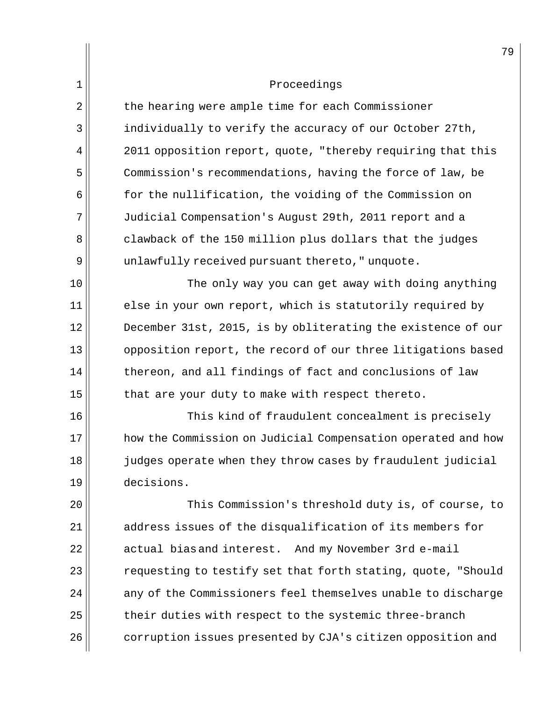| $\mathbf 1$ | Proceedings                                                  |
|-------------|--------------------------------------------------------------|
| 2           | the hearing were ample time for each Commissioner            |
| 3           | individually to verify the accuracy of our October 27th,     |
| 4           | 2011 opposition report, quote, "thereby requiring that this  |
| 5           | Commission's recommendations, having the force of law, be    |
| 6           | for the nullification, the voiding of the Commission on      |
| 7           | Judicial Compensation's August 29th, 2011 report and a       |
| 8           | clawback of the 150 million plus dollars that the judges     |
| 9           | unlawfully received pursuant thereto, " unquote.             |
| 10          | The only way you can get away with doing anything            |
| 11          | else in your own report, which is statutorily required by    |
| 12          | December 31st, 2015, is by obliterating the existence of our |
| 13          | opposition report, the record of our three litigations based |
| 14          | thereon, and all findings of fact and conclusions of law     |
| 15          | that are your duty to make with respect thereto.             |
| 16          | This kind of fraudulent concealment is precisely             |
| 17          | how the Commission on Judicial Compensation operated and how |
| 18          | judges operate when they throw cases by fraudulent judicial  |
| 19          | decisions.                                                   |
| 20          | This Commission's threshold duty is, of course, to           |
| 21          | address issues of the disqualification of its members for    |
| 22          | actual bias and interest. And my November 3rd e-mail         |
| 23          | requesting to testify set that forth stating, quote, "Should |
| 24          | any of the Commissioners feel themselves unable to discharge |
| 25          | their duties with respect to the systemic three-branch       |
| 26          | corruption issues presented by CJA's citizen opposition and  |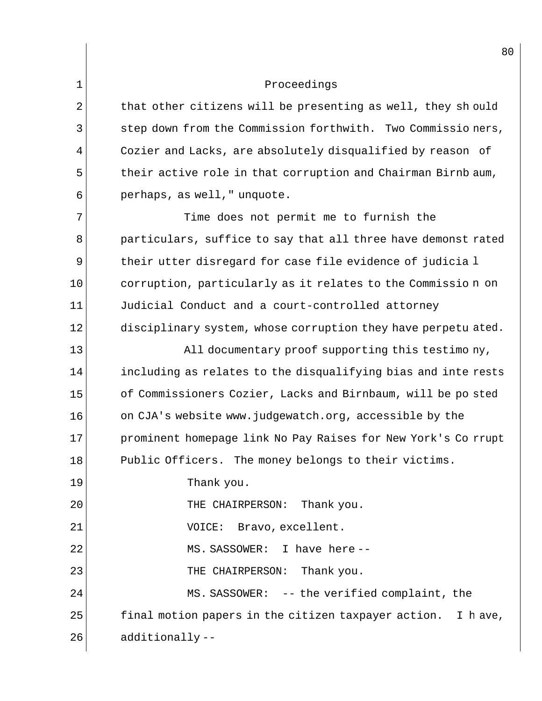1

| $\overline{2}$ | that other citizens will be presenting as well, they should   |
|----------------|---------------------------------------------------------------|
| 3              | step down from the Commission forthwith. Two Commissio ners,  |
| 4              | Cozier and Lacks, are absolutely disqualified by reason of    |
| 5              | their active role in that corruption and Chairman Birnb aum,  |
| 6              | perhaps, as well, " unquote.                                  |
| 7              | Time does not permit me to furnish the                        |
| 8              | particulars, suffice to say that all three have demonst rated |
| 9              | their utter disregard for case file evidence of judicia l     |
| 10             | corruption, particularly as it relates to the Commission on   |
| 11             | Judicial Conduct and a court-controlled attorney              |
| 12             | disciplinary system, whose corruption they have perpetu ated. |
| 13             | All documentary proof supporting this testimo ny,             |
| 14             | including as relates to the disqualifying bias and inte rests |
| 15             | of Commissioners Cozier, Lacks and Birnbaum, will be po sted  |
| 16             | on CJA's website www.judgewatch.org, accessible by the        |
| 17             | prominent homepage link No Pay Raises for New York's Co rrupt |
| 18             | Public Officers. The money belongs to their victims.          |
| 19             | Thank you.                                                    |
| 20             | THE CHAIRPERSON: Thank you.                                   |
| 21             | VOICE: Bravo, excellent.                                      |
| 22             | MS. SASSOWER: I have here--                                   |
| 23             | THE CHAIRPERSON:<br>Thank you.                                |
| 24             | MS. SASSOWER: -- the verified complaint, the                  |
| 25             | final motion papers in the citizen taxpayer action. I have,   |
| 26             | additionally--                                                |
|                |                                                               |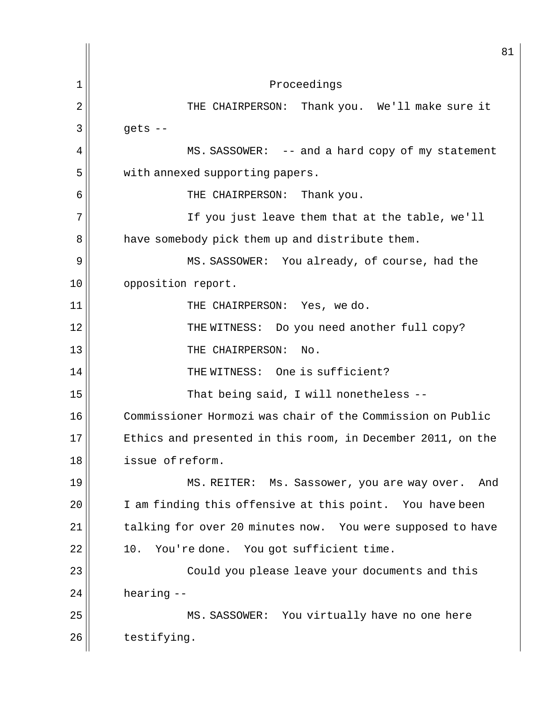81 1 Proceedings 2 | THE CHAIRPERSON: Thank you. We'll make sure it  $3 \parallel$  gets -- $4 \parallel$  MS. SASSOWER: -- and a hard copy of my statement 5 | with annexed supporting papers. 6 THE CHAIRPERSON: Thank you. 7 If you just leave them that at the table, we'll 8 | have somebody pick them up and distribute them. 9 MS. SASSOWER: You already, of course, had the 10 || opposition report. 11 || THE CHAIRPERSON: Yes, we do. 12 THE WITNESS: Do you need another full copy? 13 || THE CHAIRPERSON: No. 14 THE WITNESS: One is sufficient? 15 || That being said, I will nonetheless --16 Commissioner Hormozi was chair of the Commission on Public 17 Ethics and presented in this room, in December 2011, on the 18 issue of reform. 19 MS. REITER: Ms. Sassower, you are way over. And 20 I am finding this offensive at this point. You have been  $21$  talking for over 20 minutes now. You were supposed to have  $22$  10. You're done. You got sufficient time. 23 Could you please leave your documents and this  $24$  hearing  $-$ 25 || MS. SASSOWER: You virtually have no one here  $26$   $\parallel$  testifying.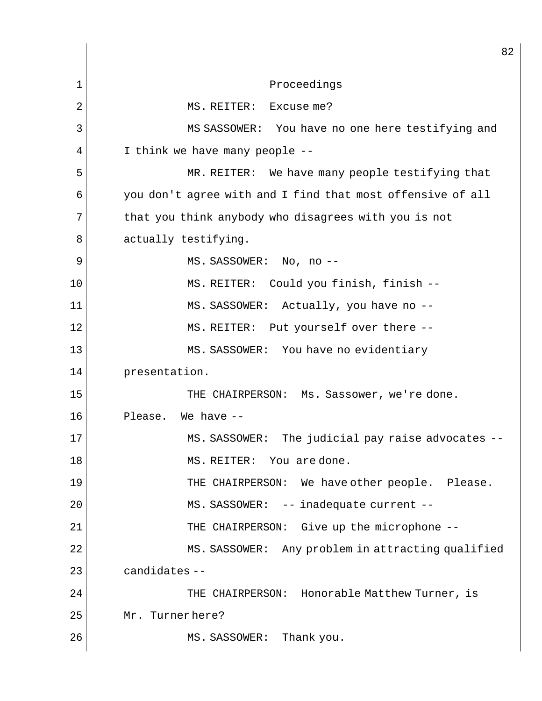82 1 || Proceedings 2 | MS. REITER: Excuse me? 3 MS SASSOWER: You have no one here testifying and  $4 \parallel$  I think we have many people --5 || MR. REITER: We have many people testifying that 6 || you don't agree with and I find that most offensive of all 7 that you think anybody who disagrees with you is not 8 actually testifying. 9 MS. SASSOWER: No, no -- 10 || MS. REITER: Could you finish, finish --11 || MS. SASSOWER: Actually, you have no --12 || MS. REITER: Put yourself over there --13 MS. SASSOWER: You have no evidentiary 14 presentation. 15 THE CHAIRPERSON: Ms. Sassower, we're done. 16 Please. We have -- 17 MS. SASSOWER: The judicial pay raise advocates -- 18 MS. REITER: You are done. 19 THE CHAIRPERSON: We have other people. Please. 20 || MS. SASSOWER: -- inadequate current --21 THE CHAIRPERSON: Give up the microphone -- 22 | MS. SASSOWER: Any problem in attracting qualified  $23$   $\parallel$  candidates --24 THE CHAIRPERSON: Honorable Matthew Turner, is 25 Mr. Turner here? 26 MS. SASSOWER: Thank you.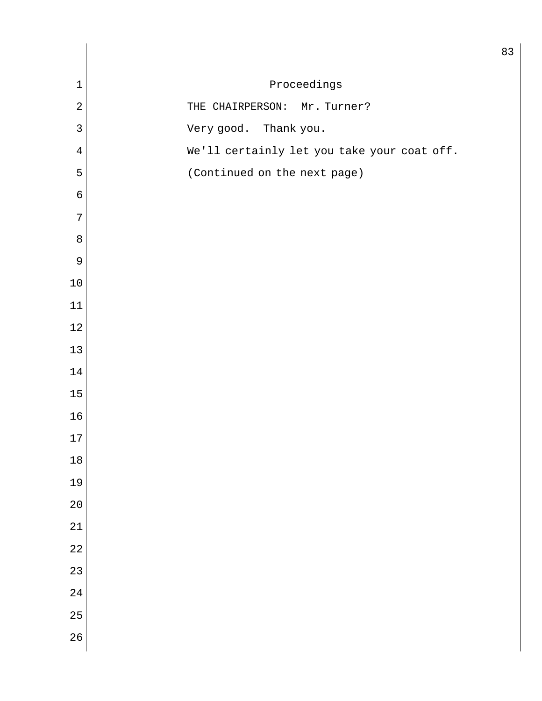| $\mathbf 1$    | Proceedings                                 |
|----------------|---------------------------------------------|
| $\overline{a}$ | Mr. Turner?<br>THE CHAIRPERSON:             |
| $\overline{3}$ | Very good. Thank you.                       |
| $\overline{4}$ | We'll certainly let you take your coat off. |
| 5              | (Continued on the next page)                |
| $\epsilon$     |                                             |
| $\overline{7}$ |                                             |
| $\,8\,$        |                                             |
| $\mathcal{G}$  |                                             |
| $10$           |                                             |
| 11             |                                             |
| $12$           |                                             |
| 13             |                                             |
| 14             |                                             |
| 15             |                                             |
| 16             |                                             |
| 17             |                                             |
| 18             |                                             |
| 19             |                                             |
| 20             |                                             |
| 21             |                                             |
| 22             |                                             |
| 23             |                                             |
| 24             |                                             |
| 25             |                                             |
| 26             |                                             |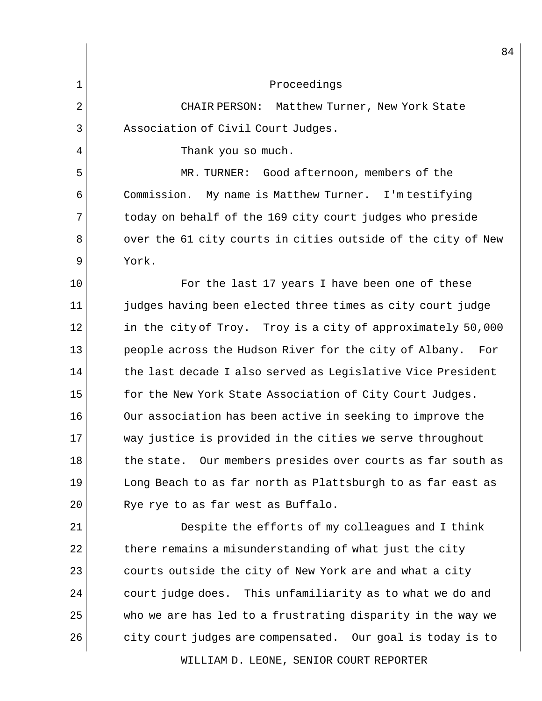|    | 8 <sub>1</sub>                                                |
|----|---------------------------------------------------------------|
| 1  | Proceedings                                                   |
| 2  | CHAIR PERSON:<br>Matthew Turner, New York State               |
| 3  | Association of Civil Court Judges.                            |
| 4  | Thank you so much.                                            |
| 5  | Good afternoon, members of the<br>MR. TURNER:                 |
| 6  | Commission.<br>My name is Matthew Turner. I'm testifying      |
| 7  | today on behalf of the 169 city court judges who preside      |
| 8  | over the 61 city courts in cities outside of the city of New  |
| 9  | York.                                                         |
| 10 | For the last 17 years I have been one of these                |
| 11 | judges having been elected three times as city court judge    |
| 12 | in the city of Troy. Troy is a city of approximately 50,000   |
| 13 | people across the Hudson River for the city of Albany.<br>For |
| 14 | the last decade I also served as Legislative Vice President   |
| 15 | for the New York State Association of City Court Judges.      |
| 16 | Our association has been active in seeking to improve the     |
| 17 | way justice is provided in the cities we serve throughout     |
| 18 | the state. Our members presides over courts as far south as   |
| 19 | Long Beach to as far north as Plattsburgh to as far east as   |
| 20 | Rye rye to as far west as Buffalo.                            |
| 21 | Despite the efforts of my colleagues and I think              |
| 22 | there remains a misunderstanding of what just the city        |
| 23 | courts outside the city of New York are and what a city       |
| 24 | This unfamiliarity as to what we do and<br>court judge does.  |
| 25 | who we are has led to a frustrating disparity in the way we   |
| 26 | city court judges are compensated. Our goal is today is to    |

WILLIAM D. LEONE, SENIOR COURT REPORTER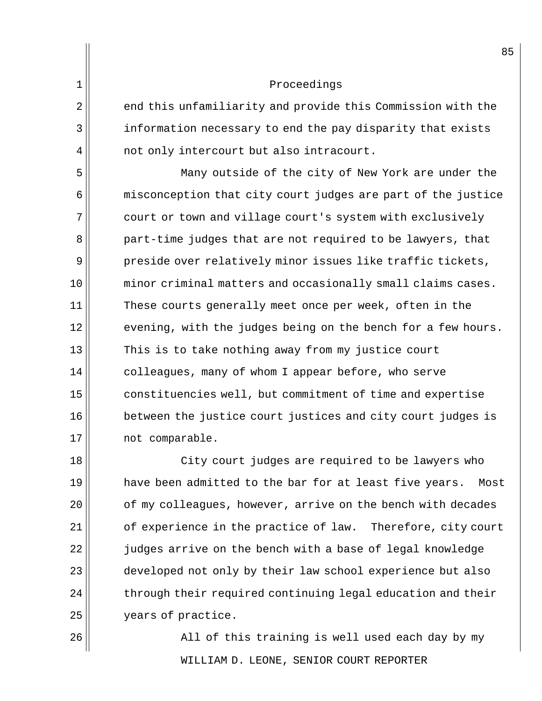2 end this unfamiliarity and provide this Commission with the 3 information necessary to end the pay disparity that exists  $4 \parallel$  not only intercourt but also intracourt.

5 Many outside of the city of New York are under the 6 misconception that city court judges are part of the justice 7 court or town and village court's system with exclusively 8 part-time judges that are not required to be lawyers, that 9 preside over relatively minor issues like traffic tickets, 10 minor criminal matters and occasionally small claims cases. 11 || These courts generally meet once per week, often in the  $12$  | evening, with the judges being on the bench for a few hours. 13 This is to take nothing away from my justice court 14 colleagues, many of whom I appear before, who serve 15 constituencies well, but commitment of time and expertise 16 between the justice court justices and city court judges is 17 || not comparable.

18 || City court judges are required to be lawyers who  $19$  have been admitted to the bar for at least five years. Most  $20$  |  $\,$  of my colleagues, however, arrive on the bench with decades 21 of experience in the practice of law. Therefore, city court 22 judges arrive on the bench with a base of legal knowledge 23 developed not only by their law school experience but also  $24$   $\parallel$  through their required continuing legal education and their 25 | vears of practice.

WILLIAM D. LEONE, SENIOR COURT REPORTER 26 All of this training is well used each day by my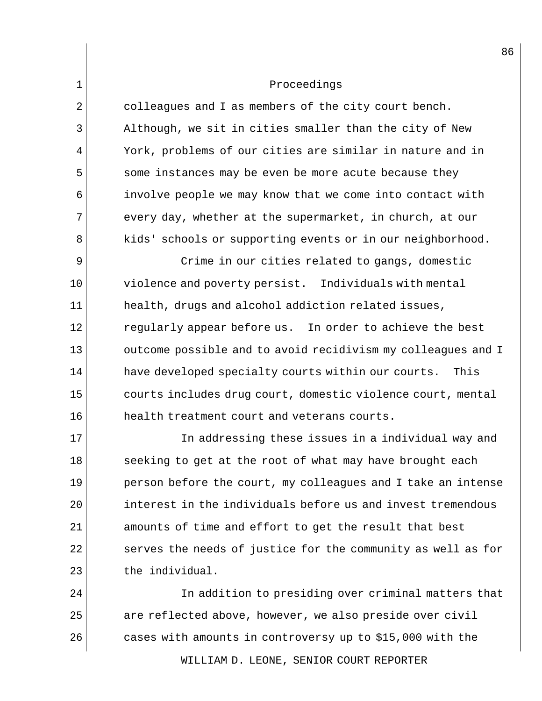$2 \parallel$  colleagues and I as members of the city court bench.  $3 \parallel$  Although, we sit in cities smaller than the city of New 4 York, problems of our cities are similar in nature and in 5 some instances may be even be more acute because they 6 involve people we may know that we come into contact with  $7$  every day, whether at the supermarket, in church, at our 8 | kids' schools or supporting events or in our neighborhood.

9 | Crime in our cities related to gangs, domestic 10 violence and poverty persist. Individuals with mental  $11$  health, drugs and alcohol addiction related issues, 12 regularly appear before us. In order to achieve the best 13 outcome possible and to avoid recidivism my colleagues and I 14 | have developed specialty courts within our courts. This 15 courts includes drug court, domestic violence court, mental 16 health treatment court and veterans courts.

17 In addressing these issues in a individual way and 18 seeking to get at the root of what may have brought each person before the court, my colleagues and I take an intense  $\parallel$  interest in the individuals before us and invest tremendous amounts of time and effort to get the result that best serves the needs of justice for the community as well as for  $\parallel$  the individual.

24 In addition to presiding over criminal matters that  $25$  are reflected above, however, we also preside over civil  $26$  cases with amounts in controversy up to \$15,000 with the

WILLIAM D. LEONE, SENIOR COURT REPORTER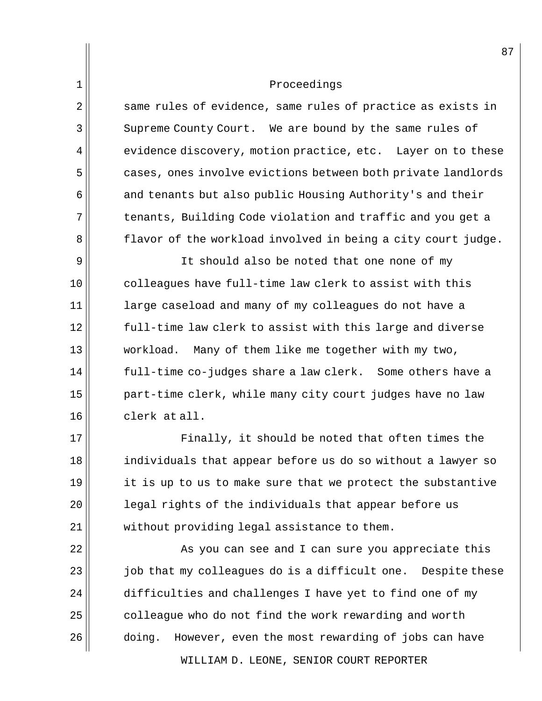| 1  | Proceedings                                                    |
|----|----------------------------------------------------------------|
| 2  | same rules of evidence, same rules of practice as exists in    |
| 3  | Supreme County Court. We are bound by the same rules of        |
| 4  | evidence discovery, motion practice, etc. Layer on to these    |
| 5  | cases, ones involve evictions between both private landlords   |
| 6  | and tenants but also public Housing Authority's and their      |
| 7  | tenants, Building Code violation and traffic and you get a     |
| 8  | flavor of the workload involved in being a city court judge.   |
| 9  | It should also be noted that one none of my                    |
| 10 | colleagues have full-time law clerk to assist with this        |
| 11 | large caseload and many of my colleagues do not have a         |
| 12 | full-time law clerk to assist with this large and diverse      |
| 13 | workload.<br>Many of them like me together with my two,        |
| 14 | full-time co-judges share a law clerk. Some others have a      |
| 15 | part-time clerk, while many city court judges have no law      |
| 16 | clerk at all.                                                  |
| 17 | Finally, it should be noted that often times the               |
| 18 | individuals that appear before us do so without a lawyer so    |
| 19 | it is up to us to make sure that we protect the substantive    |
| 20 | legal rights of the individuals that appear before us          |
| 21 | without providing legal assistance to them.                    |
| 22 | As you can see and I can sure you appreciate this              |
| 23 | job that my colleagues do is a difficult one.<br>Despite these |
| 24 | difficulties and challenges I have yet to find one of my       |
| 25 | colleague who do not find the work rewarding and worth         |
| 26 | However, even the most rewarding of jobs can have<br>doing.    |

WILLIAM D. LEONE, SENIOR COURT REPORTER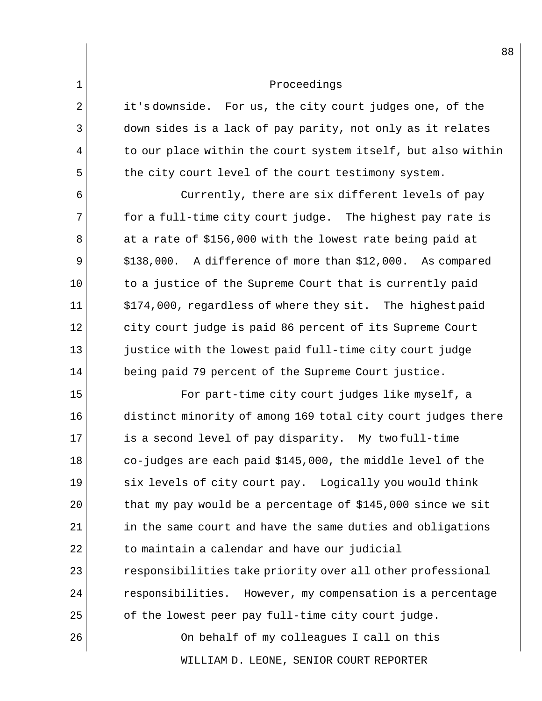2 it's downside. For us, the city court judges one, of the 3 down sides is a lack of pay parity, not only as it relates  $4 \parallel$  to our place within the court system itself, but also within 5 the city court level of the court testimony system.

6 6 Currently, there are six different levels of pay  $7$  for a full-time city court judge. The highest pay rate is 8 at a rate of \$156,000 with the lowest rate being paid at  $9 \parallel$  \$138,000. A difference of more than \$12,000. As compared 10 to a justice of the Supreme Court that is currently paid  $11$   $\parallel$  \$174,000, regardless of where they sit. The highest paid 12 city court judge is paid 86 percent of its Supreme Court  $13$  justice with the lowest paid full-time city court judge 14 being paid 79 percent of the Supreme Court justice.

15 || For part-time city court judges like myself, a 16 distinct minority of among 169 total city court judges there is a second level of pay disparity. My two full-time co-judges are each paid \$145,000, the middle level of the 19 six levels of city court pay. Logically you would think that my pay would be a percentage of \$145,000 since we sit in the same court and have the same duties and obligations to maintain a calendar and have our judicial  $\parallel$  responsibilities take priority over all other professional  $\vert$  responsibilities. However, my compensation is a percentage of the lowest peer pay full-time city court judge. On behalf of my colleagues I call on this

WILLIAM D. LEONE, SENIOR COURT REPORTER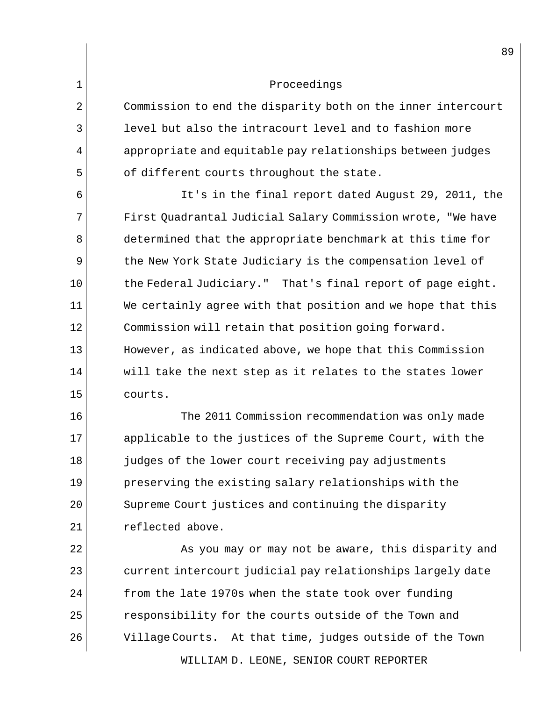2 Commission to end the disparity both on the inner intercourt 3 || level but also the intracourt level and to fashion more  $4$  appropriate and equitable pay relationships between judges  $5$  of different courts throughout the state.

6 It's in the final report dated August 29, 2011, the 7 First Quadrantal Judicial Salary Commission wrote, "We have 8 determined that the appropriate benchmark at this time for 9 the New York State Judiciary is the compensation level of  $10$  the Federal Judiciary." That's final report of page eight.  $11$  We certainly agree with that position and we hope that this 12 || Commission will retain that position going forward. 13 However, as indicated above, we hope that this Commission  $14$  will take the next step as it relates to the states lower 15 courts.

16 The 2011 Commission recommendation was only made 17 applicable to the justices of the Supreme Court, with the 18 judges of the lower court receiving pay adjustments 19 preserving the existing salary relationships with the 20 Supreme Court justices and continuing the disparity 21 | Teflected above.

WILLIAM D. LEONE, SENIOR COURT REPORTER 22 || As you may or may not be aware, this disparity and  $23$   $\parallel$  current intercourt judicial pay relationships largely date  $24$  from the late 1970s when the state took over funding 25 | responsibility for the courts outside of the Town and 26 Village Courts. At that time, judges outside of the Town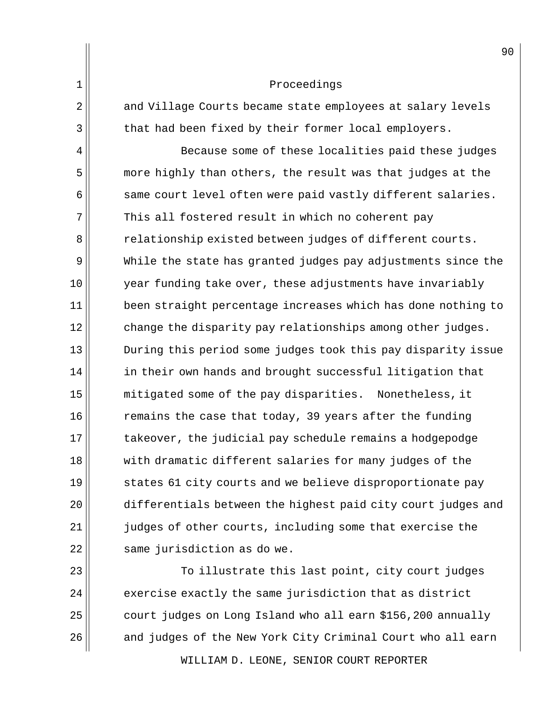1 Proceedings 2 and Village Courts became state employees at salary levels 3 that had been fixed by their former local employers. 4 || Because some of these localities paid these judges 5 more highly than others, the result was that judges at the  $6$  same court level often were paid vastly different salaries.  $7$  This all fostered result in which no coherent pay 8 accelerationship existed between judges of different courts. 9 While the state has granted judges pay adjustments since the 10 year funding take over, these adjustments have invariably 11 | been straight percentage increases which has done nothing to 12 change the disparity pay relationships among other judges. 13 During this period some judges took this pay disparity issue  $14$  in their own hands and brought successful litigation that 15 mitigated some of the pay disparities. Nonetheless, it  $16$  remains the case that today, 39 years after the funding 17 takeover, the judicial pay schedule remains a hodgepodge 18 with dramatic different salaries for many judges of the 19 states 61 city courts and we believe disproportionate pay 20 differentials between the highest paid city court judges and  $21$   $\vert$  judges of other courts, including some that exercise the  $22$  same jurisdiction as do we.

 To illustrate this last point, city court judges exercise exactly the same jurisdiction that as district court judges on Long Island who all earn \$156,200 annually 26 || and judges of the New York City Criminal Court who all earn

WILLIAM D. LEONE, SENIOR COURT REPORTER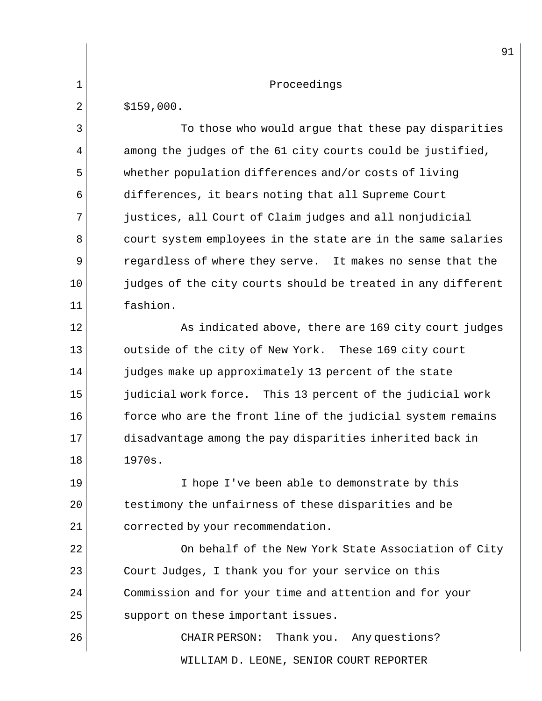|             | 91                                                           |
|-------------|--------------------------------------------------------------|
| $\mathbf 1$ | Proceedings                                                  |
| 2           | \$159,000.                                                   |
| 3           | To those who would argue that these pay disparities          |
| 4           | among the judges of the 61 city courts could be justified,   |
| 5           | whether population differences and/or costs of living        |
| 6           | differences, it bears noting that all Supreme Court          |
| 7           | justices, all Court of Claim judges and all nonjudicial      |
| 8           | court system employees in the state are in the same salaries |
| 9           | regardless of where they serve. It makes no sense that the   |
| 10          | judges of the city courts should be treated in any different |
| 11          | fashion.                                                     |
| 12          | As indicated above, there are 169 city court judges          |
| 13          | outside of the city of New York. These 169 city court        |
| 14          | judges make up approximately 13 percent of the state         |
| 15          | judicial work force. This 13 percent of the judicial work    |
| 16          | force who are the front line of the judicial system remains  |
| 17          | disadvantage among the pay disparities inherited back in     |
| 18          | 1970s.                                                       |
| 19          | I hope I've been able to demonstrate by this                 |
| 20          | testimony the unfairness of these disparities and be         |
| 21          | corrected by your recommendation.                            |
| 22          | On behalf of the New York State Association of City          |
| 23          | Court Judges, I thank you for your service on this           |
| 24          | Commission and for your time and attention and for your      |
| 25          | support on these important issues.                           |
| 26          | CHAIR PERSON:<br>Thank you. Any questions?                   |
|             | WILLIAM D. LEONE, SENIOR COURT REPORTER                      |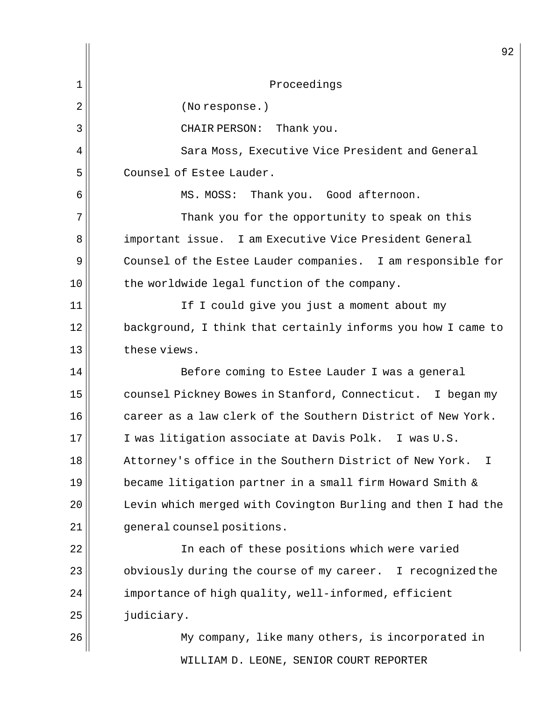WILLIAM D. LEONE, SENIOR COURT REPORTER 92 1 Proceedings 2 | (No response.) 3 || CHAIR PERSON: Thank you.  $4$   $\parallel$  Sara Moss, Executive Vice President and General 5 Counsel of Estee Lauder. 6 | MS. MOSS: Thank you. Good afternoon. 7 Thank you for the opportunity to speak on this 8 important issue. I am Executive Vice President General 9 Counsel of the Estee Lauder companies. I am responsible for  $10$  the worldwide legal function of the company. 11 || If I could give you just a moment about my 12 background, I think that certainly informs you how I came to 13 these views. 14 || Before coming to Estee Lauder I was a general 15 | counsel Pickney Bowes in Stanford, Connecticut. I began my 16 career as a law clerk of the Southern District of New York. 17 I was litigation associate at Davis Polk. I was U.S. 18 Attorney's office in the Southern District of New York. I 19 became litigation partner in a small firm Howard Smith & 20 Levin which merged with Covington Burling and then I had the  $21$   $\parallel$  qeneral counsel positions. 22 In each of these positions which were varied 23 || obviously during the course of my career. I recognized the  $24$  importance of high quality, well-informed, efficient  $25$   $|$  judiciary. 26 My company, like many others, is incorporated in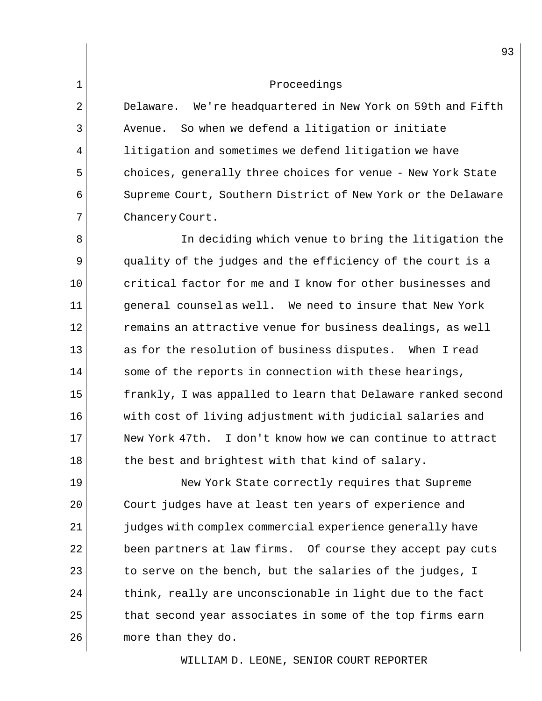2 Delaware. We're headquartered in New York on 59th and Fifth  $3$   $\vert$  Avenue. So when we defend a litigation or initiate  $4$  litigation and sometimes we defend litigation we have 5 choices, generally three choices for venue - New York State 6 Supreme Court, Southern District of New York or the Delaware 7 Chancery Court.

8 | In deciding which venue to bring the litigation the 9 quality of the judges and the efficiency of the court is a 10 critical factor for me and I know for other businesses and 11 || general counselas well. We need to insure that New York 12 remains an attractive venue for business dealings, as well  $13$  as for the resolution of business disputes. When I read  $14$  some of the reports in connection with these hearings, 15 || frankly, I was appalled to learn that Delaware ranked second 16 with cost of living adjustment with judicial salaries and 17 New York 47th. I don't know how we can continue to attract  $18$  the best and brightest with that kind of salary.

19 New York State correctly requires that Supreme 20 Court judges have at least ten years of experience and 21 judges with complex commercial experience generally have been partners at law firms. Of course they accept pay cuts to serve on the bench, but the salaries of the judges, I think, really are unconscionable in light due to the fact that second year associates in some of the top firms earn more than they do.

WILLIAM D. LEONE, SENIOR COURT REPORTER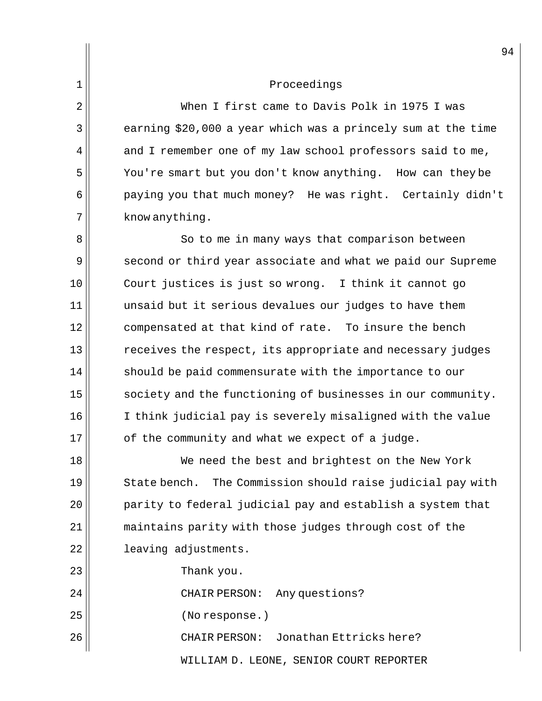When I first came to Davis Polk in 1975 I was earning \$20,000 a year which was a princely sum at the time and I remember one of my law school professors said to me, You're smart but you don't know anything. How can they be 6 | paying you that much money? He was right. Certainly didn't know anything.

8 || So to me in many ways that comparison between 9 second or third year associate and what we paid our Supreme 10 Court justices is just so wrong. I think it cannot go  $11$  unsaid but it serious devalues our judges to have them 12 compensated at that kind of rate. To insure the bench  $13$  receives the respect, its appropriate and necessary judges 14 should be paid commensurate with the importance to our 15 | society and the functioning of businesses in our community. 16 I think judicial pay is severely misaligned with the value  $17$  of the community and what we expect of a judge.

18 We need the best and brightest on the New York 19 State bench. The Commission should raise judicial pay with 20 parity to federal judicial pay and establish a system that 21 maintains parity with those judges through cost of the 22 leaving adjustments.

 $23 \parallel$  Thank you.

24 || CHAIR PERSON: Any questions?

25 || (No response.)

26 CHAIR PERSON: Jonathan Ettricks here?

WILLIAM D. LEONE, SENIOR COURT REPORTER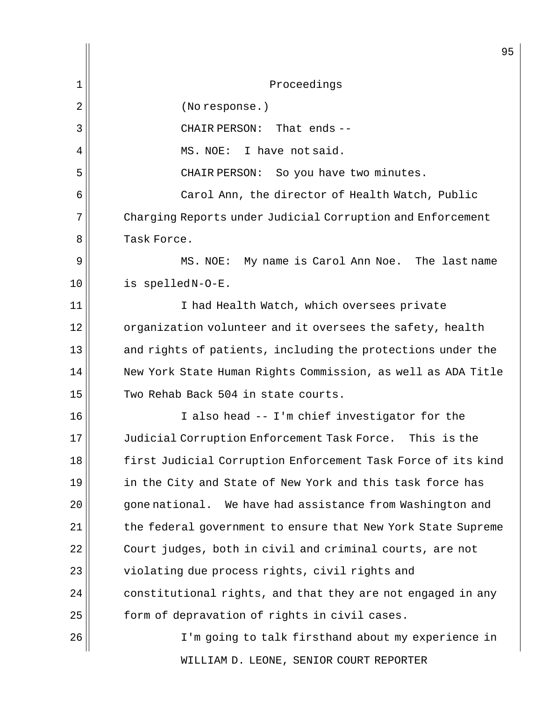|              | 95                                                           |
|--------------|--------------------------------------------------------------|
| $\mathbf{1}$ | Proceedings                                                  |
| 2            | (No response.)                                               |
| 3            | That ends $-$<br>CHAIR PERSON:                               |
| 4            | I have not said.<br>MS. NOE:                                 |
| 5            | CHAIR PERSON: So you have two minutes.                       |
| 6            | Carol Ann, the director of Health Watch, Public              |
| 7            | Charging Reports under Judicial Corruption and Enforcement   |
| 8            | Task Force.                                                  |
| 9            | MS. NOE: My name is Carol Ann Noe. The last name             |
| 10           | is spelledN-O-E.                                             |
| 11           | I had Health Watch, which oversees private                   |
| 12           | organization volunteer and it oversees the safety, health    |
| 13           | and rights of patients, including the protections under the  |
| 14           | New York State Human Rights Commission, as well as ADA Title |
| 15           | Two Rehab Back 504 in state courts.                          |
| 16           | I also head -- I'm chief investigator for the                |
| 17           | Judicial Corruption Enforcement Task Force. This is the      |
| 18           | first Judicial Corruption Enforcement Task Force of its kind |
| 19           | in the City and State of New York and this task force has    |
| 20           | gone national. We have had assistance from Washington and    |
| 21           | the federal government to ensure that New York State Supreme |
| 22           | Court judges, both in civil and criminal courts, are not     |
| 23           | violating due process rights, civil rights and               |
| 24           | constitutional rights, and that they are not engaged in any  |
| 25           | form of depravation of rights in civil cases.                |
| 26           | I'm going to talk firsthand about my experience in           |
|              | WILLIAM D. LEONE, SENIOR COURT REPORTER                      |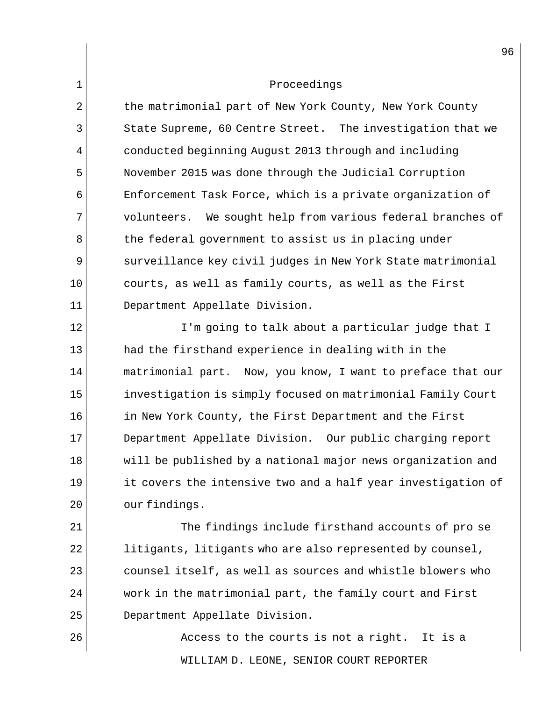2 the matrimonial part of New York County, New York County 3 State Supreme, 60 Centre Street. The investigation that we 4 conducted beginning August 2013 through and including 5 November 2015 was done through the Judicial Corruption 6 Enforcement Task Force, which is a private organization of 7 volunteers. We sought help from various federal branches of 8 the federal government to assist us in placing under 9 surveillance key civil judges in New York State matrimonial 10 courts, as well as family courts, as well as the First 11 Department Appellate Division.

12 || I'm going to talk about a particular judge that I 13 had the firsthand experience in dealing with in the 14 | matrimonial part. Now, you know, I want to preface that our 15 investigation is simply focused on matrimonial Family Court 16 in New York County, the First Department and the First 17 Department Appellate Division. Our public charging report 18 will be published by a national major news organization and  $19$  it covers the intensive two and a half year investigation of 20 our findings.

21 The findings include firsthand accounts of pro se litigants, litigants who are also represented by counsel, counsel itself, as well as sources and whistle blowers who work in the matrimonial part, the family court and First Department Appellate Division.

WILLIAM D. LEONE, SENIOR COURT REPORTER  $26$   $\parallel$  26  $\parallel$  Access to the courts is not a right. It is a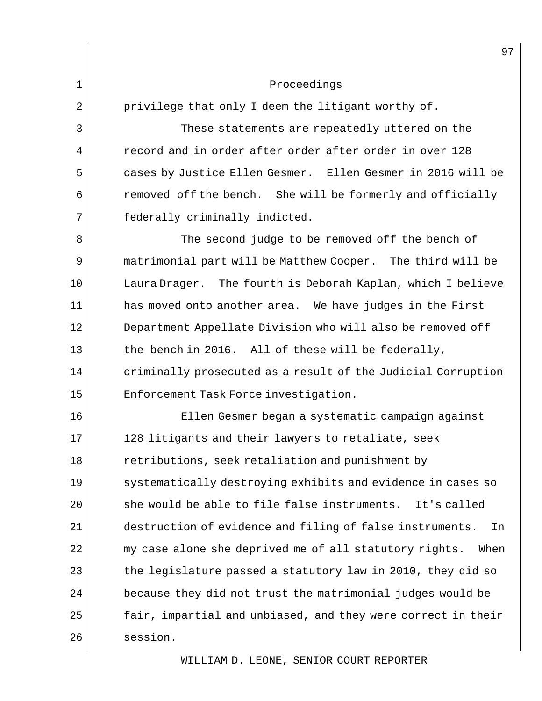$2 \parallel$  privilege that only I deem the litigant worthy of.

 $\parallel$  3 These statements are repeatedly uttered on the **example 1** record and in order after order after order in over 128 cases by Justice Ellen Gesmer. Ellen Gesmer in 2016 will be removed off the bench. She will be formerly and officially federally criminally indicted.

8 SI States The second judge to be removed off the bench of 9 matrimonial part will be Matthew Cooper. The third will be 10 || Laura Drager. The fourth is Deborah Kaplan, which I believe  $11$  has moved onto another area. We have judges in the First 12 || Department Appellate Division who will also be removed off 13 $\parallel$  the bench in 2016. All of these will be federally,  $14$  criminally prosecuted as a result of the Judicial Corruption 15 || Enforcement Task Force investigation.

16 Ellen Gesmer began a systematic campaign against 17 128 litigants and their lawyers to retaliate, seek 18 Tetributions, seek retaliation and punishment by 19 systematically destroying exhibits and evidence in cases so  $20$  she would be able to file false instruments. It's called 21 destruction of evidence and filing of false instruments. In  $22$   $\vert$  my case alone she deprived me of all statutory rights. When  $23$  the legislature passed a statutory law in 2010, they did so  $24$  because they did not trust the matrimonial judges would be  $25$  fair, impartial and unbiased, and they were correct in their 26 | session.

WILLIAM D. LEONE, SENIOR COURT REPORTER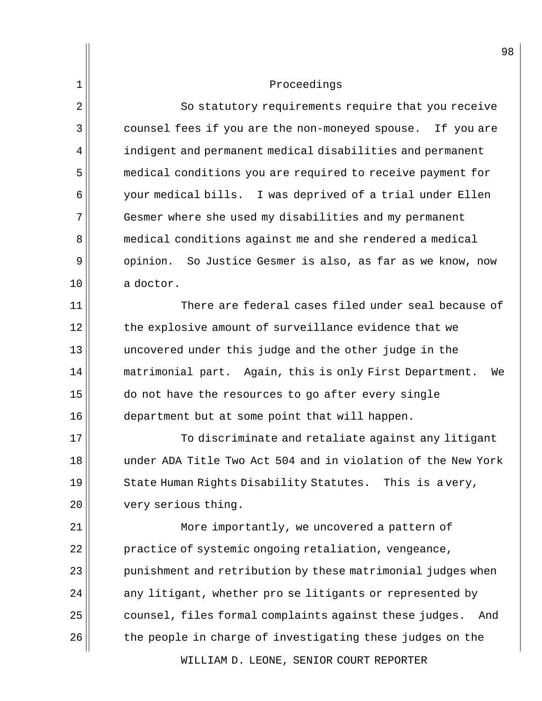2 | So statutory requirements require that you receive 3 counsel fees if you are the non-moneyed spouse. If you are  $4$  indigent and permanent medical disabilities and permanent 5 medical conditions you are required to receive payment for 6 your medical bills. I was deprived of a trial under Ellen  $7$  Gesmer where she used my disabilities and my permanent 8 medical conditions against me and she rendered a medical 9 | opinion. So Justice Gesmer is also, as far as we know, now 10 a doctor.

11 There are federal cases filed under seal because of 12 the explosive amount of surveillance evidence that we 13 uncovered under this judge and the other judge in the 14 || matrimonial part. Again, this is only First Department. We  $15$  do not have the resources to go after every single 16 department but at some point that will happen.

 $\parallel$  To discriminate and retaliate against any litigant under ADA Title Two Act 504 and in violation of the New York State Human Rights Disability Statutes. This is a very, 20 | very serious thing.

21 || More importantly, we uncovered a pattern of 22 | practice of systemic ongoing retaliation, vengeance, || punishment and retribution by these matrimonial judges when any litigant, whether pro se litigants or represented by counsel, files formal complaints against these judges. And the people in charge of investigating these judges on the

WILLIAM D. LEONE, SENIOR COURT REPORTER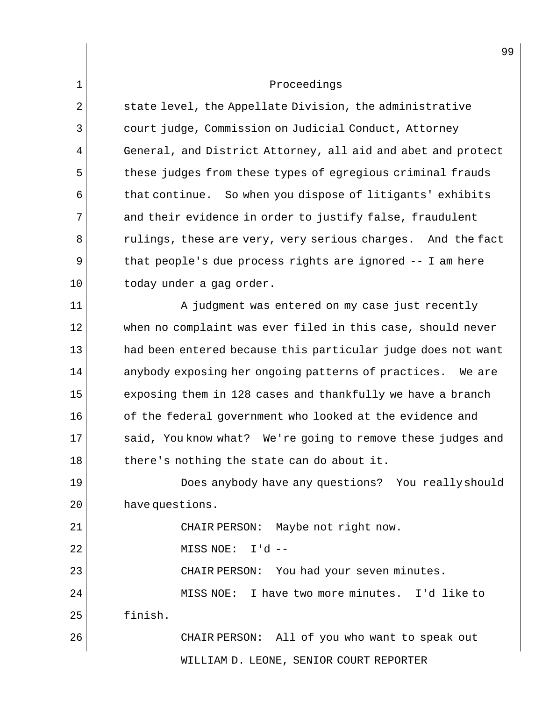1 Proceedings  $2 \parallel$  state level, the Appellate Division, the administrative 3 | court judge, Commission on Judicial Conduct, Attorney 4 General, and District Attorney, all aid and abet and protect  $5$  these judges from these types of egregious criminal frauds  $6$  that continue. So when you dispose of litigants' exhibits 7 and their evidence in order to justify false, fraudulent  $8$  || rulings, these are very, very serious charges. And the fact  $9 \parallel$  that people's due process rights are ignored  $-1$  am here  $10$   $\vert$  today under a gag order. 11 || A judgment was entered on my case just recently 12 when no complaint was ever filed in this case, should never 13 had been entered because this particular judge does not want  $14$  anybody exposing her ongoing patterns of practices. We are  $15$  exposing them in 128 cases and thankfully we have a branch 16 of the federal government who looked at the evidence and 17 || said, You know what? We're going to remove these judges and  $18$  there's nothing the state can do about it. 19 Does anybody have any questions? You really should 20 | have questions. 21 || CHAIR PERSON: Maybe not right now. 22 MISS NOE: I'd -- 23 || CHAIR PERSON: You had your seven minutes. 24 MISS NOE: I have two more minutes. I'd like to 25 finish. 26 CHAIR PERSON: All of you who want to speak out

WILLIAM D. LEONE, SENIOR COURT REPORTER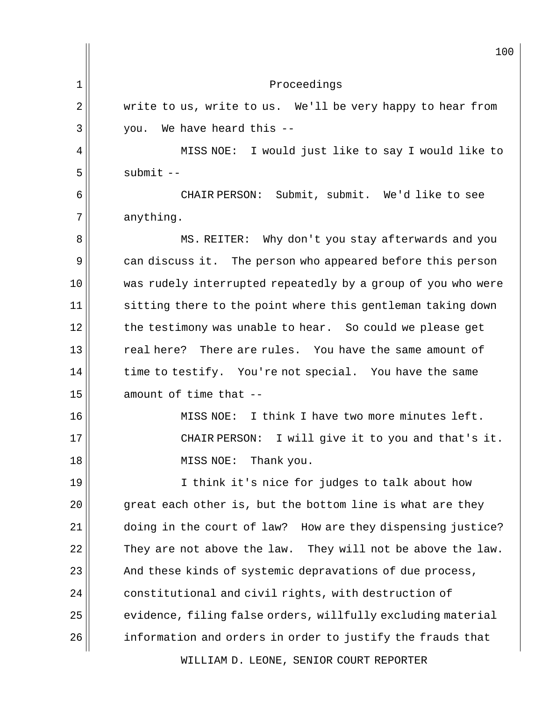WILLIAM D. LEONE, SENIOR COURT REPORTER 100 1 Proceedings  $2 \parallel$  write to us, write to us. We'll be very happy to hear from  $3 \parallel$  you. We have heard this --4 || MISS NOE: I would just like to say I would like to  $5 \parallel$  submit  $-$ 6 CHAIR PERSON: Submit, submit. We'd like to see  $7||$  anything. 8 MS. REITER: Why don't you stay afterwards and you 9 can discuss it. The person who appeared before this person 10 was rudely interrupted repeatedly by a group of you who were 11 sitting there to the point where this gentleman taking down  $12$  the testimony was unable to hear. So could we please get  $13$  real here? There are rules. You have the same amount of  $14$  time to testify. You're not special. You have the same  $15$  amount of time that  $-$ 16 MISS NOE: I think I have two more minutes left. 17 CHAIR PERSON: I will give it to you and that's it. 18 || MISS NOE: Thank you. 19 I think it's nice for judges to talk about how  $20$  great each other is, but the bottom line is what are they 21 doing in the court of law? How are they dispensing justice?  $22$  They are not above the law. They will not be above the law. 23 || And these kinds of systemic depravations of due process,  $24$  constitutional and civil rights, with destruction of  $25$  evidence, filing false orders, willfully excluding material  $26$  information and orders in order to justify the frauds that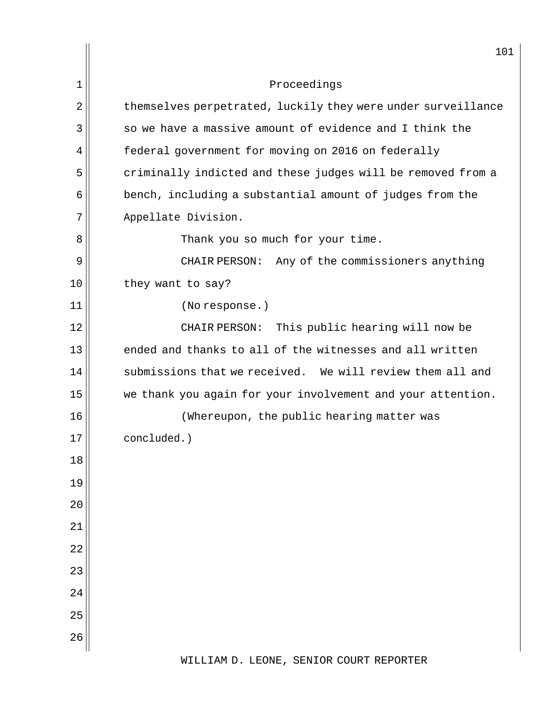|        | 101                                                          |
|--------|--------------------------------------------------------------|
| 1      | Proceedings                                                  |
| 2      | themselves perpetrated, luckily they were under surveillance |
| 3      | so we have a massive amount of evidence and I think the      |
| 4      | federal government for moving on 2016 on federally           |
| 5      | criminally indicted and these judges will be removed from a  |
| 6      | bench, including a substantial amount of judges from the     |
| 7      | Appellate Division.                                          |
| 8      | Thank you so much for your time.                             |
| 9      | CHAIR PERSON: Any of the commissioners anything              |
| 10     | they want to say?                                            |
| 11     | (No response.)                                               |
| 12     | This public hearing will now be<br>CHAIR PERSON:             |
| 13     | ended and thanks to all of the witnesses and all written     |
| 14     | submissions that we received. We will review them all and    |
| 15     | we thank you again for your involvement and your attention.  |
| 16     | (Whereupon, the public hearing matter was                    |
| $17\,$ | concluded.)                                                  |
| 18     |                                                              |
| 19     |                                                              |
| 20     |                                                              |
| 21     |                                                              |
| 22     |                                                              |
| 23     |                                                              |
| 24     |                                                              |
| 25     |                                                              |
| 26     |                                                              |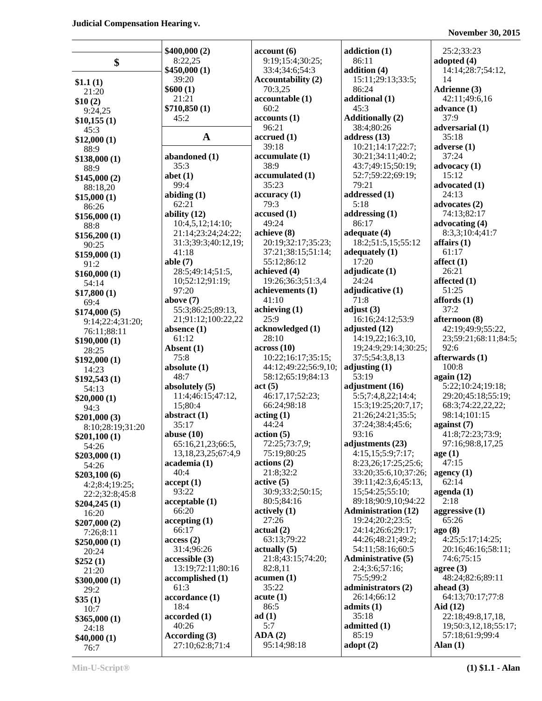|                       | \$400,000(2)                        | account(6)                  | addiction (1)                                  | 25:2;33:23                             |
|-----------------------|-------------------------------------|-----------------------------|------------------------------------------------|----------------------------------------|
| \$                    | 8:22,25                             | 9:19;15:4;30:25;            | 86:11                                          | adopted $(4)$                          |
|                       | \$450,000(1)                        | 33:4;34:6;54:3              | addition (4)                                   | 14:14;28:7;54:12,                      |
| \$1.1(1)              | 39:20                               | <b>Accountability (2)</b>   | 15:11;29:13;33:5;                              | 14                                     |
| 21:20                 | \$600(1)                            | 70:3,25                     | 86:24                                          | Adrienne (3)                           |
| \$10(2)               | 21:21                               | accountable (1)             | additional (1)                                 | 42:11;49:6,16                          |
| 9:24,25               | \$710,850 (1)                       | 60:2                        | 45:3                                           | advance $(1)$                          |
| \$10,155(1)           | 45:2                                | accounts(1)                 | <b>Additionally (2)</b>                        | 37:9                                   |
| 45:3                  |                                     | 96:21                       | 38:4;80:26                                     | adversarial (1)                        |
| \$12,000(1)           | $\mathbf{A}$                        | accrued (1)                 | address $(13)$                                 | 35:18                                  |
| 88:9                  |                                     | 39:18                       | 10:21;14:17;22:7;                              | adverse $(1)$                          |
| \$138,000(1)          | abandoned (1)                       | accumulate(1)               | 30:21;34:11;40:2;                              | 37:24                                  |
| 88:9                  | 35:3                                | 38:9                        | 43:7;49:15;50:19;                              | advocacy (1)                           |
| \$145,000(2)          | abet $(1)$                          | accumulated (1)             | 52:7;59:22;69:19;                              | 15:12                                  |
| 88:18,20              | 99:4                                | 35:23                       | 79:21                                          | advocated (1)                          |
| \$15,000(1)           | abiding $(1)$                       | accuracy (1)                | addressed (1)                                  | 24:13                                  |
| 86:26                 | 62:21                               | 79:3                        | 5:18                                           | advocates (2)                          |
| \$156,000(1)          | ability $(12)$                      | accused(1)                  | addressing $(1)$                               | 74:13;82:17                            |
| 88:8                  | 10:4,5,12;14:10;                    | 49:24                       | 86:17                                          | advocating (4)                         |
| \$156,200(1)          | 21:14;23:24;24:22;                  | achieve (8)                 | adequate (4)                                   | 8:3,3;10:4;41:7                        |
| 90:25                 | 31:3;39:3;40:12,19;                 | 20:19;32:17;35:23;          | 18:2;51:5,15;55:12                             | affairs $(1)$                          |
| \$159,000(1)          | 41:18                               | 37:21:38:15:51:14;          | adequately $(1)$                               | 61:17<br>$\text{affect}\left(1\right)$ |
| 91:2                  | able $(7)$                          | 55:12;86:12<br>achieved (4) | 17:20<br>adjudicate (1)                        | 26:21                                  |
| \$160,000(1)          | 28:5;49:14;51:5,<br>10;52:12;91:19; | 19:26;36:3;51:3,4           | 24:24                                          | affected (1)                           |
| 54:14                 | 97:20                               | achievements (1)            | adjudicative (1)                               | 51:25                                  |
| \$17,800(1)           | above $(7)$                         | 41:10                       | 71:8                                           | affords(1)                             |
| 69:4                  | 55:3;86:25;89:13,                   | achiving (1)                | adjust $(3)$                                   | 37:2                                   |
| \$174,000(5)          | 21;91:12;100:22,22                  | 25:9                        | 16:16;24:12;53:9                               | afternoon (8)                          |
| 9:14;22:4;31:20;      | absence $(1)$                       | acknowledged (1)            | adjusted (12)                                  | 42:19;49:9;55:22,                      |
| 76:11;88:11           | 61:12                               | 28:10                       | 14:19,22;16:3,10,                              | 23;59:21;68:11;84:5;                   |
| \$190,000(1)<br>28:25 | Absent (1)                          | $\arccos(10)$               | 19;24:9;29:14;30:25;                           | 92:6                                   |
| \$192,000(1)          | 75:8                                | 10:22;16:17;35:15;          | 37:5;54:3,8,13                                 | afterwards (1)                         |
| 14:23                 | absolute $(1)$                      | 44:12;49:22;56:9,10;        | adjusting $(1)$                                | 100:8                                  |
| \$192,543(1)          | 48:7                                | 58:12;65:19;84:13           | 53:19                                          | again (12)                             |
| 54:13                 | absolutely $(5)$                    | act(5)                      | adjustment (16)                                | 5:22;10:24;19:18;                      |
| \$20,000(1)           | 11:4;46:15;47:12,                   | 46:17,17;52:23;             | 5:5;7:4,8,22;14:4;                             | 29:20;45:18;55:19;                     |
| 94:3                  | 15;80:4                             | 66:24;98:18                 | 15:3;19:25;20:7,17;                            | 68:3;74:22,22,22;                      |
| \$201,000(3)          | abstract $(1)$                      | $\arctan(1)$                | 21:26;24:21;35:5;                              | 98:14:101:15                           |
| 8:10;28:19;31:20      | 35:17                               | 44:24                       | 37:24;38:4;45:6;                               | against $(7)$                          |
| \$201,100(1)          | abuse $(10)$                        | action(5)                   | 93:16                                          | 41:8;72:23;73:9;                       |
| 54:26                 | 65:16,21,23;66:5,                   | 72:25;73:7,9;               | adjustments (23)                               | 97:16;98:8,17,25                       |
| \$203,000(1)          | 13, 18, 23, 25; 67: 4, 9            | 75:19;80:25                 | 4:15,15;5:9;7:17;                              | age(1)                                 |
| 54:26                 | academia (1)                        | actions (2)                 | 8:23,26;17:25;25:6;                            | 47:15                                  |
| \$203,100(6)          | 40:4                                | 21:8;32:2                   | 33:20;35:6,10;37:26;                           | agency $(1)$                           |
| 4:2;8:4;19:25;        | accept(1)                           | active(5)                   | 39:11;42:3,6;45:13,                            | 62:14                                  |
| 22:2;32:8;45:8        | 93:22                               | 30:9;33:2;50:15;            | 15;54:25;55:10;                                | $a$ genda $(1)$                        |
| \$204,245(1)          | acceptable(1)                       | 80:5;84:16                  | 89:18;90:9,10;94:22                            | 2:18                                   |
| 16:20                 | 66:20                               | actively(1)<br>27:26        | <b>Administration (12)</b><br>19:24;20:2;23:5; | aggressive $(1)$<br>65:26              |
| \$207,000(2)          | accepting(1)<br>66:17               | actual(2)                   | 24:14;26:6;29:17;                              | ago(8)                                 |
| 7:26;8:11             | access(2)                           | 63:13;79:22                 | 44:26;48:21;49:2;                              | 4:25;5:17;14:25;                       |
| \$250,000(1)          | 31:4;96:26                          | $\text{actually } (5)$      | 54:11;58:16;60:5                               | 20:16;46:16;58:11;                     |
| 20:24                 | accessible(3)                       | 21:8;43:15;74:20;           | <b>Administrative (5)</b>                      | 74:6;75:15                             |
| \$252(1)              | 13:19;72:11;80:16                   | 82:8,11                     | 2:4;3:6;57:16;                                 | agree $(3)$                            |
| 21:20                 | accomplished (1)                    | acumen(1)                   | 75:5;99:2                                      | 48:24;82:6;89:11                       |
| \$300,000(1)          | 61:3                                | 35:22                       | administrators (2)                             | ahead $(3)$                            |
| 29:2<br>\$35(1)       | accordance (1)                      | acute(1)                    | 26:14;66:12                                    | 64:13;70:17;77:8                       |
| 10:7                  | 18:4                                | 86:5                        | admits (1)                                     | Aid $(12)$                             |
| \$365,000(1)          | accoreded(1)                        | ad(1)                       | 35:18                                          | 22:18;49:8,17,18,                      |
| 24:18                 | 40:26                               | 5:7                         | admitted (1)                                   | 19;50:3,12,18;55:17;                   |
| \$40,000(1)           | According $(3)$                     | ADA(2)                      | 85:19                                          | 57:18;61:9;99:4                        |
| 76:7                  | 27:10;62:8;71:4                     | 95:14;98:18                 | $\text{adopt}(2)$                              | Alan $(1)$                             |
|                       |                                     |                             |                                                |                                        |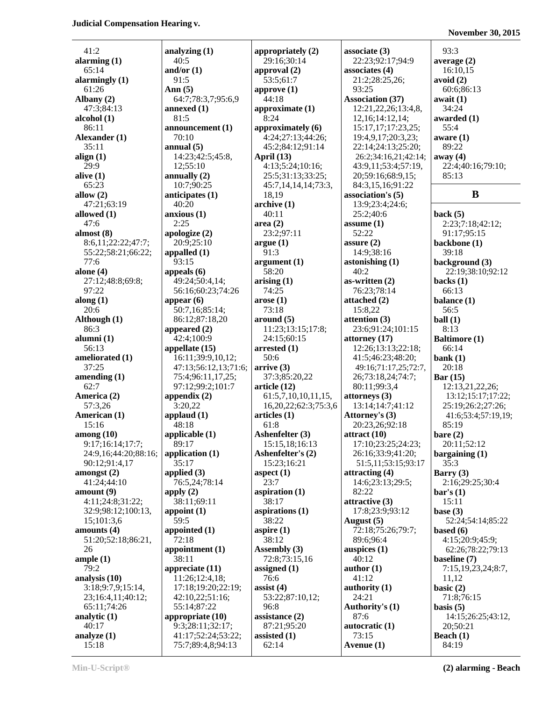41:2 **analyzing (1) analyzing (1) appropriately (2) associate (3)** 93:3<br>**alarming (1)** 40:5 29:16;30:14 22:23;92:17;94:9 **averag alarming (1)** 29:16;30:14 22:23;92:17;94:9 **average (2) and/or (1) approval (2) associates (4)** 16:10,15 65:14 **and/or (1) approval (2) associates (4)** 16:10,15 **alarmingly (1)** 91:5 53:5;61:7 21:2;28:25,26; **avoid (2)**<br>61:26 **Ann (5)** 93:25 25; **approve (1)** 93:25 60:6:86 61:26 **Ann (5) approve (1)** 93:25 60:6;86:13 **Albany (2)** 64:7;78:3,7;95:6,9 44:18 **Association (37) await (1)** 47:3;84:13 **annexed (1) approximate (1)** 12:21,22,26;13:4,8, 34:24 **alcohol (1)** 81:5 8:24 12,16;14:12,14; **awarded (1)** 86:11 **announcement (1) approximately (6)** 15:17,17;17:23,25; 55:4 **Alexander (1)** 70:10 4:24:27:13:44:26; 19:4.9,17:20:3.23; **aware (1)** 35:11 **annual (5)** 45:2;84:12;91:14 22:14;24:13;25:20; 89:22 **align (1)** 14:23;42:5;45:8, **April (13)** 26:2;34:16,21;42:14; **away (4)** 29:9 12;55:10 4:13;5:24;10:16; 43:9,11;53:4;57:19, 22:4;40:16;79:10; **alive (1) annually (2)** 25:5;31:13;33:25; 20;59:16;68:9,15; 85:13 65:23 10:7;90:25 45:7,14,14,14;73:3, 84:3,15,16;91:22 **allow (2) anticipates (1)** 18,19 **association's (5) B**<br>47:21:63:19 **a** 40:20 **archive (1)** 13:9;23:4;24:6; **allowed (1) anxious (1)** 40:11 25:2;40:6 **back (5)** 47:6 2:25 **area (2) assume (1)** 2:23;7:18;42:12; **almost (8) apologize (2)** 23:2;97:11 52:22 91:17;95:15 8:6,11;22:22;47:7; 20:9;25:10 **argue (1) assure (2) backbone (1)** 55:22;58:21;66:22; **appalled (1)** 91:3 14:9;38:16 39:18 77:6 93:15 **argument (1) astonishing (1) background (3) alone (4) appeals (6)** 58:20 40:2 <br>27:12:48:8;69:8; 49:24;50:4,14; **arising (1)** 40:2 **as-written (2) acks (1)** 27:12;48:8;69:8; **display:** 49:24:50:4,14; **arising (1) as-written (2)** 97:22 56:16;60:23;74:26 74:25 76:23;78:14 66:13 **along (1) appear (6) arose (1) attached (2) balance (1)** 20:6 50:7,16;85:14; 73:18 15:8,22 56:5 **Although (1)** 86:12;87:18,20 **around (5) attention (3) ball (1)** 86:3 **appeared (2)** 11:23;13:15;17:8; 23:6;91:24;101:15 8:13 **alumni (1)** 42:4;100:9 24:15;60:15 **attorney (17) Baltimore (1)** 56:13 **appellate (15) arrested (1)** 12:26;13:13;22:18; 66:14 **ameliorated (1)** 16:11;39:9,10,12; 50:6 41:5;46:23;48:20; **bank (1)** 37:25 47:13;56:12,13;71:6; **arrive (3)** 49:16;71:17,25;72:7, 20:18 **amending (1)** 75:4;96:11,17,25; 37:3;85:20,22 26;73:18,24;74:7; **Bar (15)**<br>62:7 97:12;99:2;101:7 **article (12)** 80:11:99:3.4 12:13. 62:7 97:12;99:2;101:7 **article (12)** 80:11;99:3,4 12:13,21,22,26; **America (2) appendix (2)** 61:5,7,10,10,11,15, **attorneys (3)** 13:12;15:17;17:22; 57:3,26 3:20,22 16,20,22;62:3;75:3,6 13:14;14:7;41:12 25:19;26:2;27:26; **American (1) applaud (1) articles (1) Attorney's (3)** 41:6;53:4;57:19,19; 15:16 1:8 | 48:18 | 61:8 | 20:23,26:92:18 | 85:19 **among (10)**<br> **applicable (1)**<br> **applicable (1)**<br> **ashenfelter (3)**<br> **attract (10)**<br> **attract (10)**<br> **bare (2)**<br> **bare (2)**<br> **z** 0:11:52:12<br> **d** 20:11:52:12 9:17;16:14;17:7; 89:17 15:15,18;16:13 17:10;23:25;24:23; 24:9,16;44:20;88:16; **application (1) Ashenfelter's (2)** 26:16;33:9;41:20; **bargaining (1)** 90:12;91:4,17 | 35:17 | 15:23;16:21 | 51:5,11;53:15;93:17 | 35:3 **amongst (2)**<br> **applied (3)**<br> **aspect (1)**<br> **aspect (1)**<br> **attracting (4)**<br> **Barry (3)**<br> **23:7**<br> **14:6;23:13;29:5;**<br> **2:16;29:25;30:4** 41:24;44:10 76:5,24;78:14 23:7 14:6;23:13;29:5; **amount (9) apply (2) aspiration (1)** 82:22 **bar's (1)** 4:11;24:8;31:22; 38:11;69:11 38:17 **attractive (3)** 15:11 32:9;98:12;100:13, **appoint (1) aspirations (1)** 17:8;23:9;93:12 **base (3)** 15;101:3,6 59:5 38:22 **August (5)** 52:24;54:14;85:22 **amounts (4) appointed (1) aspire (1)** 72:18;75:26;79:7; **based (6)** 51:20;52:18;86:21, 72:18 38:12 89:6;96:4 4:15;20:9;45:9; 26 **appointment (1) Assembly (3) auspices (1)** 62:26;78:22;79:13 **ample (1)** 38:11 72:8;73:15,16 40:12 **baseline (7)** 79:2 **appreciate (11) assigned (1) author (1)** 7:15,19,23,24;8:7, **analysis (10)** 11:26;12:4,18; 76:6 41:12 11,12 3:18;9:7,9;15:14, 17:18;19:20;22:19; **assist (4) authority (1) basic (2)** 23;16:4,11;40:12; 42:10,22;51:16; 53:22;87:10,12; 24:21 71:8;76:15 65:11;74:26 55:14;87:22 96:8 **Authority's (1) basis (5) analytic (1) appropriate (10) assistance (2)** 87:6 14:15:26:25:43:12, 40:17 9:3;28:11;32:17; 87:21;95:20 **autocratic (1)** 20;50:21 **analyze (1)** 41:17;52:24;53:22; **assisted (1)** 73:15 **Beach (1)** 15:18 75:7;89:4,8;94:13 62:14 **Avenue (1)** 84:19

47:21;63:19 40:20 **archive (1)** 13:9;23:4;24:6;

#### **November 30, 2015**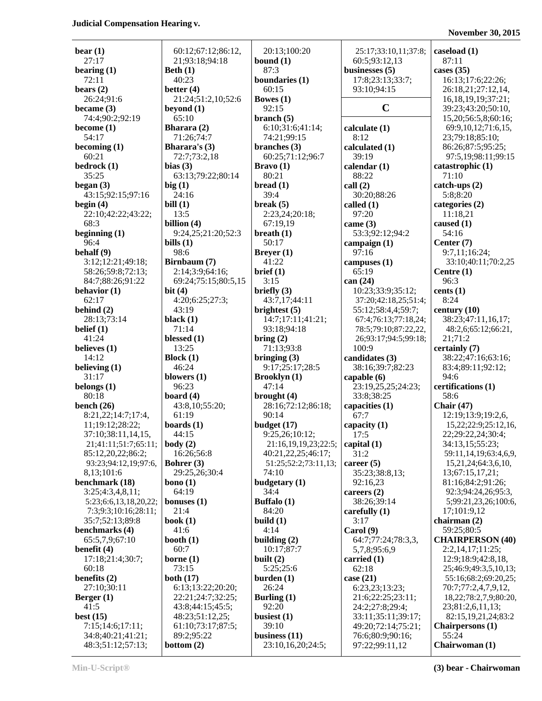| $\mathbf{bear}\left(1\right)$ | 60:12;67:12;86:12,     | 20:13;100:20         | 25:17;33:10,11;37:8; | caseload $(1)$          |
|-------------------------------|------------------------|----------------------|----------------------|-------------------------|
| 27:17                         | 21;93:18;94:18         | bound $(1)$          | 60:5;93:12,13        | 87:11                   |
| bearing $(1)$                 | Beth $(1)$             | 87:3                 | businesses $(5)$     | cases $(35)$            |
| 72:11                         | 40:23                  | boundaries (1)       | 17:8;23:13;33:7;     | 16:13;17:6;22:          |
| bears $(2)$                   | better $(4)$           | 60:15                | 93:10;94:15          | 26:18,21;27:12          |
| 26:24;91:6                    | 21:24;51:2,10;52:6     | Bowes $(1)$          |                      | 16, 18, 19, 19; 37      |
| became $(3)$                  | beyond $(1)$           | 92:15                | $\mathbf C$          | 39:23;43:20;50          |
| 74:4;90:2;92:19               | 65:10                  | branch $(5)$         |                      | 15,20;56:5,8;60         |
| become (1)                    | Bharara (2)            | 6:10;31:6;41:14;     | calculate $(1)$      | 69:9,10,12;71:          |
| 54:17                         | 71:26;74:7             | 74:21;99:15          | 8:12                 | 23;79:18;85:10          |
| becoming $(1)$                | <b>Bharara's</b> $(3)$ | branches $(3)$       | calculated (1)       | 86:26;87:5;95:2         |
| 60:21                         | 72:7;73:2,18           | 60:25;71:12;96:7     | 39:19                | 97:5,19;98:11;          |
| bedrock (1)                   | bias $(3)$             | Bravo(1)             | calendar $(1)$       | catastrophic (1)        |
| 35:25                         | 63:13;79:22;80:14      | 80:21                | 88:22                | 71:10                   |
| began $(3)$                   | big(1)                 | bread(1)             | call(2)              | $catch-ups(2)$          |
| 43:15;92:15;97:16             | 24:16                  | 39:4                 | 30:20;88:26          | 5:8:8:20                |
| begin (4)                     | bill(1)                | break $(5)$          | called $(1)$         | categories (2)          |
| 22:10;42:22;43:22;            | 13:5                   | 2:23,24;20:18;       | 97:20                | 11:18,21                |
| 68:3                          | billion (4)            | 67:19,19             | came $(3)$           | caused $(1)$            |
| beginning $(1)$               | 9:24,25;21:20;52:3     | breath(1)            | 53:3;92:12;94:2      | 54:16                   |
| 96:4                          | bills $(1)$            | 50:17                | campaign $(1)$       | Center (7)              |
| behalf (9)                    | 98:6                   | Breyer $(1)$         | 97:16                | 9:7,11;16:24;           |
| 3:12;12:21;49:18;             | Birnbaum (7)           | 41:22                | campuses $(1)$       | 33:10;40:11;70          |
| 58:26;59:8;72:13;             | 2:14;3:9;64:16;        | brief (1)            | 65:19                | Centre $(1)$            |
| 84:7;88:26;91:22              | 69:24;75:15;80:5,15    | 3:15                 | can (24)             | 96:3                    |
| behavior (1)                  | bit $(4)$              | briefly $(3)$        | 10:23;33:9;35:12;    | cents $(1)$             |
| 62:17                         | 4:20;6:25;27:3;        | 43:7,17;44:11        | 37:20;42:18,25;51:4; | 8:24                    |
| behind $(2)$                  | 43:19                  | brightest $(5)$      | 55:12;58:4,4;59:7;   | century (10)            |
| 28:13;73:14                   | black $(1)$            | 14:7;17:11;41:21;    | 67:4;76:13;77:18,24; | 38:23;47:11,16          |
| belief $(1)$                  | 71:14                  | 93:18;94:18          | 78:5;79:10;87:22,22, | 48:2,6;65:12;6          |
| 41:24                         | blessed $(1)$          | $\text{bring} (2)$   | 26;93:17;94:5;99:18; | 21;71:2                 |
| believes (1)                  | 13:25                  | 71:13;93:8           | 100:9                | certainly (7)           |
| 14:12                         | Block(1)               | bringing $(3)$       | candidates (3)       | 38:22;47:16;63          |
| believing (1)                 | 46:24                  | 9:17;25:17;28:5      | 38:16;39:7;82:23     | 83:4;89:11;92:          |
| 31:17                         | blowers $(1)$          | <b>Brooklyn</b> (1)  | capable $(6)$        | 94:6                    |
| belongs (1)                   | 96:23                  | 47:14                | 23:19,25,25;24:23;   | certifications (1)      |
| 80:18                         | board $(4)$            | brought (4)          | 33:8;38:25           | 58:6                    |
| bench $(26)$                  | 43:8,10;55:20;         | 28:16;72:12;86:18;   | capacities (1)       | Chair $(47)$            |
| 8:21,22;14:7;17:4,            | 61:19                  | 90:14                | 67:7                 | 12:19;13:9;19:          |
| 11;19:12;28:22;               | boards $(1)$           | budget (17)          | capacity $(1)$       | 15,22;22:9;25:          |
| 37:10;38:11,14,15,            | 44:15                  | 9:25,26;10:12;       | 17:5                 | 22;29:22,24;30          |
| 21;41:11;51:7;65:11;          | body(2)                | 21:16,19,19,23;22:5; | capital $(1)$        | 34:13,15;55:23          |
| 85:12,20,22;86:2;             | 16:26;56:8             | 40:21,22,25;46:17;   | 31:2                 | 59:11,14,19;63          |
| 93:23;94:12,19;97:6,          | Bohrer (3)             | 51:25;52:2;73:11,13; | career $(5)$         | 15,21,24;64:3,0         |
| 8,13;101:6                    | 29:25,26;30:4          | 74:10                | 35:23;38:8,13;       | 13;67:15,17,21          |
| benchmark (18)                | bono $(1)$             | budgetary (1)        | 92:16,23             | 81:16;84:2;91:2         |
| 3:25;4:3,4,8,11;              | 64:19                  | 34:4                 | careers $(2)$        | 92:3;94:24,26;          |
| 5:23;6:6,13,18,20,22;         | bonuses $(1)$          | Buffalo (1)          | 38:26;39:14          | 5;99:21,23,26;          |
| 7:3;9:3;10:16;28:11;          | 21:4                   | 84:20                | carefully $(1)$      | 17;101:9,12             |
| 35:7;52:13;89:8               | book $(1)$             | build $(1)$          | 3:17                 | chairman $(2)$          |
| benchmarks (4)                | 41:6                   | 4:14                 | Carol(9)             | 59:25;80:5              |
| 65:5,7,9;67:10                | booth $(1)$            | building $(2)$       | 64:7;77:24;78:3,3,   | <b>CHAIRPERSON</b>      |
| benefit (4)                   | 60:7                   | 10:17;87:7           | 5,7,8;95:6,9         | 2:2,14,17;11:2;         |
| 17:18;21:4;30:7;              | borne $(1)$            | built $(2)$          | carried $(1)$        | 12:9;18:9;42:8.         |
| 60:18                         | 73:15                  | 5:25;25:6            | 62:18                | 25;46:9;49:3,5,         |
| benefits (2)                  | both $(17)$            | burden(1)            | case $(21)$          | 55:16;68:2;69:2         |
| 27:10;30:11                   | 6:13;13:22;20:20;      | 26:24                | 6:23,23;13:23;       | 70:7;77:2,4,7,9         |
| Berger (1)                    | 22:21;24:7;32:25;      | Burling $(1)$        | 21:6;22:25;23:11;    | 18,22;78:2,7,9;         |
| 41:5                          | 43:8;44:15;45:5;       | 92:20                | 24:2;27:8;29:4;      | 23;81:2,6,11,13         |
| best (15)                     | 48:23;51:12,25;        | busiest $(1)$        | 33:11;35:11;39:17;   | 82:15,19,21,24          |
| 7:15;14:6;17:11;              | 61:10;73:17;87:5;      | 39:10                | 49:20;72:14;75:21;   | <b>Chairpersons</b> (1) |
| 34:8;40:21;41:21;             | 89:2;95:22             | business $(11)$      | 76:6;80:9;90:16;     | 55:24                   |
| 48:3;51:12;57:13;             | bottom $(2)$           | 23:10,16,20;24:5;    | 97:22;99:11,12       | Chairwoman (1)          |

**b** 6<sub>2</sub>, **b** 6<sub>2</sub> 20:13;100:20 **b** 25:17;33:10,11;37:8; **caseload (1) bound (1)** 60:5:93:12.13 87:11 26:45 **Bowes (1)** 2:15<br>**21:52:14:20:50:10. 21:53:21:20:50:10. 21:23:43:20:50:10. breath (1)** 53:3;92:12;94:2 54:16 21:16,19,19,23;22:5; **capital (1)** 

**bearing (1) Beth (1)** 87:3 **businesses (5) cases (35) boundaries (1)** 17:8;23:13;33:7; 16:13;17:6;22:26; 54:17 71:26;74:7 74:21;99:15 8:12 23;79:18;85:10; **branches (3) calculated (1)** 86:26;87:5;95:25; **bba ba calendar** (1) **catastrophic (1) catastrophic (1) bread** (1)  $\vert$  **call** (2)  $\vert$  **catch-ups** (2) 39:4 30:20;88:26 5:8;8:20 **break** (5) **called** (1) **categories** (2) 22:10;42:22;43:22; 13:5 2:23,24;20:18; 97:20 11:18,21 96:4 **bills (1)** 50:17 **campaign (1) Center (7) better (1)** 97:16 97:16 9:7,11;16:24; **briefly (3)** 10:23;33:9;35:12; **cents (1)** 62:17 4:20;6:25;27:3; 43:7,17;44:11 37:20;42:18,25;51:4; 8:24 **brightest (5) century (10)** 55:12;58:4,4;59:7; **century (10) bring (2)** 26;93:17;94:5;99:18; 21;71:2 **9:17;25:17;28:5** 38:16;39:7;82:23 83:4;89:11;92:12; **Brooklyn** (1) **capable (6)** 94:6 **belongs (1)** 96:23 47:14 23:19,25,25;24:23; **certifications (1) bench (26)** 43:8,10;55:20; 28:16;72:12;86:18; **capacities (1) Chair (47)** 90:14 67:7 12:19;13:9;19:2,6, 9:25,26;10:12;<br>21:16,19,19,23;22:5; capital (1) 22;29:22,24;30:4;<br>34:13,15;55:23; 74:10 <br>35:23;38:8,13; 13;67:15,17,21; **budgetary (1)** 92:16,23 81:16;84:2;91:26; 84:20 **carefully (1)** 17;101:9,12 **build (1)** 3:17 **chairman (2) b** 10:17;87:7 5,7,8;95:6,9 2:2,14,17;11:25; **built (2)**<br>5:25:25:6 **built (2)**<br>62:18 **carried (1)**<br>25:46:9;49:3,5,10,1 26:24 6:23,23;13:23; 70:7;77:2,4,7,9,12, 92:20 24:2;27:8;29:4; 23;81:2,6,11,13; 79:10 **139:10 149:20:72:14:75:21; <b>Chairpersons (1) business (11)** 76:6;80:9;90:16; 76:5:24

**bears (2) better (4)** 60:15 93:10;94:15 26:18,21;27:12,14, **b b b c c c b**  $\overline{S}$  39:23;43:20;50:10, **branch (5)** 15,20;56:5,8;60:16; **become (1) Bharara (2)** 6:10;31:6;41:14; **calculate (1)** 69:9,10,12;71:6,15, 60:25;71:12;96:7 | 39:19 97:5,19;98:11;99:15 41:22 **campuses (1)** 33:10;40:11;70:2,25 28:13;73:14 **black (1)** 14:7;17:11;41:21; 67:4;76:13;77:18,24; 38:23;47:11,16,17; **belief (1)** 78:5;79:10;87:22,22, 48:2,6;65:12;66:21, **bringing (3) candidates (3)** 38:22;47:16;63:16; **budget (17) capacity (1)** 15,22;22:9;25:12,16, 85:12,20,22;86:2; 16:26;56:8 40:21,22,25;46:17; 31:2 59:11,14,19;63:4,6,9, 93:23;94:12,19;97:6, **Bohrer (3)** 51:25;52:2;73:11,13; **career (5)** 15,21,24;64:3,6,10, 34:4 **careers (2)** 92:3;94:24,26;95:3, **Buffalo (1)** 38:26;39:14 5;99:21,23,26;100:6, **building (2)** 64:7;77:24;78:3,3, **CHAIRPERSON (40)** 62:18  $\vert$  25;46:9;49:3,5,10,13; **burden (1) case (21)** 55:16;68:2;69:20,25; **Burling (1)** 21:6;22:25;23:11; 18,22;78:2,7,9;80:20, **busiest (1)** 33:11;35:11;39:17; 82:15,19,21,24;83:2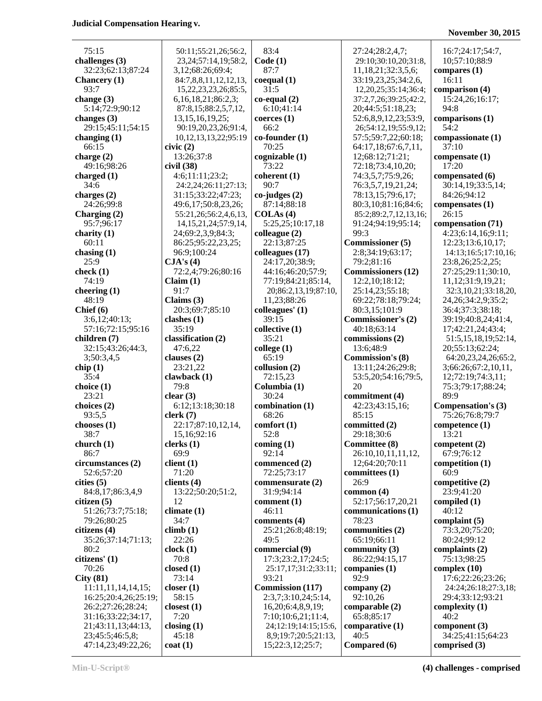# **November 30, 2015**

| 75:15                | 50:11;55:21,26;56:2,       | 83:4                    | 27:24;28:2,4,7;           | 16:7;24:17;54:7,         |
|----------------------|----------------------------|-------------------------|---------------------------|--------------------------|
| challenges $(3)$     | 23, 24; 57: 14, 19; 58: 2, | Code(1)                 | 29:10;30:10,20;31:8,      | 10;57:10;88:9            |
| 32:23;62:13;87:24    | 3,12;68:26;69:4;           | 87:7                    | 11,18,21;32:3,5,6;        | compares $(1)$           |
| <b>Chancery</b> (1)  | 84:7,8,8,11,12,12,13,      | coequal (1)             | 33:19,23,25;34:2,6,       | 16:11                    |
| 93:7                 | 15,22,23,23,26;85:5,       | 31:5                    | 12,20,25;35:14;36:4;      | comparison (4)           |
|                      |                            | $co-equal(2)$           |                           | 15:24,26;16:17;          |
| change $(3)$         | 6, 16, 18, 21; 86: 2, 3;   |                         | 37:2,7,26;39:25;42:2,     |                          |
| 5:14;72:9;90:12      | 87:8,15;88:2,5,7,12,       | 6:10;41:14              | 20;44:5;51:18,23;         | 94:8                     |
| changes $(3)$        | 13, 15, 16, 19, 25;        | coerces(1)              | 52:6,8,9,12,23;53:9,      | comparisons (1)          |
| 29:15;45:11;54:15    | 90:19,20,23,26;91:4,       | 66:2                    | 26;54:12,19;55:9,12;      | 54:2                     |
| changing $(1)$       | 10, 12, 13, 13, 22; 95: 19 | $co$ -founder $(1)$     | 57:5:59:7.22:60:18;       | compassionate (1)        |
| 66:15                | civic(2)                   | 70:25                   | 64:17,18;67:6,7,11,       | 37:10                    |
| charge $(2)$         | 13:26;37:8                 | cognizable (1)          | 12;68:12;71:21;           | compensate (1)           |
| 49:16;98:26          | civil (38)                 | 73:22                   | 72:18;73:4,10,20;         | 17:20                    |
|                      |                            |                         |                           |                          |
| charged $(1)$        | 4:6;11:11;23:2;            | coherent(1)             | 74:3,5,7;75:9,26;         | compensated (6)          |
| 34:6                 | 24:2,24;26:11;27:13;       | 90:7                    | 76:3,5,7,19,21,24;        | 30:14,19;33:5,14;        |
| charges $(2)$        | 31:15;33:22;47:23;         | $co$ -judges $(2)$      | 78:13,15;79:6,17;         | 84:26;94:12              |
| 24:26;99:8           | 49:6,17;50:8,23,26;        | 87:14;88:18             | 80:3,10;81:16;84:6;       | compensates $(1)$        |
| Charging $(2)$       | 55:21,26;56:2,4,6,13,      | COLAs(4)                | 85:2;89:2,7,12,13,16;     | 26:15                    |
| 95:7;96:17           | 14, 15, 21, 24; 57: 9, 14, | 5:25,25;10:17,18        | 91:24;94:19;95:14;        | compensation (71)        |
| charity $(1)$        | 24;69:2,3,9;84:3;          | colleague (2)           | 99:3                      | 4:23;6:14,16;9:11;       |
| 60:11                | 86:25;95:22,23,25;         | 22:13;87:25             | <b>Commissioner</b> (5)   | 12:23;13:6,10,17;        |
|                      |                            |                         |                           |                          |
| chasing $(1)$        | 96:9:100:24                | colleagues (17)         | 2:8;34:19;63:17;          | 14:13;16:5;17:10,16;     |
| 25:9                 | CJA's(4)                   | 24:17,20;38:9;          | 79:2;81:16                | 23:8,26;25:2,25;         |
| check $(1)$          | 72:2,4;79:26;80:16         | 44:16;46:20;57:9;       | <b>Commissioners (12)</b> | 27:25;29:11;30:10,       |
| 74:19                | Claim (1)                  | 77:19;84:21;85:14,      | 12:2,10;18:12;            | 11,12;31:9,19,21;        |
| cheering $(1)$       | 91:7                       | 20;86:2,13,19;87:10,    | 25:14,23;55:18;           | 32:3,10,21;33:18,20,     |
| 48:19                | Claims $(3)$               | 11,23;88:26             | 69:22;78:18;79:24;        | 24, 26; 34: 2, 9; 35: 2; |
| Chief (6)            | 20:3;69:7;85:10            | colleagues' (1)         | 80:3,15;101:9             | 36:4;37:3;38:18;         |
|                      |                            |                         |                           |                          |
| 3:6,12;40:13;        | clashes $(1)$              | 39:15                   | <b>Commissioner's (2)</b> | 39:19;40:8,24;41:4,      |
| 57:16;72:15;95:16    | 35:19                      | collective (1)          | 40:18;63:14               | 17;42:21,24;43:4;        |
| children (7)         | classification (2)         | 35:21                   | commissions (2)           | 51:5,15,18,19;52:14,     |
| 32:15;43:26;44:3,    | 47:6,22                    | $\text{college} (1)$    | 13:6;48:9                 | 20;55:13;62:24;          |
| 3;50:3,4,5           | clauses $(2)$              | 65:19                   | <b>Commission's (8)</b>   | 64:20,23,24,26;65:2,     |
| chip(1)              | 23:21,22                   | collusion (2)           | 13:11;24:26;29:8;         | 3;66:26;67:2,10,11,      |
| 35:4                 | clawback $(1)$             | 72:15,23                | 53:5,20;54:16;79:5,       | 12;72:19;74:3,11;        |
|                      | 79:8                       | Columbia (1)            | 20                        | 75:3;79:17;88:24;        |
| choice (1)           |                            |                         |                           |                          |
| 23:21                | clear(3)                   | 30:24                   | commitment (4)            | 89:9                     |
| choices (2)          | 6:12;13:18;30:18           | combination (1)         | 42:23;43:15,16;           | Compensation's (3)       |
| 93:5,5               | clerk(7)                   | 68:26                   | 85:15                     | 75:26;76:8;79:7          |
| chooses $(1)$        | 22:17;87:10,12,14,         | comfort(1)              | committed (2)             | competence (1)           |
| 38:7                 | 15,16;92:16                | 52:8                    | 29:18;30:6                | 13:21                    |
| church $(1)$         | clerks(1)                  | coming $(1)$            | <b>Committee (8)</b>      | competent $(2)$          |
| 86:7                 | 69:9                       | 92:14                   | 26:10,10,11,11,12,        | 67:9;76:12               |
|                      |                            |                         |                           |                          |
| circumstances (2)    | client(1)                  | commenced (2)           | 12;64:20;70:11            | competition (1)          |
| 52:6;57:20           | 71:20                      | 72:25;73:17             | committees (1)            | 60:9                     |
| cities (5)           | clients $(4)$              | commensurate (2)        | 26:9                      | competitive $(2)$        |
| 84:8,17;86:3,4,9     | 13:22;50:20;51:2,          | 31:9;94:14              | common $(4)$              | 23:9;41:20               |
| citizen(5)           | 12                         | comment $(1)$           | 52:17;56:17,20,21         | compiled $(1)$           |
| 51:26;73:7;75:18;    | climate $(1)$              | 46:11                   | communications (1)        | 40:12                    |
| 79:26;80:25          | 34:7                       | comments (4)            | 78:23                     | complaint $(5)$          |
| citizens (4)         | climb(1)                   |                         | communities (2)           | 73:3,20;75:20;           |
|                      |                            | 25:21;26:8;48:19;       |                           |                          |
| 35:26;37:14;71:13;   | 22:26                      | 49:5                    | 65:19;66:11               | 80:24;99:12              |
| 80:2                 | clock(1)                   | commercial (9)          | community $(3)$           | complaints $(2)$         |
| citizens' (1)        | 70:8                       | 17:3;23:2,17;24:5;      | 86:22;94:15,17            | 75:13;98:25              |
| 70:26                | closed $(1)$               | 25:17,17;31:2;33:11;    | companies $(1)$           | complex $(10)$           |
| City(81)             | 73:14                      | 93:21                   | 92:9                      | 17:6;22:26;23:26;        |
| 11:11,11,14,14,15;   | closer(1)                  | <b>Commission</b> (117) | company $(2)$             | 24:24;26:18;27:3,18;     |
| 16:25;20:4,26;25:19; | 58:15                      | 2:3,7;3:10,24;5:14,     | 92:10,26                  | 29:4;33:12;93:21         |
|                      |                            |                         |                           |                          |
| 26:2;27:26;28:24;    | closest $(1)$              | 16,20;6:4,8,9,19;       | comparable (2)            | complexity $(1)$         |
| 31:16;33:22;34:17,   | 7:20                       | 7:10;10:6,21;11:4,      | 65:8;85:17                | 40:2                     |
| 21;43:11,13;44:13,   | closing $(1)$              | 24;12:19;14:15;15:6,    | comparative $(1)$         | component $(3)$          |
| 23;45:5;46:5,8;      | 45:18                      | 8,9;19:7;20:5;21:13,    | 40:5                      | 34:25;41:15;64:23        |
| 47:14,23;49:22,26;   | $\cot(1)$                  | 15;22:3,12;25:7;        | Compared (6)              | comprised $(3)$          |

**Min-U-Script® (4) challenges - comprised**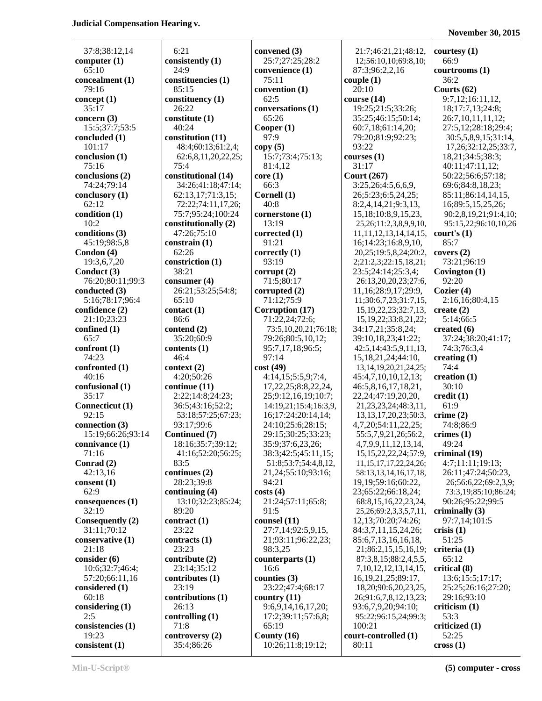**November 30, 2015**

| 37:8;38:12,14               | 6:21                                      | convened (3)                            | 21:7;46:21,21;48:12,                                       | courtesy              |
|-----------------------------|-------------------------------------------|-----------------------------------------|------------------------------------------------------------|-----------------------|
| computer $(1)$              | consistently (1)                          | 25:7;27:25;28:2                         | 12;56:10,10;69:8,10;                                       | 66:9                  |
| 65:10                       | 24:9                                      | convenience (1)                         | 87:3;96:2,2,16                                             | courtroo              |
| concealment (1)             | constituencies (1)                        | 75:11                                   | couple(1)                                                  | 36:2                  |
| 79:16                       | 85:15                                     | convention (1)                          | 20:10                                                      | Courts (              |
| concept $(1)$               | constituency (1)                          | 62:5                                    | course(14)                                                 | 9:7,12                |
| 35:17                       | 26:22                                     | conversations (1)                       | 19:25;21:5;33:26;                                          | 18;17:                |
| concern $(3)$               | constitute (1)                            | 65:26                                   | 35:25;46:15;50:14;                                         | 26:7,1                |
| 15:5;37:7;53:5              | 40:24                                     | Cooper $(1)$                            | 60:7,18;61:14,20;                                          | 27:5,1                |
| concluded (1)               | constitution (11)                         | 97:9                                    | 79:20;81:9;92:23;                                          | 30:5,5                |
| 101:17                      | 48:4;60:13;61:2,4;                        | copy(5)                                 | 93:22                                                      | 17,26                 |
| conclusion (1)              | 62:6,8,11,20,22,25;                       | 15:7;73:4;75:13;                        | course(1)                                                  | 18,21;                |
| 75:16                       | 75:4                                      | 81:4,12                                 | 31:17                                                      | 40:11;                |
| conclusions (2)             | constitutional (14)                       | core(1)                                 | <b>Court (267)</b>                                         | 50:22;                |
| 74:24;79:14                 | 34:26;41:18;47:14;                        | 66:3                                    | 3:25,26;4:5,6,6,9,                                         | 69:6;8                |
| conclusory (1)              | 62:13,17;71:3,15;                         | Cornell (1)                             | 26;5:23;6:5,24,25;                                         | 85:11;                |
| 62:12                       | 72:22;74:11,17,26;                        | 40:8                                    | 8:2,4,14,21;9:3,13,                                        | 16;89:<br>90:2,8      |
| condition(1)<br>10:2        | 75:7;95:24;100:24<br>constitutionally (2) | cornerstone (1)<br>13:19                | 15, 18; 10:8, 9, 15, 23,<br>25, 26; 11: 2, 3, 8, 9, 9, 10, | 95:15,                |
| conditions (3)              | 47:26;75:10                               | corrected(1)                            | 11, 11, 12, 13, 14, 14, 15,                                | court's (             |
| 45:19;98:5,8                | constrain (1)                             | 91:21                                   | 16;14:23;16:8,9,10,                                        | 85:7                  |
| Condon (4)                  | 62:26                                     | correctly (1)                           | 20,25;19:5,8,24;20:2,                                      | covers (2             |
| 19:3,6,7,20                 | constriction (1)                          | 93:19                                   | 2;21:2,3;22:15,18,21;                                      | 73:21;                |
| Conduct (3)                 | 38:21                                     | corrupt(2)                              | 23:5;24:14;25:3,4;                                         | Covingto              |
| 76:20;80:11;99:3            | consumer $(4)$                            | 71:5;80:17                              | 26:13,20,20,23;27:6,                                       | 92:20                 |
| conducted (3)               | 26:21;53:25;54:8;                         | corrupted $(2)$                         | 11,16;28:9,17;29:9,                                        | Cozier (4             |
| 5:16;78:17;96:4             | 65:10                                     | 71:12;75:9                              | 11;30:6,7,23;31:7,15,                                      | 2:16,1                |
| confidence (2)              | contact(1)                                | Corruption (17)                         | 15, 19, 22, 23; 32: 7, 13,                                 | create (2             |
| 21:10;23:23                 | 86:6                                      | 71:22,24;72:6;                          | 15, 19, 22; 33: 8, 21, 22;                                 | 5:14;6                |
| confined $(1)$              | contend (2)                               | 73:5,10,20,21;76:18;                    | 34:17,21;35:8,24;                                          | created (             |
| 65:7                        | 35:20;60:9                                | 79:26;80:5,10,12;                       | 39:10,18,23;41:22;                                         | 37:24;                |
| confront(1)                 | contents (1)                              | 95:7,17,18;96:5;                        | 42:5,14;43:5,9,11,13,                                      | 74:3;7                |
| 74:23                       | 46:4                                      | 97:14                                   | 15, 18, 21, 24; 44: 10,                                    | creating              |
| confronted (1)              | context (2)                               | cost(49)                                | 13, 14, 19, 20, 21, 24, 25;                                | 74:4                  |
| 40:16                       | 4:20;50:26                                | 4:14,15;5:5,9;7:4,                      | 45:4,7,10,10,12,13;                                        | creation              |
| confusional $(1)$           | continue (11)                             | 17,22,25;8:8,22,24,                     | 46:5,8,16,17,18,21,                                        | 30:10                 |
| 35:17                       | 2:22;14:8;24:23;                          | 25;9:12,16,19;10:7;                     | 22, 24; 47: 19, 20, 20,                                    | credit (1             |
| Connecticut (1)             | 36:5;43:16;52:2;                          | 14:19,21;15:4;16:3,9,                   | 21, 23, 23, 24; 48: 3, 11,                                 | 61:9                  |
| 92:15<br>connection (3)     | 53:18;57:25;67:23;<br>93:17;99:6          | 16;17:24;20:14,14;<br>24:10;25:6;28:15; | 13, 13, 17, 20, 23; 50: 3,<br>4,7,20;54:11,22,25;          | crime $(2)$<br>74:8;8 |
| 15:19;66:26;93:14           | Continued (7)                             | 29:15;30:25;33:23;                      | 55:5,7,9,21,26;56:2                                        | crimes (1             |
| connivance $(1)$            | 18:16;35:7;39:12;                         | 35:9;37:6,23,26;                        | 4,7,9,9,11,12,13,14,                                       | 49:24                 |
| 71:16                       | 41:16;52:20;56:25;                        | 38:3;42:5;45:11,15;                     | 15, 15, 22, 22, 24; 57: 9,                                 | criminal              |
| Conrad (2)                  | 83:5                                      | 51:8;53:7;54:4,8,12,                    | 11, 15, 17, 17, 22, 24, 26;                                | 4:7;11                |
| 42:13,16                    | continues $(2)$                           | 21,24;55:10;93:16;                      | 58:13,13,14,16,17,18,                                      | 26:11;                |
| $\text{consent}(1)$         | 28:23;39:8                                | 94:21                                   | 19, 19; 59: 16; 60: 22,                                    | 26;56                 |
| 62:9                        | continuing $(4)$                          | costs(4)                                | 23;65:22;66:18,24;                                         | 73:3,1                |
| consequences <sub>(1)</sub> | 13:10;32:23;85:24;                        | 21:24;57:11;65:8;                       | 68:8, 15, 16, 22, 23, 24,                                  | 90:26;                |
| 32:19                       | 89:20                                     | 91:5                                    | 25, 26; 69: 2, 3, 3, 5, 7, 11,                             | criminal              |
| Consequently (2)            | contract(1)                               | counsel $(11)$                          | 12,13;70:20;74:26;                                         | 97:7,1                |
| 31:11;70:12                 | 23:22                                     | 27:7,14;92:5,9,15,                      | 84:3,7,11,15,24,26;                                        | crisis $(1)$          |
| conservative (1)            | contracts $(1)$                           | 21;93:11;96:22,23;                      | 85:6,7,13,16,16,18,                                        | 51:25                 |
| 21:18                       | 23:23                                     | 98:3,25                                 | 21;86:2,15,15,16,19;                                       | criteria (            |
| consider (6)                | contribute $(2)$                          | counterparts $(1)$                      | 87:3,8,15;88:2,4,5,5,                                      | 65:12                 |
| 10:6;32:7;46:4;             | 23:14;35:12                               | 16:6                                    | 7, 10, 12, 12, 13, 14, 15,                                 | critical (            |
| 57:20;66:11,16              | contributes $(1)$                         | counties $(3)$                          | 16, 19, 21, 25; 89: 17,                                    | 13:6;1                |
| considered $(1)$            | 23:19                                     | 23:22;47:4;68:17                        | 18, 20; 90: 6, 20, 23, 25,                                 | 25:25;                |
| 60:18                       | contributions (1)<br>26:13                | country $(11)$<br>9:6,9,14,16,17,20;    | 26;91:6,7,8,12,13,23;<br>93:6,7,9,20;94:10;                | 29:16;<br>criticism   |
| considering $(1)$<br>2:5    | controlling $(1)$                         | 17:2;39:11;57:6,8;                      | 95:22;96:15,24;99:3;                                       | 53:3                  |
| consistencies (1)           | 71:8                                      | 65:19                                   | 100:21                                                     | criticized            |
| 19:23                       | controversy (2)                           | County $(16)$                           | court-controlled (1)                                       | 52:25                 |
| consistent $(1)$            | 35:4:86:26                                | 10:26:11:8:19:12                        | 80:11                                                      | $\csc(1)$             |
|                             |                                           |                                         |                                                            |                       |

37:8;38:12,14 6:21 **convened (3)** 21:7;46:21,21;48:12, **courtesy (1) consistently (1)** 25:7;27:25;28:2 12;56:10,10;69:8,10; 66:9 65:10 24:9 **convenience (1)** 87:3;96:2,2,16 **courtrooms (1) constituencies (1)** 75:11 **couple (1)** 36:2 79:16 85:15 **convention (1)** 20:10 **Courts (62) constituency (1)** 62:5 **course (14)** 9:7,12;16:11,12, 26:22 **conversations (1)** 19:25;21:5;33:26; 18;17:7,13;24:8; **constitute (1)** 65:26 <br> 35:25;46:15;50:14; 26:7,10,11,11,12; 15:5;37:7;53:5 40:24 **Cooper (1)** 60:7,18;61:14,20; 27:5,12;28:18;29:4; **constitution (11)** 97:9 79:20;81:9;92:23; 30:5,5,8,9,15;31:14, 101:17 48:4;60:13;61:2,4; **copy (5)** 93:22 17,26;32:12,25;33:7, **conclusion (1)** 62:6,8,11,20,22,25; 15:7;73:4;75:13; **courses (1)** 18,21;34:5;38:3; 75:16 75:4 81:4,12 31:17 40:11;47:11,12; **constitutional (14) core (1) court (267)** 50:22;56:6;57:18; 74:24;79:14 34:26;41:18;47:14; 66:3 3:25,26;4:5,6,6,9, 69:6;84:8,18,23; **conclusory (1)** 62:13,17;71:3,15; **Cornell (1)** 26;5:23;6:5,24,25; 85:11;86:14,14,15, 62:12 72:22;74:11,17,26; 40:8 8:2,4,14,21;9:3,13, 16;89:5,15,25,26; **condition (1)** 75:7;95:24;100:24 **cornerstone (1)** 15,18;10:8,9,15,23, 90:2,8,19,21;91:4,10; **constitutionally (2)** 13:19 25,26;11:2,3,8,9,9,10, 95:15,22;96:10,10,26 **conditions (3)** 47:26;75:10 **corrected (1)** 11,11,12,13,14,14,15, **court's (1) constrain (1)** 91:21 16;14:23;16:8,9,10, 85:7 **Condon (4) correctly (1)** 20,25;19:5,8,24;20:2, **covers (2) constriction (1)** 93:19 2;21:2,3;22:15,18,21; 73:21;96:19 **Conduct (3) corrupt (2) corrupt (2)** 23:5;24:14;25:3,4; **Covington (1)** 23:5 **consumer (4)** 71:5;80:17 26:13,20,20,23;27:6, 92:20 **conducted (3)** 26:21;53:25;54:8; **corrupted (2)** 11,16;28:9,17;29:9, **Cozier (4)** 65:10 11:12;75:9 11:30:6,7,23;31:7,15, 2:16,16;80:4,15 **contact (1) contact (1) contact (1) contact (1) contact (2) contact (2) c** 86:6 71:22,24;72:6; 15,19,22;33:8,21,22; 5:14;66:5 **contend (2) contend (2)** 73:5,10,20,21;76:18; 34:17,21;35:8,24; **created (6)** 65:7 35:20;60:9 79:26;80:5,10,12; 39:10,18,23;41:22; 37:24;38:20;41:17; **contents (1)** 95:7,17,18;96:5; 42:5,14;43:5,9,11,13, 74:3;76:3,4 74:23 46:4 97:14 15,18,21,24;44:10, **creating (1) context (2) cost (49)** 13,14,19,20,21,24,25; 74:4 40:16 4:20;50:26 4:14,15;5:5,9;7:4, 45:4,7,10,10,12,13; **creation (1) continue (11)** 17,22,25;8:8,22,24, 46:5,8,16,17,18,21, 30:10 35:17 2:22;14:8;24:23; 25;9:12,16,19;10:7; 22,24;47:19,20,20, **credit (1) Connecticut (1)** 36:5;43:16;52:2; 14:19,21;15:4;16:3,9, 21,23,23,24;48:3,11, 61:9 92:15 53:18;57:25;67:23; 16;17:24;20:14,14; 13,13,17,20,23;50:3, **crime (2) connection (3)** 93:17;99:6 24:10;25:6;28:15; 4,7,20;54:11,22,25; 74:8;86:9 **15:19:19:19:19:19:20:25:33:23; 15:5,7,9,21,26:56:2, crimes (1)** 29:15:30:25:33:23; 55:5,7,9,21,26:56:2, **crimes (1) connivance (1)** 18:16;35:7;39:12; 35:9;37:6,23,26; 4,7,9,9,11,12,13,14, 49:24 71:16 41:16;52:20;56:25; 38:3;42:5;45:11,15; 15,15,22,22,24;57:9, **criminal (19) Conrad (2)** 83:5 51:8;53:7;54:4,8,12, 11,15,17,17,22,24,26; 4:7;11:11;19:13; continues (2)  $\vert$  21,24;55:10;93:16;  $\vert$  58:13,13,14,16,17,18, 26:11;47:24;50:23, **consent (20:23;39:8** 94:21 19,19;59:16;60:22, 26;56:6,22;69:2,3,9; **continuing (4) costs (4) costs (4)** 23;65:22;66:18,24; 73:3,19;85:10;86:24; **consequences (1)** 13:10;32:23;85:24; 21:24;57:11;65:8; 68:8,15,16,22,23,24, 90:26;95:22;99:5 32:19 89:20 91:5 25,26;69:2,3,3,5,7,11, **criminally (3) Contract (1) counsel (11)** 12,13;70:20;74:26; 97:7,14;101:5 23:22 23:22 27:7,14:92:5,9,15, 84:3,7,11,15,24,26; **crisis (1) contracts (1)** 21;93:11;96:22,23; 85:6,7,13,16,16,18, 51:25 21:18 23:23 98:3,25 21;86:2,15,15,16,19; **criteria (1) contribute (2) counterparts (1)** 87:3,8,15;88:2,4,5,5, 65:12 23:14;35:12 | 16:6 | 7,10,12,12,13,14,15, **critical (8) contributes (1) counties (3)** 16,19,21,25;89:17, 13:6;15:5;17:17; **considered (1)** 23:19 23:22;47:4;68:17 18,20;90:6,20,23,25, 25:25;26:16;27:20; **contributions (1) country (11)** 26;91:6,7,8,12,13,23; 29:16;93:10 **considering (1)** 26:13 9:6,9,14,16,17,20; 93:6,7,9,20;94:10; **criticism (1) controlling (1)** 17:2;39:11;57:6,8; 95:22;96:15,24;99:3; 53:3 **consistencies (1)** 71:8 65:19 100:21 **criticized (1)** 19:23 **controversy (2) County (16) court-controlled (1)** 52:25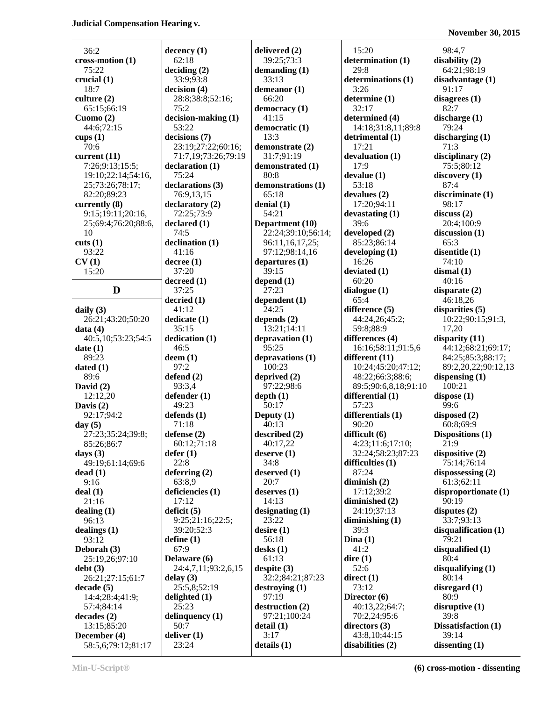**November 30, 2015**

| 36:2                     | dec                   |
|--------------------------|-----------------------|
| $cross-motion (1)$       | 6                     |
| 75:22                    | dec                   |
| crucial (1)              | 3                     |
| 18:7                     | dec                   |
| culture $(2)$            | 2<br>7                |
| 65:15;66:19<br>Cuomo (2) | dec                   |
| 44:6;72:15               | 5                     |
| cups $(1)$               | dec                   |
| 70:6                     | 2                     |
| current $(11)$           | 7                     |
| 7:26;9:13;15:5;          | dec                   |
| 19:10;22:14;54:16,       | 7                     |
| 25;73:26;78:17;          | dec                   |
| 82:20;89:23              | 7                     |
| currently (8)            | dec                   |
| 9:15;19:11;20:16,        | 7                     |
| 25;69:4;76:20;88:6,      | dec                   |
| 10                       | 7                     |
| cuts(1)                  | dec                   |
| 93:22                    | 4                     |
| CV(1)                    | dec                   |
| 15:20                    | 3                     |
| D                        | dec<br>3              |
| daily $(3)$              | dec<br>$\overline{4}$ |
| 26:21;43:20;50:20        | ded                   |
| data(4)                  | 3                     |
| 40:5,10;53:23;54:5       | ded                   |
| date(1)                  | 4                     |
| 89:23                    | dee                   |
| dated $(1)$              | 9                     |
| 89:6                     | def                   |
| David (2)                | 9                     |
| 12:12,20                 | def                   |
| Davis $(2)$              | 4                     |
| 92:17;94:2               | def                   |
| day $(5)$                | 7                     |
| 27:23;35:24;39:8;        | def                   |
| 85:26;86:7               | 6                     |
| days $(3)$               | def                   |
| 49:19;61:14;69:6         | 2                     |
| dead(1)                  | def                   |
| 9:16                     | 6                     |
| deal(1)                  | defi                  |
| 21:16                    | 1                     |
| dealing(1)               | defi                  |
| 96:13                    | 9                     |
| dealings (1)             | 3                     |
| 93:12                    | defi                  |
| Deborah (3)              | 6                     |
| 25:19,26;97:10           | Del                   |
| debt(3)                  | $\overline{2}$        |
| 26:21;27:15;61:7         | del:                  |
| decade (5)               | 2                     |
| 14:4;28:4;41:9;          | deli                  |
| 57:4;84:14               | 2                     |
| decades(2)               | deli                  |
| 13:15;85:20              | 5                     |
| December (4)             | deli                  |
| 58:5,6;79:12;81:17       | 2                     |

**dency** (1) 62:18 **deciding (2)** 33:9;93:8 decision (4) 28:8;38:8;52:16;  $5:2$ **decision-making (1)** 53:22 **decisions (7)** 23:19;27:22;60:16; 71:7,19;73:26;79:19 declaration (1) 75:24 declarations (3) 76:9,13,15 declaratory (2)  $72:25:73:9$ declared (1)  $4:5$ **declination (1)** 41:16 decree (1) 37:20 decreed (1) 37:25 **decried (1)** 41:12 **dicate** (1) 35:15 **dication** (1)  $46:5$ **em (1)**  $7:2$ **defend (2)** 93:3,4 **dender (1)** 49:23 **defends (1)** 71:18 **defense (2)** 60:12;71:18 **defer (1)** 22:8 derring (2) 63:8,9 **deficiencies (1)** 17:12 **deficit (5)**  $:25;21:16;22:5;$ 39:20;52:3 **ine** (1) 67:9 delayare (6) 24:4,7,11;93:2,6,15 **delay (3)**  $25:5,8:52:19$ delighted (1) 25:23 **diamage inquency (1)** 50:7 **diver** (1) 23:24

**delivered (2)** 39:25;73:3 **demanding (1)** 33:13 **demeanor (1)** 66:20 **democracy (1)** 41:15 **democratic (1)** 13:3 **demonstrate (2)** 31:7;91:19 **demonstrated (1)** 80:8 **demonstrations (1)** 65:18 **denial (1)** 54:21 **Department (10)** 22:24;39:10;56:14; 96:11,16,17,25; 97:12;98:14,16 **departures (1)** 39:15 **depend (1)** 27:23 **dependent (1)** 24:25 **depends (2)** 13:21;14:11 **depravation (1)** 95:25 **depravations (1)** 100:23 **deprived (2)** 97:22;98:6 **depth (1)** 50:17 **Deputy (1)** 40:13 **described (2)** 40:17,22 **deserve (1)** 34:8 **deserved (1)** 20:7 **deserves (1)** 14:13 **designating (1)** 23:22 **desire (1)** 56:18 **desks (1)** 61:13 **despite (3)** 32:2;84:21;87:23 **destroying (1)** 97:19 **destruction (2)** 97:21;100:24 **detail (1)** 3:17 **details (1)**

15:20 **determination (1)** 29:8 **determinations (1)** 3:26 **determine (1)** 32:17 **determined (4)** 14:18;31:8,11;89:8 **detrimental (1)** 17:21 **devaluation (1)** 17:9 **devalue (1)** 53:18 **devalues (2)** 17:20;94:11 **devastating (1)** 39:6 **developed (2)** 85:23;86:14 **developing (1)** 16:26 **deviated (1)** 60:20 **dialogue (1)** 65:4 **difference (5)** 44:24,26;45:2; 59:8;88:9 **differences (4)** 16:16;58:11;91:5,6 **different (11)** 10:24;45:20;47:12; 48:22;66:3;88:6; 89:5;90:6,8,18;91:10 **differential (1)** 57:23 **differentials (1)** 90:20 **difficult (6)** 4:23;11:6;17:10; 32:24;58:23;87:23 **difficulties (1)** 87:24 **diminish (2)** 17:12;39:2 **diminished (2)** 24:19;37:13 **diminishing (1)** 39:3 **Dina (1)** 41:2 **dire (1)** 52:6 **direct (1)** 73:12 **Director (6)** 40:13,22;64:7; 70:2,24;95:6 **directors (3)** 43:8,10;44:15 **disabilities (2)**

98:4,7 **disability (2)** 64:21;98:19 **disadvantage (1)** 91:17 **disagrees (1)** 82:7 **discharge (1)** 79:24 **discharging (1)** 71:3 **disciplinary (2)** 75:5;80:12 **discovery (1)** 87:4 **discriminate (1)** 98:17 **discuss (2)** 20:4;100:9 **discussion (1)** 65:3 **disentitle (1)** 74:10 **dismal (1)** 40:16 **disparate (2)** 46:18,26 **disparities (5)** 10:22;90:15;91:3, 17,20 **disparity (11)** 44:12;68:21;69:17; 84:25;85:3;88:17; 89:2,20,22;90:12,13 **dispensing (1)** 100:21 **dispose (1)** 99:6 **disposed (2)** 60:8;69:9 **Dispositions (1)** 21:9 **dispositive (2)** 75:14;76:14 **dispossessing (2)** 61:3;62:11 **disproportionate (1)** 90:19 **disputes (2)** 33:7;93:13 **disqualification (1)** 79:21 **disqualified (1)** 80:4 **disqualifying (1)** 80:14 **disregard (1)** 80:9 **disruptive (1)** 39:8 **Dissatisfaction (1)** 39:14 **dissenting (1)**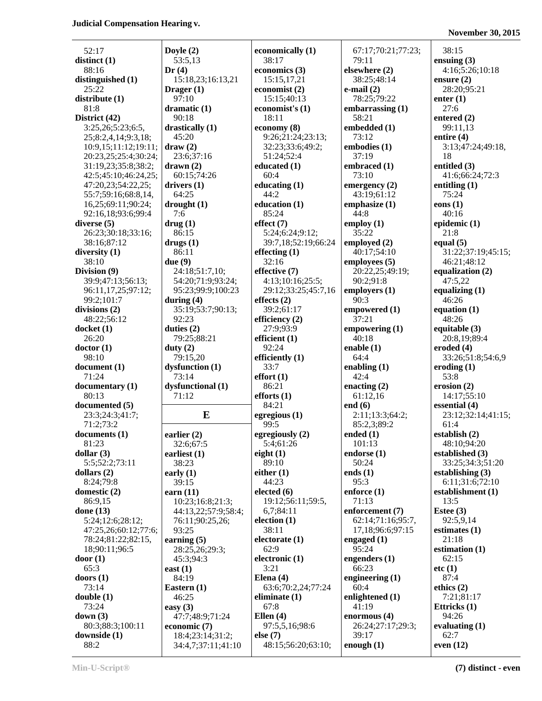**November 30, 2015**

| 52:17                                       | Doyle                 |
|---------------------------------------------|-----------------------|
| distinct (1)                                | 53:5                  |
| 88:16<br>distinguished (1)                  | Dr(4)<br>15:1         |
| 25:22                                       | Drager                |
| distribute (1)                              | 97:1                  |
| 81:8                                        | drama                 |
| District (42)<br>3:25,26;5:23;6:5,          | 90:1<br>drastic       |
| 25;8:2,4,14;9:3,18;                         | 45:2                  |
| 10:9,15;11:12;19:11;                        | draw (                |
| 20:23,25;25:4;30:24;                        | 23:6                  |
| 31:19,23;35:8;38:2;<br>42:5;45:10;46:24,25; | drawn<br>60:1         |
| 47:20,23;54:22,25;                          | driver:               |
| 55:7;59:16;68:8,14,                         | 64:2                  |
| 16,25;69:11;90:24;<br>92:16,18;93:6;99:4    | drougl<br>7:6         |
| diverse (5)                                 | drug(1                |
| 26:23;30:18;33:16;                          | 86:1                  |
| 38:16;87:12                                 | drugs                 |
| diversity (1)<br>38:10                      | 86:1                  |
| Division (9)                                | due(9)<br>24:1        |
| 39:9;47:13;56:13;                           | 54:2                  |
| 96:11,17,25;97:12;                          | 95:2                  |
| 99:2;101:7<br>divisions (2)                 | during<br>35:1        |
| 48:22;56:12                                 | 92:2                  |
| docket (1)                                  | duties                |
| 26:20                                       | 79:2                  |
| doctor(1)<br>98:10                          | duty (2<br>79:1       |
| document (1)                                | dysfun                |
| 71:24                                       | 73:1                  |
| documentary (1)<br>80:13                    | dysfun<br>71:1        |
| documented (5)                              |                       |
| 23:3;24:3;41:7;                             |                       |
| 71:2;73:2                                   |                       |
| documents(1)<br>81:23                       | earlier<br>32:6       |
| dollar (3)                                  | earlies               |
| 5:5;52:2;73:11                              | 38:2                  |
| dollars (2)<br>8:24;79:8                    | early (<br>39:1       |
| domestic (2)                                | earn (1               |
| 86:9,15                                     | 10:2                  |
| done (13)                                   | 44:1                  |
| 5:24;12:6;28:12;<br>47:25,26;60:12;77:6;    | 76:1<br>93:2          |
| 78:24;81:22;82:15,                          | earnin                |
| 18;90:11;96:5                               | 28:2                  |
| door(1)                                     | 45:3                  |
| 65:3                                        | east (1)              |
| doors(1)<br>73:14                           |                       |
|                                             | 84:1                  |
| double (1)                                  | <b>Easter</b><br>46:2 |
| 73:24                                       | easy (3               |
| down (3)                                    | 47:7                  |
| 80:3;88:3;100:11<br>downside (1)            | econon<br>18:4        |

| yle (2)<br>3:5,13                      | economically (1)<br>38:17         |
|----------------------------------------|-----------------------------------|
| (4)                                    | economics (3)                     |
| 15:18,23;16:13,21                      | 15:15,17,21                       |
| ager(1)<br>)7:10                       | economist (2)<br>15:15;40:13      |
| amatic (1)                             | economist's (1)                   |
| 90:18                                  | 18:11                             |
| stically (1)<br>15:20                  | economy (8)<br>9:26;21:24;23:13;  |
| uw(2)                                  | 32:23;33:6;49:2;                  |
| 23:6;37:16                             | 51:24:52:4                        |
| um(2)<br>60:15;74:26                   | educated (1)<br>60:4              |
| vers(1)                                | educating $(1)$                   |
| 54:25                                  | 44:2                              |
| $\text{ought}$ (1)                     | education (1)                     |
| 1:6<br>ıg (1)                          | 85:24<br>effect (7)               |
| 36:15                                  | 5:24;6:24;9:12;                   |
| 1gs (1)                                | 39:7,18;52:19;66:24               |
| 36:11<br>e(9)                          | effecting $(1)$<br>32:16          |
| 24:18;51:7,10;                         | effective (7)                     |
| 54:20;71:9;93:24;                      | 4:13;10:16;25:5;                  |
| 95:23;99:9;100:23                      | 29:12;33:25;45:7,10               |
| ring(4)<br>35:19;53:7;90:13;           | effects $(2)$<br>39:2;61:17       |
| 2:23                                   | efficiency (2)                    |
| ties $(2)$                             | 27:9;93:9                         |
| 79:25;88:21                            | efficient $(1)$<br>92:24          |
| ty(2)                                  |                                   |
|                                        |                                   |
| 79:15,20<br>sfunction (1)              | efficiently (1)<br>33:7           |
| 73:14                                  | effort(1)                         |
| sfunctional (1)                        | 86:21                             |
| 71:12                                  | efforts(1)<br>84:21               |
| E                                      | egregious (1)                     |
|                                        | 99:5                              |
| $r$ lier $(2)$                         | egregiously (2)                   |
| 32:6;67:5<br>liest (1)                 | 5:4;61:26<br>eight $(1)$          |
| 38:23                                  | 89:10                             |
| $\exists y(1)$                         | either $(1)$                      |
| 39:15                                  | 44:23<br>elected $(6)$            |
| n (11)<br>10:23;16:8;21:3;             | 19:12;56:11;59:5,                 |
| 44:13,22;57:9;58:4;                    | 6,7;84:11                         |
| 76:11;90:25,26;                        | election (1)                      |
| 3:25<br>$\min(g(5))$                   | 38:11<br>electorate (1)           |
| 28:25,26;29:3;                         | 62:9                              |
| 15:3;94:3                              | electronic (1)                    |
| t(1)                                   | 3:21                              |
| 34:19<br>stern (1)                     | Elena $(4)$<br>63:6;70:2,24;77:24 |
| 16:25                                  | eliminate (1)                     |
| y(3)                                   | 67:8                              |
| 17:7;48:9;71:24<br>nomic (7)           | Ellen $(4)$<br>97:5,5,16;98:6     |
| 18:4;23:14;31:2;<br>34:4,7;37:11;41:10 | else (7)<br>48:15;56:20;63:10;    |

 $4:23:13;$ 2:19;66:24 25;45:7,16  $1:59:5$ 63:6;70:2,24;77:24 67:17;70:21;77:23; 79:11 **elsewhere (2)** 38:25;48:14 **e-mail (2)** 78:25;79:22 **embarrassing (1)** 58:21 **embedded (1)** 73:12 **embodies (1)** 37:19 **embraced (1)** 73:10 **emergency (2)** 43:19;61:12 **emphasize (1)** 44:8 **employ (1)** 35:22 **employed (2)** 40:17;54:10 **employees (5)** 20:22,25;49:19; 90:2;91:8 **employers (1)** 90:3 **empowered (1)** 37:21 **empowering (1)** 40:18 **enable (1)** 64:4 **enabling (1)** 42:4 **enacting (2)** 61:12,16 **end (6)** 2:11;13:3;64:2; 85:2,3;89:2 **ended (1)** 101:13 **endorse (1)** 50:24 **ends (1)** 95:3 **enforce (1)** 71:13 **enforcement (7)** 62:14;71:16;95:7, 17,18;96:6;97:15 **engaged (1)** 95:24 **engenders (1)** 66:23 **engineering (1)** 60:4 **enlightened (1)** 41:19 **enormous (4)** 26:24;27:17;29:3; 39:17 **enough (1)**

38:15 **ensuing (3)** 4:16;5:26;10:18 **ensure (2)** 28:20;95:21 **enter (1)** 27:6 **entered (2)** 99:11,13 **entire (4)** 3:13;47:24;49:18, 18 **entitled (3)** 41:6;66:24;72:3 **entitling (1)** 75:24 **eons (1)** 40:16 **epidemic (1)** 21:8 **equal (5)** 31:22;37:19;45:15; 46:21;48:12 **equalization (2)** 47:5,22 **equalizing (1)** 46:26 **equation (1)** 48:26 **equitable (3)** 20:8,19;89:4 **eroded (4)** 33:26;51:8;54:6,9 **eroding (1)** 53:8 **erosion (2)** 14:17;55:10 **essential (4)** 23:12;32:14;41:15; 61:4 **establish (2)** 48:10;94:20 **established (3)** 33:25;34:3;51:20 **establishing (3)** 6:11;31:6;72:10 **establishment (1)** 13:5 **Estee (3)** 92:5,9,14 **estimates (1)** 21:18 **estimation (1)** 62:15 **etc (1)** 87:4 **ethics (2)** 7:21;81:17 **Ettricks (1)** 94:26 **evaluating (1)** 62:7 **even (12)**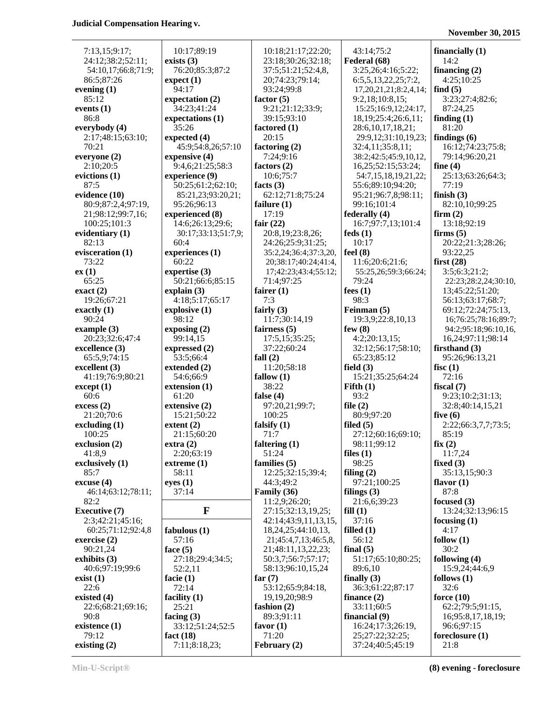#### **November 30, 2015**

| 7:13.15:9:17                                    | 10:17;89:19                         | 10:18;21:17;22:20;      | 43:14;75:2                   | financially   |
|-------------------------------------------------|-------------------------------------|-------------------------|------------------------------|---------------|
| 24:12;38:2;52:11;                               | exists $(3)$                        | 23:18;30:26;32:18;      | Federal (68)                 | 14:2          |
| 54:10,17;66:8;71:9;                             | 76:20;85:3;87:2                     | 37:5;51:21;52:4,8,      | 3:25,26;4:16;5:22;           | financing     |
| 86:5;87:26                                      | expect(1)                           | 20;74:23;79:14;         | 6:5,5,13,22,25;7:2,          | 4:25;10:      |
| evening $(1)$                                   | 94:17                               | 93:24;99:8              | 17, 20, 21, 21; 8: 2, 4, 14; | find(5)       |
| 85:12                                           | expectation (2)                     | factor $(5)$            | 9:2,18;10:8,15;              | 3:23;27:      |
| events $(1)$                                    | 34:23;41:24                         | 9:21;21:12;33:9;        | 15:25;16:9,12;24:17,         | 87:24,25      |
| 86:8                                            | expectations (1)                    | 39:15;93:10             | 18, 19; 25: 4; 26: 6, 11;    | finding $(1)$ |
| everybody (4)                                   | 35:26                               | factored $(1)$          | 28:6, 10, 17, 18, 21;        | 81:20         |
| 2:17;48:15;63:10;                               | expected (4)                        | 20:15                   | 29:9,12;31:10,19,23;         | findings (6   |
| 70:21                                           | 45:9;54:8,26;57:10                  | factoring (2)           | 32:4,11;35:8,11;             | 16:12;74      |
|                                                 | expensive (4)                       | 7:24;9:16               | 38:2;42:5;45:9,10,12,        | 79:14;96      |
| everyone (2)<br>2:10;20:5                       | 9:4,6;21:25;58:3                    | factors $(2)$           | 16,25;52:15;53:24;           | fine $(4)$    |
|                                                 |                                     | 10:6;75:7               |                              | 25:13;63      |
| evictions (1)<br>87:5                           | experience (9)<br>50:25;61:2;62:10; | facts $(3)$             | 54:7,15,18,19,21,22;         | 77:19         |
| evidence (10)                                   |                                     |                         | 55:6;89:10;94:20;            | finish $(3)$  |
|                                                 | 85:21,23;93:20,21;                  | 62:12;71:8;75:24        | 95:21;96:7,8;98:11;          |               |
| 80:9;87:2,4;97:19,                              | 95:26;96:13                         | failure $(1)$           | 99:16;101:4                  | 82:10,10      |
| 21;98:12;99:7,16;                               | experienced (8)                     | 17:19                   | federally (4)                | firm(2)       |
| 100:25;101:3                                    | 14:6;26:13;29:6;                    | fair $(22)$             | 16:7;97:7,13;101:4           | 13:18;92      |
| evidentiary (1)                                 | 30:17;33:13;51:7,9;                 | 20:8,19;23:8,26;        | feds(1)                      | firms $(5)$   |
| 82:13                                           | 60:4                                | 24:26;25:9;31:25;       | 10:17                        | 20:22;21      |
| evisceration (1)                                | experiences (1)                     | 35:2,24;36:4;37:3,20,   | feel $(8)$                   | 93:22,25      |
| 73:22                                           | 60:22                               | 20;38:17;40:24;41:4,    | 11:6;20:6;21:6;              | first $(28)$  |
| ex(1)                                           | expertise (3)                       | 17;42:23;43:4;55:12;    | 55:25,26;59:3;66:24;         | 3:5;6:3;2     |
| 65:25                                           | 50:21;66:6;85:15                    | 71:4;97:25              | 79:24                        | 22:23;28      |
| exact(2)                                        | explain $(3)$                       | fairer $(1)$            | fees $(1)$                   | 13;45:22      |
| 19:26;67:21                                     | 4:18;5:17;65:17                     | 7:3                     | 98:3                         | 56:13;63      |
| exactly $(1)$                                   | explosive (1)                       | fairly $(3)$            | Feinman (5)                  | 69:12;72      |
| 90:24                                           | 98:12                               | 11:7;30:14,19           | 19:3,9;22:8,10,13            | 16;76:2.      |
| example $(3)$                                   | exposing (2)                        | fairness $(5)$          | few $(8)$                    | 94:2;95:      |
| 20:23;32:6;47:4                                 | 99:14,15                            | 17:5,15;35:25;          | 4:2;20:13,15;                | 16,24;97      |
| excellence (3)                                  | expressed $(2)$                     | 37:22;60:24             | 32:12;56:17;58:10;           | firsthand (   |
| 65:5,9;74:15                                    | 53:5;66:4                           | fall $(2)$              | 65:23;85:12                  | 95:26;96      |
| excellent (3)                                   | extended (2)                        | 11:20;58:18             | field $(3)$                  | fisc $(1)$    |
| 41:19;76:9;80:21                                | 54:6;66:9                           | fallow $(1)$            | 15:21;35:25;64:24            | 72:16         |
| except (1)                                      | extension (1)                       | 38:22                   | Fifth $(1)$                  | fiscal $(7)$  |
| 60:6                                            | 61:20                               | false $(4)$             | 93:2                         | 9:23;10:      |
| excess(2)                                       | extensive (2)                       | 97:20,21;99:7;          | file $(2)$                   | 32:8;40:      |
| 21:20;70:6                                      | 15:21;50:22                         | 100:25                  | 80:9;97:20                   | five $(6)$    |
| $\boldsymbol{\mathrm{excluding}}\left(1\right)$ | extent $(2)$                        | falsify $(1)$           | filed $(5)$                  | 2:22;66:      |
| 100:25                                          | 21:15;60:20                         | 71:7                    | 27:12;60:16;69:10;           | 85:19         |
| exclusion (2)                                   | extra(2)                            | faltering $(1)$         | 98:11;99:12                  | fix(2)        |
| 41:8.9                                          | 2:20;63:19                          | 51:24                   | files $(1)$                  | 11:7,24       |
| exclusively (1)                                 | extreme(1)                          | families $(5)$          | 98:25                        | fixed $(3)$   |
| 85:7                                            | 58:11                               | 12:25;32:15;39:4;       | filing $(2)$                 | 35:13,15      |
| excuse(4)                                       | eyes(1)                             | 44:3;49:2               | 97:21;100:25                 | flavor $(1)$  |
| 46:14;63:12;78:11;                              | 37:14                               | Family (36)             | filings $(3)$                | 87:8          |
| 82:2                                            |                                     | 11:2,9;26:20;           | 21:6,6;39:23                 | focused (3)   |
| <b>Executive (7)</b>                            | F                                   | 27:15;32:13,19,25;      | fill(1)                      | 13:24;32      |
| 2:3;42:21;45:16;                                |                                     | 42:14;43:9,11,13,15,    | 37:16                        | focusing (1   |
| 60:25;71:12;92:4,8                              | fabulous $(1)$                      | 18, 24, 25; 44: 10, 13, | filled $(1)$                 | 4:17          |
| exercise $(2)$                                  | 57:16                               | 21;45:4,7,13;46:5,8,    | 56:12                        | follow $(1)$  |
| 90:21,24                                        | face $(5)$                          | 21;48:11,13,22,23;      | final $(5)$                  | 30:2          |
| exhibits (3)                                    | 27:18;29:4;34:5;                    | 50:3,7;56:7;57:17;      | 51:17;65:10;80:25;           | following (   |
| 40:6;97:19;99:6                                 | 52:2,11                             | 58:13;96:10,15,24       | 89:6,10                      | 15:9,24;      |
| exist(1)                                        | facie $(1)$                         | far $(7)$               | finally $(3)$                | follows $(1)$ |
| 22:6                                            | 72:14                               | 53:12;65:9;84:18,       | 36:3;61:22;87:17             | 32:6          |
| existed $(4)$                                   | facility $(1)$                      | 19, 19, 20; 98: 9       | finance $(2)$                | force $(10)$  |
| 22:6;68:21;69:16;                               | 25:21                               | fashion (2)             | 33:11;60:5                   | 62:2;79:      |
| 90:8                                            | facing $(3)$                        | 89:3;91:11              | financial (9)                | 16;95:8,      |
| existence (1)                                   | 33:12;51:24;52:5                    | favor $(1)$             | 16:24;17:3;26:19,            | 96:6;97:      |
| 79:12                                           | fact $(18)$                         | 71:20                   | 25;27:22;32:25;              | foreclosur    |
| existing $(2)$                                  | 7:11;8:18,23;                       | February (2)            | 37:24;40:5;45:19             | 21:8          |

**23:18:30:26:32:18; <b>Federal (68)** 14:2 **(1)** 20;74:23;79:14; 6:5,5,13,22,25;7:2, 4:25;10:25 **expectation (2) factor (5)** 9:2,18;10:8,15; 3:23;27:4;82:6; **expectations (1)** 39:15;93:10 18,19;25:4;26:6,11; **finding (1)** 2:17;48:15;63:10; **expected (4)** 20:15 29:9,12;31:10,19,23; **findings (6) expensive (4)** 7:24;9:16 38:2;42:5;45:9,10,12, 79:14;96:20,21 **experience (9)** 10:6;75:7 54:7,15,18,19,21,22; 25:13;63:26;64:3; 21;98:12;99:7,16; **experienced (8)** 17:19 **federally (4) firm (2) experiences (1)** 35:2,24;36:4;37:3,20, **feel (8)** 93:22,25 **expertise (3)** 17;42:23;43:4;55:12; 55:25,26;59:3;66:24; 3:5;6:3;21:2;<br>50:21;66:6;85:15 71:4;97:25 79:24 22:23;28:2,24 **explain (3) fairer (1) facturer (1) fees (1)** 13;45:22;51:20; **explosive (1) explosive (1) explosive (1) explosive (1) explosive (1) explosive** (1) **exposing (2) fairness (5) few (8)** 94:2;95:18;96:10,16, **expressed (2)** 37:22:60:24 32:12:56:17:58:10; **firsthand (3) extension (1)** 38:22 **Fifth (1) fiscal (7) excess (2) extensive (2)** 97:20,21;99:7; **file (2)** 32:8;40:14,15,21 21:20;70:6 15:21;50:22 100:25 80:9;97:20 **five (6) extent (2) falsify (1) filed (5) 2:22:66:3,7,7;73:5; extra (2) extra (2) faltering (1)** 98:11;99:12 **fix (2)** 41:8,9 2:20;63:19 51:24 **files (1)** 11:7,24 **extreme (1) extreme (1) families (5)** 98:25 **fixed (3) excuse (1)** 44:3;49:2 **excuse 1** 97:21;100:25 **flavor (1) abulous (1)** 18,24,25;44:10,13, **filled (1)** 4:17 90:21,24 **face (5)** 21;48:11,13,22,23; **final (5)** 30:2 **example 19, 19, 19, 20; 98:9 finance (2) force (10) force (10)** 90:8 **facing (3)** 89:3;91:11 **financial (9)** 16;95:8,17,18,19;

7:13,15;9:17; 10:17;89:19 10:18;21:17;22:20; 43:14;75:2 **financially (1)** 54:10,17;66:8;71:9; 76:20;85:3;87:2 37:5;51:21;52:4,8, 3:25,26;4:16;5:22; **financing (2) event 17,20,21,21;8:2,4,14; <b>find (5)** 93:24;99:8 17,20,21,21;8:2,4,14; **find (5) events (1)** 34:23;41:24 9:21;21:12;33:9; 15:25;16:9,12;24:17, 87:24,25 **everybody factored (1)** 28:6,10,17,18,21; 81:20 70:21 45:9;54:8,26;57:10 **factoring (2)** 32:4,11;35:8,11; 16:12;74:23;75:8; 2:10;20:5 9:4,6;21:25;58:3 **factors (2)** 16,25;52:15;53:24; **fine (4)** 87:5 50:25;61:2;62:10; **facts (3)** 55:6;89:10;94:20; 77:19 **evidence (10)** 85:21,23;93:20,21; 62:12;71:8;75:24 95:21;96:7,8;98:11; **finish (3)** 95:26;96:13 **failure (1)** 99:16;101:4 82:10,10;99:25 14:6;26:13;29:6; **fair (22)** 16:7;97:7,13;101:4 13:18;92:19 **evidentiary (1)** 30:17;33:13;51:7,9; 20:8,19;23:8,26; **feds (1) firms (5)** 60:4 24:26;25:9;31:25; 10:17 20:22;21:3;28:26; 73:22 60:22 20;38:17;40:24;41:4, 11:6;20:6;21:6; **first (28)** 19:26;67:21 4:18;5:17;65:17 7:3 98:3 56:13;63:17;68:7; 98:12 11:7;30:14,19 19:3,9;22:8,10,13 16;76:25;78:16;89:7; 20:14,15 17:5,15:35:25; 4:2:20:13,15; 16,24:97:11:98:14 65:5,9;74:15 53:5;66:4 **fall (2)** 65:23;85:12 95:26;96:13,21 41:19;76:9;80:21 54:6;66:9 **fallow (1)** 15:21;35:25;64:24 72:16 60:6 61:20 **false (4)** 93:2 9:23;10:2;31:13; 21:15;60:20 71:7 27:12;60:16;69:10; 85:19 85:7 58:11 12:25;32:15;39:4; **filing (2)** 35:13,15;90:3 46:14;63:12;78:11; 37:14 **Family (36) filings (3)** 87:8 **82.15:20:20:** 11:2,9;26:20; 21:6,6;39:23 **focused (3)**<br>**F** 27:15:32:13.19.25: **fill (1)** 13:24:32: **exercise (2)** 57:16 21;45:4,7,13;46:5,8, 56:12 **follow (1) example 13:34:5;** 50:3,7;56:7;57:17; 51:17;65:10;80:25; **following (4)**<br>52:2,11 58:13;96:10,15,24 89:6,10 15:9,24;44:6,9 52:2,11 58:13;96:10,15,24 89:6,10 22:6 72:14 53:12;65:9;84:18, 36:3;61:22;87:17 32:6 25:21 **fashion (2)** 33:11;60:5 62:2;79:5;91:15, **existence (1)** 33:12;51:24;52:5 **favor (1)** 16:24;17:3;26:19, 96:6;97:15 **act (18) foreclosure**  *f* 1:20 *foreclosure* **(1)** *foreclosure* **(1) existing (2)** 7:11;8:18,23; **February (2)** 37:24;40:5;45:19 21:8

71:4;97:25 | 79:24 | 22:23;28:2,24;30:10, **Executive (7)** 27:15;32:13,19,25; **F fill (1)** 13:24;32:13;96:15 2:3;42:21;45:16; 42:14;43:9,11,13,15, 37:16 **focusing (1)**

**Min-U-Script® (8) evening - foreclosure**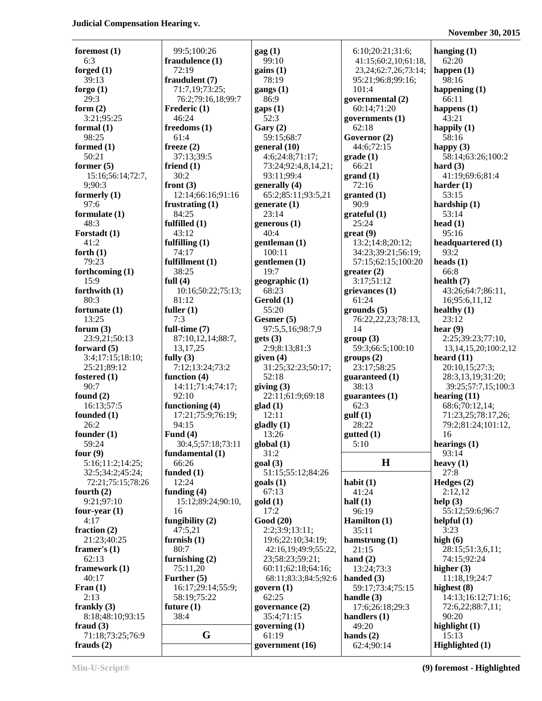| foremost $(1)$    | 99:5;100:26        | $\text{gag}(1)$                     | 6:10;20:21;31:6;                | hanging $(1)$              |
|-------------------|--------------------|-------------------------------------|---------------------------------|----------------------------|
| 6:3               | fraudulence (1)    | 99:10                               | 41:15;60:2,10;61:18,            | 62:20                      |
| forged $(1)$      | 72:19              | gains(1)                            | 23, 24; 62: 7, 26; 73: 14;      | happen $(1)$               |
| 39:13             | fraudulent (7)     | 78:19                               | 95:21;96:8;99:16;               | 98:16                      |
| forgo $(1)$       | 71:7,19;73:25;     | gangs $(1)$                         | 101:4                           | happening $(1)$            |
| 29:3              | 76:2;79:16,18;99:7 | 86:9                                |                                 | 66:11                      |
| form $(2)$        |                    |                                     | governmental (2)<br>60:14;71:20 |                            |
|                   | Frederic (1)       | $\text{gaps}(1)$                    |                                 | happens $(1)$              |
| 3:21;95:25        | 46:24              | 52:3                                | governments $(1)$               | 43:21                      |
| formal $(1)$      | freedoms (1)       | Gary(2)                             | 62:18                           | happily $(1)$              |
| 98:25             | 61:4               | 59:15;68:7                          | Governor (2)                    | 58:16                      |
| formed (1)        | freeze $(2)$       | general (10)                        | 44:6;72:15                      | happy $(3)$                |
| 50:21             | 37:13:39:5         | 4:6;24:8;71:17;                     | grade(1)                        | 58:14;63:26;100:2          |
| former $(5)$      | friend $(1)$       | 73:24;92:4,8,14,21;                 | 66:21                           | hard $(3)$                 |
| 15:16:56:14:72:7, | 30:2               | 93:11;99:4                          | grand(1)                        | 41:19;69:6;81:4            |
| 9;90:3            | front $(3)$        | generally (4)                       | 72:16                           | harder $(1)$               |
| formerly $(1)$    | 12:14;66:16;91:16  | 65:2;85:11;93:5,21                  | granted (1)                     | 53:15                      |
| 97:6              | frustrating $(1)$  | generate $(1)$                      | 90:9                            | hardship $(1)$             |
| formulate $(1)$   | 84:25              | 23:14                               | grateful(1)                     | 53:14                      |
| 48:3              | fulfilled $(1)$    | generous (1)                        | 25:24                           | head $(1)$                 |
| Forstadt (1)      | 43:12              | 40:4                                | $gr(9)$                         | 95:16                      |
| 41:2              | fulfilling $(1)$   | gentleman(1)                        | 13:2;14:8;20:12;                | headquartered (1)          |
| forth $(1)$       | 74:17              | 100:11                              | 34:23;39:21;56:19;              | 93:2                       |
| 79:23             | fulfillment (1)    | gentlemen (1)                       | 57:15;62:15;100:20              | heads $(1)$                |
| forthcoming $(1)$ | 38:25              | 19:7                                | greater(2)                      | 66:8                       |
| 15:9              | full $(4)$         | geographic (1)                      | 3:17;51:12                      | health $(7)$               |
| forthwith $(1)$   | 10:16;50:22;75:13; | 68:23                               | grievances(1)                   | 43:26;64:7;86:11,          |
| 80:3              | 81:12              | Gerold (1)                          | 61:24                           | 16;95:6,11,12              |
| fortunate $(1)$   | fuller $(1)$       | 55:20                               | grounds(5)                      | healthy $(1)$              |
| 13:25             | 7:3                | Gesmer (5)                          | 76:22,22,23;78:13,              | 23:12                      |
| forum $(3)$       | full-time (7)      | 97:5,5,16;98:7,9                    | 14                              | hear $(9)$                 |
| 23:9,21;50:13     | 87:10,12,14;88:7,  | gets(3)                             | group(3)                        | 2:25;39:23;77:10,          |
| forward $(5)$     | 13, 17, 25         | 2:9;8:13;81:3                       | 59:3;66:5;100:10                | 13, 14, 15, 20; 100: 2, 12 |
| 3:4;17:15;18:10;  | fully $(3)$        | given $(4)$                         | groups (2)                      | heard $(11)$               |
| 25:21;89:12       | 7:12;13:24;73:2    | 31:25;32:23;50:17;                  | 23:17;58:25                     | 20:10,15;27:3;             |
| fostered $(1)$    | function $(4)$     | 52:18                               | guaranteed (1)                  | 28:3,13,19;31:20;          |
| 90:7              | 14:11;71:4;74:17;  | giving $(3)$                        | 38:13                           | 39:25;57:7,15;100:3        |
| found $(2)$       | 92:10              | 22:11;61:9;69:18                    | guarantees $(1)$                | hearing $(11)$             |
| 16:13;57:5        | functioning (4)    | $\text{glad} (1)$                   | 62:3                            | 68:6;70:12,14;             |
| founded (1)       | 17:21;75:9;76:19;  | 12:11                               | gulf(1)                         | 71:23,25;78:17,26;         |
| 26:2              | 94:15              | $\boldsymbol{gladly}\left(1\right)$ | 28:22                           | 79:2;81:24;101:12,         |
| founder $(1)$     | Fund $(4)$         | 13:26                               | gutted(1)                       | 16                         |
| 59:24             | 30:4,5;57:18;73:11 | global(1)                           | 5:10                            | hearings $(1)$             |
| four $(9)$        | fundamental $(1)$  | 31:2                                |                                 | 93:14                      |
| 5:16;11:2;14:25;  | 66:26              | goal(3)                             | $\mathbf H$                     | heavy $(1)$                |
| 32:5;34:2;45:24;  | funded $(1)$       | 51:15;55:12;84:26                   |                                 | 27:8                       |
| 72:21;75:15;78:26 | 12:24              | $\text{goals}$ (1)                  | habit $(1)$                     | Hedges $(2)$               |
| fourth $(2)$      | funding $(4)$      | 67:13                               | 41:24                           | 2:12,12                    |
| 9:21:97:10        | 15:12;89:24;90:10, | gold(1)                             | half $(1)$                      | help (3)                   |
| four-year $(1)$   | 16                 | 17:2                                | 96:19                           | 55:12;59:6;96:7            |
| 4:17              | fungibility $(2)$  | Good (20)                           | Hamilton $(1)$                  | helpful(1)                 |
| fraction $(2)$    | 47:5,21            | 2:2;3:9;13:11;                      | 35:11                           | 3:23                       |
| 21:23;40:25       | furnish $(1)$      | 19:6;22:10;34:19;                   |                                 | high $(6)$                 |
| framer's $(1)$    | 80:7               |                                     | hamstrung $(1)$<br>21:15        | 28:15:51:3,6,11;           |
| 62:13             |                    | 42:16,19;49:9;55:22,                | hand $(2)$                      | 74:15;92:24                |
|                   | furnishing $(2)$   | 23;58:23;59:21;                     |                                 |                            |
| framework (1)     | 75:11,20           | 60:11;62:18;64:16;                  | 13:24;73:3                      | higher $(3)$               |
| 40:17             | Further $(5)$      | 68:11;83:3;84:5;92:6                | handed $(3)$                    | 11:18,19;24:7              |
| Fran $(1)$        | 16:17;29:14;55:9;  | govern $(1)$                        | 59:17;73:4;75:15                | highest $(8)$              |
| 2:13              | 58:19;75:22        | 62:25                               | handle $(3)$                    | 14:13;16:12;71:16;         |
| frankly $(3)$     | future $(1)$       | governance (2)                      | 17:6;26:18;29:3                 | 72:6,22;88:7,11;           |
| 8:18;48:10;93:15  | 38:4               | 35:4;71:15                          | handlers $(1)$                  | 90:20                      |
| fraud $(3)$       |                    | governing $(1)$                     | 49:20                           | highlight $(1)$            |
| 71:18;73:25;76:9  | G                  | 61:19                               | hands $(2)$                     | 15:13                      |
| frauds $(2)$      |                    | government (16)                     | 62:4;90:14                      | Highlighted (1)            |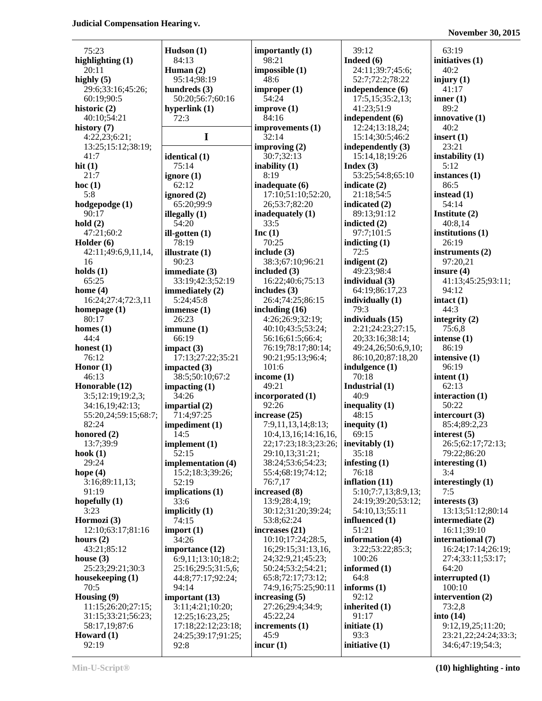**November 30, 2015**

| 75:23                                    | Hudson(1)                     |
|------------------------------------------|-------------------------------|
| highlighting $(1)$<br>20:11              | 84:13<br>Human $(2)$          |
| highly $(5)$                             | 95:14;98:19                   |
| 29:6;33:16;45:26;<br>60:19;90:5          | hundreds (3)<br>50:20;56:7;   |
| historic (2)                             | hyperlink (1)                 |
| 40:10;54:21                              | 72:3                          |
| history (7)<br>4:22,23;6:21;             | I                             |
| 13:25;15:12;38:19;                       |                               |
| 41:7<br>hit $(1)$                        | identical (1)<br>75:14        |
| 21:7                                     | ignore (1)                    |
| hoc(1)<br>5:8                            | 62:12<br>ignored (2)          |
| hodgepodge (1)                           | 65:20;99:9                    |
| 90:17<br>hold(2)                         | illegally (1)<br>54:20        |
| 47:21;60:2                               | ill-gotten $(1)$              |
| Holder (6)<br>42:11;49:6,9,11,14,        | 78:19<br>illustrate $(1)$     |
| 16                                       | 90:23                         |
| holds $(1)$<br>65:25                     | immediate (3                  |
| home $(4)$                               | 33:19;42:3;<br>immediately    |
| 16:24;27:4;72:3,11                       | 5:24;45:8                     |
| homepage (1)<br>80:17                    | immense (1)<br>26:23          |
| homes $(1)$                              | immune(1)                     |
| 44:4<br>honest $(1)$                     | 66:19<br>impact (3)           |
| 76:12                                    | 17:13;27:22                   |
| Honor $(1)$<br>46:13                     | impacted $(3)$<br>38:5;50:10; |
| Honorable (12)                           | impacting $(1)$               |
| 3:5;12:19;19:2,3;<br>34:16,19;42:13;     | 34:26<br>impartial (2)        |
| 55:20,24;59:15;68:7;                     | 71:4;97:25                    |
| 82:24<br>honored (2)                     | impediment<br>14:5            |
| 13:7;39:9                                | implement (1                  |
| hook $(1)$<br>29:24                      | 52:15<br>implementati         |
| hope $(4)$                               | 15:2;18:3;3                   |
| 3:16;89:11,13;<br>91:19                  | 52:19                         |
| hopefully $(1)$                          | implications<br>33:6          |
| 3:23                                     | implicitly (1)                |
| Hormozi (3)<br>12:10;63:17;81:16         | 74:15<br>import $(1)$         |
| hours $(2)$                              | 34:26                         |
| 43:21;85:12<br>house $(3)$               | importance (<br>6:9,11;13:1   |
| 25:23;29:21;30:3                         | 25:16;29:5;                   |
| housekeeping (1)<br>70:5                 | 44:8;77:17;<br>94:14          |
| Housing (9)                              | important (1)                 |
| 11:15;26:20;27:15;<br>31:15;33:21;56:23; | 3:11;4:21;1<br>12:25;16:23    |
| 58:17,19;87:6                            | 17:18;22:12                   |
| Howard (1)<br>92:19                      | 24:25;39:17<br>92:8           |
|                                          |                               |

| l)                       | importantly (1)<br>98:21                     |
|--------------------------|----------------------------------------------|
| C,                       | impossible(1)                                |
| 8:19                     | 48:6                                         |
| (3)                      | improper(1)                                  |
| 6:7;60:16                | 54:24                                        |
| $\mathbf{I}(\mathbf{1})$ | improve (1)<br>84:16                         |
|                          | improvements (1)                             |
| I                        | 32:14                                        |
|                          | improving $(2)$                              |
| [1]                      | 30:7;32:13                                   |
|                          | inability (1)<br>8:19                        |
|                          | inadequate (6)                               |
| C)                       | 17:10;51:10;52:20,                           |
| 9:9                      | 26;53:7;82:20                                |
| l)                       | inadequately (1)                             |
|                          | 33:5                                         |
| $\bf(1)$                 | Inc(1)<br>70:25                              |
| $\bf(1)$                 | include (3)                                  |
|                          | 38:3;67:10;96:21                             |
| e(3)                     | included (3)                                 |
| 2:3;52:19                | 16:22;40:6;75:13                             |
| ely (2)                  | includes (3)<br>26:4;74:25;86:15             |
| :8<br>$\bf{(1)}$         | including (16)                               |
|                          | 4:26;26:9;32:19;                             |
| 1)                       | 40:10;43:5;53:24;                            |
|                          | 56:16;61:5;66:4;                             |
|                          | 76:19;78:17;80:14;                           |
| 7:22;35:21<br>(3)        | 90:21;95:13;96:4;<br>101:6                   |
|                          |                                              |
|                          |                                              |
| :10;67:2<br>(1)          | income $(1)$<br>49:21                        |
|                          | incorporated (1)                             |
| (2)                      | 92:26                                        |
| :25                      | increase (25)                                |
| ent(1)                   | 7:9,11,13,14;8:13;                           |
| $\mathbf{t}(1)$          | 10:4,13,16;14:16,16,<br>22;17:23;18:3;23:26; |
|                          | 29:10,13;31:21;                              |
| tation (4)               | 38:24;53:6;54:23;                            |
| :3;39:26;                | 55:4;68:19;74:12;                            |
|                          | 76:7,17                                      |
| ns (1)                   | increased (8)<br>13:9;28:4,19;               |
| (1)                      | 30:12;31:20;39:24;                           |
|                          | 53:8;62:24                                   |
| )                        | increases (21)                               |
|                          | 10:10;17:24;28:5,                            |
| ce(12)<br>3:10;18:2;     | 16;29:15;31:13,16,<br>24;32:9,21;45:23;      |
| 9:5;31:5,6;              | 50:24;53:2;54:21;                            |
| :17;92:24;               | 65:8;72:17;73:12;                            |
|                          | 74:9,16;75:25;90:11                          |
| t (13)                   | increasing (5)                               |
| 21;10:20;<br>6:23,25;    | 27:26;29:4;34:9;<br>45:22,24                 |
| 2:12;23:18;              | increments (1)                               |
| 9:17;91:25;              | 45:9<br>incur $(1)$                          |

39:12 **Indeed (6)** 24:11;39:7;45:6; 52:7;72:2;78:22 **independence (6)** 17:5,15;35:2,13; 41:23;51:9 **independent (6)** 12:24;13:18,24; 15:14;30:5;46:2 **independently (3)** 15:14,18;19:26 **Index (3)** 53:25;54:8;65:10 **indicate (2)** 21:18;54:5 **indicated (2)** 89:13;91:12 **indicted (2)** 97:7;101:5 **indicting (1)** 72:5 **indigent (2)** 49:23;98:4 **individual (3)** 64:19;86:17,23 **individually (1)** 79:3 **individuals (15)** 2:21;24:23;27:15, 20;33:16;38:14; 49:24,26;50:6,9,10; 86:10,20;87:18,20 **indulgence (1)** 70:18 **Industrial (1)** 40:9 **inequality (1)** 48:15 **inequity (1)** 69:15 **inevitably (1)** 35:18 **infesting (1)** 76:18 **inflation (11)** 5:10;7:7,13;8:9,13; 24:19;39:20;53:12; 54:10,13;55:11 **influenced (1)** 51:21 **information (4)** 3:22;53:22;85:3; 100:26 **informed (1)** 64:8 **informs (1)** 92:12 **inherited (1)** 91:17 **initiate (1)** 93:3 **initiative (1)**

63:19 **initiatives (1)** 40:2 **injury (1)** 41:17 **inner (1)** 89:2 **innovative (1)** 40:2 **insert (1)** 23:21 **instability (1)** 5:12 **instances (1)** 86:5 **instead (1)** 54:14 **Institute (2)** 40:8,14 **institutions (1)** 26:19 **instruments (2)** 97:20,21 **insure (4)** 41:13;45:25;93:11; 94:12 **intact (1)** 44:3 **integrity (2)** 75:6,8 **intense (1)** 86:19 **intensive (1)** 96:19 **intent (1)** 62:13 **interaction (1)** 50:22 **intercourt (3)** 85:4;89:2,23 **interest (5)** 26:5;62:17;72:13; 79:22;86:20 **interesting (1)** 3:4 **interestingly (1)** 7:5 **interests (3)** 13:13;51:12;80:14 **intermediate (2)** 16:11;39:10 **international (7)** 16:24;17:14;26:19; 27:4;33:11;53:17; 64:20 **interrupted (1)** 100:10 **intervention (2)** 73:2,8 **into (14)** 9:12,19,25;11:20; 23:21,22;24:24;33:3; 34:6;47:19;54:3;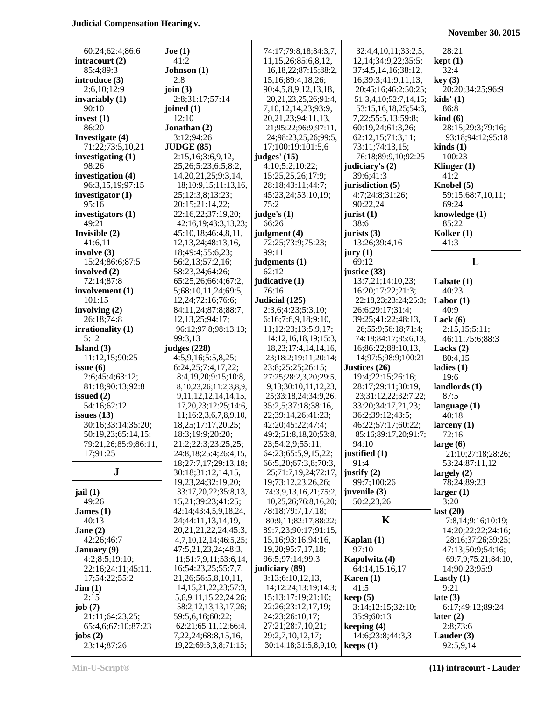## **November 30, 2015**

| 60:24;62:4;86:6                            | Joe (1)                        | 74:17;79:8,18;84:3,7,                     | 32:4,4,10,11;33:2,5,          | 28:21               |
|--------------------------------------------|--------------------------------|-------------------------------------------|-------------------------------|---------------------|
| intracourt $(2)$                           | 41:2                           | 11,15,26;85:6,8,12,                       | 12, 14; 34: 9, 22; 35: 5;     | kept(1)             |
| 85:4:89:3                                  | Johnson (1)                    | 16, 18, 22; 87: 15; 88: 2,                | 37:4,5,14,16;38:12,           | 32:4                |
| introduce (3)                              | 2:8                            | 15, 16; 89: 4, 18, 26;                    | 16;39:3;41:9,11,13,           | key(3)              |
| 2:6,10;12:9                                | join $(3)$                     | 90:4,5,8,9,12,13,18,                      | 20;45:16;46:2;50:25;          | 20:20;34:25;96:9    |
| invariably $(1)$                           | 2:8;31:17;57:14                | 20, 21, 23, 25, 26; 91: 4,                | 51:3,4,10;52:7,14,15;         | kids' (1)           |
| 90:10                                      | joined $(1)$                   | 7, 10, 12, 14, 23; 93: 9,                 | 53:15,16,18,25;54:6,          | 86:8                |
| invest $(1)$                               | 12:10                          | 20, 21, 23; 94: 11, 13,                   | 7,22;55:5,13;59:8;            | $\;$ kind $\;$ (6)  |
| 86:20                                      | Jonathan (2)                   | 21;95:22;96:9;97:11,                      | 60:19,24;61:3,26;             | 28:15;29:3;79:16;   |
|                                            | 3:12;94:26                     | 24;98:23,25,26;99:5,                      | 62:12,15;71:3,11;             | 93:18;94:12;95:18   |
| Investigate (4)                            |                                |                                           | 73:11;74:13,15;               |                     |
| 71:22;73:5,10,21                           | JUDGE(85)                      | 17;100:19;101:5,6                         |                               | $\text{kinds}(1)$   |
| investigating (1)                          | 2:15,16;3:6,9,12,              | judges' $(15)$                            | 76:18;89:9,10;92:25           | 100:23              |
| 98:26                                      | 25, 26; 5: 23; 6: 5; 8: 2,     | 4:10;5:2;10:22;                           | judiciary's (2)               | Klinger $(1)$       |
| investigation (4)                          | 14, 20, 21, 25; 9: 3, 14,      | 15:25,25,26;17:9;                         | 39:6;41:3                     | 41:2                |
| 96:3,15,19;97:15                           | 18;10:9,15;11:13,16,           | 28:18;43:11;44:7;                         | jurisdiction (5)              | Knobel (5)          |
| investigator $(1)$                         | 25;12:3,8;13:23;               | 45:23,24;53:10,19;                        | 4:7;24:8;31:26;               | 59:15;68:7,10,11;   |
| 95:16                                      | 20:15;21:14,22;                | 75:2                                      | 90:22,24                      | 69:24               |
| investigators (1)                          | 22:16,22;37:19,20;             | judge's $(1)$                             | jurist $(1)$                  | knowledge (1)       |
| 49:21                                      | 42:16,19;43:3,13,23;           | 66:26                                     | 38:6                          | 85:22               |
| Invisible (2)                              | 45:10,18;46:4,8,11,            | judgment (4)                              | jurists $(3)$                 | Kolker $(1)$        |
| 41:6,11                                    | 12, 13, 24; 48: 13, 16,        | 72:25;73:9;75:23;                         | 13:26;39:4,16                 | 41:3                |
| involve $(3)$                              | 18;49:4;55:6,23;               | 99:11                                     | jury(1)                       |                     |
| 15:24;86:6;87:5                            | 56:2,13;57:2,16;               | judgments (1)                             | 69:12                         | L                   |
| involved (2)                               | 58:23,24;64:26;                | 62:12                                     | justice (33)                  |                     |
| 72:14;87:8                                 | 65:25,26;66:4;67:2,            | judicative (1)                            | 13:7,21;14:10,23;             | Labate $(1)$        |
| involvement (1)                            | 5;68:10,11,24;69:5,            | 76:16                                     | 16:20;17:22;21:3;             | 40:23               |
| 101:15                                     | 12,24;72:16;76:6;              | Judicial (125)                            | 22:18,23;23:24;25:3;          | Labor $(1)$         |
| involving $(2)$                            | 84:11,24;87:8;88:7,            | 2:3,6;4:23;5:3,10;                        | 26:6;29:17;31:4;              | 40:9                |
| 26:18;74:8                                 | 12, 13, 25; 94: 17;            | 6:16;7:6,9,18;9:10,                       | 39:25;41:22;48:13,            |                     |
|                                            |                                |                                           |                               | Lack $(6)$          |
| irrationality (1)                          | 96:12;97:8;98:13,13;           | 11;12:23;13:5,9,17;                       | 26;55:9;56:18;71:4;           | 2:15,15;5:11;       |
| 5:12                                       | 99:3,13                        | 14:12, 16, 18, 19; 15:3,                  | 74:18;84:17;85:6,13,          | 46:11;75:6;88:3     |
| Island $(3)$                               | judges (228)                   | 18, 23; 17: 4, 14, 14, 16,                | 16;86:22;88:10,13,            | Lacks $(2)$         |
| 11:12,15;90:25                             | 4:5,9,16;5:5,8,25;             | 23;18:2;19:11;20:14;                      | 14;97:5;98:9;100:21           | 80:4,15             |
| issue $(6)$                                | 6:24,25;7:4,17,22;             | 23:8;25:25;26:15;                         | Justices (26)                 | ladies $(1)$        |
| 2:6;45:4;63:12;                            |                                |                                           |                               |                     |
|                                            | 8:4,19,20;9:15;10:8,           | 27:25;28:2,3,20;29:5,                     | 19:4;22:15;26:16;             | 19:6                |
| 81:18;90:13;92:8                           | 8, 10, 23, 26; 11: 2, 3, 8, 9, | 9,13;30:10,11,12,23,                      | 28:17;29:11;30:19,            | landlords (1)       |
| issued $(2)$                               | 9, 11, 12, 12, 14, 14, 15,     | 25;33:18,24;34:9,26;                      | 23;31:12,22;32:7,22;          | 87:5                |
| 54:16;62:12                                | 17, 20, 23; 12: 25; 14: 6,     | 35:2,5;37:18;38:16,                       | 33:20;34:17,21,23;            | language $(1)$      |
| issues $(13)$                              | 11;16:2,3,6,7,8,9,10,          | 22;39:14,26;41:23;                        | 36:2;39:12;43:5;              | 40:18               |
| 30:16;33:14;35:20;                         | 18,25;17:17,20,25;             | 42:20;45:22;47:4;                         | 46:22;57:17;60:22;            | larceny(1)          |
|                                            |                                |                                           |                               |                     |
| 50:19,23;65:14,15;<br>79:21,26;85:9;86:11, | 18:3;19:9;20:20;               | 49:2;51:8,18,20;53:8,<br>23;54:2,9;55:11; | 85:16;89:17,20;91:7;<br>94:10 | 72:16               |
|                                            | 21:2;22:3;23:25,25;            |                                           |                               | large $(6)$         |
| 17;91:25                                   | 24:8,18;25:4;26:4,15,          | 64:23;65:5,9,15,22;                       | justified (1)<br>91:4         | 21:10;27:18;28:26;  |
|                                            | 18;27:7,17;29:13,18;           | 66:5,20;67:3,8;70:3,                      |                               | 53:24;87:11,12      |
| ${\bf J}$                                  | 30:18;31:12,14,15,             | 25;71:7,19,24;72:17,                      | justify $(2)$                 | largely $(2)$       |
|                                            | 19,23,24;32:19,20;             | 19;73:12,23,26,26;                        | 99:7;100:26                   | 78:24;89:23         |
| jail(1)                                    | 33:17,20,22;35:8,13,           | 74:3,9,13,16,21;75:2,                     | juvenile (3)                  | larger(1)           |
| 49:26                                      | 15,21;39:23;41:25;             | 10,25,26;76:8,16,20;                      | 50:2,23,26                    | 3:20                |
| James $(1)$                                | 42:14;43:4,5,9,18,24,          | 78:18;79:7,17,18;                         |                               | last $(20)$         |
| 40:13                                      | 24;44:11,13,14,19,             | 80:9,11;82:17;88:22;                      | K                             | 7:8,14;9:16;10:19;  |
| Jane $(2)$                                 | 20, 21, 21, 22, 24; 45: 3,     | 89:7,23;90:17;91:15,                      |                               | 14:20;22:22;24:16;  |
| 42:26:46:7                                 | 4,7,10,12,14;46:5,25;          | 15,16;93:16;94:16,                        | Kaplan $(1)$                  | 28:16;37:26;39:25;  |
| <b>January</b> (9)                         | 47:5,21,23,24;48:3,            | 19,20;95:7,17,18;                         | 97:10                         | 47:13;50:9;54:16;   |
| 4:2;8:5;19:10;                             | 11;51:7,9,11;53:6,14,          | 96:5;97:14;99:3                           | Kapolwitz (4)                 | 69:7,9:75:21:84:10, |
| 22:16;24:11;45:11,                         | 16;54:23,25;55:7,7,            | judiciary (89)                            | 64:14,15,16,17                | 14;90:23;95:9       |
| 17;54:22;55:2                              | 21, 26; 56: 5, 8, 10, 11,      | 3:13;6:10,12,13,                          | Karen $(1)$                   | Lastly $(1)$        |
| $\text{Jim} (1)$                           | 14, 15, 21, 22, 23; 57: 3,     | 14;12:24;13:19;14:3;                      | 41:5                          | 9:21                |
| 2:15                                       | 5, 6, 9, 11, 15, 22, 24, 26;   | 15:13;17:19;21:10;                        | keep(5)                       | late $(3)$          |
| job(7)                                     | 58:2,12,13,13,17,26;           | 22:26;23:12,17,19;                        | 3:14;12:15;32:10;             | 6:17;49:12;89:24    |
| 21:11;64:23,25;                            | 59:5,6,16;60:22;               | 24:23;26:10,17;                           | 35:9;60:13                    | later $(2)$         |
| 65:4,6;67:10;87:23                         | 62:21;65:11,12;66:4,           | 27:21;28:7,10,21;                         | keeping $(4)$                 | 2:8;73:6            |
| jobs $(2)$<br>23:14;87:26                  | 7, 22, 24; 68: 8, 15, 16,      | 29:2,7,10,12,17;                          | 14:6;23:8;44:3,3              | Lauder $(3)$        |

**Min-U-Script® (11) intracourt - Lauder**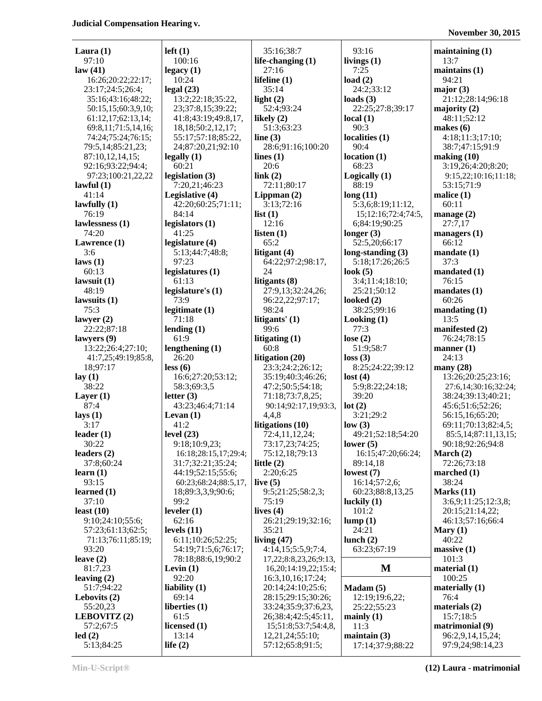| Laura $(1)$          |                             |                                     |                                 |                                      |
|----------------------|-----------------------------|-------------------------------------|---------------------------------|--------------------------------------|
|                      | $left(1\right)$             | 35:16;38:7                          | 93:16                           | maintaining $(1)$                    |
| 97:10                | 100:16                      | life-changing $(1)$                 | livings $(1)$                   | 13:7                                 |
| law(41)              | legacy(1)                   | 27:16                               | 7:25                            | maintains $(1)$                      |
| 16:26;20:22;22:17;   | 10:24                       | lifeline $(1)$                      | load $(2)$                      | 94:21                                |
| 23:17;24:5;26:4;     | legal(23)                   | 35:14                               | 24:2;33:12                      | major $(3)$                          |
| 35:16;43:16;48:22;   | 13:2;22:18;35:22,           | light $(2)$                         | loads $(3)$                     | 21:12;28:14;96:18                    |
|                      |                             | 52:4;93:24                          |                                 |                                      |
| 50:15,15;60:3,9,10;  | 23;37:8,15;39:22;           |                                     | 22:25;27:8;39:17                | majority $(2)$                       |
| 61:12,17;62:13,14;   | 41:8;43:19;49:8,17,         | likely $(2)$                        | local(1)                        | 48:11;52:12                          |
| 69:8,11;71:5,14,16;  | 18, 18; 50: 2, 12, 17;      | 51:3;63:23                          | 90:3                            | makes $(6)$                          |
| 74:24;75:24;76:15;   | 55:17;57:18;85:22,          | line $(3)$                          | localities (1)                  | 4:18;11:3;17:10;                     |
| 79:5,14;85:21,23;    | 24;87:20,21;92:10           | 28:6;91:16;100:20                   | 90:4                            | 38:7;47:15;91:9                      |
| 87:10,12,14,15;      | legally(1)                  | lines $(1)$                         | location(1)                     | making (10)                          |
| 92:16;93:22;94:4;    | 60:21                       | 20:6                                | 68:23                           | 3:19,26;4:20;8:20;                   |
| 97:23;100:21,22,22   | legislation (3)             | link(2)                             | Logically (1)                   | 9:15,22;10:16;11:18;                 |
| lawful $(1)$         | 7:20,21;46:23               | 72:11;80:17                         | 88:19                           | 53:15;71:9                           |
| 41:14                | Legislative (4)             | Lippman $(2)$                       | long(11)                        | malice $(1)$                         |
| lawfully $(1)$       | 42:20;60:25;71:11;          | 3:13;72:16                          | 5:3,6;8:19;11:12,               | 60:11                                |
|                      |                             |                                     |                                 |                                      |
| 76:19                | 84:14                       | list(1)                             | 15;12:16;72:4;74:5,             | manage $(2)$                         |
| lawlessness (1)      | legislators (1)             | 12:16                               | 6;84:19;90:25                   | 27:7,17                              |
| 74:20                | 41:25                       | listen $(1)$                        | longer $(3)$                    | managers $(1)$                       |
| Lawrence (1)         | legislature (4)             | 65:2                                | 52:5,20;66:17                   | 66:12                                |
| 3:6                  | 5:13;44:7;48:8;             | litigant $(4)$                      | long-standing $(3)$             | mandate(1)                           |
| laws (1)             | 97:23                       | 64:22;97:2;98:17,                   | 5:18;17:26;26:5                 | 37:3                                 |
| 60:13                | legislatures <sub>(1)</sub> | 24                                  | look $(5)$                      | mandated $(1)$                       |
| lawsuit $(1)$        | 61:13                       | litigants $(8)$                     | 3:4;11:4;18:10;                 | 76:15                                |
| 48:19                | legislature's $(1)$         | 27:9,13;32:24,26;                   | 25:21;50:12                     | mandates(1)                          |
| lawsuits $(1)$       | 73:9                        | 96:22,22;97:17;                     | looked $(2)$                    | 60:26                                |
|                      |                             |                                     |                                 |                                      |
| 75:3                 | legitimate $(1)$            | 98:24                               | 38:25;99:16                     | mandating (1)                        |
| lawyer $(2)$         | 71:18                       | litigants' (1)                      | Looking(1)                      | 13:5                                 |
| 22:22;87:18          | lending $(1)$               | 99:6                                | 77:3                            | manifested (2)                       |
| lawyers (9)          | 61:9                        | litigating (1)                      | lose $(2)$                      | 76:24;78:15                          |
| 13:22;26:4;27:10;    | lengthening $(1)$           | 60:8                                | 51:9;58:7                       | manner(1)                            |
| 41:7,25;49:19;85:8,  | 26:20                       |                                     |                                 |                                      |
|                      |                             |                                     |                                 | 24:13                                |
|                      |                             | litigation (20)                     | loss(3)                         |                                      |
| 18;97:17             | less (6)                    | 23:3;24:2;26:12;                    | 8:25;24:22;39:12                | many $(28)$                          |
| lay(1)               | 16:6;27:20;53:12;           | 35:19;40:3;46:26;                   | lost(4)                         | 13:26;20:25;23:16;                   |
| 38:22                | 58:3;69:3,5                 | 47:2;50:5;54:18;                    | 5:9;8:22;24:18;                 | 27:6,14;30:16;32:24;                 |
| Layer $(1)$          | letter $(3)$                | 71:18;73:7,8,25;                    | 39:20                           | 38:24;39:13;40:21;                   |
| 87:4                 | 43:23;46:4;71:14            | 90:14;92:17,19;93:3,                | lot(2)                          | 45:6;51:6;52:26;                     |
| lays $(1)$           | Levan $(1)$                 | 4,4,8                               | 3:21;29:2                       | 56:15,16;65:20;                      |
| 3:17                 | 41:2                        | litigations (10)                    | low(3)                          | 69:11;70:13;82:4,5;                  |
| leader $(1)$         | level $(23)$                | 72:4,11,12,24;                      | 49:21:52:18:54:20               | $85:5,14:87:11,13,15$ ;              |
| 30:22                | 9:18;10:9,23;               | 73:17,23;74:25;                     | lower $(5)$                     | 90:18;92:26;94:8                     |
| leaders $(2)$        | 16:18;28:15,17;29:4;        | 75:12,18;79:13                      | 16:15:47:20:66:24;              | March $(2)$                          |
| 37:8;60:24           | 31:7;32:21;35:24;           | little $(2)$                        | 89:14,18                        | 72:26;73:18                          |
|                      |                             |                                     |                                 |                                      |
| learn(1)             | 44:19;52:15;55:6;           | 2:20;6:25                           | lowest $(7)$                    | marched (1)                          |
| 93:15                | 60:23;68:24;88:5,17,        | live $(5)$                          | 16:14;57:2,6;                   | 38:24                                |
| learned $(1)$        | 18;89:3,3,9;90:6;           | 9:5;21:25;58:2,3;                   | 60:23;88:8,13,25                | Marks $(11)$                         |
| 37:10                | 99:2                        | 75:19                               | luckily $(1)$                   | 3:6,9;11:25;12:3,8;                  |
| least $(10)$         | leveler $(1)$               | lives $(4)$                         | 101:2                           | 20:15;21:14,22;                      |
| 9:10;24:10;55:6;     | 62:16                       | 26:21;29:19;32:16;                  | lump(1)                         | 46:13;57:16;66:4                     |
| 57:23;61:13;62:5;    | levels $(11)$               | 35:21                               | 24:21                           | Mary $(1)$                           |
| 71:13;76:11;85:19;   | 6:11;10:26;52:25;           | living $(47)$                       | lunch $(2)$                     | 40:22                                |
| 93:20                | 54:19;71:5,6;76:17;         | 4:14,15;5:5,9;7:4,                  | 63:23;67:19                     | massive(1)                           |
| leave $(2)$          | 78:18;88:6,19;90:2          | 17,22;8:8,23,26;9:13,               |                                 | 101:3                                |
| 81:7,23              | Levin $(1)$                 | 16,20;14:19,22;15:4;                | M                               | material $(1)$                       |
| leaving $(2)$        | 92:20                       | 16:3,10,16;17:24;                   |                                 | 100:25                               |
| 51:7;94:22           | liability $(1)$             | 20:14;24:10;25:6;                   | Madam(5)                        | materially $(1)$                     |
|                      |                             |                                     |                                 | 76:4                                 |
| Lebovits $(2)$       | 69:14                       | 28:15;29:15;30:26;                  | 12:19;19:6,22;                  |                                      |
| 55:20,23             | liberties $(1)$             | 33:24;35:9;37:6,23,                 | 25:22;55:23                     | materials $(2)$                      |
| LEBOVITZ(2)          | 61:5                        | 26;38:4;42:5;45:11,                 | mainly $(1)$                    | 15:7;18:5                            |
| 57:2;67:5            | licensed $(1)$              | 15;51:8;53:7;54:4,8,                | 11:3                            | matrimonial (9)                      |
| led(2)<br>5:13;84:25 | 13:14<br>life $(2)$         | 12,21,24;55:10;<br>57:12;65:8;91:5; | maintain(3)<br>17:14;37:9;88:22 | 96:2,9,14,15,24;<br>97:9,24;98:14,23 |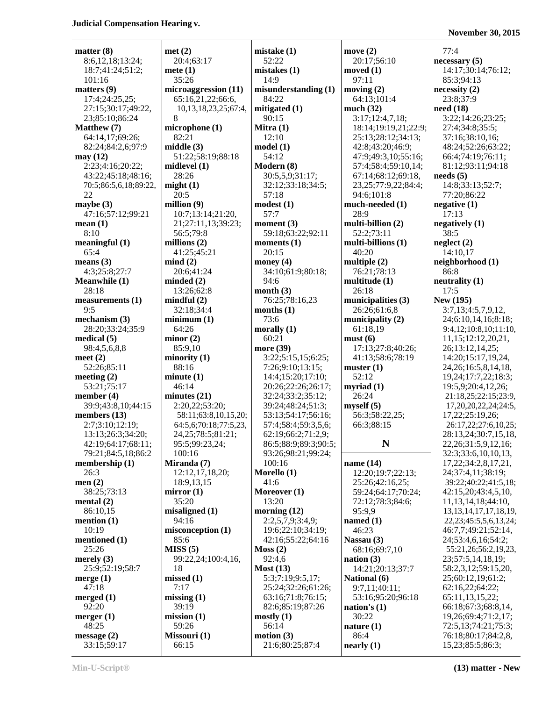**November 30, 2015**

| matter (8)                              | n |
|-----------------------------------------|---|
| 8:6,12,18;13:24;<br>18:7;41:24;51:2;    | n |
| 101:16                                  |   |
| matters(9)<br>17:4;24:25,25;            | n |
| 27:15;30:17;49:22,<br>23;85:10;86:24    |   |
| Matthew (7)                             | n |
| 64:14,17;69:26;<br>82:24;84:2,6;97:9    | n |
| may(12)<br>2:23;4:16;20:22;             | n |
| 43:22;45:18;48:16;                      |   |
| 70:5;86:5,6,18;89:22,<br>22             | n |
| maybe $(3)$<br>47:16;57:12;99:21        | n |
| mean(1)                                 |   |
| 8:10<br>meaningful(1)                   | n |
| 65:4                                    |   |
| means (3)<br>4:3;25:8;27:7              | n |
| <b>Meanwhile (1)</b><br>28:18           | n |
| measurements (1)                        | n |
| 9:5<br>mechanism (3)                    | n |
| 28:20;33:24;35:9<br>medical (5)         | n |
| 98:4,5,6,8,8                            |   |
| meet $(2)$<br>52:26;85:11               | n |
| meeting $(2)$                           | n |
| 53:21;75:17<br>member (4)               | n |
| 39:9;43:8,10;44:15<br>members (13)      |   |
| 2:7;3:10;12:19;                         |   |
| 13:13;26:3;34:20;<br>42:19;64:17;68:11; |   |
| 79:21;84:5,18;86:2<br>membership (1)    | N |
| 26:3                                    |   |
| men(2)<br>38:25;73:13                   | n |
| mental (2)<br>86:10,15                  |   |
| mention (1)                             | n |
| 10:19<br>mentioned (1)                  | n |
| 25:26                                   | N |
| merely (3)<br>25:9;52:19;58:7           |   |
| merge $(1)$<br>47:18                    | n |
| merged $(1)$                            | n |
| 92:20<br>merger $(1)$                   | n |
| 48:25<br>message(2)                     | N |
| 33:15;59:17                             |   |

| atter (8)             | met(2)                     | mistake(1)           | move $(2)$                | 77:4                         |
|-----------------------|----------------------------|----------------------|---------------------------|------------------------------|
| 8:6,12,18;13:24;      | 20:4;63:17                 | 52:22                | 20:17;56:10               | necessary (5)                |
| 18:7;41:24;51:2;      | mete $(1)$                 | mistakes(1)          | moved $(1)$               | 14:17;30:14;76:12;           |
| 101:16                | 35:26                      | 14:9                 | 97:11                     | 85:3;94:13                   |
| atters (9)            | microaggression (11)       | misunderstanding (1) | moving $(2)$              | necessity(2)                 |
| 17:4;24:25,25;        | 65:16,21,22;66:6,          | 84:22                | 64:13;101:4               | 23:8;37:9                    |
| 27:15;30:17;49:22,    | 10, 13, 18, 23, 25; 67: 4, | mitigated (1)        | much $(32)$               | need(18)                     |
| 23;85:10;86:24        | 8                          | 90:15                | 3:17;12:4,7,18;           | 3:22;14:26;23:25;            |
|                       | microphone (1)             | Mitra $(1)$          | 18:14;19:19,21;22:9;      | 27:4;34:8;35:5;              |
| atthew (7)            |                            |                      |                           |                              |
| 64:14,17;69:26;       | 82:21                      | 12:10                | 25:13;28:12;34:13;        | 37:16;38:10,16;              |
| 82:24;84:2,6;97:9     | middle(3)                  | model(1)             | 42:8;43:20;46:9;          | 48:24;52:26;63:22;           |
| ay (12)               | 51:22;58:19;88:18          | 54:12                | 47:9;49:3,10;55:16;       | 66:4;74:19;76:11;            |
| 2:23;4:16;20:22;      | midlevel $(1)$             | Modern (8)           | 57:4;58:4;59:10,14;       | 81:12;93:11;94:18            |
| 43:22;45:18;48:16;    | 28:26                      | 30:5,5,9;31:17;      | 67:14;68:12;69:18,        | needs(5)                     |
| 70:5;86:5,6,18;89:22, | might(1)                   | 32:12;33:18;34:5;    | 23, 25; 77: 9, 22; 84: 4; | 14:8;33:13;52:7;             |
| 22                    | 20:5                       | 57:18                | 94:6;101:8                | 77:20;86:22                  |
| aybe(3)               | million $(9)$              | modest(1)            | much-needed (1)           | negative $(1)$               |
| 47:16;57:12;99:21     | 10:7;13:14;21:20,          | 57:7                 | 28:9                      | 17:13                        |
| ean $(1)$             | 21;27:11,13;39:23;         | moment (3)           | multi-billion (2)         | negatively $(1)$             |
| 8:10                  | 56:5;79:8                  | 59:18;63:22;92:11    | 52:2;73:11                | 38:5                         |
| eaningful (1)         | millions $(2)$             | moments $(1)$        | multi-billions (1)        | neighbor(2)                  |
| 65:4                  | 41:25:45:21                | 20:15                | 40:20                     | 14:10,17                     |
|                       |                            |                      |                           |                              |
| eans $(3)$            | mind(2)                    | money $(4)$          | multiple $(2)$            | neighborhood (1)             |
| 4:3;25:8;27:7         | 20:6;41:24                 | 34:10;61:9;80:18;    | 76:21;78:13               | 86:8                         |
| eanwhile (1)          | minded(2)                  | 94:6                 | multitude (1)             | neutrality (1)               |
| 28:18                 | 13:26;62:8                 | month $(3)$          | 26:18                     | 17:5                         |
| easurements (1)       | mindful(2)                 | 76:25;78:16,23       | municipalities (3)        | New (195)                    |
| 9:5                   | 32:18;34:4                 | months $(1)$         | 26:26;61:6,8              | 3:7,13;4:5,7,9,12,           |
| echanism(3)           | minimum(1)                 | 73:6                 | municipality (2)          | 24;6:10,14,16;8:18;          |
| 28:20;33:24;35:9      | 64:26                      | morally $(1)$        | 61:18,19                  | 9:4,12;10:8,10;11:10,        |
| edical (5)            | minor (2)                  | 60:21                | must(6)                   | 11,15;12:12,20,21,           |
| 98:4,5,6,8,8          | 85:9,10                    | more (39)            | 17:13;27:8;40:26;         | 26;13:12,14,25;              |
| eet $(2)$             | minority(1)                | 3:22;5:15,15;6:25;   | 41:13;58:6;78:19          | 14:20;15:17,19,24,           |
| 52:26;85:11           | 88:16                      | 7:26;9:10;13:15;     | muster(1)                 | 24, 26; 16: 5, 8, 14, 18,    |
| eeting $(2)$          | minute(1)                  | 14:4;15:20;17:10;    | 52:12                     | 19,24;17:7,22;18:3;          |
| 53:21;75:17           | 46:14                      | 20:26;22:26;26:17;   | myriad $(1)$              | 19:5,9;20:4,12,26;           |
| ember $(4)$           | minutes (21)               | 32:24;33:2;35:12;    | 26:24                     | 21:18,25;22:15;23:9,         |
| 39:9;43:8,10;44:15    | 2:20,22;53:20;             | 39:24;48:24;51:3;    | myself(5)                 | 17,20,20,22,24;24:5,         |
|                       |                            |                      | 56:3;58:22,25;            | 17,22;25:19,26;              |
| embers $(13)$         | 58:11;63:8,10,15,20;       | 53:13;54:17;56:16;   |                           |                              |
| 2:7;3:10;12:19;       | 64:5,6;70:18;77:5,23,      | 57:4;58:4;59:3,5,6;  | 66:3;88:15                | 26:17,22;27:6,10,25;         |
| 13:13;26:3;34:20;     | 24, 25; 78: 5; 81: 21;     | 62:19;66:2;71:2,9;   |                           | 28:13,24;30:7,15,18,         |
| 42:19;64:17;68:11;    | 95:5;99:23,24;             | 86:5;88:9;89:3;90:5; | N                         | 22, 26; 31: 5, 9, 12, 16;    |
| 79:21;84:5,18;86:2    | 100:16                     | 93:26;98:21;99:24;   |                           | 32:3;33:6,10,10,13,          |
| embership (1)         | Miranda (7)                | 100:16               | name $(14)$               | 17, 22; 34: 2, 8, 17, 21,    |
| 26:3                  | 12:12,17,18,20;            | Morello (1)          | 12:20;19:7;22:13;         | 24;37:4,11;38:19;            |
| en $(2)$              | 18:9,13,15                 | 41:6                 | 25:26;42:16,25;           | 39:22;40:22;41:5,18;         |
| 38:25;73:13           | mirror $(1)$               | Moreover (1)         | 59:24;64:17;70:24;        | 42:15,20;43:4,5,10,          |
| ental $(2)$           | 35:20                      | 13:20                | 72:12;78:3;84:6;          | 11, 13, 14, 18; 44: 10,      |
| 86:10,15              | misaligned (1)             | morning $(12)$       | 95:9,9                    | 13, 13, 14, 17, 17, 18, 19,  |
| ention $(1)$          | 94:16                      | 2:2,5,7,9;3:4,9;     | named $(1)$               | 22, 23; 45: 5, 5, 6, 13, 24; |
| 10:19                 | misconception (1)          | 19:6;22:10;34:19;    | 46:23                     | 46:7,7;49:21;52:14,          |
| entioned (1)          | 85:6                       | 42:16;55:22;64:16    | Nassau (3)                | 24;53:4,6,16;54:2;           |
| 25:26                 | MISS(5)                    | Moss(2)              | 68:16;69:7,10             | 55:21,26;56:2,19,23,         |
| erely $(3)$           | 99:22,24;100:4,16,         | 92:4,6               | nation $(3)$              | 23;57:5,14,18,19;            |
|                       |                            |                      |                           |                              |
| 25:9;52:19;58:7       | 18                         | Most $(13)$          | 14:21;20:13;37:7          | 58:2,3,12;59:15,20,          |
| erge(1)               | missed(1)                  | 5:3;7:19;9:5,17;     | National (6)              | 25;60:12,19;61:2;            |
| 47:18                 | 7:17                       | 25:24;32:26;61:26;   | 9:7,11;40:11;             | 62:16,22;64:22;              |
| erged $(1)$           | missing $(1)$              | 63:16;71:8;76:15;    | 53:16;95:20;96:18         | 65:11,13,15,22;              |
| 92:20                 | 39:19                      | 82:6;85:19;87:26     | nation's $(1)$            | 66:18;67:3;68:8,14,          |
| erger(1)              | mission(1)                 | mostly(1)            | 30:22                     | 19,26;69:4;71:2,17;          |
| 48:25                 | 59:26                      | 56:14                | nature $(1)$              | 72:5,13;74:21;75:3;          |
| $\text{essage} (2)$   | Missouri (1)               | motion(3)            | 86:4                      | 76:18;80:17;84:2,8,          |
| 33:15:59:17           | 66:15                      | 21:6:80:25:87:4      | nearly (1)                | 15.23:85:5:86:3:             |

| matter (8)                  | met(2)                        | mistake(1)                             | move $(2)$                              | 77:4           |
|-----------------------------|-------------------------------|----------------------------------------|-----------------------------------------|----------------|
| 8:6,12,18;13:24;            | 20:4;63:17                    | 52:22                                  | 20:17;56:10                             | necessa        |
| 18:7;41:24;51:2;            | $\mathbf{mete}\left(1\right)$ | mistakes(1)                            | moved $(1)$                             | 14:17          |
| 101:16                      | 35:26                         | 14:9                                   | 97:11                                   | 85:3;          |
| matters (9)                 | microaggression (11)          | $m$ isunderstanding $(1)$              | moving $(2)$                            | necessi        |
| 17:4;24:25,25;              | 65:16,21,22;66:6,             | 84:22                                  | 64:13;101:4                             | 23:8;          |
| 27:15:30:17:49:22,          | 10,13,18,23,25;67:4,          | mitigated $(1)$                        | much $(32)$                             | need (1        |
| 23;85:10;86:24              | 8                             | 90:15                                  | 3:17;12:4,7,18;                         | 3:22;          |
| <b>Matthew</b> (7)          | microphone (1)                | Mitra $(1)$                            | 18:14;19:19,21;22:9;                    | 27:4;          |
| 64:14,17;69:26;             | 82:21                         | 12:10                                  | 25:13;28:12;34:13;                      | 37:16          |
| 82:24;84:2,6;97:9           | middle(3)                     | model(1)                               | 42:8;43:20;46:9;                        | 48:24          |
| may (12)                    | 51:22;58:19;88:18             | 54:12                                  | 47:9;49:3,10;55:16;                     | 66:4;          |
| 2:23;4:16;20:22;            | midlevel $(1)$<br>28:26       | Modern (8)                             | 57:4;58:4;59:10,14;                     | 81:12          |
| 43:22;45:18;48:16;          |                               | 30:5,5,9;31:17;                        | 67:14;68:12;69:18,                      | needs (        |
| 70:5;86:5,6,18;89:22,<br>22 | might(1)<br>20:5              | 32:12;33:18;34:5;<br>57:18             | 23, 25; 77: 9, 22; 84: 4;<br>94:6;101:8 | 14:8;<br>77:20 |
| maybe (3)                   | million $(9)$                 | modest(1)                              | much-needed (1)                         | negativ        |
| 47:16;57:12;99:21           | 10:7;13:14;21:20,             | 57:7                                   | 28:9                                    | 17:13          |
| mean (1)                    | 21;27:11,13;39:23;            | moment $(3)$                           | multi-billion (2)                       | negativ        |
| 8:10                        | 56:5;79:8                     | 59:18;63:22;92:11                      | 52:2;73:11                              | 38:5           |
| meaningful (1)              | millions $(2)$                | moments $(1)$                          | multi-billions $(1)$                    | neglect        |
| 65:4                        | 41:25;45:21                   | 20:15                                  | 40:20                                   | 14:10          |
| means $(3)$                 | mind(2)                       | money $(4)$                            | multiple $(2)$                          | neighb         |
| 4:3;25:8;27:7               | 20:6;41:24                    | 34:10;61:9;80:18;                      | 76:21;78:13                             | 86:8           |
| Meanwhile (1)               | minded(2)                     | 94:6                                   | multitude $(1)$                         | neutral        |
| 28:18                       | 13:26;62:8                    | month $(3)$                            | 26:18                                   | 17:5           |
| measurements (1)            | mindful(2)                    | 76:25;78:16,23                         | municipalities (3)                      | New(1)         |
| 9:5                         | 32:18;34:4                    | months $(1)$                           | 26:26;61:6,8                            | 3:7,1          |
| mechanism (3)               | minimum(1)                    | 73:6                                   | municipality (2)                        | 24;6:          |
| 28:20;33:24;35:9            | 64:26                         | morally $(1)$                          | 61:18,19                                | 9:4,1          |
| medical (5)                 | minor (2)                     | 60:21                                  | must(6)                                 | 11,15          |
| 98:4,5,6,8,8                | 85:9,10                       | more (39)                              | 17:13;27:8;40:26;                       | 26:13          |
| meet(2)<br>52:26;85:11      | minority(1)<br>88:16          | 3:22;5:15,15;6:25;<br>7:26;9:10;13:15; | 41:13;58:6;78:19<br>muster(1)           | 14:20<br>24,26 |
| meeting (2)                 | minute(1)                     | 14:4;15:20;17:10;                      | 52:12                                   | 19,24          |
| 53:21;75:17                 | 46:14                         | 20:26;22:26;26:17;                     | myriad $(1)$                            | 19:5,          |
| member (4)                  | minutes $(21)$                | 32:24;33:2;35:12;                      | 26:24                                   | 21:1           |
| 39:9;43:8,10;44:15          | 2:20,22;53:20;                | 39:24;48:24;51:3;                      | myself(5)                               | 17,2           |
| members (13)                | 58:11;63:8,10,15,20;          | 53:13;54:17;56:16;                     | 56:3;58:22,25;                          | 17,22          |
| 2:7;3:10;12:19;             | 64:5,6;70:18;77:5,23,         | 57:4;58:4;59:3,5,6;                    | 66:3:88:15                              | 26:1           |
| 13:13;26:3;34:20;           | 24, 25; 78: 5; 81: 21;        | 62:19;66:2;71:2,9;                     |                                         | 28:13          |
| 42:19;64:17;68:11;          | 95:5;99:23,24;                | 86:5;88:9;89:3;90:5;                   | N                                       | 22,26          |
| 79:21;84:5,18;86:2          | 100:16                        | 93:26;98:21;99:24;                     |                                         | 32:3;          |
| membership (1)              | Miranda (7)                   | 100:16                                 | name $(14)$                             | 17,22          |
| 26:3                        | 12:12,17,18,20;               | Morello (1)                            | 12:20;19:7;22:13;                       | 24:3'          |
| men (2)                     | 18:9, 13, 15                  | 41:6                                   | 25:26;42:16,25;                         | 39:2           |
| 38:25;73:13<br>mental (2)   | mirror(1)<br>35:20            | Moreover (1)<br>13:20                  | 59:24;64:17;70:24;<br>72:12;78:3;84:6;  | 42:13<br>11,13 |
| 86:10,15                    | misaligned (1)                | morning $(12)$                         | 95:9,9                                  | 13,13          |
| mention (1)                 | 94:16                         | 2:2,5,7,9;3:4,9;                       | named $(1)$                             | 22,22          |
| 10:19                       | misconception (1)             | 19:6;22:10;34:19;                      | 46:23                                   | 46:7,          |
| mentioned (1)               | 85:6                          | 42:16;55:22;64:16                      | Nassau (3)                              | 24;53          |
| 25:26                       | MISS(5)                       | Moss(2)                                | 68:16:69:7,10                           | 55:2           |
| merely (3)                  | 99:22,24;100:4,16,            | 92:4,6                                 | nation $(3)$                            | 23;57          |
| 25:9;52:19;58:7             | 18                            | Most $(13)$                            | 14:21;20:13;37:7                        | 58:2,          |
| merge (1)                   | missed(1)                     | 5:3;7:19;9:5,17;                       | National (6)                            | 25;60          |
| 47:18                       | 7:17                          | 25:24;32:26;61:26;                     | 9:7,11;40:11;                           | 62:16          |
| merged (1)                  | missing(1)                    | 63:16;71:8;76:15;                      | 53:16;95:20;96:18                       | 65:11          |
| 92:20                       | 39:19                         | 82:6;85:19;87:26                       | nation's $(1)$                          | 66:18          |
| merger (1)                  | mission(1)                    | mostly(1)                              | 30:22                                   | 19,26          |
| 48:25                       | 59:26                         | 56:14                                  | nature $(1)$                            | 72:5,          |
| message (2)<br>22.15.50.17  | Missouri (1)<br>66.15         | motion(3)<br>21.6.90.25.97.4           | 86:4<br>noorly $(1)$                    | 76:18<br>15.21 |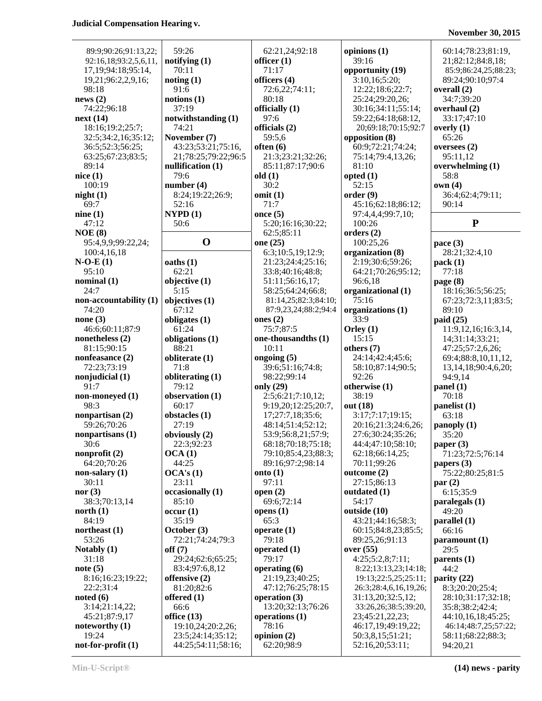# **November 30, 2015**

| 89:9;90:26;91:13,22;           | 59:26                     | 62:21,24;92:18                    | opinions (1)               | 60:14;78:23;81:19,                   |
|--------------------------------|---------------------------|-----------------------------------|----------------------------|--------------------------------------|
| 92:16,18;93:2,5,6,11,          | notifying (1)             | officer $(1)$                     | 39:16                      | 21;82:12;84:8,18;                    |
| 17, 19; 94: 18; 95: 14,        | 70:11                     | 71:17                             | opportunity (19)           | 85:9;86:24,25;88:23;                 |
| 19,21;96:2,2,9,16;             | noting(1)                 | officers (4)                      | 3:10,16;5:20;              | 89:24;90:10;97:4                     |
| 98:18                          | 91:6                      | 72:6,22;74:11;                    | 12:22;18:6;22:7;           | overall $(2)$                        |
| news(2)                        | notions(1)                | 80:18                             | 25:24;29:20,26;            | 34:7;39:20                           |
| 74:22;96:18                    | 37:19                     | officially (1)                    | 30:16;34:11;55:14;         | overhaul (2)                         |
| next(14)                       | notwithstanding (1)       | 97:6                              | 59:22;64:18;68:12,         | 33:17;47:10                          |
| 18:16;19:2;25:7;               | 74:21                     | officials (2)                     | 20;69:18;70:15;92:7        | overly $(1)$                         |
| 32:5;34:2,16;35:12;            | November (7)              | 59:5,6                            | opposition (8)             | 65:26                                |
| 36:5;52:3;56:25;               | 43:23;53:21;75:16,        | often $(6)$                       | 60:9;72:21;74:24;          | oversees $(2)$                       |
| 63:25;67:23;83:5;              | 21;78:25;79:22;96:5       | 21:3;23:21;32:26;                 | 75:14;79:4,13,26;          | 95:11,12                             |
| 89:14                          | nullification $(1)$       | 85:11;87:17;90:6                  | 81:10                      | overwhelming $(1)$                   |
| nice(1)                        | 79:6                      | old(1)                            | opted(1)                   | 58:8                                 |
| 100:19                         | number $(4)$              | 30:2                              | 52:15                      | own(4)                               |
| night(1)                       | 8:24;19:22;26:9;          | omit(1)                           | order(9)                   | 36:4;62:4;79:11;                     |
| 69:7                           | 52:16                     | 71:7                              | 45:16;62:18;86:12;         | 90:14                                |
| nine(1)                        | NYPD(1)                   | once $(5)$                        | 97:4,4,4;99:7,10;          |                                      |
| 47:12                          | 50:6                      | 5:20;16:16;30:22;                 | 100:26                     | ${\bf P}$                            |
| NOE(8)                         |                           | 62:5;85:11                        | orders(2)                  |                                      |
| 95:4,9,9;99:22,24;             | $\mathbf 0$               | one (25)                          | 100:25,26                  | pace $(3)$                           |
| 100:4,16,18                    |                           | 6:3;10:5,19;12:9;                 | organization (8)           | 28:21;32:4,10                        |
| $N-O-E(1)$                     | oaths(1)                  | 21:23;24:4;25:16;                 | 2:19;30:6;59:26;           | pack(1)                              |
| 95:10                          | 62:21                     | 33:8;40:16;48:8;                  | 64:21;70:26;95:12;         | 77:18                                |
| nominal(1)                     | objective (1)             | 51:11;56:16,17;                   | 96:6,18                    | page (8)                             |
| 24:7                           | 5:15                      | 58:25;64:24;66:8;                 | organizational (1)         | 18:16;36:5;56:25;                    |
| non-accountability (1)         | objectives (1)            | 81:14,25;82:3;84:10;              | 75:16                      | 67:23;72:3,11;83:5;                  |
| 74:20                          | 67:12                     | 87:9,23,24;88:2;94:4              | organizations (1)          | 89:10                                |
| none $(3)$                     | obligates (1)             | ones $(2)$                        | 33:9                       | paid(25)                             |
| 46:6;60:11;87:9                | 61:24                     | 75:7;87:5                         | Orley $(1)$                | 11:9,12,16;16:3,14,                  |
| nonetheless $(2)$              | obligations (1)           | one-thousandths (1)               | 15:15                      | 14;31:14;33:21;                      |
| 81:15;90:15                    | 88:21                     | 10:11                             | others (7)                 | 47:25;57:2,6,26;                     |
| nonfeasance (2)                | obliterate (1)<br>71:8    | ongoing $(5)$<br>39:6;51:16;74:8; | 24:14;42:4;45:6;           | 69:4;88:8,10,11,12,                  |
| 72:23;73:19<br>nonjudicial (1) |                           | 98:22;99:14                       | 58:10;87:14;90:5;<br>92:26 | 13, 14, 18; 90: 4, 6, 20;<br>94:9,14 |
| 91:7                           | obliterating (1)<br>79:12 | only (29)                         | otherwise (1)              | panel(1)                             |
| non-moneyed (1)                | observation (1)           | 2:5;6:21;7:10,12;                 | 38:19                      | 70:18                                |
| 98:3                           | 60:17                     | 9:19,20;12:25;20:7,               | out (18)                   | panelist (1)                         |
| nonpartisan (2)                | obstacles (1)             | 17;27:7,18;35:6;                  | 3:17;7:17;19:15;           | 63:18                                |
| 59:26;70:26                    | 27:19                     | 48:14:51:4:52:12;                 | 20:16;21:3;24:6,26;        | panoply (1)                          |
| nonpartisans (1)               | obviously (2)             | 53:9;56:8,21;57:9;                | 27:6;30:24;35:26;          | 35:20                                |
| 30:6                           | 22:3;92:23                | 68:18;70:18;75:18;                | 44:4;47:10;58:10;          | paper (3)                            |
| nonprofit $(2)$                | OCA(1)                    | 79:10;85:4,23;88:3;               | 62:18;66:14,25;            | 71:23;72:5;76:14                     |
| 64:20;70:26                    | 44:25                     | 89:16;97:2;98:14                  | 70:11;99:26                | papers (3)                           |
| non-salary $(1)$               | OCA's(1)                  | onto $(1)$                        | outcome $(2)$              | 75:22;80:25;81:5                     |
| 30:11                          | 23:11                     | 97:11                             | 27:15;86:13                | par(2)                               |
| nor(3)                         | occasionally (1)          | open $(2)$                        | outdated (1)               | 6:15;35:9                            |
| 38:3;70:13,14                  | 85:10                     | 69:6;72:14                        | 54:17                      | paralegals $(1)$                     |
| north $(1)$                    | occur(1)                  | opens $(1)$                       | outside (10)               | 49:20                                |
| 84:19                          | 35:19                     | 65:3                              | 43:21;44:16;58:3;          | parallel(1)                          |
| northeast $(1)$                | October (3)               | operate $(1)$                     | 60:15;84:8,23;85:5;        | 66:16                                |
| 53:26                          | 72:21;74:24;79:3          | 79:18                             | 89:25,26;91:13             | paramount (1)                        |
| Notably (1)                    | off(7)                    | operated $(1)$                    | over (55)                  | 29:5                                 |
| 31:18                          | 29:24;62:6;65:25;         | 79:17                             | 4:25;5:2,8;7:11;           | parents $(1)$                        |
| note(5)                        | 83:4;97:6,8,12            | operating $(6)$                   | 8:22;13:13,23;14:18;       | 44:2                                 |
| 8:16;16:23;19:22;              | offensive $(2)$           | 21:19,23;40:25;                   | 19:13;22:5,25;25:11;       | parity (22)                          |
| 22:2;31:4                      | 81:20;82:6                | 47:12;76:25;78:15                 | 26:3;28:4,6,16,19,26;      | 8:3;20:20;25:4;                      |
| noted(6)                       | offered $(1)$             | operation $(3)$                   | 31:13,20;32:5,12;          | 28:10;31:17;32:18;                   |
| 3:14;21:14,22;                 | 66:6                      | 13:20;32:13;76:26                 | 33:26,26;38:5;39:20,       | 35:8;38:2;42:4;                      |
| 45:21;87:9,17                  | office $(13)$             | operations (1)                    | 23;45:21,22,23;            | 44:10,16,18;45:25;                   |
| noteworthy (1)                 | 19:10,24;20:2,26;         | 78:16                             | 46:17,19;49:19,22;         | 46:14;48:7,25;57:22;                 |
| 19:24                          | 23:5;24:14;35:12;         | opinion $(2)$                     | 50:3,8,15;51:21;           | 58:11;68:22;88:3;                    |
| $not-for-profit (1)$           | 44:25;54:11;58:16;        | 62:20;98:9                        | 52:16,20;53:11;            | 94:20,21                             |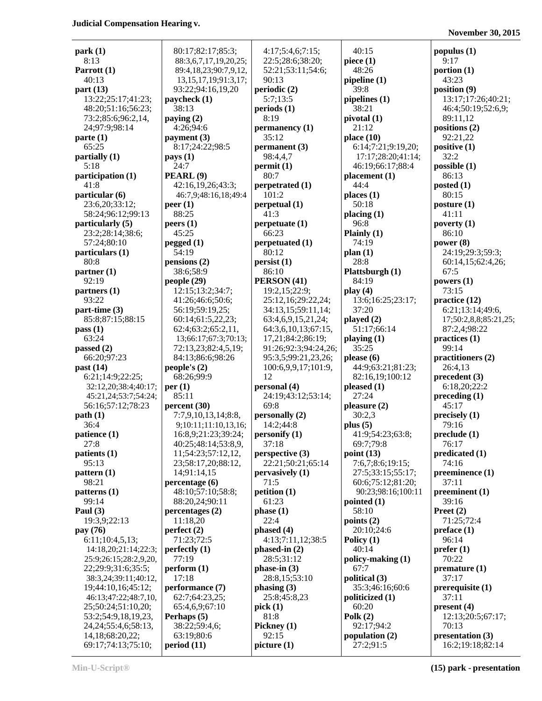| park(1)                   | 80:17;82:17;85:3;          | 4:17;5:4,6;7:15;     | 40:15              | populus $(1)$         |
|---------------------------|----------------------------|----------------------|--------------------|-----------------------|
| 8:13                      | 88:3,6,7,17,19,20,25;      | 22:5;28:6;38:20;     | piece $(1)$        | 9:17                  |
| Parrott (1)               | 89:4,18,23;90:7,9,12,      | 52:21;53:11;54:6;    | 48:26              | portion $(1)$         |
| 40:13                     | 13, 15, 17, 19; 91: 3, 17; | 90:13                | pipeline $(1)$     | 43:23                 |
| part $(13)$               | 93:22;94:16,19,20          | periodic (2)         | 39:8               | position (9)          |
| 13:22;25:17;41:23;        | paycheck (1)               | 5:7:13:5             | pipelines (1)      | 13:17;17:26;40:21;    |
|                           |                            |                      | 38:21              |                       |
| 48:20;51:16;56:23;        | 38:13                      | periods(1)           |                    | 46:4;50:19;52:6,9;    |
| 73:2;85:6;96:2,14,        | paying $(2)$               | 8:19                 | pivotal (1)        | 89:11,12              |
| 24;97:9;98:14             | 4:26;94:6                  | permanency (1)       | 21:12              | positions (2)         |
| parte(1)                  | payment $(3)$              | 35:12                | place $(10)$       | 92:21,22              |
| 65:25                     | 8:17;24:22;98:5            | permanent (3)        | 6:14;7:21;9:19,20; | positive $(1)$        |
| partially $(1)$           | $\mathbf{pays}(1)$         | 98:4,4,7             | 17:17;28:20;41:14; | 32:2                  |
| 5:18                      | 24:7                       | permit(1)            | 46:19;66:17;88:4   | possible(1)           |
| participation (1)         | PEARL <sup>(9)</sup>       | 80:7                 | placement (1)      | 86:13                 |
|                           |                            |                      |                    |                       |
| 41:8                      | 42:16,19,26;43:3;          | perpetrated (1)      | 44:4               | posted $(1)$          |
| particular (6)            | 46:7,9;48:16,18;49:4       | 101:2                | places(1)          | 80:15                 |
| 23:6,20;33:12;            | peer(1)                    | perpetual(1)         | 50:18              | posture(1)            |
| 58:24;96:12;99:13         | 88:25                      | 41:3                 | placing (1)        | 41:11                 |
| particularly (5)          | peers(1)                   | perpetuate(1)        | 96:8               | poverty $(1)$         |
| 23:2;28:14;38:6;          | 45:25                      | 66:23                | Plainly $(1)$      | 86:10                 |
| 57:24;80:10               | pegged (1)                 | perpetuated (1)      | 74:19              | power $(8)$           |
|                           |                            |                      |                    |                       |
| particulars (1)           | 54:19                      | 80:12                | plan(1)            | 24:19;29:3;59:3;      |
| 80:8                      | pensions(2)                | persist(1)           | 28:8               | 60:14,15;62:4,26;     |
| partner(1)                | 38:6;58:9                  | 86:10                | Plattsburgh (1)    | 67:5                  |
| 92:19                     | people(29)                 | PERSON (41)          | 84:19              | powers $(1)$          |
| partners(1)               | 12:15;13:2;34:7;           | 19:2,15;22:9;        | play(4)            | 73:15                 |
| 93:22                     | 41:26;46:6;50:6;           | 25:12,16;29:22,24;   | 13:6;16:25;23:17;  | practice (12)         |
| $part-time (3)$           | 56:19;59:19,25;            | 34:13,15;59:11,14;   | 37:20              | 6:21;13:14;49:6,      |
|                           |                            |                      |                    |                       |
| 85:8;87:15;88:15          | 60:14;61:5,22,23;          | 63:4,6,9,15,21,24;   | played $(2)$       | 17;50:2,8,8;85:21,25; |
| pass(1)                   | 62:4;63:2;65:2,11,         | 64:3,6,10,13;67:15,  | 51:17;66:14        | 87:2,4;98:22          |
| 63:24                     | 13;66:17;67:3;70:13;       | 17,21;84:2;86:19;    | playing $(1)$      | practices (1)         |
| passed $(2)$              | 72:13,23;82:4,5,19;        | 91:26;92:3;94:24,26; | 35:25              | 99:14                 |
| 66:20;97:23               | 84:13;86:6;98:26           | 95:3,5;99:21,23,26;  | please $(6)$       | practitioners (2)     |
| past $(14)$               | people's $(2)$             | 100:6,9,9,17;101:9,  | 44:9;63:21;81:23;  | 26:4,13               |
| 6:21;14:9;22:25;          | 68:26;99:9                 | 12                   | 82:16,19;100:12    | precedent(3)          |
|                           |                            |                      |                    | 6:18,20;22:2          |
| 32:12,20;38:4;40:17;      | per(1)                     | personal (4)         | pleased(1)         |                       |
| 45:21,24;53:7;54:24;      | 85:11                      | 24:19;43:12;53:14;   | 27:24              | preceding(1)          |
| 56:16;57:12;78:23         | percent (30)               | 69:8                 | pleasure(2)        | 45:17                 |
| path(1)                   | 7:7,9,10,13,14;8:8,        | personally (2)       | 30:2,3             | precisely (1)         |
| 36:4                      | 9;10:11;11:10,13,16;       | 14:2:44:8            | plus $(5)$         | 79:16                 |
| patience (1)              | 16:8,9;21:23;39:24;        | personify(1)         | 41:9;54:23;63:8;   | preclude(1)           |
| 27:8                      | 40:25;48:14;53:8,9,        | 37:18                | 69:7;79:8          | 76:17                 |
| patients (1)              | 11;54:23;57:12,12,         | perspective (3)      | point $(13)$       | predicated (1)        |
| 95:13                     |                            |                      | 7:6,7;8:6;19:15;   | 74:16                 |
|                           | 23;58:17,20;88:12,         | 22:21;50:21;65:14    |                    |                       |
| pattern (1)               | 14;91:14,15                | pervasively (1)      | 27:5;33:15;55:17;  | preeminence (1)       |
| 98:21                     | percentage(6)              | 71:5                 | 60:6;75:12;81:20;  | 37:11                 |
| patterns <sub>(1)</sub>   | 48:10;57:10;58:8;          | petition (1)         | 90:23;98:16;100:11 | preeminent(1)         |
| 99:14                     | 88:20,24;90:11             | 61:23                | pointed $(1)$      | 39:16                 |
| Paul $(3)$                | percentages(2)             | phase(1)             | 58:10              | Preet $(2)$           |
| 19:3,9;22:13              | 11:18,20                   | 22:4                 | points $(2)$       | 71:25;72:4            |
| pay (76)                  | perfect $(2)$              | phased (4)           | 20:10;24:6         | preface(1)            |
|                           |                            |                      |                    |                       |
| 6:11;10:4,5,13;           | 71:23;72:5                 | 4:13;7:11,12;38:5    | Policy $(1)$       | 96:14                 |
| 14:18,20;21:14;22:3;      | perfectly $(1)$            | $phased-in(2)$       | 40:14              | prefer(1)             |
| 25:9;26:15;28:2,9,20,     | 77:19                      | 28:5;31:12           | policy-making (1)  | 70:22                 |
| 22;29:9;31:6;35:5;        | perform (1)                | phase-in $(3)$       | 67:7               | premature(1)          |
| 38:3,24;39:11;40:12,      | 17:18                      | 28:8,15;53:10        | political (3)      | 37:17                 |
| 19;44:10,16;45:12;        | performance (7)            | phasing(3)           | 35:3;46:16;60:6    | prerequisite (1)      |
| 46:13;47:22;48:7,10,      | 62:7;64:23,25;             | 25:8;45:8,23         | politicized $(1)$  | 37:11                 |
| 25;50:24;51:10,20;        | 65:4,6,9;67:10             |                      | 60:20              |                       |
|                           |                            | pick(1)              |                    | present(4)            |
| 53:2;54:9,18,19,23,       | Perhaps (5)                | 81:8                 | Polk $(2)$         | 12:13;20:5;67:17;     |
| 24, 24; 55: 4, 6; 58: 13, | 38:22;59:4,6;              | Pickney (1)          | 92:17;94:2         | 70:13                 |
| 14,18;68:20,22;           | 63:19;80:6                 | 92:15                | population (2)     | presentation (3)      |
| 69:17;74:13;75:10;        | period(11)                 | picture (1)          | 27:2;91:5          | 16:2;19:18;82:14      |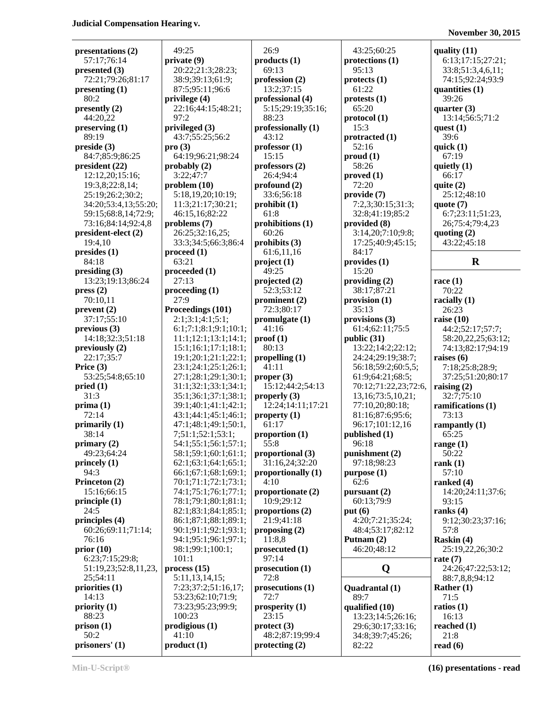| presentations (2)                | 49:25                                  | 26:9                               | 43:25;60:25                            | quality $(11)$       |
|----------------------------------|----------------------------------------|------------------------------------|----------------------------------------|----------------------|
| 57:17:76:14                      | private (9)                            | products(1)                        | protections (1)                        | 6:13;17:15;27:21;    |
| presented (3)                    | 20:22;21:3;28:23;                      | 69:13                              | 95:13                                  | 33:8;51:3,4,6,11;    |
| 72:21;79:26;81:17                | 38:9;39:13;61:9;                       | profession (2)                     | protects <sub>(1)</sub>                | 74:15;92:24;93:9     |
| presenting (1)                   | 87:5;95:11;96:6                        | 13:2;37:15                         | 61:22                                  | quantities $(1)$     |
| 80:2                             | privilege (4)                          | professional (4)                   | protests (1)                           | 39:26                |
| presently $(2)$                  | 22:16;44:15;48:21;                     | 5:15;29:19;35:16;                  | 65:20                                  | quarter $(3)$        |
| 44:20,22                         | 97:2                                   | 88:23                              | protocol(1)                            | 13:14;56:5;71:2      |
| preserving (1)                   | privileged (3)                         | professionally (1)                 | 15:3                                   | quest $(1)$          |
| 89:19                            | 43:7;55:25;56:2                        | 43:12                              | protracted (1)                         | 39:6                 |
| preside (3)                      | pro(3)                                 | professor(1)                       | 52:16                                  | quick $(1)$          |
| 84:7;85:9;86:25                  | 64:19;96:21;98:24                      | 15:15                              | prod(1)                                | 67:19                |
| president (22)                   | probably $(2)$                         | professors (2)                     | 58:26                                  | quietly $(1)$        |
| 12:12,20;15:16;                  | 3:22;47:7                              | 26:4;94:4                          | proved (1)                             | 66:17                |
| 19:3,8;22:8,14;                  | problem(10)                            | $\mathbf{profound}\left( 2\right)$ | 72:20                                  | quite $(2)$          |
| 25:19;26:2;30:2;                 | 5:18,19,20;10:19;                      | 33:6;56:18                         | provide (7)                            | 25:12;48:10          |
| 34:20;53:4,13;55:20;             | 11:3;21:17;30:21;                      | prohibit (1)                       | 7:2,3;30:15;31:3;                      | quote $(7)$          |
| 59:15;68:8,14;72:9;              | 46:15,16;82:22                         | 61:8                               | 32:8;41:19;85:2                        | 6:7;23:11;51:23,     |
| 73:16;84:14;92:4,8               | problems (7)                           | prohibitions (1)                   | provided (8)                           | 26;75:4;79:4,23      |
| president-elect (2)              | 26:25;32:16,25;                        | 60:26                              | 3:14,20;7:10;9:8;                      | quoting $(2)$        |
| 19:4,10                          | 33:3;34:5;66:3;86:4                    | prohibits (3)                      | 17:25;40:9;45:15;                      | 43:22;45:18          |
| presides(1)                      | $\boldsymbol{proceed (1)}$             | 61:6,11,16                         | 84:17                                  |                      |
| 84:18                            | 63:21                                  | project(1)                         | provides (1)                           | $\mathbf R$          |
| presiding (3)                    | proceeded (1)                          | 49:25                              | 15:20                                  |                      |
| 13:23;19:13;86:24                | 27:13                                  | projected (2)                      | providing $(2)$                        | race $(1)$           |
| pres(2)                          | procedureding(1)                       | 52:3;53:12                         | 38:17:87:21                            | 70:22                |
| 70:10,11                         | 27:9                                   | prominent $(2)$                    | provision (1)                          | racially $(1)$       |
| prevent(2)                       | Proceedings (101)                      | 72:3;80:17                         | 35:13                                  | 26:23                |
| 37:17;55:10                      | 2:1;3:1;4:1;5:1;                       | promulgate $(1)$                   | provisions (3)                         | raise $(10)$         |
| previous(3)                      | 6:1;7:1;8:1;9:1;10:1;                  | 41:16                              | 61:4;62:11;75:5                        | 44:2;52:17;57:7;     |
| 14:18;32:3;51:18                 | 11:1;12:1;13:1;14:1;                   | proof(1)                           | public (31)                            | 58:20,22,25;63:12;   |
| previously (2)                   | 15:1;16:1;17:1;18:1;                   | 80:13                              | 13:22;14:2;22:12;                      | 74:13;82:17;94:19    |
| 22:17;35:7                       | 19:1;20:1;21:1;22:1;                   | propelling $(1)$                   | 24:24;29:19;38:7;                      | raises $(6)$         |
| Price $(3)$                      | 23:1;24:1;25:1;26:1;                   | 41:11                              | 56:18;59:2;60:5,5;                     | 7:18;25:8;28:9;      |
| 53:25;54:8;65:10                 | 27:1;28:1;29:1;30:1;                   | proper (3)                         | 61:9;64:21;68:5;                       | 37:25;51:20;80:17    |
| pried(1)                         | 31:1;32:1;33:1;34:1;                   | 15:12;44:2;54:13                   | 70:12;71:22,23;72:6,                   | raising $(2)$        |
| 31:3                             | 35:1;36:1;37:1;38:1;                   | properly $(3)$                     | 13,16;73:5,10,21;                      | 32:7;75:10           |
| prima(1)                         | 39:1;40:1;41:1;42:1;                   | 12:24;14:11;17:21                  | 77:10,20;80:18;                        | ramifications (1)    |
| 72:14                            | 43:1;44:1;45:1;46:1;                   | property $(1)$                     | 81:16;87:6;95:6;                       | 73:13                |
| primarily (1)                    | 47:1;48:1;49:1;50:1,                   | 61:17                              | 96:17;101:12,16                        | rampantly $(1)$      |
| 38:14                            | 7;51:1;52:1;53:1;                      | proportion (1)                     | published (1)                          | 65:25                |
| primary $(2)$                    | 54:1;55:1;56:1;57:1;                   | 55:8                               | 96:18                                  | range $(1)$          |
| 49:23:64:24                      | 58:1;59:1;60:1;61:1;                   | proportional (3)                   | punishment (2)                         | 50:22                |
| princely (1)                     | 62:1;63:1;64:1;65:1;                   | 31:16,24;32:20                     | 97:18;98:23                            | rank $(1)$           |
| 94:3                             | 66:1;67:1;68:1;69:1;                   | proportionally (1)                 | purpose (1)                            | 57:10                |
| Princeton (2)                    | 70:1;71:1;72:1;73:1;                   | 4:10                               | 62:6                                   | ranked (4)           |
| 15:16;66:15                      | 74:1;75:1;76:1;77:1;                   | proportionate (2)                  | pursuant $(2)$                         | 14:20;24:11;37:6;    |
| principle $(1)$                  | 78:1;79:1;80:1;81:1;                   | 10:9;29:12                         | 60:13;79:9                             | 93:15                |
| 24:5                             | 82:1;83:1;84:1;85:1;                   | proportions (2)                    | put(6)                                 | ranks $(4)$          |
| principles (4)                   | 86:1;87:1;88:1;89:1;                   | 21:9:41:18                         | 4:20;7:21;35:24;                       | 9:12;30:23;37:16;    |
| 60:26;69:11;71:14;               | 90:1;91:1;92:1;93:1;                   | proposing $(2)$                    | 48:4;53:17;82:12                       | 57:8                 |
| 76:16                            | 94:1;95:1;96:1;97:1;                   | 11:8,8                             | Putnam $(2)$                           | Raskin (4)           |
| prior(10)                        | 98:1;99:1;100:1;                       | prosecuted (1)<br>97:14            | 46:20;48:12                            | 25:19,22,26;30:2     |
| 6:23;7:15;29:8;                  | 101:1                                  |                                    |                                        | rate $(7)$           |
| 51:19,23;52:8,11,23,<br>25;54:11 | process(15)                            | prosecution (1)<br>72:8            | Q                                      | 24:26;47:22;53:12;   |
|                                  | 5:11,13,14,15;                         | prosecutions (1)                   |                                        | 88:7,8,8;94:12       |
| priorities (1)<br>14:13          | 7:23;37:2;51:16,17;                    | 72:7                               | Quadrantal (1)                         | Rather $(1)$         |
| priority(1)                      | 53:23;62:10;71:9;<br>73:23;95:23;99:9; | prosperity $(1)$                   | 89:7                                   | 71:5<br>ratios $(1)$ |
| 88:23                            | 100:23                                 | 23:15                              | qualified (10)                         | 16:13                |
| prison(1)                        | prodigious(1)                          | $\text{protect (3)}$               | 13:23;14:5;26:16;<br>29:6;30:17;33:16; | reached $(1)$        |
| 50:2                             | 41:10                                  | 48:2;87:19;99:4                    | 34:8;39:7;45:26;                       | 21:8                 |
| prisoners' (1)                   | product(1)                             | protectting (2)                    | 82:22                                  | read $(6)$           |
|                                  |                                        |                                    |                                        |                      |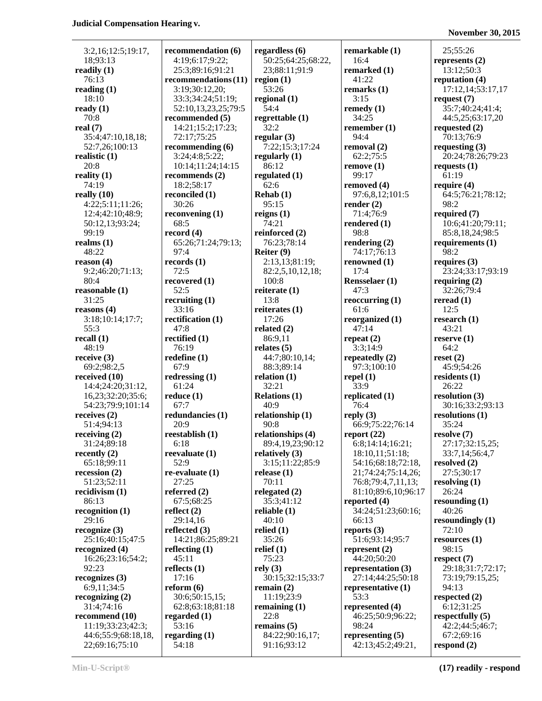|                                      |                           |                         |                       | $1303$ CHIDCL $203.20$   |
|--------------------------------------|---------------------------|-------------------------|-----------------------|--------------------------|
| 3:2,16;12:5;19:17,                   | recommendation (6)        | regardless $(6)$        | remarkable (1)        | 25;55:26                 |
| 18;93:13                             | 4:19;6:17;9:22;           | 50:25;64:25;68:22,      | 16:4                  | represents $(2)$         |
| readily $(1)$                        | 25:3;89:16;91:21          | 23;88:11;91:9           | remarked (1)          | 13:12;50:3               |
| 76:13                                | recommendations(11)       | region $(1)$            | 41:22                 | reputation (4)           |
| reading $(1)$                        | 3:19;30:12,20;            | 53:26                   | remarks $(1)$         | 17:12,14;53:17,17        |
| 18:10                                | 33:3;34:24;51:19;         | regional $(1)$          | 3:15                  | request $(7)$            |
| ready $(1)$                          | 52:10,13,23,25;79:5       | 54:4                    | remedy $(1)$          | 35:7;40:24;41:4;         |
| 70:8                                 | recommended (5)           | regrettable $(1)$       | 34:25                 | 44:5,25;63:17,20         |
| real $(7)$                           | 14:21;15:2;17:23;         | 32:2                    | remember $(1)$        | requested $(2)$          |
| 35:4;47:10,18,18;                    | 72:17;75:25               | regular $(3)$           | 94:4                  | 70:13;76:9               |
| 52:7,26;100:13                       | recommending (6)          | 7:22;15:3;17:24         | removal (2)           | requesting $(3)$         |
| realistic $(1)$                      | 3:24;4:8;5:22;            | regularly $(1)$         | 62:2:75:5             | 20:24;78:26;79:23        |
| 20:8                                 | 10:14;11:24;14:15         | 86:12                   | remove(1)             | requests $(1)$           |
| reality $(1)$                        | recommends $(2)$          | regulated (1)           | 99:17                 | 61:19                    |
| 74:19                                | 18:2;58:17                | 62:6                    | removed (4)           | require $(4)$            |
| really $(10)$                        | reconciled (1)            | Rehab(1)                | 97:6,8,12;101:5       | 64:5;76:21;78:12;        |
| 4:22;5:11;11:26;                     | 30:26                     | 95:15                   | render $(2)$          | 98:2                     |
| 12:4;42:10;48:9;                     | reconvening $(1)$         | reigns $(1)$            | 71:4;76:9             | required (7)             |
| 50:12,13;93:24;                      | 68:5                      | 74:21                   | rendered (1)          | 10:6;41:20;79:11;        |
| 99:19                                | record $(4)$              | reinforced (2)          | 98:8                  | 85:8,18,24;98:5          |
| realms $(1)$                         | 65:26;71:24;79:13;        | 76:23;78:14             | rendering $(2)$       | requirements $(1)$       |
| 48:22                                | 97:4                      | Reiter (9)              | 74:17:76:13           | 98:2                     |
| reason $(4)$                         | records $(1)$             | 2:13,13;81:19;          | renowned (1)          | requires $(3)$           |
| 9:2;46:20;71:13;                     | 72:5                      | 82:2,5,10,12,18;        | 17:4                  | 23:24;33:17;93:19        |
| 80:4                                 | recovered (1)             | 100:8                   | <b>Rensselaer</b> (1) | requiring $(2)$          |
| reasonable $(1)$                     | 52:5                      | reiterate $(1)$         | 47:3                  | 32:26;79:4               |
| 31:25                                | recruiting $(1)$          | 13:8                    | reoccurring $(1)$     | reread $(1)$             |
| reasons(4)                           | 33:16                     | reiterates $(1)$        | 61:6                  | 12:5                     |
| 3:18;10:14;17:7;                     | rectification (1)         | 17:26                   | reorganized (1)       | research $(1)$           |
| 55:3                                 | 47:8                      | related $(2)$           | 47:14                 | 43:21                    |
| recall $(1)$                         | rectified (1)             | 86:9,11                 | repeat $(2)$          | reserve $(1)$            |
| 48:19                                | 76:19                     | relates $(5)$           | 3:3;14:9              | 64:2                     |
| receive $(3)$                        | redefine $(1)$            | 44:7;80:10,14;          | repeatedly $(2)$      | reset(2)                 |
| 69:2;98:2,5                          | 67:9                      | 88:3;89:14              | 97:3;100:10           | 45:9;54:26               |
| received $(10)$<br>14:4;24:20;31:12, | redressing $(1)$<br>61:24 | relation $(1)$<br>32:21 | repel $(1)$<br>33:9   | residents $(1)$<br>26:22 |
| 16,23;32:20;35:6;                    | reduce(1)                 | <b>Relations (1)</b>    | replicated (1)        | resolution (3)           |
| 54:23;79:9;101:14                    | 67:7                      | 40:9                    | 76:4                  | 30:16;33:2;93:13         |
| receives $(2)$                       | redundancies (1)          | relationship $(1)$      | reply $(3)$           | resolutions $(1)$        |
| 51:4;94:13                           | 20:9                      | 90:8                    | 66:9;75:22;76:14      | 35:24                    |
| receiving $(2)$                      | reestablish (1)           | relationships (4)       | report $(22)$         | resolve (7)              |
| 31:24;89:18                          | 6:18                      | 89:4,19,23;90:12        | 6:8;14:14;16:21;      | 27:17;32:15,25;          |
| recently $(2)$                       | reevaluate $(1)$          | relatively $(3)$        | 18:10,11;51:18;       | 33:7,14;56:4,7           |
| 65:18;99:11                          | 52:9                      | 3:15;11:22;85:9         | 54:16;68:18;72:18,    | resolved $(2)$           |
| recession $(2)$                      | $re-evaluate (1)$         | release $(1)$           | 21;74:24;75:14,26;    | 27:5;30:17               |
| 51:23;52:11                          | 27:25                     | 70:11                   | 76:8;79:4,7,11,13;    | resolving $(1)$          |
| recidivism $(1)$                     | referred $(2)$            | relegated $(2)$         | 81:10;89:6,10;96:17   | 26:24                    |
| 86:13                                | 67:5;68:25                | 35:3;41:12              | reported $(4)$        | resounding $(1)$         |
| recognition(1)                       | reflect $(2)$             | reliable $(1)$          | 34:24;51:23;60:16;    | 40:26                    |
| 29:16                                | 29:14,16                  | 40:10                   | 66:13                 | resoundingly $(1)$       |
| recognize $(3)$                      | reflected $(3)$           | relied $(1)$            | reports $(3)$         | 72:10                    |
| 25:16;40:15;47:5                     | 14:21;86:25;89:21         | 35:26                   | 51:6;93:14;95:7       | resources(1)             |
| recognized (4)                       | reflecting $(1)$          | relief $(1)$            | represent $(2)$       | 98:15                    |
| 16:26;23:16;54:2;                    | 45:11                     | 75:23                   | 44:20;50:20           | respect $(7)$            |
| 92:23                                | reflects $(1)$            | rely(3)                 | representation (3)    | 29:18;31:7;72:17;        |
| recognizes $(3)$                     | 17:16                     | 30:15;32:15;33:7        | 27:14;44:25;50:18     | 73:19;79:15,25;          |
| 6:9,11;34:5                          | reform $(6)$              | remain $(2)$            | representative (1)    | 94:13                    |
| recognizing $(2)$                    | 30:6;50:15,15;            | 11:19:23:9              | 53:3                  | respected $(2)$          |
| 31:4;74:16                           | 62:8;63:18;81:18          | remaining $(1)$         | represented (4)       | 6:12;31:25               |
| recommend (10)                       | regarded $(1)$            | 22:8                    | 46:25;50:9;96:22;     | respectfully $(5)$       |
| 11:19;33:23;42:3;                    | 53:16                     | remains $(5)$           | 98:24                 | 42:2;44:5;46:7;          |
| 44:6;55:9;68:18,18,                  | regarding $(1)$           | 84:22;90:16,17;         | representing $(5)$    | 67:2;69:16               |
| 22;69:16;75:10                       | 54:18                     | 91:16;93:12             | 42:13;45:2;49:21,     | respond $(2)$            |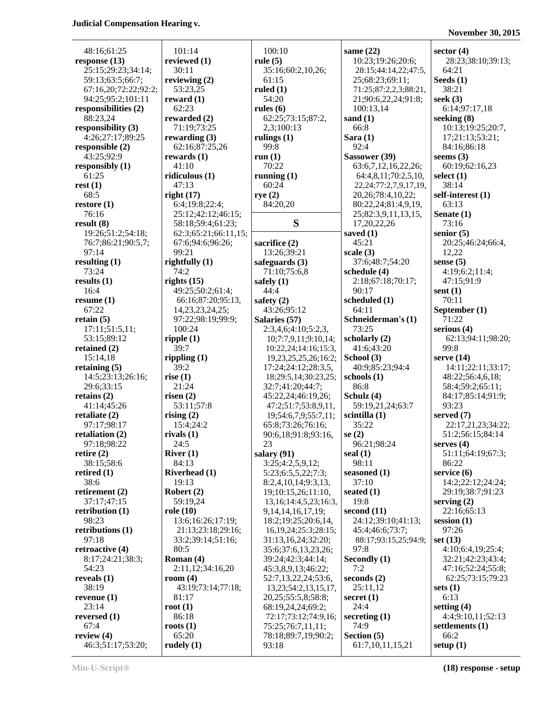**November 30, 2015**

|                                           | 101:14                         | 100:10                                      |                                          |                                      |
|-------------------------------------------|--------------------------------|---------------------------------------------|------------------------------------------|--------------------------------------|
| 48:16;61:25                               | reviewed (1)                   | rule $(5)$                                  | same $(22)$<br>10:23;19:26;20:6;         | sector $(4)$<br>28:23;38:10;39:13;   |
| response $(13)$                           | 30:11                          |                                             | 28:15;44:14,22;47:5,                     | 64:21                                |
| 25:15;29:23;34:14;                        |                                | 35:16;60:2,10,26;<br>61:15                  |                                          |                                      |
| 59:13;63:5;66:7;                          | reviewing $(2)$<br>53:23,25    | ruled $(1)$                                 | 25;68:23;69:11;<br>71:25;87:2,2,3;88:21, | Seeds $(1)$<br>38:21                 |
| 67:16,20;72:22;92:2;                      |                                | 54:20                                       | 21;90:6,22,24;91:8;                      | seek $(3)$                           |
| 94:25;95:2;101:11<br>responsibilities (2) | reward $(1)$<br>62:23          | rules $(6)$                                 |                                          | 6:14;97:17,18                        |
| 88:23,24                                  |                                |                                             | 100:13,14                                |                                      |
|                                           | rewarded (2)                   | 62:25;73:15;87:2,                           | sand $(1)$<br>66:8                       | seeking $(8)$                        |
| responsibility (3)<br>4:26:27:17:89:25    | 71:19;73:25<br>rewarding $(3)$ | 2,3;100:13                                  |                                          | 10:13;19:25;20:7,<br>17;21:13;53:21; |
| responsible (2)                           | 62:16;87:25,26                 | rulings $(1)$<br>99:8                       | Sara $(1)$<br>92:4                       | 84:16;86:18                          |
| 43:25;92:9                                | rewards $(1)$                  | run(1)                                      | Sassower (39)                            | seems $(3)$                          |
| responsibly (1)                           | 41:10                          | 70:22                                       | 63:6,7,12,16,22,26;                      | 60:19;62:16,23                       |
| 61:25                                     | ridiculous $(1)$               | running $(1)$                               | 64:4,8,11;70:2,5,10,                     | select $(1)$                         |
| rest(1)                                   | 47:13                          | 60:24                                       | 22, 24; 77: 2, 7, 9, 17, 19,             | 38:14                                |
| 68:5                                      | right(17)                      | rye $(2)$                                   | 20, 26; 78: 4, 10, 22;                   | self-interest (1)                    |
| restore $(1)$                             | 6:4;19:8;22:4;                 | 84:20,20                                    | 80:22,24;81:4,9,19,                      | 63:13                                |
| 76:16                                     | 25:12;42:12;46:15;             |                                             | 25;82:3,9,11,13,15,                      | Senate (1)                           |
| result(8)                                 | 58:18;59:4;61:23;              | S                                           | 17,20,22,26                              | 73:16                                |
| 19:26;51:2;54:18;                         | 62:3;65:21;66:11,15;           |                                             | saved (1)                                | senior $(5)$                         |
| 76:7;86:21;90:5,7;                        | 67:6;94:6;96:26;               | sacrifice (2)                               | 45:21                                    | 20:25;46:24;66:4,                    |
| 97:14                                     | 99:21                          | 13:26;39:21                                 | scale(3)                                 | 12,22                                |
| resulting $(1)$                           | rightfully $(1)$               | safeguards $(3)$                            | 37:6;48:7;54:20                          | sense $(5)$                          |
| 73:24                                     | 74:2                           | 71:10;75:6,8                                | schedule (4)                             | 4:19;6:2;11:4;                       |
| results(1)                                | rights $(15)$                  | safely $(1)$                                | 2:18;67:18;70:17;                        | 47:15;91:9                           |
| 16:4                                      | 49:25;50:2;61:4;               | 44:4                                        | 90:17                                    | sent $(1)$                           |
| resume(1)                                 | 66:16;87:20;95:13,             | safety $(2)$                                | scheduled (1)                            | 70:11                                |
| 67:22                                     | 14, 23, 23, 24, 25;            | 43:26;95:12                                 | 64:11                                    | September (1)                        |
| retain $(5)$                              | 97:22;98:19;99:9;              | Salaries (57)                               | Schneiderman's (1)                       | 71:22                                |
| 17:11;51:5,11;                            | 100:24                         |                                             | 73:25                                    | serious $(4)$                        |
| 53:15;89:12                               | ripple(1)                      | 2:3,4,6;4:10;5:2,3,<br>10;7:7,9,11;9:10,14; | scholarly (2)                            | 62:13;94:11;98:20;                   |
| retained $(2)$                            | 39:7                           | 10:22,24;14:16;15:3,                        | 41:6:43:20                               | 99:8                                 |
| 15:14,18                                  | rippling $(1)$                 | 19,23,25,25,26;16:2;                        | School (3)                               | serve $(14)$                         |
| retaining $(5)$                           | 39:2                           | 17:24;24:12;28:3,5,                         | 40:9;85:23;94:4                          | 14:11;22:11;33:17;                   |
| 14:5;23:13;26:16;                         | rise $(1)$                     |                                             | schools(1)                               | 48:22;56:4,6,18;                     |
| 29:6;33:15                                | 21:24                          | 18;29:5,14;30:23,25;<br>32:7;41:20;44:7;    | 86:8                                     | 58:4;59:2;65:11;                     |
| retains $(2)$                             | risen $(2)$                    | 45:22,24;46:19,26;                          | Schulz (4)                               | 84:17;85:14;91:9;                    |
| 41:14;45:26                               | 53:11;57:8                     | 47:2;51:7;53:8,9,11,                        | 59:19,21,24;63:7                         | 93:23                                |
| retaliate $(2)$                           | rising $(2)$                   | 19;54:6,7,9;55:7,11;                        | scintilla (1)                            | served (7)                           |
| 97:17;98:17                               | 15:4;24:2                      | 65:8;73:26;76:16;                           | 35:22                                    | 22:17,21,23;34:22;                   |
| retaliation (2)                           | rivals $(1)$                   | 90:6,18;91:8;93:16,                         | se $(2)$                                 | 51:2;56:15;84:14                     |
| 97:18;98:22                               | 24:5                           | 23                                          | 96:21;98:24                              | serves $(4)$                         |
| retire $(2)$                              | River $(1)$                    | salary (91)                                 | seal $(1)$                               | 51:11;64:19;67:3;                    |
| 38:15;58:6                                | 84:13                          | 3:25;4:2,5,9,12;                            | 98:11                                    | 86:22                                |
| retired $(1)$                             | <b>Riverhead</b> (1)           | 5:23;6:5,5,22;7:3;                          | seasoned (1)                             | service $(6)$                        |
| 38:6                                      | 19:13                          | 8:2,4,10,14;9:3,13,                         | 37:10                                    | 14:2;22:12;24:24;                    |
| retirement $(2)$                          | Robert $(2)$                   | 19;10:15,26;11:10,                          | seated $(1)$                             | 29:19;38:7;91:23                     |
| 37:17:47:15                               | 59:19,24                       | 13, 16; 14: 4, 5, 23; 16: 3,                | 19:8                                     | serving $(2)$                        |
| retribution $(1)$                         | role $(10)$                    | 9, 14, 14, 16, 17, 19;                      | second $(11)$                            | 22:16;65:13                          |
| 98:23                                     | 13:6;16:26;17:19;              | 18:2;19:25;20:6,14,                         | 24:12;39:10;41:13;                       | session $(1)$                        |
| retributions (1)                          | 21:13;23:18;29:16;             | 16, 19, 24; 25: 3; 28: 15;                  | 45:4;46:6;73:7;                          | 97:26                                |
| 97:18                                     | 33:2;39:14;51:16;              | 31:13,16,24;32:20;                          | 88:17;93:15,25;94:9;                     | set $(13)$                           |
| retroactive (4)                           | 80:5                           | 35:6;37:6,13,23,26;                         | 97:8                                     | 4:10;6:4,19;25:4;                    |
| 8:17;24:21;38:3;                          | Roman (4)                      | 39:24;42:3;44:14;                           | Secondly (1)                             | 32:21;42:23;43:4;                    |
| 54:23                                     | 2:11,12;34:16,20               | 45:3,8,9,13;46:22;                          | 7:2                                      | 47:16;52:24;55:8;                    |
| reveals $(1)$                             | room $(4)$                     | 52:7,13,22,24;53:6,                         | seconds (2)                              | 62:25;73:15;79:23                    |
| 38:19                                     | 43:19;73:14;77:18;             | 13, 23; 54: 2, 13, 15, 17,                  | 25:11,12                                 | sets $(1)$                           |
| revenue $(1)$                             | 81:17                          | 20, 25; 55: 5, 8; 58: 8;                    | secret $(1)$                             | 6:13                                 |
| 23:14                                     | root $(1)$                     | 68:19,24,24;69:2;                           | 24:4                                     | setting $(4)$                        |
| reversed $(1)$                            | 86:18                          | 72:17;73:12;74:9,16;                        | secreting $(1)$                          | 4:4:9:10,11:52:13                    |
| 67:4                                      | roots $(1)$                    | 75:25;76:7,11,11;                           | 74:9                                     | settlements (1)                      |
| review $(4)$                              | 65:20                          | 78:18;89:7,19;90:2;                         | Section (5)                              | 66:2                                 |
| 46:3;51:17;53:20;                         | rudely $(1)$                   | 93:18                                       | 61:7,10,11,15,21                         | setup $(1)$                          |
|                                           |                                |                                             |                                          |                                      |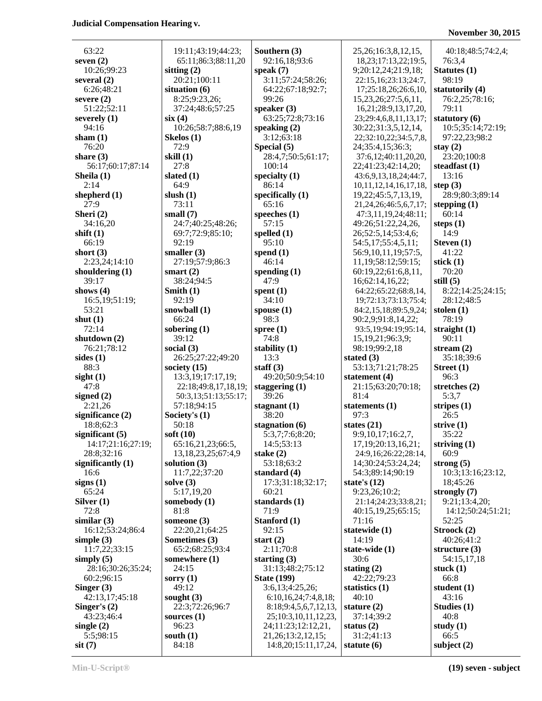## **November 30, 2015**

| 63:22                       | 19:11;43:19;44:23;       | Southern (3)                                 | 25, 26; 16: 3, 8, 12, 15,    | 40:18;48:5;74:2,4;  |
|-----------------------------|--------------------------|----------------------------------------------|------------------------------|---------------------|
| seven $(2)$                 | 65:11;86:3;88:11,20      | 92:16,18;93:6                                | 18, 23; 17: 13, 22; 19: 5,   | 76:3,4              |
|                             |                          |                                              |                              |                     |
| 10:26;99:23                 | sitting $(2)$            | speak $(7)$                                  | 9;20:12,24;21:9,18;          | Statutes (1)        |
| several $(2)$<br>6:26;48:21 | 20:21;100:11             | 3:11;57:24;58:26;<br>64:22;67:18;92:7;       | 22:15,16;23:13;24:7,         | 98:19               |
|                             | situation (6)            | 99:26                                        | 17;25:18,26;26:6,10,         | statutorily (4)     |
| severe $(2)$                | 8:25;9:23,26;            |                                              | 15, 23, 26; 27: 5, 6, 11,    | 76:2,25;78:16;      |
| 51:22;52:11                 | 37:24;48:6;57:25         | speaker $(3)$                                | 16,21;28:9,13,17,20,         | 79:11               |
| severely $(1)$              | six(4)                   | 63:25;72:8;73:16                             | 23;29:4,6,8,11,13,17;        | statutory (6)       |
| 94:16                       | 10:26;58:7;88:6,19       | speaking $(2)$                               | 30:22;31:3,5,12,14,          | 10:5;35:14;72:19;   |
| sham $(1)$                  | Skelos $(1)$             | 3:12;63:18                                   | 22;32:10,22;34:5,7,8,        | 97:22,23;98:2       |
| 76:20                       | 72:9                     | Special (5)                                  | 24;35:4,15;36:3;             | stay $(2)$          |
| share $(3)$                 | skill $(1)$              | 28:4,7;50:5;61:17;                           | 37:6,12;40:11,20,20,         | 23:20;100:8         |
| 56:17;60:17;87:14           | 27:8                     | 100:14                                       | 22;41:23;42:14,20;           | steadfast $(1)$     |
| Sheila (1)                  | slated $(1)$             | specialty $(1)$                              | 43:6,9,13,18,24;44:7,        | 13:16               |
| 2:14                        | 64:9                     | 86:14                                        | 10, 11, 12, 14, 16, 17, 18,  | step $(3)$          |
| shepherd $(1)$              | slush $(1)$              | specifically $(1)$                           | 19,22;45:5,7,13,19,          | 28:9;80:3;89:14     |
| 27:9                        | 73:11                    | 65:16                                        | 21, 24, 26; 46: 5, 6, 7, 17; | stepping $(1)$      |
| Sheri (2)                   | small $(7)$              | speeches $(1)$                               | 47:3,11,19,24;48:11;         | 60:14               |
| 34:16,20                    | 24:7;40:25;48:26;        | 57:15                                        | 49:26;51:22,24,26,           | steps $(1)$         |
| shift $(1)$                 | 69:7;72:9;85:10;         | spelled $(1)$                                | 26;52:5,14;53:4,6;           | 14:9                |
| 66:19                       | 92:19                    | 95:10                                        | 54:5,17;55:4,5,11;           | Steven $(1)$        |
| short $(3)$                 | smaller $(3)$            | spend $(1)$                                  | 56:9,10,11,19;57:5,          | 41:22               |
| 2:23,24;14:10               | 27:19;57:9;86:3          | 46:14                                        | 11, 19; 58: 12; 59: 15;      | stick $(1)$         |
| shouldering $(1)$           | smart $(2)$              | spending $(1)$                               | 60:19,22;61:6,8,11,          | 70:20               |
| 39:17                       | 38:24;94:5               | 47:9                                         | 16;62:14,16,22;              | still $(5)$         |
| shows $(4)$                 | Smith $(1)$              | spent $(1)$                                  | 64:22;65:22;68:8,14,         | 8:22;14:25;24:15;   |
| 16:5,19;51:19;              | 92:19                    | 34:10                                        | 19;72:13;73:13;75:4;         | 28:12;48:5          |
| 53:21                       | snowball $(1)$           | spouse $(1)$                                 | 84:2,15,18;89:5,9,24;        | stolen $(1)$        |
| shut $(1)$                  | 66:24                    | 98:3                                         | 90:2,9;91:8,14,22;           | 78:19               |
| 72:14                       | sobering $(1)$           | spree $(1)$                                  | 93:5, 19; 94: 19; 95: 14,    | straight $(1)$      |
| shutdown $(2)$              | 39:12                    | 74:8                                         | 15, 19, 21; 96: 3, 9;        | 90:11               |
|                             |                          |                                              |                              |                     |
| 76:21;78:12                 | social $(3)$             | stability (1)                                | 98:19;99:2,18                | stream $(2)$        |
| sides $(1)$                 | 26:25;27:22;49:20        | 13:3                                         | stated $(3)$                 | 35:18;39:6          |
| 88:3                        | society $(15)$           | staff $(3)$                                  | 53:13;71:21;78:25            | Street $(1)$        |
| sight(1)                    | 13:3, 19; 17: 17, 19;    | 49:20;50:9;54:10                             | statement $(4)$              | 96:3                |
| 47:8                        | 22:18;49:8,17,18,19;     | staggering $(1)$                             | 21:15;63:20;70:18;           | stretches $(2)$     |
| signed $(2)$                | 50:3,13;51:13;55:17;     | 39:26                                        | 81:4                         | 5:3,7               |
| 2:21,26                     | 57:18;94:15              | stagnant $(1)$                               | statements $(1)$             | stripes $(1)$       |
| significance (2)            | Society's (1)            | 38:20                                        | 97:3                         | 26:5                |
| 18:8;62:3                   | 50:18                    | stagnation $(6)$                             | states $(21)$                | strive $(1)$        |
| significant $(5)$           | soft $(10)$              | 5:3,7;7:6;8:20;                              | 9:9,10,17;16:2,7,            | 35:22               |
| 14:17;21:16;27:19;          | 65:16,21,23;66:5,        | 14:5;53:13                                   | 17, 19; 20: 13, 16, 21;      | striving $(1)$      |
| 28:8;32:16                  | 13, 18, 23, 25; 67: 4, 9 | stake $(2)$                                  | 24:9,16;26:22;28:14,         | 60:9                |
| significantly $(1)$         | solution $(3)$           | 53:18;63:2                                   | 14;30:24;53:24,24;           | strong $(5)$        |
| 16:6                        | 11:7,22;37:20            | standard $(4)$                               | 54:3;89:14;90:19             | 10:3;13:16;23:12,   |
| signs $(1)$                 | solve $(3)$              | 17:3;31:18;32:17;                            | state's $(12)$               | 18;45:26            |
| 65:24                       | 5:17,19,20               | 60:21                                        | 9:23,26;10:2;                | strongly $(7)$      |
| Silver $(1)$                | somebody (1)             | standards (1)                                | 21:14;24:23;33:8,21;         | 9:21;13:4,20;       |
| 72:8                        | 81:8                     | 71:9                                         | 40:15,19,25;65:15;           | 14:12;50:24;51:21;  |
| similar $(3)$               | someone (3)              | Stanford (1)                                 | 71:16                        | 52:25               |
| 16:12;53:24;86:4            | 22:20,21;64:25           | 92:15                                        | statewide (1)                | Stroock (2)         |
| simple $(3)$                | Sometimes (3)            | start $(2)$                                  | 14:19                        | 40:26;41:2          |
| 11:7,22;33:15               | 65:2;68:25;93:4          | 2:11;70:8                                    | state-wide (1)               | structure $(3)$     |
| simply $(5)$                | somewhere (1)            | starting $(3)$                               | 30:6                         | 54:15,17,18         |
| 28:16;30:26;35:24;          | 24:15                    | 31:13;48:2;75:12                             | stating $(2)$                | stuck $(1)$         |
| 60:2;96:15                  | sorry $(1)$              | <b>State (199)</b>                           | 42:22;79:23                  | 66:8                |
| Singer $(3)$                | 49:12                    | 3:6,13;4:25,26;                              | statistics $(1)$             | student (1)         |
| 42:13,17;45:18              | sought $(3)$             | 6:10,16,24;7:4,8,18;                         | 40:10                        | 43:16               |
| Singer's $(2)$              | 22:3;72:26;96:7          | 8:18;9:4,5,6,7,12,13,                        | stature $(2)$                | Studies (1)         |
| 43:23;46:4                  | sources $(1)$            | 25;10:3,10,11,12,23,                         | 37:14;39:2                   | 40:8                |
| single $(2)$<br>5:5;98:15   | 96:23<br>south $(1)$     | 24;11:23;12:12,21,<br>21, 26; 13: 2, 12, 15; | status $(2)$<br>31:2;41:13   | study $(1)$<br>66:5 |

**sit** (7) 84:18 14:8,20;15:11,17,24, **statute (6) subject (2)**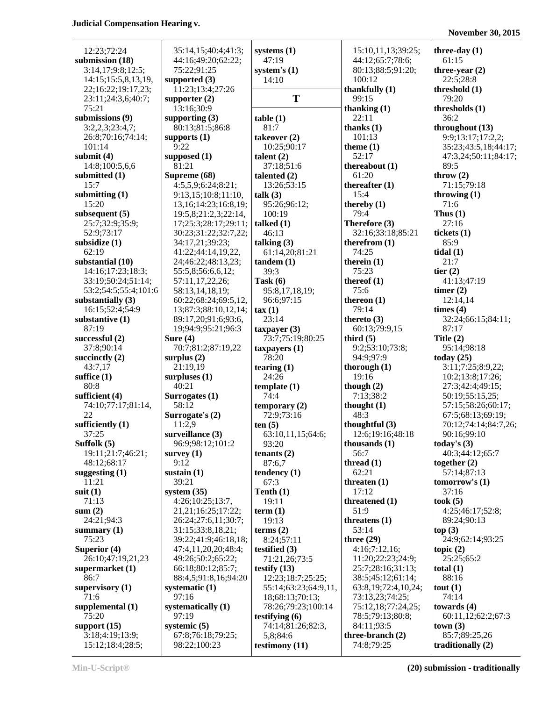| 12:23;72:24                      | 35:14,15;40:4;41:3;                               | systems $(1)$              | 15:10,11,13;39:25;       | three-day $(1)$               |
|----------------------------------|---------------------------------------------------|----------------------------|--------------------------|-------------------------------|
| submission (18)                  | 44:16;49:20;62:22;                                | 47:19                      | 44:12;65:7;78:6;         | 61:15                         |
| 3:14,17;9:8;12:5;                | 75:22;91:25                                       | system's $(1)$             | 80:13;88:5;91:20;        | three-year $(2)$              |
| 14:15:15:5,8,13,19,              | supported $(3)$                                   | 14:10                      | 100:12                   | 22:5;28:8                     |
| 22;16:22;19:17,23;               | 11:23;13:4;27:26                                  |                            | thankfully $(1)$         | threshold (1)                 |
| 23:11;24:3,6;40:7;               | supporter $(2)$                                   | T                          | 99:15                    | 79:20                         |
| 75:21                            | 13:16;30:9                                        |                            | thanking $(1)$           | thresholds (1)                |
| submissions (9)                  | supporting $(3)$                                  | table(1)                   | 22:11                    | 36:2                          |
| 3:2,2,3;23:4,7;                  | 80:13;81:5;86:8                                   | 81:7                       | thanks $(1)$             | throughout (13)               |
| 26:8;70:16;74:14;                | supports $(1)$                                    | takeover (2)               | 101:13                   | 9:9;13:17;17:2,2;             |
| 101:14                           | 9:22                                              | 10:25;90:17                | theme $(1)$              | 35:23;43:5,18;44:17;          |
| submit $(4)$                     | supposed (1)                                      | talent $(2)$               | 52:17                    | 47:3,24;50:11;84:17;          |
| 14:8;100:5,6,6                   | 81:21                                             | 37:18;51:6                 | thereabout $(1)$         | 89:5                          |
| submitted (1)                    | Supreme (68)                                      | talented $(2)$             | 61:20                    | throw $(2)$                   |
| 15:7                             | 4:5,5,9;6:24;8:21;                                | 13:26;53:15                | thereafter $(1)$<br>15:4 | 71:15;79:18                   |
| submitting $(1)$<br>15:20        | 9:13,15;10:8;11:10,<br>13, 16; 14: 23; 16: 8, 19; | talk $(3)$<br>95:26;96:12; | thereby $(1)$            | throwing $(1)$<br>71:6        |
| subsequent $(5)$                 | 19:5,8;21:2,3;22:14,                              | 100:19                     | 79:4                     | Thus $(1)$                    |
| 25:7;32:9;35:9;                  | 17;25:3;28:17;29:11;                              | talked $(1)$               | Therefore (3)            | 27:16                         |
| 52:9;73:17                       | 30:23;31:22;32:7,22;                              | 46:13                      | 32:16;33:18;85:21        | tickets (1)                   |
| subsidize (1)                    | 34:17,21;39:23;                                   | talking $(3)$              | therefrom $(1)$          | 85:9                          |
| 62:19                            | 41:22;44:14,19,22,                                | 61:14,20;81:21             | 74:25                    | tidal(1)                      |
| substantial (10)                 | 24;46:22;48:13,23;                                | tandem(1)                  | therein $(1)$            | 21:7                          |
| 14:16;17:23;18:3;                | 55:5,8;56:6,6,12;                                 | 39:3                       | 75:23                    | tier $(2)$                    |
| 33:19;50:24;51:14;               | 57:11,17,22,26;                                   | Task $(6)$                 | thereof $(1)$            | 41:13;47:19                   |
| 53:2;54:5;55:4;101:6             | 58:13,14,18,19;                                   | 95:8,17,18,19;             | 75:6                     | timer $(2)$                   |
| substantially $(3)$              | 60:22;68:24;69:5,12,                              | 96:6;97:15                 | thereon $(1)$            | 12:14,14                      |
| 16:15;52:4;54:9                  | 13;87:3;88:10,12,14;                              | $\tan(1)$                  | 79:14                    | times (4)                     |
| substantive (1)                  | 89:17,20;91:6;93:6,                               | 23:14                      | thereto $(3)$            | 32:24;66:15;84:11;            |
| 87:19                            | 19;94:9;95:21;96:3                                | $t$ axpayer $(3)$          | 60:13;79:9,15            | 87:17                         |
| successful (2)                   | Sure $(4)$                                        | 73:7;75:19;80:25           | third $(5)$              | Title $(2)$                   |
| 37:8;90:14                       | 70:7;81:2;87:19,22                                | $t$ axpayers $(1)$         | 9:2;53:10;73:8;          | 95:14;98:18                   |
| succinctly $(2)$                 | surplus $(2)$                                     | 78:20                      | 94:9;97:9                | today $(25)$                  |
| 43:7,17                          | 21:19,19                                          | tearing $(1)$              | thorough $(1)$           | 3:11;7:25;8:9,22;             |
| suffice $(1)$                    | surpluses $(1)$                                   | 24:26                      | 19:16                    | 10:2;13:8;17:26;              |
| 80:8                             | 40:21                                             | template(1)                | though $(2)$             | 27:3;42:4;49:15;              |
| sufficient (4)                   | Surrogates (1)                                    | 74:4                       | 7:13;38:2                | 50:19;55:15,25;               |
| 74:10;77:17;81:14,               | 58:12                                             | temporary $(2)$            | thought $(1)$            | 57:15;58:26;60:17;            |
| 22                               | Surrogate's (2)                                   | 72:9;73:16                 | 48:3                     | 67:5;68:13;69:19;             |
| sufficiently $(1)$               | 11:2,9                                            | ten $(5)$                  | thoughtful $(3)$         | 70:12;74:14;84:7,26;          |
| 37:25                            | surveillance (3)                                  | 63:10,11,15;64:6;          | 12:6;19:16;48:18         | 90:16;99:10                   |
| Suffolk $(5)$                    | 96:9;98:12;101:2                                  | 93:20                      | thousands $(1)$          | today's $(3)$                 |
| 19:11;21:7;46:21;<br>48:12;68:17 | survey $(1)$<br>9:12                              | tenants $(2)$              | 56:7<br>thread $(1)$     | 40:3;44:12;65:7               |
| suggesting $(1)$                 | sustain $(1)$                                     | 87:6,7<br>tendency (1)     | 62:21                    | together $(2)$<br>57:14;87:13 |
| 11:21                            | 39:21                                             | 67:3                       | threaten $(1)$           | tomorrow's $(1)$              |
| suit $(1)$                       | system $(35)$                                     | Tenth $(1)$                | 17:12                    | 37:16                         |
| 71:13                            | 4:26;10:25;13:7,                                  | 19:11                      | threatened (1)           | took(5)                       |
| sum(2)                           | 21, 21; 16: 25; 17: 22;                           | term(1)                    | 51:9                     | 4:25;46:17;52:8;              |
| 24:21;94:3                       | 26:24;27:6,11;30:7;                               | 19:13                      | threatens $(1)$          | 89:24;90:13                   |
| summary $(1)$                    | 31:15;33:8,18,21;                                 | terms $(2)$                | 53:14                    | top(3)                        |
| 75:23                            | 39:22;41:9;46:18,18;                              | 8:24;57:11                 | three $(29)$             | 24:9;62:14;93:25              |
| Superior (4)                     | 47:4,11,20,20;48:4;                               | testified $(3)$            | 4:16;7:12,16;            | topic $(2)$                   |
| 26:10;47:19,21,23                | 49:26;50:2;65:22;                                 | 71:21,26;73:5              | 11:20;22:23;24:9;        | 25:25;65:2                    |
| supermarket $(1)$                | 66:18:80:12:85:7;                                 | testify $(13)$             | 25:7;28:16;31:13;        | total $(1)$                   |
| 86:7                             | 88:4,5;91:8,16;94:20                              | 12:23;18:7;25:25;          | 38:5;45:12;61:14;        | 88:16                         |
| supervisory $(1)$                | systematic $(1)$                                  | 55:14;63:23;64:9,11,       | 63:8,19;72:4,10,24;      | tout(1)                       |
| 71:6                             | 97:16                                             | 18;68:13;70:13;            | 73:13,23;74:25;          | 74:14                         |
| supplemental $(1)$               | systematically (1)                                | 78:26;79:23;100:14         | 75:12,18;77:24,25;       | towards $(4)$                 |
| 75:20                            | 97:19                                             | testifying $(6)$           | 78:5;79:13;80:8;         | 60:11,12;62:2;67:3            |
| support $(15)$                   | systemic $(5)$                                    | 74:14;81:26;82:3,          | 84:11;93:5               | town(3)                       |
| 3:18;4:19;13:9;                  | 67:8;76:18;79:25;                                 | 5,8;84:6                   | three-branch (2)         | 85:7;89:25,26                 |
| 15:12;18:4;28:5;                 | 98:22;100:23                                      | testimony (11)             | 74:8;79:25               | traditionally $(2)$           |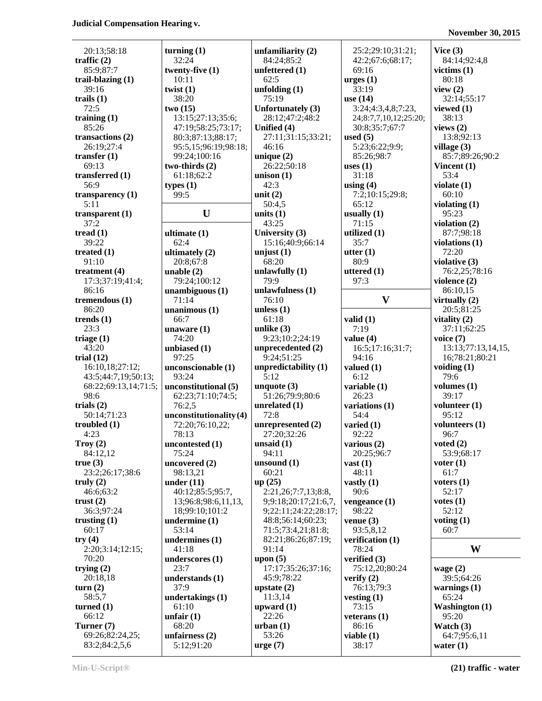**November 30, 2015**

| 20:13;58:18          | turning $(1)$             | unfamiliarity $(2)$  | 25:2;29:10;31:21;     | Vice $(3)$            |
|----------------------|---------------------------|----------------------|-----------------------|-----------------------|
| traffic $(2)$        | 32:24                     | 84:24;85:2           | 42:2;67:6;68:17;      | 84:14;92:4,8          |
| 85:9;87:7            | twenty-five $(1)$         | unfettered $(1)$     | 69:16                 | victims $(1)$         |
| trail-blazing $(1)$  | 10:11                     | 62:5                 | $\text{urges}(1)$     | 80:18                 |
| 39:16                | twist $(1)$               | unfolding $(1)$      | 33:19                 | view $(2)$            |
| trails $(1)$         | 38:20                     | 75:19                | use $(14)$            | 32:14;55:17           |
| 72:5                 | two(15)                   | Unfortunately (3)    |                       | viewed (1)            |
|                      |                           |                      | 3:24;4:3,4,8;7:23,    |                       |
| training $(1)$       | 13:15;27:13;35:6;         | 28:12;47:2;48:2      | 24;8:7,7,10,12;25:20; | 38:13                 |
| 85:26                | 47:19:58:25:73:17;        | Unified (4)          | 30:8;35:7;67:7        | views $(2)$           |
| transactions $(2)$   | 80:3;87:13;88:17;         | 27:11;31:15;33:21;   | used $(5)$            | 13:8;92:13            |
| 26:19;27:4           | 95:5,15;96:19;98:18;      | 46:16                | 5:23;6:22;9:9;        | village (3)           |
| transfer $(1)$       | 99:24;100:16              | unique $(2)$         | 85:26;98:7            | 85:7;89:26;90:2       |
| 69:13                | two-thirds (2)            | 26:22;50:18          | uses $(1)$            | Vincent $(1)$         |
| transferred $(1)$    | 61:18;62:2                | unison $(1)$         | 31:18                 | 53:4                  |
| 56:9                 | types(1)                  | 42:3                 | using $(4)$           | violate $(1)$         |
| transparency $(1)$   | 99:5                      | unit $(2)$           | 7:2;10:15;29:8;       | 60:10                 |
| 5:11                 |                           | 50:4,5               | 65:12                 | violating $(1)$       |
| transparent $(1)$    | U                         | units $(1)$          | usually $(1)$         | 95:23                 |
| 37:2                 |                           | 43:25                | 71:15                 | violation $(2)$       |
| tread $(1)$          | ultimate (1)              | University (3)       | utilized (1)          | 87:7;98:18            |
| 39:22                | 62:4                      | 15:16;40:9;66:14     | 35:7                  | violations (1)        |
| treated $(1)$        |                           | unjust $(1)$         | utter $(1)$           | 72:20                 |
| 91:10                | ultimately $(2)$          | 68:20                | 80:9                  | violative (3)         |
|                      | 20:8;67:8                 |                      |                       |                       |
| treatment $(4)$      | unable $(2)$              | unlawfully $(1)$     | uttered (1)           | 76:2,25;78:16         |
| 17:3;37:19;41:4;     | 79:24;100:12              | 79:9                 | 97:3                  | violence (2)          |
| 86:16                | unambiguous(1)            | unlawfulness (1)     |                       | 86:10,15              |
| tremendous (1)       | 71:14                     | 76:10                | $\mathbf{V}$          | virtually $(2)$       |
| 86:20                | $unanimous (1)$           | unless $(1)$         |                       | 20:5;81:25            |
| trends $(1)$         | 66:7                      | 61:18                | valid $(1)$           | vitality $(2)$        |
| 23:3                 | unaware $(1)$             | unlike $(3)$         | 7:19                  | 37:11;62:25           |
| triage $(1)$         | 74:20                     | 9:23;10:2;24:19      | value $(4)$           | voice $(7)$           |
| 43:20                | unbiased (1)              | unprecedented (2)    | 16:5;17:16;31:7;      | 13:13;77:13,14,15,    |
| trial $(12)$         | 97:25                     | 9:24;51:25           | 94:16                 | 16;78:21;80:21        |
| 16:10,18;27:12;      | unconscionable (1)        | unpredictability (1) | valued $(1)$          | voiding $(1)$         |
| 43:5;44:7,19;50:13;  | 93:24                     | 5:12                 | 6:12                  | 79:6                  |
| 68:22;69:13,14;71:5; | unconstitutional (5)      | unquote $(3)$        | variable (1)          | volumes $(1)$         |
| 98:6                 | 62:23;71:10;74:5;         | 51:26;79:9;80:6      | 26:23                 | 39:17                 |
| trials $(2)$         | 76:2,5                    | unrelated $(1)$      | variations (1)        | volunteer $(1)$       |
| 50:14;71:23          | unconstitutionality $(4)$ | 72:8                 | 54:4                  | 95:12                 |
| troubled $(1)$       | 72:20;76:10,22;           | unrepresented (2)    | varied $(1)$          | volunteers (1)        |
| 4:23                 | 78:13                     | 27:20;32:26          | 92:22                 | 96:7                  |
| Troy(2)              | uncontested (1)           | unsaid $(1)$         | various $(2)$         | voted $(2)$           |
| 84:12,12             | 75:24                     | 94:11                | 20:25;96:7            | 53:9;68:17            |
| true(3)              | uncovered $(2)$           | unsound (1)          | vast $(1)$            | voter $(1)$           |
| 23:2;26:17;38:6      | 98:13,21                  | 60:21                | 48:11                 | 61:7                  |
| truly $(2)$          | under $(11)$              | up(25)               | vastly $(1)$          | voters $(1)$          |
| 46:6;63:2            | 40:12;85:5;95:7,          | 2:21,26;7:7,13;8:8,  | 90:6                  | 52:17                 |
| trust $(2)$          | 13;96:8;98:6,11,13,       | 9;9:18;20:17;21:6,7, | vengeance (1)         | votes $(1)$           |
| 36:3;97:24           | 18;99:10;101:2            | 9;22:11;24:22;28:17; | 98:22                 | 52:12                 |
| trusting $(1)$       | undermine $(1)$           | 48:8;56:14;60:23;    | venue $(3)$           | voting $(1)$          |
| 60:17                | 53:14                     | 71:5;73:4,21;81:8;   | 93:5,8,12             | 60:7                  |
| try(4)               | undermines $(1)$          | 82:21;86:26;87:19;   | verification (1)      |                       |
| 2:20;3:14;12:15;     | 41:18                     | 91:14                | 78:24                 | W                     |
| 70:20                | underscores (1)           | upon $(5)$           | verified (3)          |                       |
| trying $(2)$         | 23:7                      | 17:17;35:26;37:16;   |                       |                       |
|                      |                           |                      | 75:12,20;80:24        | wage $(2)$            |
| 20:18,18             | understands (1)           | 45:9;78:22           | verify $(2)$          | 39:5;64:26            |
| turn(2)              | 37:9                      | upstate $(2)$        | 76:13;79:3            | warnings $(1)$        |
| 58:5,7               | undertakings (1)          | 11:3,14              | vesting $(1)$         | 65:24                 |
| turned $(1)$         | 61:10                     | upward $(1)$         | 73:15                 | <b>Washington</b> (1) |
| 66:12                | unfair $(1)$              | 22:26                | veterans $(1)$        | 95:20                 |
| Turner (7)           | 68:20                     | urban(1)             | 86:16                 | Watch $(3)$           |
| 69:26;82:24,25;      | unfairness (2)            | 53:26                | viable $(1)$          | 64:7;95:6,11          |
| 83:2;84:2,5,6        | 5:12;91:20                | $\arg e(7)$          | 38:17                 | water $(1)$           |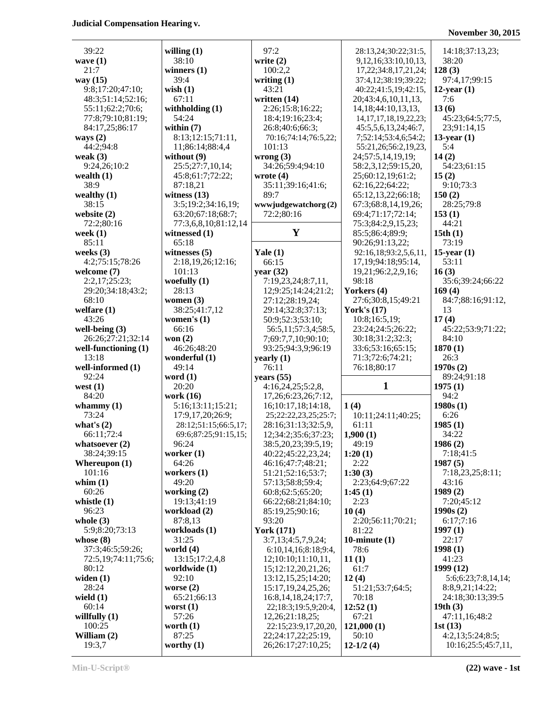**November 30, 2015**

| 39:22                  | willing $(1)$        | 97:2                    | 28:13,24;30:22;31:5,        | 14:18;37:13,23;     |
|------------------------|----------------------|-------------------------|-----------------------------|---------------------|
| wave $(1)$             | 38:10                | write $(2)$             | 9, 12, 16; 33: 10, 10, 13,  | 38:20               |
| 21:7                   | winners $(1)$        | 100:2,2                 | 17, 22; 34: 8, 17, 21, 24;  | 128(3)              |
| way $(15)$             | 39:4                 | writing $(1)$           | 37:4,12;38:19;39:22;        | 97:4,17;99:15       |
| 9:8;17:20;47:10;       | wish $(1)$           | 43:21                   | 40:22;41:5,19;42:15,        | $12$ -year $(1)$    |
| 48:3;51:14;52:16;      | 67:11                | written (14)            | 20;43:4,6,10,11,13,         | 7:6                 |
| 55:11;62:2;70:6;       | withholding $(1)$    | 2:26;15:8;16:22;        | 14, 18; 44: 10, 13, 13,     | 13(6)               |
| 77:8;79:10;81:19;      | 54:24                | 18:4;19:16;23:4;        | 14, 17, 17, 18, 19, 22, 23; | 45:23;64:5;77:5,    |
| 84:17,25;86:17         | within $(7)$         | 26:8;40:6;66:3;         | 45:5,5,6,13,24;46:7,        | 23;91:14,15         |
| ways $(2)$             | 8:13;12:15;71:11,    | 70:16;74:14;76:5,22;    | 7;52:14;53:4,6;54:2;        | $13$ -year $(1)$    |
| 44:2;94:8              | 11;86:14;88:4,4      | 101:13                  | 55:21,26;56:2,19,23,        | 5:4                 |
| weak $(3)$             | without $(9)$        | wrong(3)                | 24;57:5,14,19,19;           | 14(2)               |
| 9:24,26;10:2           | 25:5;27:7,10,14;     | 34:26;59:4;94:10        | 58:2,3,12;59:15,20,         | 54:23;61:15         |
| wealth $(1)$           | 45:8;61:7;72:22;     | wrote $(4)$             | 25;60:12,19;61:2;           | 15(2)               |
| 38:9                   | 87:18,21             | 35:11;39:16;41:6;       | 62:16,22;64:22;             | 9:10;73:3           |
| wealthy $(1)$          | witness $(13)$       | 89:7                    | 65:12,13,22;66:18;          | 150(2)              |
| 38:15                  | 3:5;19:2;34:16,19;   | www.judgewatchorg(2)    | 67:3;68:8,14,19,26;         | 28:25;79:8          |
| website $(2)$          | 63:20;67:18;68:7;    | 72:2;80:16              | 69:4;71:17;72:14;           | 153(1)              |
| 72:2;80:16             | 77:3,6,8,10;81:12,14 |                         | 75:3;84:2,9,15,23;          | 44:21               |
| week $(1)$             | witnessed (1)        | Y                       | 85:5;86:4;89:9;             | 15th(1)             |
| 85:11                  | 65:18                |                         | 90:26;91:13,22;             | 73:19               |
| weeks $(3)$            | witnesses $(5)$      | Yale $(1)$              | 92:16,18;93:2,5,6,11,       | $15$ -year $(1)$    |
| 4:2;75:15;78:26        | 2:18,19,26;12:16;    | 66:15                   | 17, 19; 94: 18; 95: 14,     | 53:11               |
| welcome $(7)$          | 101:13               | year $(32)$             | 19,21;96:2,2,9,16;          | 16(3)               |
| 2:2,17;25:23;          | woefully $(1)$       | 7:19,23,24;8:7,11,      | 98:18                       | 35:6;39:24;66:22    |
| 29:20;34:18;43:2;      | 28:13                | 12;9:25;14:24;21:2;     | Yorkers (4)                 | 169(4)              |
| 68:10                  | women $(3)$          | 27:12;28:19,24;         | 27:6;30:8,15;49:21          | 84:7;88:16;91:12,   |
| welfare $(1)$          | 38:25;41:7,12        | 29:14;32:8;37:13;       | <b>York's (17)</b>          | 13                  |
| 43:26                  | women's $(1)$        | 50:9;52:3;53:10;        | 10:8;16:5,19;               | 17(4)               |
| well-being $(3)$       | 66:16                | 56:5,11;57:3,4;58:5,    | 23:24;24:5;26:22;           | 45:22;53:9;71:22;   |
| 26:26;27:21;32:14      | won $(2)$            | 7;69:7,7,10;90:10;      | 30:18;31:2;32:3;            | 84:10               |
| well-functioning $(1)$ | 46:26;48:20          | 93:25;94:3,9;96:19      | 33:6;53:16;65:15;           | 1870(1)             |
| 13:18                  | wonderful (1)        | yearly $(1)$            | 71:3;72:6;74:21;            | 26:3                |
| well-informed (1)      | 49:14                | 76:11                   | 76:18;80:17                 | 1970s(2)            |
| 92:24                  | word $(1)$           | years $(55)$            |                             | 89:24;91:18         |
| west $(1)$             | 20:20                | 4:16,24,25;5:2,8,       | $\mathbf{1}$                | 1975(1)             |
| 84:20                  | work (16)            | 17,26;6:23,26;7:12,     |                             | 94:2                |
| whammy $(1)$           | 5:16;13:11;15:21;    | 16;10:17,18;14:18,      | 1(4)                        | 1980s(1)            |
| 73:24                  | 17:9,17,20;26:9;     | 25;22:22,23,25;25:7;    | 10:11;24:11;40:25;          | 6:26                |
| what's $(2)$           | 28:12;51:15;66:5,17; | 28:16;31:13;32:5,9,     | 61:11                       | 1985(1)             |
| 66:11;72:4             | 69:6;87:25;91:15,15; | 12;34:2;35:6;37:23;     | 1,900(1)                    | 34:22               |
| whatsoever $(2)$       | 96:24                | 38:5,20,23;39:5,19;     | 49:19                       | 1986(2)             |
| 38:24;39:15            | worker $(1)$         | 40:22;45:22,23,24;      | 1:20(1)                     | 7:18;41:5           |
| Whereupon $(1)$        | 64:26                | 46:16;47:7;48:21;       | 2:22                        | 1987(5)             |
| 101:16                 | workers $(1)$        | 51:21;52:16;53:7;       | 1:30(3)                     | 7:18,23,25;8:11;    |
| whim $(1)$             | 49:20                | 57:13;58:8;59:4;        | 2:23:64:9:67:22             | 43:16               |
| 60:26                  | working (2)          | 60:8;62:5;65:20;        | 1:45(1)                     | 1989(2)             |
| whistle $(1)$          | 19:13;41:19          | 66:22;68:21;84:10;      | 2:23                        | 7:20;45:12          |
| 96:23                  | workload (2)         | 85:19,25;90:16;         | 10(4)                       | 1990s(2)            |
| whole $(3)$            | 87:8,13              | 93:20                   | 2:20;56:11;70:21;           | 6:17;7:16           |
| 5:9;8:20;73:13         | workloads (1)        | <b>York (171)</b>       | 81:22                       | 1997(1)             |
| whose $(8)$            | 31:25                | 3:7,13;4:5,7,9,24;      | 10-minute $(1)$             | 22:17               |
| 37:3;46:5;59:26;       | world $(4)$          | 6:10,14,16;8:18;9:4,    | 78:6                        | 1998(1)             |
| 72:5,19;74:11;75:6;    | 13:15;17:2,4,8       | 12;10:10;11:10,11,      | 11(1)                       | 41:23               |
| 80:12                  | worldwide (1)        | 15;12:12,20,21,26;      | 61:7                        | 1999(12)            |
| widen $(1)$            | 92:10                | 13:12, 15, 25; 14: 20;  | 12(4)                       | 5:6;6:23;7:8,14,14; |
| 28:24                  | worse $(2)$          | 15:17, 19, 24, 25, 26;  | 51:21;53:7;64:5;            | 8:8,9,21;14:22;     |
| wield $(1)$            | 65:21;66:13          | 16:8, 14, 18, 24; 17:7, | 70:18                       | 24:18;30:13;39:5    |
| 60:14                  | worst $(1)$          | 22;18:3;19:5,9;20:4,    | 12:52(1)                    | 19th $(3)$          |
| willfully $(1)$        | 57:26                | 12,26;21:18,25;         | 67:21                       | 47:11,16;48:2       |
| 100:25                 | worth $(1)$          | 22:15;23:9,17,20,20,    | 121,000(1)                  | 1st $(13)$          |
| William $(2)$          | 87:25                | 22;24:17,22;25:19,      | 50:10                       | 4:2,13;5:24;8:5;    |
| 19:3,7                 | worthy $(1)$         | 26;26:17;27:10,25;      | $12-1/2(4)$                 | 10:16;25:5;45:7,11, |